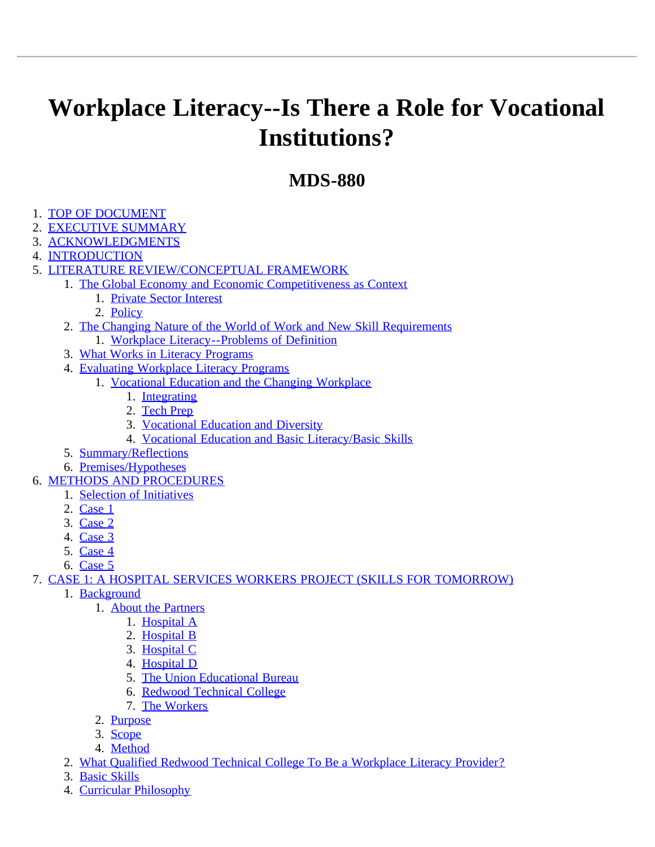# <span id="page-0-0"></span>**Workplace Literacy--Is There a Role for Vocational Institutions?**

# **MDS-880**

- 1. [TOP OF DOCUMENT](#page-0-0)
- 2. [EXECUTIVE SUMMARY](#page-5-0)
- 3. [ACKNOWLEDGMENTS](#page-6-0)
- 4. [INTRODUCTION](#page-6-1)
- 5. [LITERATURE REVIEW/CONCEPTUAL FRAMEWORK](#page-7-0)
	- 1. [The Global Economy and Economic Competitiveness as Context](#page-8-0)
		- 1. [Private Sector Interest](#page-8-1)
		- 2. [Policy](#page-9-0)
	- 2. [The Changing Nature of the World of Work and New Skill Requirements](#page-10-1)
		- 1. [Workplace Literacy--Problems of Definition](#page-10-0)
	- 3. [What Works in Literacy Programs](#page-12-0)
	- 4. [Evaluating Workplace Literacy Programs](#page-12-1)
		- 1. [Vocational Education and the Changing Workplace](#page-13-0)
			- 1. [Integrating](#page-13-1)
			- 2. [Tech Prep](#page-14-0)
			- 3. [Vocational Education and Diversity](#page-14-1)
			- 4. [Vocational Education and Basic Literacy/Basic Skills](#page-14-2)
	- 5. [Summary/Reflections](#page-15-0)
	- 6. [Premises/Hypotheses](#page-15-1)
- 6. [METHODS AND PROCEDURES](#page-16-0)
	- 1. [Selection of Initiatives](#page-16-1)
	- 2. [Case 1](#page-17-0)
	- 3. [Case 2](#page-17-1)
	- 4. [Case 3](#page-17-2)
	- 5. [Case 4](#page-18-0)
	- 6. [Case 5](#page-18-1)

# 7. [CASE 1: A HOSPITAL SERVICES WORKERS PROJECT \(SKILLS FOR TOMORROW\)](#page-18-3)

- 1. [Background](#page-18-2)
	- 1. [About the Partners](#page-19-0)
		- 1. [Hospital A](#page-19-1)
		- 2. [Hospital B](#page-19-2)
		- 3. [Hospital C](#page-20-0)
		- 4. [Hospital D](#page-20-1)
		- 5. [The Union Educational Bureau](#page-20-2)
		- 6. [Redwood Technical College](#page-20-3)
		- 7. [The Workers](#page-21-0)
	- 2. [Purpose](#page-21-1)
	- 3. [Scope](#page-21-2)
	- 4. [Method](#page-21-3)
- 2. [What Qualified Redwood Technical College To Be a Workplace Literacy Provider?](#page-22-0)
- 3. [Basic Skills](#page-24-0)
- 4. [Curricular Philosophy](#page-25-0)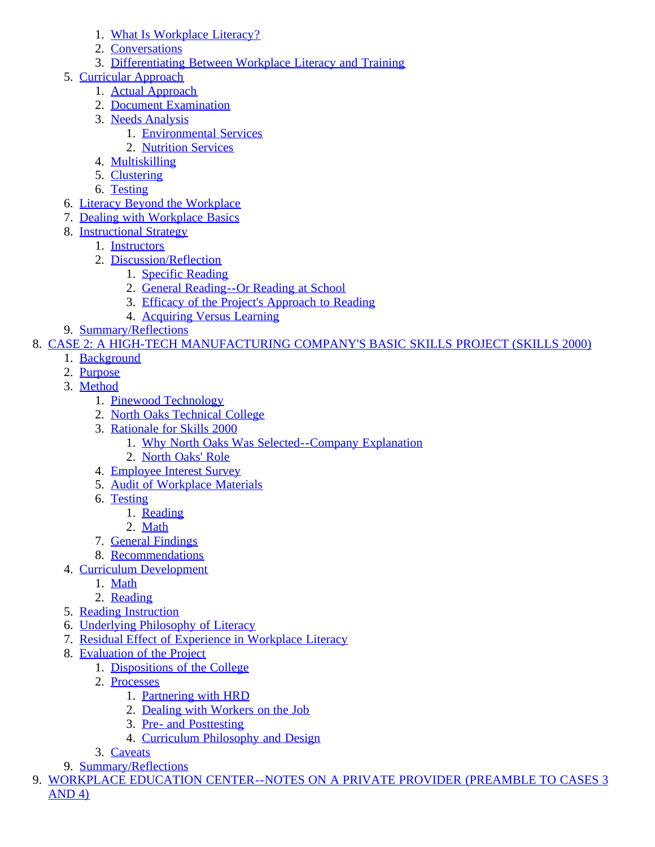- 1. [What Is Workplace Literacy?](#page-25-1)
- 2. [Conversations](#page-26-0)
- 3. [Differentiating Between Workplace Literacy and Training](#page-28-0)
- 5. [Curricular Approach](#page-28-1)
	- 1. [Actual Approach](#page-29-0)
	- 2. [Document Examination](#page-31-0)
	- 3. [Needs Analysis](#page-32-0)
		- 1. [Environmental Services](#page-33-0)
		- 2. [Nutrition Services](#page-33-1)
	- 4. [Multiskilling](#page-34-0)
	- 5. [Clustering](#page-35-0)
	- 6. [Testing](#page-35-1)
- 6. [Literacy Beyond the Workplace](#page-35-2)
- 7. [Dealing with Workplace Basics](#page-36-0)
- 8. [Instructional Strategy](#page-37-0)
	- 1. [Instructors](#page-38-0)
	- 2. [Discussion/Reflection](#page-38-1)
		- 1. [Specific Reading](#page-39-0)
		- 2. [General Reading--Or Reading at School](#page-39-1)
		- 3. [Efficacy of the Project's Approach to Reading](#page-40-0)
		- 4. [Acquiring Versus Learning](#page-41-0)
- 9. [Summary/Reflections](#page-42-0)

8. [CASE 2: A HIGH-TECH MANUFACTURING COMPANY'S BASIC SKILLS PROJECT \(SKILLS 2000\)](#page-43-1)

- 1. [Background](#page-43-0)
- 2. [Purpose](#page-44-0)
- 3. [Method](#page-44-1)
	- 1. [Pinewood Technology](#page-45-0)
	- 2. [North Oaks Technical College](#page-45-1)
	- 3. [Rationale for Skills 2000](#page-45-2)
		- 1. [Why North Oaks Was Selected--Company Explanation](#page-46-0)
		- 2. [North Oaks' Role](#page-46-1)
	- 4. [Employee Interest Survey](#page-46-2)
	- 5. [Audit of Workplace Materials](#page-47-0)
	- 6. [Testing](#page-47-1)
		- 1. [Reading](#page-47-2)
		- 2. [Math](#page-48-0)
	- 7. [General Findings](#page-48-1)
	- 8. [Recommendations](#page-48-2)
- 4. [Curriculum Development](#page-48-3)
	- 1. [Math](#page-48-4)
	- 2. [Reading](#page-49-0)
- 5. [Reading Instruction](#page-50-0)
- 6. [Underlying Philosophy of Literacy](#page-51-0)
- 7. [Residual Effect of Experience in Workplace Literacy](#page-51-1)
- 8. [Evaluation of the Project](#page-52-0)
	- 1. [Dispositions of the College](#page-52-1)
	- 2. [Processes](#page-52-2)
		- 1. [Partnering with HRD](#page-52-3)
		- 2. [Dealing with Workers on the Job](#page-52-4)
		- 3. [Pre- and Posttesting](#page-53-0)
		- 4. [Curriculum Philosophy and Design](#page-53-1)
	- 3. [Caveats](#page-53-2)
- 9. [Summary/Reflections](#page-55-0)
- 9. [WORKPLACE EDUCATION CENTER--NOTES ON A PRIVATE PROVIDER \(PREAMBLE TO CASES 3](#page-55-1) AND 4)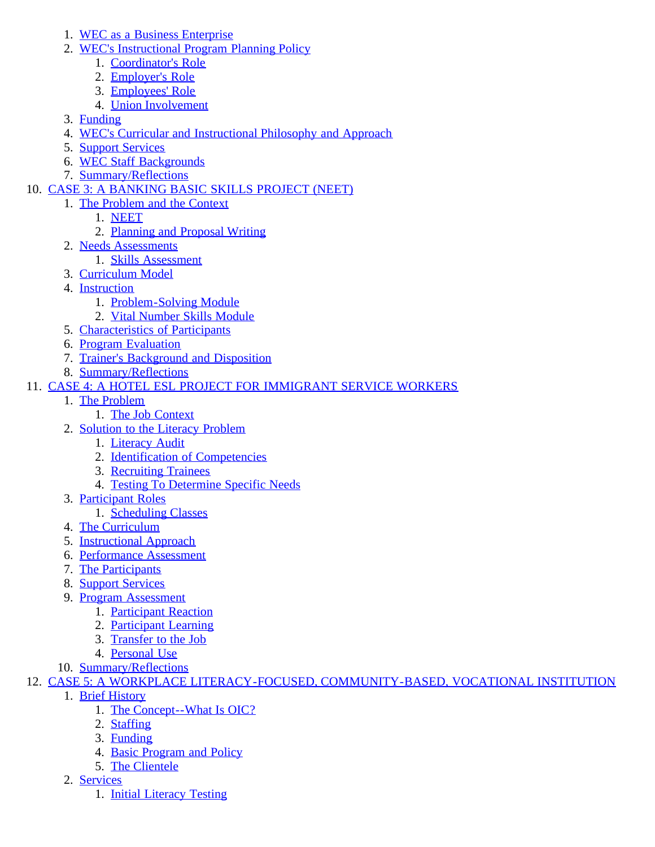- 1. [WEC as a Business Enterprise](#page-56-0)
- 2. [WEC's Instructional Program Planning Policy](#page-56-1)
	- 1. [Coordinator's Role](#page-57-0)
	- 2. [Employer's Role](#page-57-1)
	- 3. [Employees' Role](#page-58-0)
	- 4. [Union Involvement](#page-58-1)
- 3. [Funding](#page-59-0)
- 4. [WEC's Curricular and Instructional Philosophy and Approach](#page-59-1)
- 5. [Support Services](#page-60-0)
- 6. [WEC Staff Backgrounds](#page-60-1)
- 7. [Summary/Reflections](#page-60-2)
- 10. [CASE 3: A BANKING BASIC SKILLS PROJECT \(NEET\)](#page-61-2)
	- 1. [The Problem and the Context](#page-61-0)
		- 1. [NEET](#page-61-1)
		- 2. [Planning and Proposal Writing](#page-62-0)
	- 2. [Needs Assessments](#page-62-1)
	- 1. [Skills Assessment](#page-62-2)
	- 3. [Curriculum Model](#page-62-3)
	- 4. [Instruction](#page-63-0)
		- 1. [Problem-Solving Module](#page-63-1)
		- 2. [Vital Number Skills Module](#page-64-0)
	- 5. [Characteristics of Participants](#page-64-1)
	- 6. [Program Evaluation](#page-64-2)
	- 7. [Trainer's Background and Disposition](#page-65-0)
	- 8. [Summary/Reflections](#page-65-1)
- 11. [CASE 4: A HOTEL ESL PROJECT FOR IMMIGRANT SERVICE WORKERS](#page-65-3)
	- 1. [The Problem](#page-65-2)
		- 1. [The Job Context](#page-66-0)
		- 2. [Solution to the Literacy Problem](#page-66-1)
			- 1. [Literacy Audit](#page-66-2)
			- 2. [Identification of Competencies](#page-67-0)
			- 3. [Recruiting Trainees](#page-67-1)
			- 4. [Testing To Determine Specific Needs](#page-68-0)
		- 3. [Participant Roles](#page-68-1)
			- 1. [Scheduling Classes](#page-68-2)
		- 4. [The Curriculum](#page-69-0)
		- 5. [Instructional Approach](#page-70-0)
		- 6. [Performance Assessment](#page-72-0)
		- 7. [The Participants](#page-73-0)
		- 8. [Support Services](#page-74-0)
		- 9. [Program Assessment](#page-74-1)
			- 1. [Participant Reaction](#page-74-2)
			- 2. [Participant Learning](#page-74-3)
			- 3. [Transfer to the Job](#page-75-0)
			- 4. [Personal Use](#page-75-1)
		- 10. [Summary/Reflections](#page-75-2)
- 12. [CASE 5: A WORKPLACE LITERACY-FOCUSED, COMMUNITY-BASED, VOCATIONAL INSTITUTION](#page-75-4)
	- 1. [Brief History](#page-75-3)
		- 1. [The Concept--What Is OIC?](#page-76-0)
		- 2. [Staffing](#page-77-0)
		- 3. [Funding](#page-77-1)
		- 4. [Basic Program and Policy](#page-77-2)
		- 5. [The Clientele](#page-78-0)
	- 2. [Services](#page-79-0)
		- 1. [Initial Literacy Testing](#page-79-1)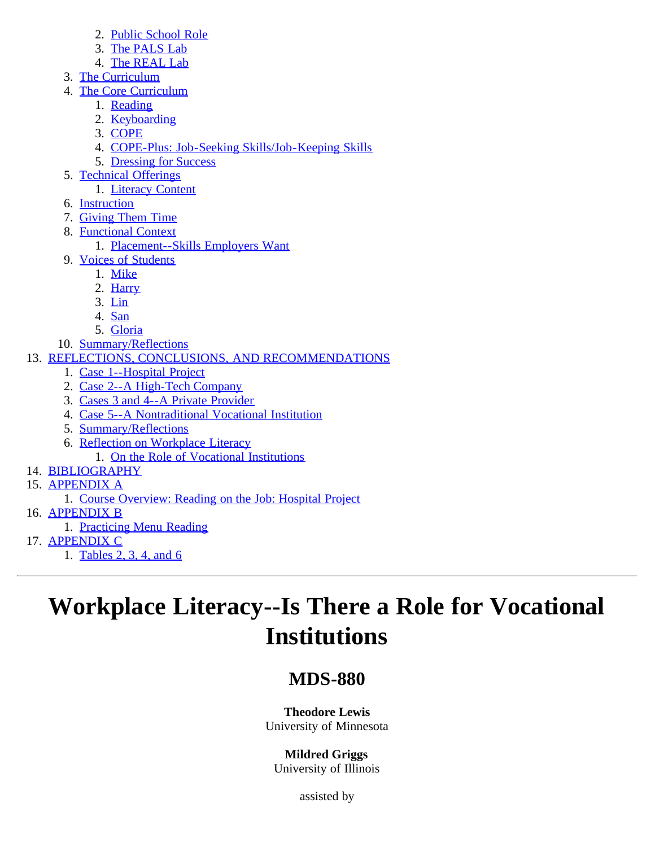- 2. [Public School Role](#page-80-0)
- 3. [The PALS Lab](#page-81-0)
- 4. [The REAL Lab](#page-82-0)
- 3. [The Curriculum](#page-82-1)
- 4. [The Core Curriculum](#page-82-2)
	- 1. [Reading](#page-83-0)
	- 2. [Keyboarding](#page-83-1)
	- 3. [COPE](#page-83-2)
	- 4. [COPE-Plus: Job-Seeking Skills/Job-Keeping Skills](#page-84-0)
	- 5. [Dressing for Success](#page-84-1)
- 5. [Technical Offerings](#page-85-0)
	- 1. [Literacy Content](#page-86-0)
- 6. [Instruction](#page-86-1)
- 7. [Giving Them Time](#page-87-0)
- 8. [Functional Context](#page-87-1)
	- 1. [Placement--Skills Employers Want](#page-88-0)
- 9. [Voices of Students](#page-89-0)
	- 1. [Mike](#page-89-1)
	- 2. [Harry](#page-90-0)
	- 3. [Lin](#page-90-1)
	- 4. [San](#page-90-2)
	- 5. [Gloria](#page-91-0)
- 10. [Summary/Reflections](#page-91-1)
- 13. [REFLECTIONS, CONCLUSIONS, AND RECOMMENDATIONS](#page-91-2)
	- 1. [Case 1--Hospital Project](#page-92-0)
	- 2. [Case 2--A High-Tech Company](#page-92-1)
	- 3. [Cases 3 and 4--A Private Provider](#page-93-0)
	- 4. [Case 5--A Nontraditional Vocational Institution](#page-94-0)
	- 5. [Summary/Reflections](#page-94-1)
	- 6. [Reflection on Workplace Literacy](#page-94-2)
	- 1. [On the Role of Vocational Institutions](#page-96-0)
- 14. [BIBLIOGRAPHY](#page-96-1)
- 15. [APPENDIX A](#page-102-0)
	- 1. [Course Overview: Reading on the Job: Hospital Project](#page-102-1)
- 16. [APPENDIX B](#page-102-2)
	- 1. [Practicing Menu Reading](#page-102-3)
- 17. [APPENDIX C](#page-102-4)
	- 1. [Tables 2, 3, 4, and 6](#page-103-0)

# **Workplace Literacy--Is There a Role for Vocational Institutions**

# **MDS-880**

# **Theodore Lewis**

University of Minnesota

# **Mildred Griggs**

University of Illinois

assisted by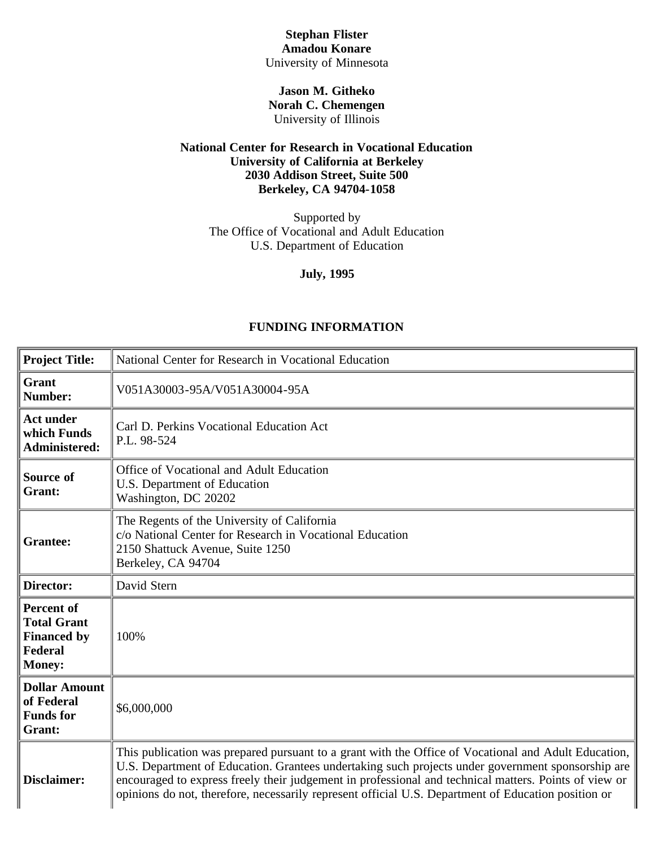# **Stephan Flister Amadou Konare**

University of Minnesota

#### **Jason M. Githeko Norah C. Chemengen** University of Illinois

#### **National Center for Research in Vocational Education University of California at Berkeley 2030 Addison Street, Suite 500 Berkeley, CA 94704-1058**

Supported by The Office of Vocational and Adult Education U.S. Department of Education

**July, 1995**

### **FUNDING INFORMATION**

| <b>Project Title:</b>                                                                     | National Center for Research in Vocational Education                                                                                                                                                                                                                                                                                                                                                                      |  |
|-------------------------------------------------------------------------------------------|---------------------------------------------------------------------------------------------------------------------------------------------------------------------------------------------------------------------------------------------------------------------------------------------------------------------------------------------------------------------------------------------------------------------------|--|
|                                                                                           |                                                                                                                                                                                                                                                                                                                                                                                                                           |  |
| Grant<br>Number:                                                                          | V051A30003-95A/V051A30004-95A                                                                                                                                                                                                                                                                                                                                                                                             |  |
| <b>Act under</b><br>which Funds<br>Administered:                                          | Carl D. Perkins Vocational Education Act<br>P.L. 98-524                                                                                                                                                                                                                                                                                                                                                                   |  |
| Source of<br>Grant:                                                                       | Office of Vocational and Adult Education<br>U.S. Department of Education<br>Washington, DC 20202                                                                                                                                                                                                                                                                                                                          |  |
| <b>Grantee:</b>                                                                           | The Regents of the University of California<br>c/o National Center for Research in Vocational Education<br>2150 Shattuck Avenue, Suite 1250<br>Berkeley, CA 94704                                                                                                                                                                                                                                                         |  |
| Director:                                                                                 | David Stern                                                                                                                                                                                                                                                                                                                                                                                                               |  |
| <b>Percent of</b><br><b>Total Grant</b><br><b>Financed by</b><br>Federal<br><b>Money:</b> | 100%                                                                                                                                                                                                                                                                                                                                                                                                                      |  |
| <b>Dollar Amount</b><br>of Federal<br><b>Funds</b> for<br>Grant:                          | \$6,000,000                                                                                                                                                                                                                                                                                                                                                                                                               |  |
| Disclaimer:                                                                               | This publication was prepared pursuant to a grant with the Office of Vocational and Adult Education,<br>U.S. Department of Education. Grantees undertaking such projects under government sponsorship are<br>encouraged to express freely their judgement in professional and technical matters. Points of view or<br>opinions do not, therefore, necessarily represent official U.S. Department of Education position or |  |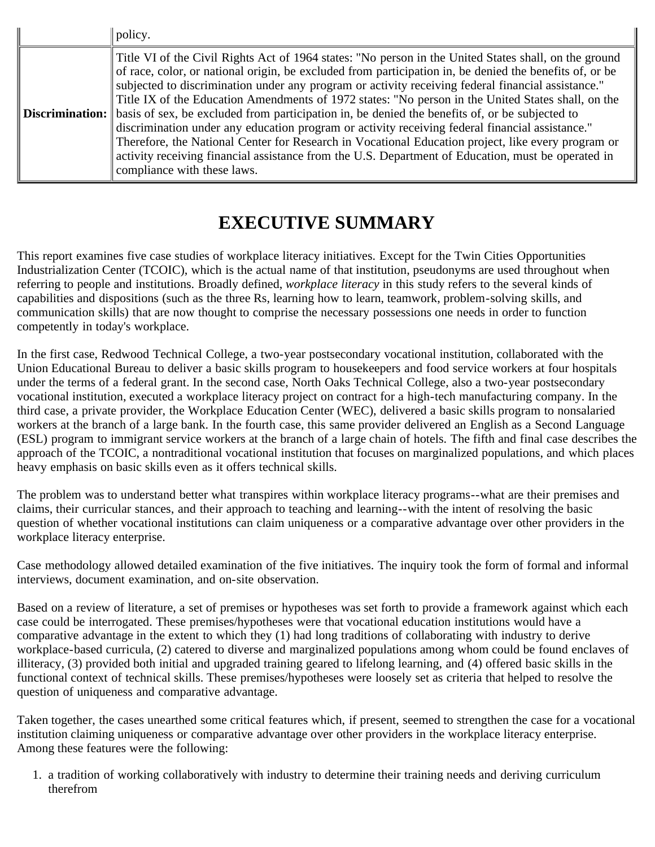| policy.                                                                                                                                                                                                                                                                                                                                                                                                                                                                                                                                                                                                                                                                                                                                                                                                                                                                                             |
|-----------------------------------------------------------------------------------------------------------------------------------------------------------------------------------------------------------------------------------------------------------------------------------------------------------------------------------------------------------------------------------------------------------------------------------------------------------------------------------------------------------------------------------------------------------------------------------------------------------------------------------------------------------------------------------------------------------------------------------------------------------------------------------------------------------------------------------------------------------------------------------------------------|
| Title VI of the Civil Rights Act of 1964 states: "No person in the United States shall, on the ground<br>of race, color, or national origin, be excluded from participation in, be denied the benefits of, or be<br>subjected to discrimination under any program or activity receiving federal financial assistance."<br>Title IX of the Education Amendments of 1972 states: "No person in the United States shall, on the<br><b>Discrimination:</b> basis of sex, be excluded from participation in, be denied the benefits of, or be subjected to<br>discrimination under any education program or activity receiving federal financial assistance."<br>Therefore, the National Center for Research in Vocational Education project, like every program or<br>activity receiving financial assistance from the U.S. Department of Education, must be operated in<br>compliance with these laws. |

# **EXECUTIVE SUMMARY**

<span id="page-5-0"></span>This report examines five case studies of workplace literacy initiatives. Except for the Twin Cities Opportunities Industrialization Center (TCOIC), which is the actual name of that institution, pseudonyms are used throughout when referring to people and institutions. Broadly defined, *workplace literacy* in this study refers to the several kinds of capabilities and dispositions (such as the three Rs, learning how to learn, teamwork, problem-solving skills, and communication skills) that are now thought to comprise the necessary possessions one needs in order to function competently in today's workplace.

In the first case, Redwood Technical College, a two-year postsecondary vocational institution, collaborated with the Union Educational Bureau to deliver a basic skills program to housekeepers and food service workers at four hospitals under the terms of a federal grant. In the second case, North Oaks Technical College, also a two-year postsecondary vocational institution, executed a workplace literacy project on contract for a high-tech manufacturing company. In the third case, a private provider, the Workplace Education Center (WEC), delivered a basic skills program to nonsalaried workers at the branch of a large bank. In the fourth case, this same provider delivered an English as a Second Language (ESL) program to immigrant service workers at the branch of a large chain of hotels. The fifth and final case describes the approach of the TCOIC, a nontraditional vocational institution that focuses on marginalized populations, and which places heavy emphasis on basic skills even as it offers technical skills.

The problem was to understand better what transpires within workplace literacy programs--what are their premises and claims, their curricular stances, and their approach to teaching and learning--with the intent of resolving the basic question of whether vocational institutions can claim uniqueness or a comparative advantage over other providers in the workplace literacy enterprise.

Case methodology allowed detailed examination of the five initiatives. The inquiry took the form of formal and informal interviews, document examination, and on-site observation.

Based on a review of literature, a set of premises or hypotheses was set forth to provide a framework against which each case could be interrogated. These premises/hypotheses were that vocational education institutions would have a comparative advantage in the extent to which they (1) had long traditions of collaborating with industry to derive workplace-based curricula, (2) catered to diverse and marginalized populations among whom could be found enclaves of illiteracy, (3) provided both initial and upgraded training geared to lifelong learning, and (4) offered basic skills in the functional context of technical skills. These premises/hypotheses were loosely set as criteria that helped to resolve the question of uniqueness and comparative advantage.

Taken together, the cases unearthed some critical features which, if present, seemed to strengthen the case for a vocational institution claiming uniqueness or comparative advantage over other providers in the workplace literacy enterprise. Among these features were the following:

1. a tradition of working collaboratively with industry to determine their training needs and deriving curriculum therefrom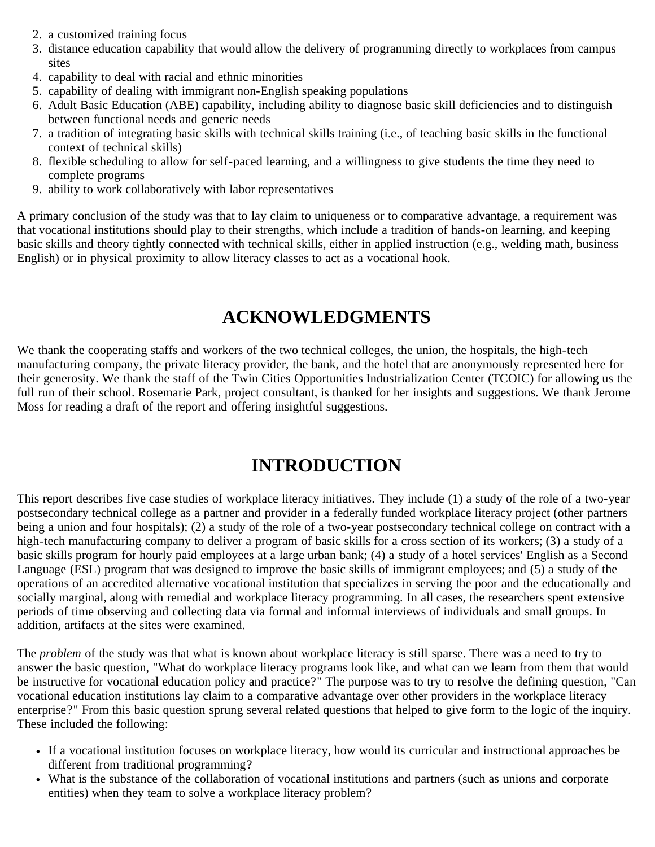- 2. a customized training focus
- 3. distance education capability that would allow the delivery of programming directly to workplaces from campus sites
- 4. capability to deal with racial and ethnic minorities
- 5. capability of dealing with immigrant non-English speaking populations
- 6. Adult Basic Education (ABE) capability, including ability to diagnose basic skill deficiencies and to distinguish between functional needs and generic needs
- 7. a tradition of integrating basic skills with technical skills training (i.e., of teaching basic skills in the functional context of technical skills)
- 8. flexible scheduling to allow for self-paced learning, and a willingness to give students the time they need to complete programs
- 9. ability to work collaboratively with labor representatives

A primary conclusion of the study was that to lay claim to uniqueness or to comparative advantage, a requirement was that vocational institutions should play to their strengths, which include a tradition of hands-on learning, and keeping basic skills and theory tightly connected with technical skills, either in applied instruction (e.g., welding math, business English) or in physical proximity to allow literacy classes to act as a vocational hook.

# **ACKNOWLEDGMENTS**

<span id="page-6-0"></span>We thank the cooperating staffs and workers of the two technical colleges, the union, the hospitals, the high-tech manufacturing company, the private literacy provider, the bank, and the hotel that are anonymously represented here for their generosity. We thank the staff of the Twin Cities Opportunities Industrialization Center (TCOIC) for allowing us the full run of their school. Rosemarie Park, project consultant, is thanked for her insights and suggestions. We thank Jerome Moss for reading a draft of the report and offering insightful suggestions.

# **INTRODUCTION**

<span id="page-6-1"></span>This report describes five case studies of workplace literacy initiatives. They include (1) a study of the role of a two-year postsecondary technical college as a partner and provider in a federally funded workplace literacy project (other partners being a union and four hospitals); (2) a study of the role of a two-year postsecondary technical college on contract with a high-tech manufacturing company to deliver a program of basic skills for a cross section of its workers; (3) a study of a basic skills program for hourly paid employees at a large urban bank; (4) a study of a hotel services' English as a Second Language (ESL) program that was designed to improve the basic skills of immigrant employees; and (5) a study of the operations of an accredited alternative vocational institution that specializes in serving the poor and the educationally and socially marginal, along with remedial and workplace literacy programming. In all cases, the researchers spent extensive periods of time observing and collecting data via formal and informal interviews of individuals and small groups. In addition, artifacts at the sites were examined.

The *problem* of the study was that what is known about workplace literacy is still sparse. There was a need to try to answer the basic question, "What do workplace literacy programs look like, and what can we learn from them that would be instructive for vocational education policy and practice?" The purpose was to try to resolve the defining question, "Can vocational education institutions lay claim to a comparative advantage over other providers in the workplace literacy enterprise?" From this basic question sprung several related questions that helped to give form to the logic of the inquiry. These included the following:

- If a vocational institution focuses on workplace literacy, how would its curricular and instructional approaches be different from traditional programming?
- What is the substance of the collaboration of vocational institutions and partners (such as unions and corporate entities) when they team to solve a workplace literacy problem?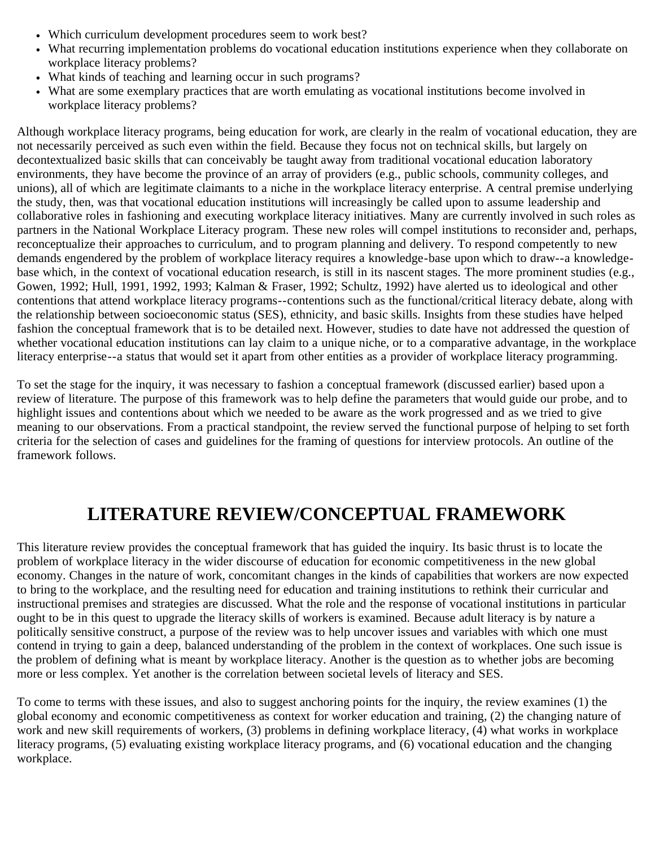- Which curriculum development procedures seem to work best?
- What recurring implementation problems do vocational education institutions experience when they collaborate on workplace literacy problems?
- What kinds of teaching and learning occur in such programs?
- What are some exemplary practices that are worth emulating as vocational institutions become involved in workplace literacy problems?

Although workplace literacy programs, being education for work, are clearly in the realm of vocational education, they are not necessarily perceived as such even within the field. Because they focus not on technical skills, but largely on decontextualized basic skills that can conceivably be taught away from traditional vocational education laboratory environments, they have become the province of an array of providers (e.g., public schools, community colleges, and unions), all of which are legitimate claimants to a niche in the workplace literacy enterprise. A central premise underlying the study, then, was that vocational education institutions will increasingly be called upon to assume leadership and collaborative roles in fashioning and executing workplace literacy initiatives. Many are currently involved in such roles as partners in the National Workplace Literacy program. These new roles will compel institutions to reconsider and, perhaps, reconceptualize their approaches to curriculum, and to program planning and delivery. To respond competently to new demands engendered by the problem of workplace literacy requires a knowledge-base upon which to draw--a knowledgebase which, in the context of vocational education research, is still in its nascent stages. The more prominent studies (e.g., Gowen, 1992; Hull, 1991, 1992, 1993; Kalman & Fraser, 1992; Schultz, 1992) have alerted us to ideological and other contentions that attend workplace literacy programs--contentions such as the functional/critical literacy debate, along with the relationship between socioeconomic status (SES), ethnicity, and basic skills. Insights from these studies have helped fashion the conceptual framework that is to be detailed next. However, studies to date have not addressed the question of whether vocational education institutions can lay claim to a unique niche, or to a comparative advantage, in the workplace literacy enterprise--a status that would set it apart from other entities as a provider of workplace literacy programming.

To set the stage for the inquiry, it was necessary to fashion a conceptual framework (discussed earlier) based upon a review of literature. The purpose of this framework was to help define the parameters that would guide our probe, and to highlight issues and contentions about which we needed to be aware as the work progressed and as we tried to give meaning to our observations. From a practical standpoint, the review served the functional purpose of helping to set forth criteria for the selection of cases and guidelines for the framing of questions for interview protocols. An outline of the framework follows.

# **LITERATURE REVIEW/CONCEPTUAL FRAMEWORK**

<span id="page-7-0"></span>This literature review provides the conceptual framework that has guided the inquiry. Its basic thrust is to locate the problem of workplace literacy in the wider discourse of education for economic competitiveness in the new global economy. Changes in the nature of work, concomitant changes in the kinds of capabilities that workers are now expected to bring to the workplace, and the resulting need for education and training institutions to rethink their curricular and instructional premises and strategies are discussed. What the role and the response of vocational institutions in particular ought to be in this quest to upgrade the literacy skills of workers is examined. Because adult literacy is by nature a politically sensitive construct, a purpose of the review was to help uncover issues and variables with which one must contend in trying to gain a deep, balanced understanding of the problem in the context of workplaces. One such issue is the problem of defining what is meant by workplace literacy. Another is the question as to whether jobs are becoming more or less complex. Yet another is the correlation between societal levels of literacy and SES.

To come to terms with these issues, and also to suggest anchoring points for the inquiry, the review examines (1) the global economy and economic competitiveness as context for worker education and training, (2) the changing nature of work and new skill requirements of workers, (3) problems in defining workplace literacy, (4) what works in workplace literacy programs, (5) evaluating existing workplace literacy programs, and (6) vocational education and the changing workplace.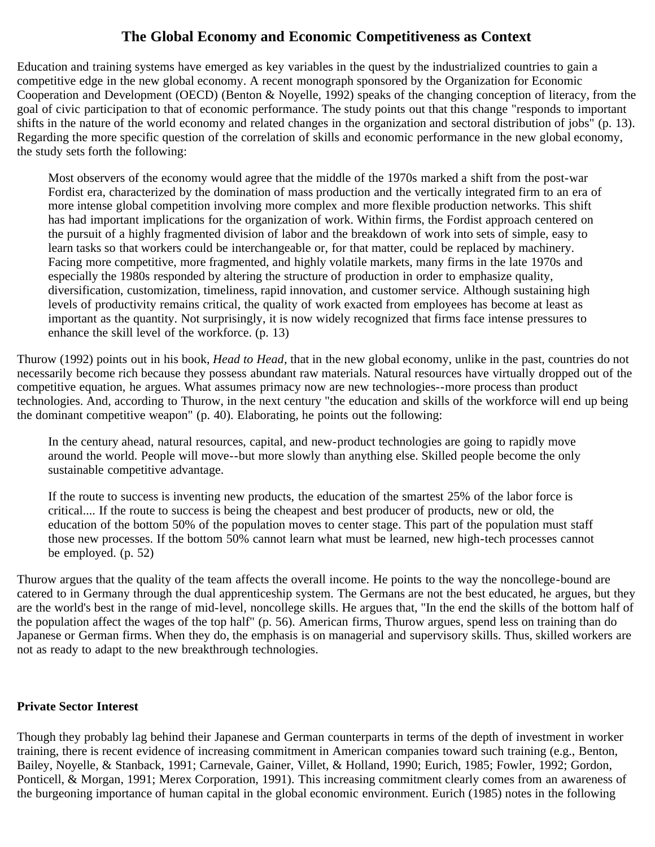# **The Global Economy and Economic Competitiveness as Context**

<span id="page-8-0"></span>Education and training systems have emerged as key variables in the quest by the industrialized countries to gain a competitive edge in the new global economy. A recent monograph sponsored by the Organization for Economic Cooperation and Development (OECD) (Benton & Noyelle, 1992) speaks of the changing conception of literacy, from the goal of civic participation to that of economic performance. The study points out that this change "responds to important shifts in the nature of the world economy and related changes in the organization and sectoral distribution of jobs" (p. 13). Regarding the more specific question of the correlation of skills and economic performance in the new global economy, the study sets forth the following:

Most observers of the economy would agree that the middle of the 1970s marked a shift from the post-war Fordist era, characterized by the domination of mass production and the vertically integrated firm to an era of more intense global competition involving more complex and more flexible production networks. This shift has had important implications for the organization of work. Within firms, the Fordist approach centered on the pursuit of a highly fragmented division of labor and the breakdown of work into sets of simple, easy to learn tasks so that workers could be interchangeable or, for that matter, could be replaced by machinery. Facing more competitive, more fragmented, and highly volatile markets, many firms in the late 1970s and especially the 1980s responded by altering the structure of production in order to emphasize quality, diversification, customization, timeliness, rapid innovation, and customer service. Although sustaining high levels of productivity remains critical, the quality of work exacted from employees has become at least as important as the quantity. Not surprisingly, it is now widely recognized that firms face intense pressures to enhance the skill level of the workforce. (p. 13)

Thurow (1992) points out in his book, *Head to Head*, that in the new global economy, unlike in the past, countries do not necessarily become rich because they possess abundant raw materials. Natural resources have virtually dropped out of the competitive equation, he argues. What assumes primacy now are new technologies--more process than product technologies. And, according to Thurow, in the next century "the education and skills of the workforce will end up being the dominant competitive weapon" (p. 40). Elaborating, he points out the following:

In the century ahead, natural resources, capital, and new-product technologies are going to rapidly move around the world. People will move--but more slowly than anything else. Skilled people become the only sustainable competitive advantage.

If the route to success is inventing new products, the education of the smartest 25% of the labor force is critical.... If the route to success is being the cheapest and best producer of products, new or old, the education of the bottom 50% of the population moves to center stage. This part of the population must staff those new processes. If the bottom 50% cannot learn what must be learned, new high-tech processes cannot be employed. (p. 52)

Thurow argues that the quality of the team affects the overall income. He points to the way the noncollege-bound are catered to in Germany through the dual apprenticeship system. The Germans are not the best educated, he argues, but they are the world's best in the range of mid-level, noncollege skills. He argues that, "In the end the skills of the bottom half of the population affect the wages of the top half" (p. 56). American firms, Thurow argues, spend less on training than do Japanese or German firms. When they do, the emphasis is on managerial and supervisory skills. Thus, skilled workers are not as ready to adapt to the new breakthrough technologies.

### <span id="page-8-1"></span>**Private Sector Interest**

Though they probably lag behind their Japanese and German counterparts in terms of the depth of investment in worker training, there is recent evidence of increasing commitment in American companies toward such training (e.g., Benton, Bailey, Noyelle, & Stanback, 1991; Carnevale, Gainer, Villet, & Holland, 1990; Eurich, 1985; Fowler, 1992; Gordon, Ponticell, & Morgan, 1991; Merex Corporation, 1991). This increasing commitment clearly comes from an awareness of the burgeoning importance of human capital in the global economic environment. Eurich (1985) notes in the following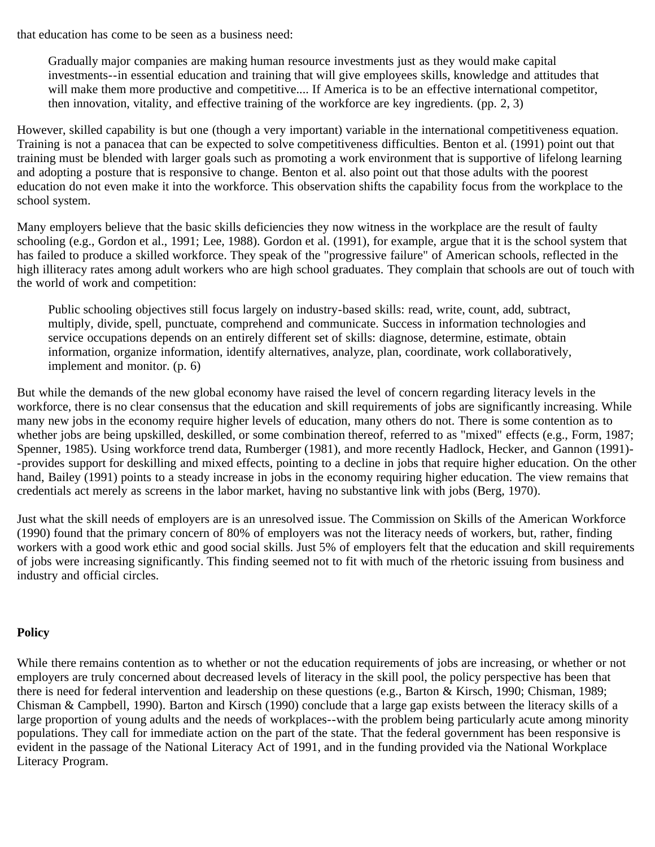that education has come to be seen as a business need:

Gradually major companies are making human resource investments just as they would make capital investments--in essential education and training that will give employees skills, knowledge and attitudes that will make them more productive and competitive.... If America is to be an effective international competitor, then innovation, vitality, and effective training of the workforce are key ingredients. (pp. 2, 3)

However, skilled capability is but one (though a very important) variable in the international competitiveness equation. Training is not a panacea that can be expected to solve competitiveness difficulties. Benton et al. (1991) point out that training must be blended with larger goals such as promoting a work environment that is supportive of lifelong learning and adopting a posture that is responsive to change. Benton et al. also point out that those adults with the poorest education do not even make it into the workforce. This observation shifts the capability focus from the workplace to the school system.

Many employers believe that the basic skills deficiencies they now witness in the workplace are the result of faulty schooling (e.g., Gordon et al., 1991; Lee, 1988). Gordon et al. (1991), for example, argue that it is the school system that has failed to produce a skilled workforce. They speak of the "progressive failure" of American schools, reflected in the high illiteracy rates among adult workers who are high school graduates. They complain that schools are out of touch with the world of work and competition:

Public schooling objectives still focus largely on industry-based skills: read, write, count, add, subtract, multiply, divide, spell, punctuate, comprehend and communicate. Success in information technologies and service occupations depends on an entirely different set of skills: diagnose, determine, estimate, obtain information, organize information, identify alternatives, analyze, plan, coordinate, work collaboratively, implement and monitor. (p. 6)

But while the demands of the new global economy have raised the level of concern regarding literacy levels in the workforce, there is no clear consensus that the education and skill requirements of jobs are significantly increasing. While many new jobs in the economy require higher levels of education, many others do not. There is some contention as to whether jobs are being upskilled, deskilled, or some combination thereof, referred to as "mixed" effects (e.g., Form, 1987; Spenner, 1985). Using workforce trend data, Rumberger (1981), and more recently Hadlock, Hecker, and Gannon (1991)- -provides support for deskilling and mixed effects, pointing to a decline in jobs that require higher education. On the other hand, Bailey (1991) points to a steady increase in jobs in the economy requiring higher education. The view remains that credentials act merely as screens in the labor market, having no substantive link with jobs (Berg, 1970).

Just what the skill needs of employers are is an unresolved issue. The Commission on Skills of the American Workforce (1990) found that the primary concern of 80% of employers was not the literacy needs of workers, but, rather, finding workers with a good work ethic and good social skills. Just 5% of employers felt that the education and skill requirements of jobs were increasing significantly. This finding seemed not to fit with much of the rhetoric issuing from business and industry and official circles.

# <span id="page-9-0"></span>**Policy**

While there remains contention as to whether or not the education requirements of jobs are increasing, or whether or not employers are truly concerned about decreased levels of literacy in the skill pool, the policy perspective has been that there is need for federal intervention and leadership on these questions (e.g., Barton & Kirsch, 1990; Chisman, 1989; Chisman & Campbell, 1990). Barton and Kirsch (1990) conclude that a large gap exists between the literacy skills of a large proportion of young adults and the needs of workplaces--with the problem being particularly acute among minority populations. They call for immediate action on the part of the state. That the federal government has been responsive is evident in the passage of the National Literacy Act of 1991, and in the funding provided via the National Workplace Literacy Program.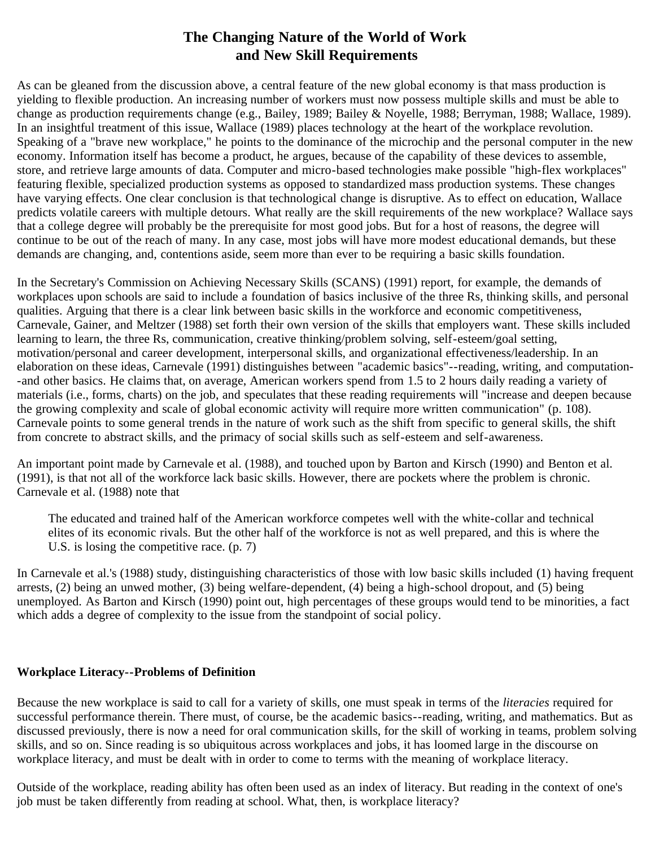# **The Changing Nature of the World of Work and New Skill Requirements**

<span id="page-10-1"></span>As can be gleaned from the discussion above, a central feature of the new global economy is that mass production is yielding to flexible production. An increasing number of workers must now possess multiple skills and must be able to change as production requirements change (e.g., Bailey, 1989; Bailey & Noyelle, 1988; Berryman, 1988; Wallace, 1989). In an insightful treatment of this issue, Wallace (1989) places technology at the heart of the workplace revolution. Speaking of a "brave new workplace," he points to the dominance of the microchip and the personal computer in the new economy. Information itself has become a product, he argues, because of the capability of these devices to assemble, store, and retrieve large amounts of data. Computer and micro-based technologies make possible "high-flex workplaces" featuring flexible, specialized production systems as opposed to standardized mass production systems. These changes have varying effects. One clear conclusion is that technological change is disruptive. As to effect on education, Wallace predicts volatile careers with multiple detours. What really are the skill requirements of the new workplace? Wallace says that a college degree will probably be the prerequisite for most good jobs. But for a host of reasons, the degree will continue to be out of the reach of many. In any case, most jobs will have more modest educational demands, but these demands are changing, and, contentions aside, seem more than ever to be requiring a basic skills foundation.

In the Secretary's Commission on Achieving Necessary Skills (SCANS) (1991) report, for example, the demands of workplaces upon schools are said to include a foundation of basics inclusive of the three Rs, thinking skills, and personal qualities. Arguing that there is a clear link between basic skills in the workforce and economic competitiveness, Carnevale, Gainer, and Meltzer (1988) set forth their own version of the skills that employers want. These skills included learning to learn, the three Rs, communication, creative thinking/problem solving, self-esteem/goal setting, motivation/personal and career development, interpersonal skills, and organizational effectiveness/leadership. In an elaboration on these ideas, Carnevale (1991) distinguishes between "academic basics"--reading, writing, and computation- -and other basics. He claims that, on average, American workers spend from 1.5 to 2 hours daily reading a variety of materials (i.e., forms, charts) on the job, and speculates that these reading requirements will "increase and deepen because the growing complexity and scale of global economic activity will require more written communication" (p. 108). Carnevale points to some general trends in the nature of work such as the shift from specific to general skills, the shift from concrete to abstract skills, and the primacy of social skills such as self-esteem and self-awareness.

An important point made by Carnevale et al. (1988), and touched upon by Barton and Kirsch (1990) and Benton et al. (1991), is that not all of the workforce lack basic skills. However, there are pockets where the problem is chronic. Carnevale et al. (1988) note that

The educated and trained half of the American workforce competes well with the white-collar and technical elites of its economic rivals. But the other half of the workforce is not as well prepared, and this is where the U.S. is losing the competitive race.  $(p, 7)$ 

In Carnevale et al.'s (1988) study, distinguishing characteristics of those with low basic skills included (1) having frequent arrests, (2) being an unwed mother, (3) being welfare-dependent, (4) being a high-school dropout, and (5) being unemployed. As Barton and Kirsch (1990) point out, high percentages of these groups would tend to be minorities, a fact which adds a degree of complexity to the issue from the standpoint of social policy.

### <span id="page-10-0"></span>**Workplace Literacy--Problems of Definition**

Because the new workplace is said to call for a variety of skills, one must speak in terms of the *literacies* required for successful performance therein. There must, of course, be the academic basics--reading, writing, and mathematics. But as discussed previously, there is now a need for oral communication skills, for the skill of working in teams, problem solving skills, and so on. Since reading is so ubiquitous across workplaces and jobs, it has loomed large in the discourse on workplace literacy, and must be dealt with in order to come to terms with the meaning of workplace literacy.

Outside of the workplace, reading ability has often been used as an index of literacy. But reading in the context of one's job must be taken differently from reading at school. What, then, is workplace literacy?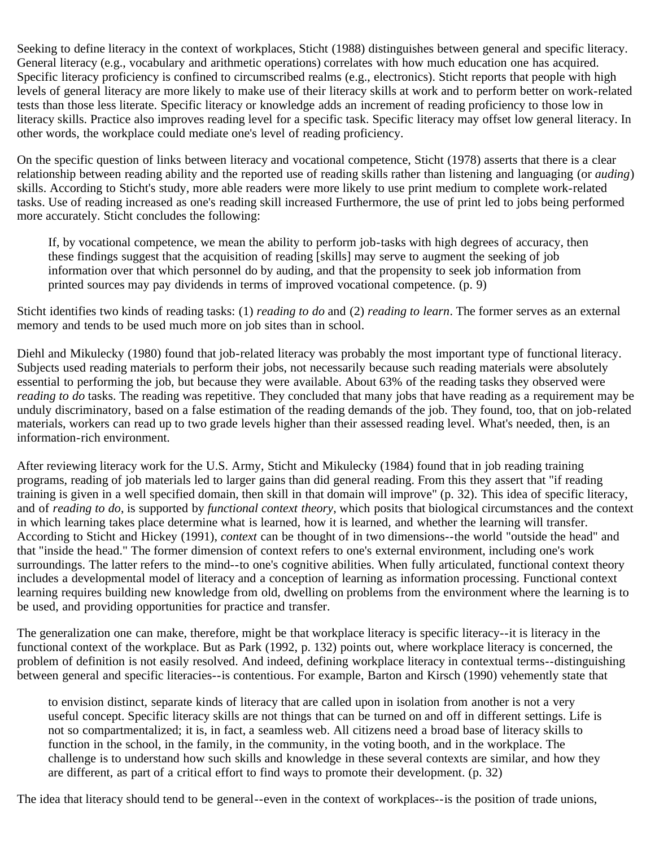Seeking to define literacy in the context of workplaces, Sticht (1988) distinguishes between general and specific literacy. General literacy (e.g., vocabulary and arithmetic operations) correlates with how much education one has acquired. Specific literacy proficiency is confined to circumscribed realms (e.g., electronics). Sticht reports that people with high levels of general literacy are more likely to make use of their literacy skills at work and to perform better on work-related tests than those less literate. Specific literacy or knowledge adds an increment of reading proficiency to those low in literacy skills. Practice also improves reading level for a specific task. Specific literacy may offset low general literacy. In other words, the workplace could mediate one's level of reading proficiency.

On the specific question of links between literacy and vocational competence, Sticht (1978) asserts that there is a clear relationship between reading ability and the reported use of reading skills rather than listening and languaging (or *auding*) skills. According to Sticht's study, more able readers were more likely to use print medium to complete work-related tasks. Use of reading increased as one's reading skill increased Furthermore, the use of print led to jobs being performed more accurately. Sticht concludes the following:

If, by vocational competence, we mean the ability to perform job-tasks with high degrees of accuracy, then these findings suggest that the acquisition of reading [skills] may serve to augment the seeking of job information over that which personnel do by auding, and that the propensity to seek job information from printed sources may pay dividends in terms of improved vocational competence. (p. 9)

Sticht identifies two kinds of reading tasks: (1) *reading to do* and (2) *reading to learn*. The former serves as an external memory and tends to be used much more on job sites than in school.

Diehl and Mikulecky (1980) found that job-related literacy was probably the most important type of functional literacy. Subjects used reading materials to perform their jobs, not necessarily because such reading materials were absolutely essential to performing the job, but because they were available. About 63% of the reading tasks they observed were *reading to do* tasks. The reading was repetitive. They concluded that many jobs that have reading as a requirement may be unduly discriminatory, based on a false estimation of the reading demands of the job. They found, too, that on job-related materials, workers can read up to two grade levels higher than their assessed reading level. What's needed, then, is an information-rich environment.

After reviewing literacy work for the U.S. Army, Sticht and Mikulecky (1984) found that in job reading training programs, reading of job materials led to larger gains than did general reading. From this they assert that "if reading training is given in a well specified domain, then skill in that domain will improve" (p. 32). This idea of specific literacy, and of *reading to do*, is supported by *functional context theory*, which posits that biological circumstances and the context in which learning takes place determine what is learned, how it is learned, and whether the learning will transfer. According to Sticht and Hickey (1991), *context* can be thought of in two dimensions--the world "outside the head" and that "inside the head." The former dimension of context refers to one's external environment, including one's work surroundings. The latter refers to the mind--to one's cognitive abilities. When fully articulated, functional context theory includes a developmental model of literacy and a conception of learning as information processing. Functional context learning requires building new knowledge from old, dwelling on problems from the environment where the learning is to be used, and providing opportunities for practice and transfer.

The generalization one can make, therefore, might be that workplace literacy is specific literacy--it is literacy in the functional context of the workplace. But as Park (1992, p. 132) points out, where workplace literacy is concerned, the problem of definition is not easily resolved. And indeed, defining workplace literacy in contextual terms--distinguishing between general and specific literacies--is contentious. For example, Barton and Kirsch (1990) vehemently state that

to envision distinct, separate kinds of literacy that are called upon in isolation from another is not a very useful concept. Specific literacy skills are not things that can be turned on and off in different settings. Life is not so compartmentalized; it is, in fact, a seamless web. All citizens need a broad base of literacy skills to function in the school, in the family, in the community, in the voting booth, and in the workplace. The challenge is to understand how such skills and knowledge in these several contexts are similar, and how they are different, as part of a critical effort to find ways to promote their development. (p. 32)

The idea that literacy should tend to be general--even in the context of workplaces--is the position of trade unions,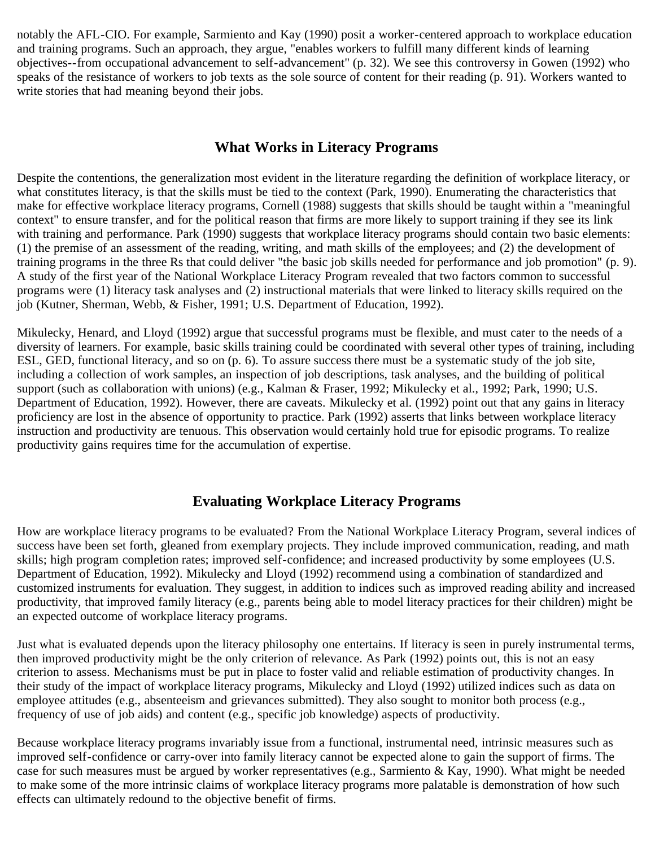notably the AFL-CIO. For example, Sarmiento and Kay (1990) posit a worker-centered approach to workplace education and training programs. Such an approach, they argue, "enables workers to fulfill many different kinds of learning objectives--from occupational advancement to self-advancement" (p. 32). We see this controversy in Gowen (1992) who speaks of the resistance of workers to job texts as the sole source of content for their reading (p. 91). Workers wanted to write stories that had meaning beyond their jobs.

# **What Works in Literacy Programs**

<span id="page-12-0"></span>Despite the contentions, the generalization most evident in the literature regarding the definition of workplace literacy, or what constitutes literacy, is that the skills must be tied to the context (Park, 1990). Enumerating the characteristics that make for effective workplace literacy programs, Cornell (1988) suggests that skills should be taught within a "meaningful context" to ensure transfer, and for the political reason that firms are more likely to support training if they see its link with training and performance. Park (1990) suggests that workplace literacy programs should contain two basic elements: (1) the premise of an assessment of the reading, writing, and math skills of the employees; and (2) the development of training programs in the three Rs that could deliver "the basic job skills needed for performance and job promotion" (p. 9). A study of the first year of the National Workplace Literacy Program revealed that two factors common to successful programs were (1) literacy task analyses and (2) instructional materials that were linked to literacy skills required on the job (Kutner, Sherman, Webb, & Fisher, 1991; U.S. Department of Education, 1992).

Mikulecky, Henard, and Lloyd (1992) argue that successful programs must be flexible, and must cater to the needs of a diversity of learners. For example, basic skills training could be coordinated with several other types of training, including ESL, GED, functional literacy, and so on (p. 6). To assure success there must be a systematic study of the job site, including a collection of work samples, an inspection of job descriptions, task analyses, and the building of political support (such as collaboration with unions) (e.g., Kalman & Fraser, 1992; Mikulecky et al., 1992; Park, 1990; U.S. Department of Education, 1992). However, there are caveats. Mikulecky et al. (1992) point out that any gains in literacy proficiency are lost in the absence of opportunity to practice. Park (1992) asserts that links between workplace literacy instruction and productivity are tenuous. This observation would certainly hold true for episodic programs. To realize productivity gains requires time for the accumulation of expertise.

# **Evaluating Workplace Literacy Programs**

<span id="page-12-1"></span>How are workplace literacy programs to be evaluated? From the National Workplace Literacy Program, several indices of success have been set forth, gleaned from exemplary projects. They include improved communication, reading, and math skills; high program completion rates; improved self-confidence; and increased productivity by some employees (U.S. Department of Education, 1992). Mikulecky and Lloyd (1992) recommend using a combination of standardized and customized instruments for evaluation. They suggest, in addition to indices such as improved reading ability and increased productivity, that improved family literacy (e.g., parents being able to model literacy practices for their children) might be an expected outcome of workplace literacy programs.

Just what is evaluated depends upon the literacy philosophy one entertains. If literacy is seen in purely instrumental terms, then improved productivity might be the only criterion of relevance. As Park (1992) points out, this is not an easy criterion to assess. Mechanisms must be put in place to foster valid and reliable estimation of productivity changes. In their study of the impact of workplace literacy programs, Mikulecky and Lloyd (1992) utilized indices such as data on employee attitudes (e.g., absenteeism and grievances submitted). They also sought to monitor both process (e.g., frequency of use of job aids) and content (e.g., specific job knowledge) aspects of productivity.

Because workplace literacy programs invariably issue from a functional, instrumental need, intrinsic measures such as improved self-confidence or carry-over into family literacy cannot be expected alone to gain the support of firms. The case for such measures must be argued by worker representatives (e.g., Sarmiento & Kay, 1990). What might be needed to make some of the more intrinsic claims of workplace literacy programs more palatable is demonstration of how such effects can ultimately redound to the objective benefit of firms.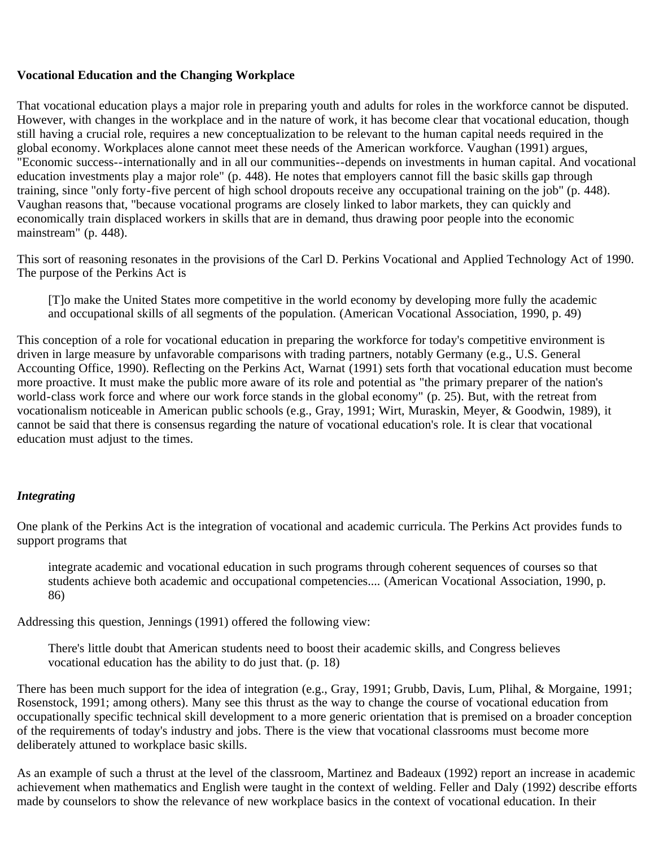### <span id="page-13-0"></span>**Vocational Education and the Changing Workplace**

That vocational education plays a major role in preparing youth and adults for roles in the workforce cannot be disputed. However, with changes in the workplace and in the nature of work, it has become clear that vocational education, though still having a crucial role, requires a new conceptualization to be relevant to the human capital needs required in the global economy. Workplaces alone cannot meet these needs of the American workforce. Vaughan (1991) argues, "Economic success--internationally and in all our communities--depends on investments in human capital. And vocational education investments play a major role" (p. 448). He notes that employers cannot fill the basic skills gap through training, since "only forty-five percent of high school dropouts receive any occupational training on the job" (p. 448). Vaughan reasons that, "because vocational programs are closely linked to labor markets, they can quickly and economically train displaced workers in skills that are in demand, thus drawing poor people into the economic mainstream" (p. 448).

This sort of reasoning resonates in the provisions of the Carl D. Perkins Vocational and Applied Technology Act of 1990. The purpose of the Perkins Act is

[T]o make the United States more competitive in the world economy by developing more fully the academic and occupational skills of all segments of the population. (American Vocational Association, 1990, p. 49)

This conception of a role for vocational education in preparing the workforce for today's competitive environment is driven in large measure by unfavorable comparisons with trading partners, notably Germany (e.g., U.S. General Accounting Office, 1990). Reflecting on the Perkins Act, Warnat (1991) sets forth that vocational education must become more proactive. It must make the public more aware of its role and potential as "the primary preparer of the nation's world-class work force and where our work force stands in the global economy" (p. 25). But, with the retreat from vocationalism noticeable in American public schools (e.g., Gray, 1991; Wirt, Muraskin, Meyer, & Goodwin, 1989), it cannot be said that there is consensus regarding the nature of vocational education's role. It is clear that vocational education must adjust to the times.

### <span id="page-13-1"></span>*Integrating*

One plank of the Perkins Act is the integration of vocational and academic curricula. The Perkins Act provides funds to support programs that

integrate academic and vocational education in such programs through coherent sequences of courses so that students achieve both academic and occupational competencies.... (American Vocational Association, 1990, p. 86)

Addressing this question, Jennings (1991) offered the following view:

There's little doubt that American students need to boost their academic skills, and Congress believes vocational education has the ability to do just that. (p. 18)

There has been much support for the idea of integration (e.g., Gray, 1991; Grubb, Davis, Lum, Plihal, & Morgaine, 1991; Rosenstock, 1991; among others). Many see this thrust as the way to change the course of vocational education from occupationally specific technical skill development to a more generic orientation that is premised on a broader conception of the requirements of today's industry and jobs. There is the view that vocational classrooms must become more deliberately attuned to workplace basic skills.

As an example of such a thrust at the level of the classroom, Martinez and Badeaux (1992) report an increase in academic achievement when mathematics and English were taught in the context of welding. Feller and Daly (1992) describe efforts made by counselors to show the relevance of new workplace basics in the context of vocational education. In their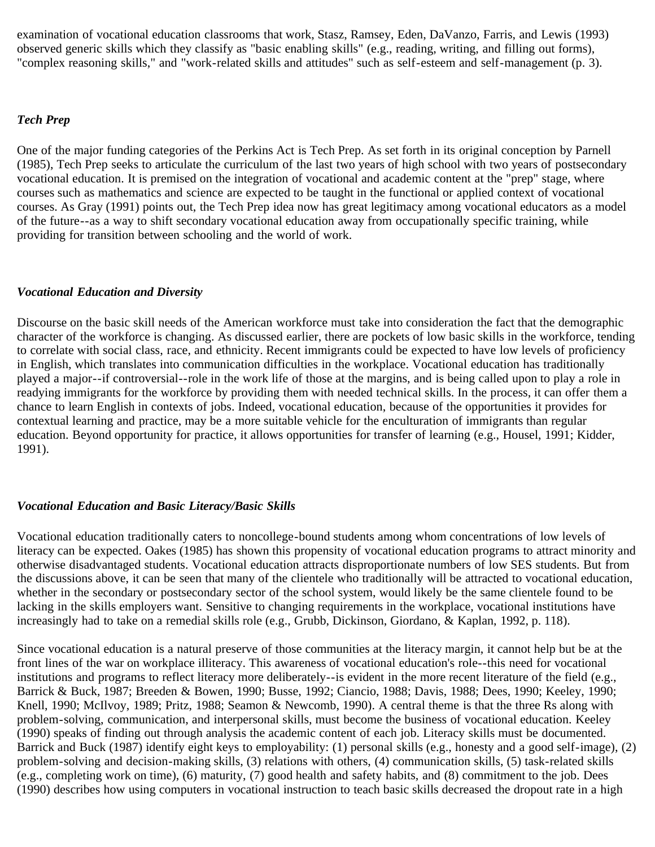examination of vocational education classrooms that work, Stasz, Ramsey, Eden, DaVanzo, Farris, and Lewis (1993) observed generic skills which they classify as "basic enabling skills" (e.g., reading, writing, and filling out forms), "complex reasoning skills," and "work-related skills and attitudes" such as self-esteem and self-management (p. 3).

#### <span id="page-14-0"></span>*Tech Prep*

One of the major funding categories of the Perkins Act is Tech Prep. As set forth in its original conception by Parnell (1985), Tech Prep seeks to articulate the curriculum of the last two years of high school with two years of postsecondary vocational education. It is premised on the integration of vocational and academic content at the "prep" stage, where courses such as mathematics and science are expected to be taught in the functional or applied context of vocational courses. As Gray (1991) points out, the Tech Prep idea now has great legitimacy among vocational educators as a model of the future--as a way to shift secondary vocational education away from occupationally specific training, while providing for transition between schooling and the world of work.

### <span id="page-14-1"></span>*Vocational Education and Diversity*

Discourse on the basic skill needs of the American workforce must take into consideration the fact that the demographic character of the workforce is changing. As discussed earlier, there are pockets of low basic skills in the workforce, tending to correlate with social class, race, and ethnicity. Recent immigrants could be expected to have low levels of proficiency in English, which translates into communication difficulties in the workplace. Vocational education has traditionally played a major--if controversial--role in the work life of those at the margins, and is being called upon to play a role in readying immigrants for the workforce by providing them with needed technical skills. In the process, it can offer them a chance to learn English in contexts of jobs. Indeed, vocational education, because of the opportunities it provides for contextual learning and practice, may be a more suitable vehicle for the enculturation of immigrants than regular education. Beyond opportunity for practice, it allows opportunities for transfer of learning (e.g., Housel, 1991; Kidder, 1991).

### <span id="page-14-2"></span>*Vocational Education and Basic Literacy/Basic Skills*

Vocational education traditionally caters to noncollege-bound students among whom concentrations of low levels of literacy can be expected. Oakes (1985) has shown this propensity of vocational education programs to attract minority and otherwise disadvantaged students. Vocational education attracts disproportionate numbers of low SES students. But from the discussions above, it can be seen that many of the clientele who traditionally will be attracted to vocational education, whether in the secondary or postsecondary sector of the school system, would likely be the same clientele found to be lacking in the skills employers want. Sensitive to changing requirements in the workplace, vocational institutions have increasingly had to take on a remedial skills role (e.g., Grubb, Dickinson, Giordano, & Kaplan, 1992, p. 118).

Since vocational education is a natural preserve of those communities at the literacy margin, it cannot help but be at the front lines of the war on workplace illiteracy. This awareness of vocational education's role--this need for vocational institutions and programs to reflect literacy more deliberately--is evident in the more recent literature of the field (e.g., Barrick & Buck, 1987; Breeden & Bowen, 1990; Busse, 1992; Ciancio, 1988; Davis, 1988; Dees, 1990; Keeley, 1990; Knell, 1990; McIlvoy, 1989; Pritz, 1988; Seamon & Newcomb, 1990). A central theme is that the three Rs along with problem-solving, communication, and interpersonal skills, must become the business of vocational education. Keeley (1990) speaks of finding out through analysis the academic content of each job. Literacy skills must be documented. Barrick and Buck (1987) identify eight keys to employability: (1) personal skills (e.g., honesty and a good self-image), (2) problem-solving and decision-making skills, (3) relations with others, (4) communication skills, (5) task-related skills (e.g., completing work on time), (6) maturity, (7) good health and safety habits, and (8) commitment to the job. Dees (1990) describes how using computers in vocational instruction to teach basic skills decreased the dropout rate in a high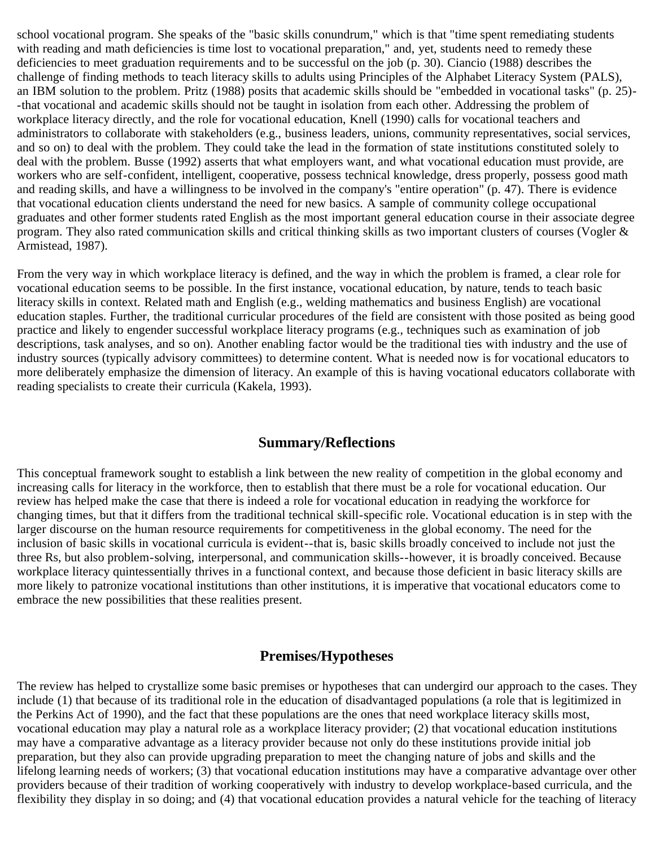school vocational program. She speaks of the "basic skills conundrum," which is that "time spent remediating students with reading and math deficiencies is time lost to vocational preparation," and, yet, students need to remedy these deficiencies to meet graduation requirements and to be successful on the job (p. 30). Ciancio (1988) describes the challenge of finding methods to teach literacy skills to adults using Principles of the Alphabet Literacy System (PALS), an IBM solution to the problem. Pritz (1988) posits that academic skills should be "embedded in vocational tasks" (p. 25)- -that vocational and academic skills should not be taught in isolation from each other. Addressing the problem of workplace literacy directly, and the role for vocational education, Knell (1990) calls for vocational teachers and administrators to collaborate with stakeholders (e.g., business leaders, unions, community representatives, social services, and so on) to deal with the problem. They could take the lead in the formation of state institutions constituted solely to deal with the problem. Busse (1992) asserts that what employers want, and what vocational education must provide, are workers who are self-confident, intelligent, cooperative, possess technical knowledge, dress properly, possess good math and reading skills, and have a willingness to be involved in the company's "entire operation" (p. 47). There is evidence that vocational education clients understand the need for new basics. A sample of community college occupational graduates and other former students rated English as the most important general education course in their associate degree program. They also rated communication skills and critical thinking skills as two important clusters of courses (Vogler  $\&$ Armistead, 1987).

From the very way in which workplace literacy is defined, and the way in which the problem is framed, a clear role for vocational education seems to be possible. In the first instance, vocational education, by nature, tends to teach basic literacy skills in context. Related math and English (e.g., welding mathematics and business English) are vocational education staples. Further, the traditional curricular procedures of the field are consistent with those posited as being good practice and likely to engender successful workplace literacy programs (e.g., techniques such as examination of job descriptions, task analyses, and so on). Another enabling factor would be the traditional ties with industry and the use of industry sources (typically advisory committees) to determine content. What is needed now is for vocational educators to more deliberately emphasize the dimension of literacy. An example of this is having vocational educators collaborate with reading specialists to create their curricula (Kakela, 1993).

# **Summary/Reflections**

<span id="page-15-0"></span>This conceptual framework sought to establish a link between the new reality of competition in the global economy and increasing calls for literacy in the workforce, then to establish that there must be a role for vocational education. Our review has helped make the case that there is indeed a role for vocational education in readying the workforce for changing times, but that it differs from the traditional technical skill-specific role. Vocational education is in step with the larger discourse on the human resource requirements for competitiveness in the global economy. The need for the inclusion of basic skills in vocational curricula is evident--that is, basic skills broadly conceived to include not just the three Rs, but also problem-solving, interpersonal, and communication skills--however, it is broadly conceived. Because workplace literacy quintessentially thrives in a functional context, and because those deficient in basic literacy skills are more likely to patronize vocational institutions than other institutions, it is imperative that vocational educators come to embrace the new possibilities that these realities present.

# **Premises/Hypotheses**

<span id="page-15-1"></span>The review has helped to crystallize some basic premises or hypotheses that can undergird our approach to the cases. They include (1) that because of its traditional role in the education of disadvantaged populations (a role that is legitimized in the Perkins Act of 1990), and the fact that these populations are the ones that need workplace literacy skills most, vocational education may play a natural role as a workplace literacy provider; (2) that vocational education institutions may have a comparative advantage as a literacy provider because not only do these institutions provide initial job preparation, but they also can provide upgrading preparation to meet the changing nature of jobs and skills and the lifelong learning needs of workers; (3) that vocational education institutions may have a comparative advantage over other providers because of their tradition of working cooperatively with industry to develop workplace-based curricula, and the flexibility they display in so doing; and (4) that vocational education provides a natural vehicle for the teaching of literacy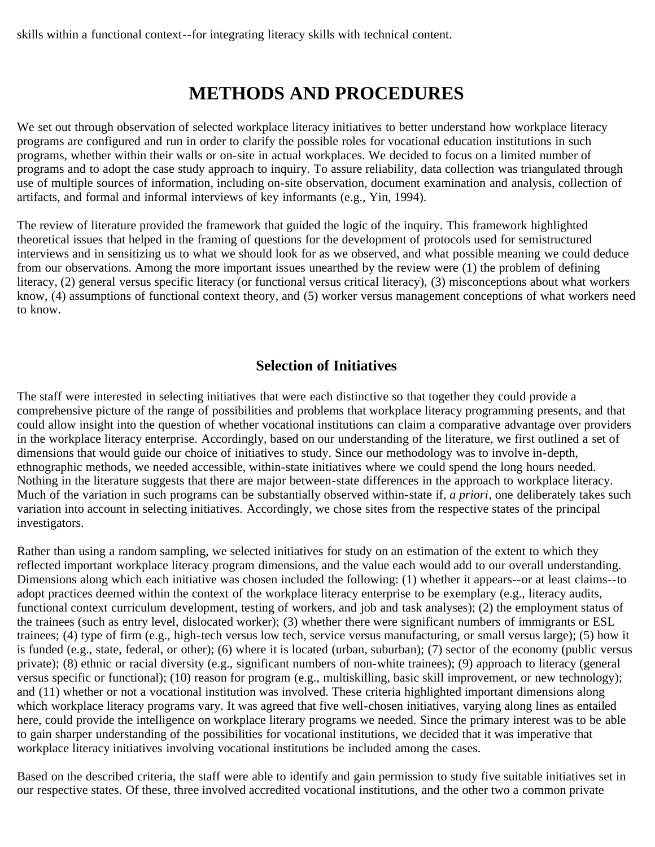skills within a functional context--for integrating literacy skills with technical content.

# **METHODS AND PROCEDURES**

<span id="page-16-0"></span>We set out through observation of selected workplace literacy initiatives to better understand how workplace literacy programs are configured and run in order to clarify the possible roles for vocational education institutions in such programs, whether within their walls or on-site in actual workplaces. We decided to focus on a limited number of programs and to adopt the case study approach to inquiry. To assure reliability, data collection was triangulated through use of multiple sources of information, including on-site observation, document examination and analysis, collection of artifacts, and formal and informal interviews of key informants (e.g., Yin, 1994).

The review of literature provided the framework that guided the logic of the inquiry. This framework highlighted theoretical issues that helped in the framing of questions for the development of protocols used for semistructured interviews and in sensitizing us to what we should look for as we observed, and what possible meaning we could deduce from our observations. Among the more important issues unearthed by the review were (1) the problem of defining literacy, (2) general versus specific literacy (or functional versus critical literacy), (3) misconceptions about what workers know, (4) assumptions of functional context theory, and (5) worker versus management conceptions of what workers need to know.

# **Selection of Initiatives**

<span id="page-16-1"></span>The staff were interested in selecting initiatives that were each distinctive so that together they could provide a comprehensive picture of the range of possibilities and problems that workplace literacy programming presents, and that could allow insight into the question of whether vocational institutions can claim a comparative advantage over providers in the workplace literacy enterprise. Accordingly, based on our understanding of the literature, we first outlined a set of dimensions that would guide our choice of initiatives to study. Since our methodology was to involve in-depth, ethnographic methods, we needed accessible, within-state initiatives where we could spend the long hours needed. Nothing in the literature suggests that there are major between-state differences in the approach to workplace literacy. Much of the variation in such programs can be substantially observed within-state if, *a priori*, one deliberately takes such variation into account in selecting initiatives. Accordingly, we chose sites from the respective states of the principal investigators.

Rather than using a random sampling, we selected initiatives for study on an estimation of the extent to which they reflected important workplace literacy program dimensions, and the value each would add to our overall understanding. Dimensions along which each initiative was chosen included the following: (1) whether it appears--or at least claims--to adopt practices deemed within the context of the workplace literacy enterprise to be exemplary (e.g., literacy audits, functional context curriculum development, testing of workers, and job and task analyses); (2) the employment status of the trainees (such as entry level, dislocated worker); (3) whether there were significant numbers of immigrants or ESL trainees; (4) type of firm (e.g., high-tech versus low tech, service versus manufacturing, or small versus large); (5) how it is funded (e.g., state, federal, or other); (6) where it is located (urban, suburban); (7) sector of the economy (public versus private); (8) ethnic or racial diversity (e.g., significant numbers of non-white trainees); (9) approach to literacy (general versus specific or functional); (10) reason for program (e.g., multiskilling, basic skill improvement, or new technology); and (11) whether or not a vocational institution was involved. These criteria highlighted important dimensions along which workplace literacy programs vary. It was agreed that five well-chosen initiatives, varying along lines as entailed here, could provide the intelligence on workplace literary programs we needed. Since the primary interest was to be able to gain sharper understanding of the possibilities for vocational institutions, we decided that it was imperative that workplace literacy initiatives involving vocational institutions be included among the cases.

Based on the described criteria, the staff were able to identify and gain permission to study five suitable initiatives set in our respective states. Of these, three involved accredited vocational institutions, and the other two a common private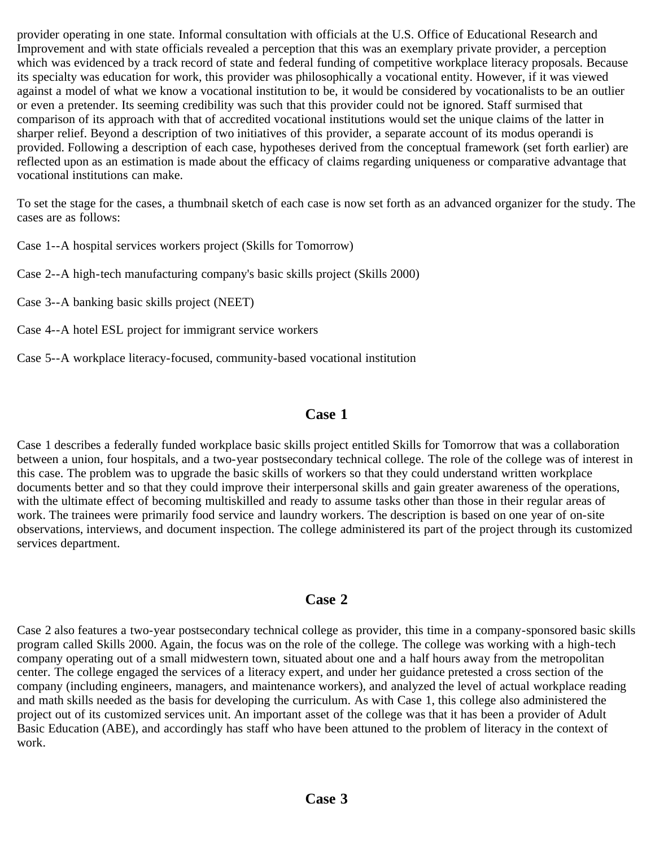provider operating in one state. Informal consultation with officials at the U.S. Office of Educational Research and Improvement and with state officials revealed a perception that this was an exemplary private provider, a perception which was evidenced by a track record of state and federal funding of competitive workplace literacy proposals. Because its specialty was education for work, this provider was philosophically a vocational entity. However, if it was viewed against a model of what we know a vocational institution to be, it would be considered by vocationalists to be an outlier or even a pretender. Its seeming credibility was such that this provider could not be ignored. Staff surmised that comparison of its approach with that of accredited vocational institutions would set the unique claims of the latter in sharper relief. Beyond a description of two initiatives of this provider, a separate account of its modus operandi is provided. Following a description of each case, hypotheses derived from the conceptual framework (set forth earlier) are reflected upon as an estimation is made about the efficacy of claims regarding uniqueness or comparative advantage that vocational institutions can make.

To set the stage for the cases, a thumbnail sketch of each case is now set forth as an advanced organizer for the study. The cases are as follows:

Case 1--A hospital services workers project (Skills for Tomorrow)

Case 2--A high-tech manufacturing company's basic skills project (Skills 2000)

Case 3--A banking basic skills project (NEET)

- Case 4--A hotel ESL project for immigrant service workers
- Case 5--A workplace literacy-focused, community-based vocational institution

# **Case 1**

<span id="page-17-0"></span>Case 1 describes a federally funded workplace basic skills project entitled Skills for Tomorrow that was a collaboration between a union, four hospitals, and a two-year postsecondary technical college. The role of the college was of interest in this case. The problem was to upgrade the basic skills of workers so that they could understand written workplace documents better and so that they could improve their interpersonal skills and gain greater awareness of the operations, with the ultimate effect of becoming multiskilled and ready to assume tasks other than those in their regular areas of work. The trainees were primarily food service and laundry workers. The description is based on one year of on-site observations, interviews, and document inspection. The college administered its part of the project through its customized services department.

# **Case 2**

<span id="page-17-2"></span><span id="page-17-1"></span>Case 2 also features a two-year postsecondary technical college as provider, this time in a company-sponsored basic skills program called Skills 2000. Again, the focus was on the role of the college. The college was working with a high-tech company operating out of a small midwestern town, situated about one and a half hours away from the metropolitan center. The college engaged the services of a literacy expert, and under her guidance pretested a cross section of the company (including engineers, managers, and maintenance workers), and analyzed the level of actual workplace reading and math skills needed as the basis for developing the curriculum. As with Case 1, this college also administered the project out of its customized services unit. An important asset of the college was that it has been a provider of Adult Basic Education (ABE), and accordingly has staff who have been attuned to the problem of literacy in the context of work.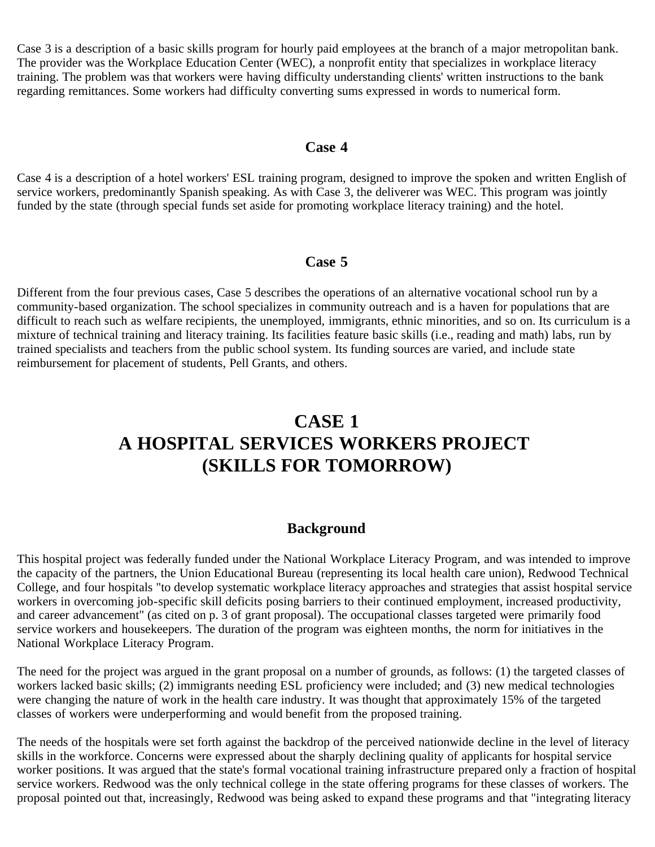<span id="page-18-3"></span>Case 3 is a description of a basic skills program for hourly paid employees at the branch of a major metropolitan bank. The provider was the Workplace Education Center (WEC), a nonprofit entity that specializes in workplace literacy training. The problem was that workers were having difficulty understanding clients' written instructions to the bank regarding remittances. Some workers had difficulty converting sums expressed in words to numerical form.

### **Case 4**

<span id="page-18-0"></span>Case 4 is a description of a hotel workers' ESL training program, designed to improve the spoken and written English of service workers, predominantly Spanish speaking. As with Case 3, the deliverer was WEC. This program was jointly funded by the state (through special funds set aside for promoting workplace literacy training) and the hotel.

# **Case 5**

<span id="page-18-1"></span>Different from the four previous cases, Case 5 describes the operations of an alternative vocational school run by a community-based organization. The school specializes in community outreach and is a haven for populations that are difficult to reach such as welfare recipients, the unemployed, immigrants, ethnic minorities, and so on. Its curriculum is a mixture of technical training and literacy training. Its facilities feature basic skills (i.e., reading and math) labs, run by trained specialists and teachers from the public school system. Its funding sources are varied, and include state reimbursement for placement of students, Pell Grants, and others.

# **CASE 1 A HOSPITAL SERVICES WORKERS PROJECT (SKILLS FOR TOMORROW)**

# **Background**

<span id="page-18-2"></span>This hospital project was federally funded under the National Workplace Literacy Program, and was intended to improve the capacity of the partners, the Union Educational Bureau (representing its local health care union), Redwood Technical College, and four hospitals "to develop systematic workplace literacy approaches and strategies that assist hospital service workers in overcoming job-specific skill deficits posing barriers to their continued employment, increased productivity, and career advancement" (as cited on p. 3 of grant proposal). The occupational classes targeted were primarily food service workers and housekeepers. The duration of the program was eighteen months, the norm for initiatives in the National Workplace Literacy Program.

The need for the project was argued in the grant proposal on a number of grounds, as follows: (1) the targeted classes of workers lacked basic skills; (2) immigrants needing ESL proficiency were included; and (3) new medical technologies were changing the nature of work in the health care industry. It was thought that approximately 15% of the targeted classes of workers were underperforming and would benefit from the proposed training.

The needs of the hospitals were set forth against the backdrop of the perceived nationwide decline in the level of literacy skills in the workforce. Concerns were expressed about the sharply declining quality of applicants for hospital service worker positions. It was argued that the state's formal vocational training infrastructure prepared only a fraction of hospital service workers. Redwood was the only technical college in the state offering programs for these classes of workers. The proposal pointed out that, increasingly, Redwood was being asked to expand these programs and that "integrating literacy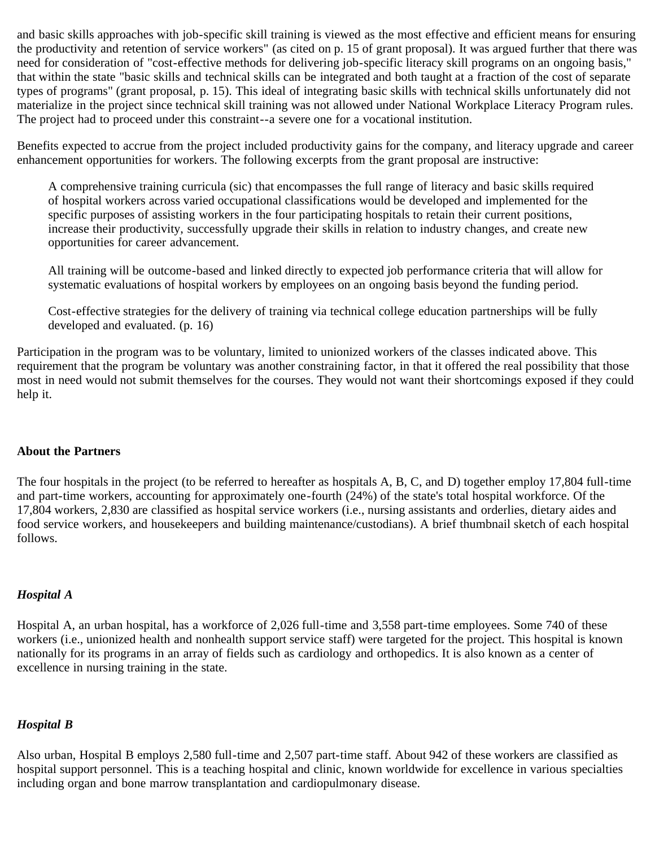and basic skills approaches with job-specific skill training is viewed as the most effective and efficient means for ensuring the productivity and retention of service workers" (as cited on p. 15 of grant proposal). It was argued further that there was need for consideration of "cost-effective methods for delivering job-specific literacy skill programs on an ongoing basis," that within the state "basic skills and technical skills can be integrated and both taught at a fraction of the cost of separate types of programs" (grant proposal, p. 15). This ideal of integrating basic skills with technical skills unfortunately did not materialize in the project since technical skill training was not allowed under National Workplace Literacy Program rules. The project had to proceed under this constraint--a severe one for a vocational institution.

Benefits expected to accrue from the project included productivity gains for the company, and literacy upgrade and career enhancement opportunities for workers. The following excerpts from the grant proposal are instructive:

A comprehensive training curricula (sic) that encompasses the full range of literacy and basic skills required of hospital workers across varied occupational classifications would be developed and implemented for the specific purposes of assisting workers in the four participating hospitals to retain their current positions, increase their productivity, successfully upgrade their skills in relation to industry changes, and create new opportunities for career advancement.

All training will be outcome-based and linked directly to expected job performance criteria that will allow for systematic evaluations of hospital workers by employees on an ongoing basis beyond the funding period.

Cost-effective strategies for the delivery of training via technical college education partnerships will be fully developed and evaluated. (p. 16)

Participation in the program was to be voluntary, limited to unionized workers of the classes indicated above. This requirement that the program be voluntary was another constraining factor, in that it offered the real possibility that those most in need would not submit themselves for the courses. They would not want their shortcomings exposed if they could help it.

#### <span id="page-19-0"></span>**About the Partners**

The four hospitals in the project (to be referred to hereafter as hospitals A, B, C, and D) together employ 17,804 full-time and part-time workers, accounting for approximately one-fourth (24%) of the state's total hospital workforce. Of the 17,804 workers, 2,830 are classified as hospital service workers (i.e., nursing assistants and orderlies, dietary aides and food service workers, and housekeepers and building maintenance/custodians). A brief thumbnail sketch of each hospital follows.

#### <span id="page-19-1"></span>*Hospital A*

Hospital A, an urban hospital, has a workforce of 2,026 full-time and 3,558 part-time employees. Some 740 of these workers (i.e., unionized health and nonhealth support service staff) were targeted for the project. This hospital is known nationally for its programs in an array of fields such as cardiology and orthopedics. It is also known as a center of excellence in nursing training in the state.

#### <span id="page-19-2"></span>*Hospital B*

Also urban, Hospital B employs 2,580 full-time and 2,507 part-time staff. About 942 of these workers are classified as hospital support personnel. This is a teaching hospital and clinic, known worldwide for excellence in various specialties including organ and bone marrow transplantation and cardiopulmonary disease.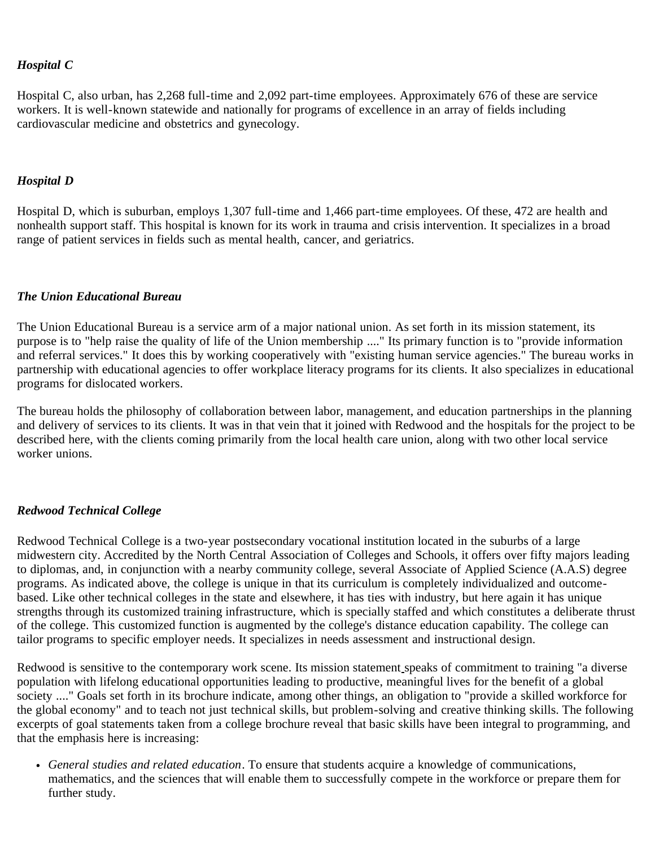### <span id="page-20-0"></span>*Hospital C*

Hospital C, also urban, has 2,268 full-time and 2,092 part-time employees. Approximately 676 of these are service workers. It is well-known statewide and nationally for programs of excellence in an array of fields including cardiovascular medicine and obstetrics and gynecology.

#### <span id="page-20-1"></span>*Hospital D*

Hospital D, which is suburban, employs 1,307 full-time and 1,466 part-time employees. Of these, 472 are health and nonhealth support staff. This hospital is known for its work in trauma and crisis intervention. It specializes in a broad range of patient services in fields such as mental health, cancer, and geriatrics.

### <span id="page-20-2"></span>*The Union Educational Bureau*

The Union Educational Bureau is a service arm of a major national union. As set forth in its mission statement, its purpose is to "help raise the quality of life of the Union membership ...." Its primary function is to "provide information and referral services." It does this by working cooperatively with "existing human service agencies." The bureau works in partnership with educational agencies to offer workplace literacy programs for its clients. It also specializes in educational programs for dislocated workers.

The bureau holds the philosophy of collaboration between labor, management, and education partnerships in the planning and delivery of services to its clients. It was in that vein that it joined with Redwood and the hospitals for the project to be described here, with the clients coming primarily from the local health care union, along with two other local service worker unions.

### <span id="page-20-3"></span>*Redwood Technical College*

Redwood Technical College is a two-year postsecondary vocational institution located in the suburbs of a large midwestern city. Accredited by the North Central Association of Colleges and Schools, it offers over fifty majors leading to diplomas, and, in conjunction with a nearby community college, several Associate of Applied Science (A.A.S) degree programs. As indicated above, the college is unique in that its curriculum is completely individualized and outcomebased. Like other technical colleges in the state and elsewhere, it has ties with industry, but here again it has unique strengths through its customized training infrastructure, which is specially staffed and which constitutes a deliberate thrust of the college. This customized function is augmented by the college's distance education capability. The college can tailor programs to specific employer needs. It specializes in needs assessment and instructional design.

Redwood is sensitive to the contemporary work scene. Its mission statement speaks of commitment to training "a diverse population with lifelong educational opportunities leading to productive, meaningful lives for the benefit of a global society ...." Goals set forth in its brochure indicate, among other things, an obligation to "provide a skilled workforce for the global economy" and to teach not just technical skills, but problem-solving and creative thinking skills. The following excerpts of goal statements taken from a college brochure reveal that basic skills have been integral to programming, and that the emphasis here is increasing:

*General studies and related education*. To ensure that students acquire a knowledge of communications, mathematics, and the sciences that will enable them to successfully compete in the workforce or prepare them for further study.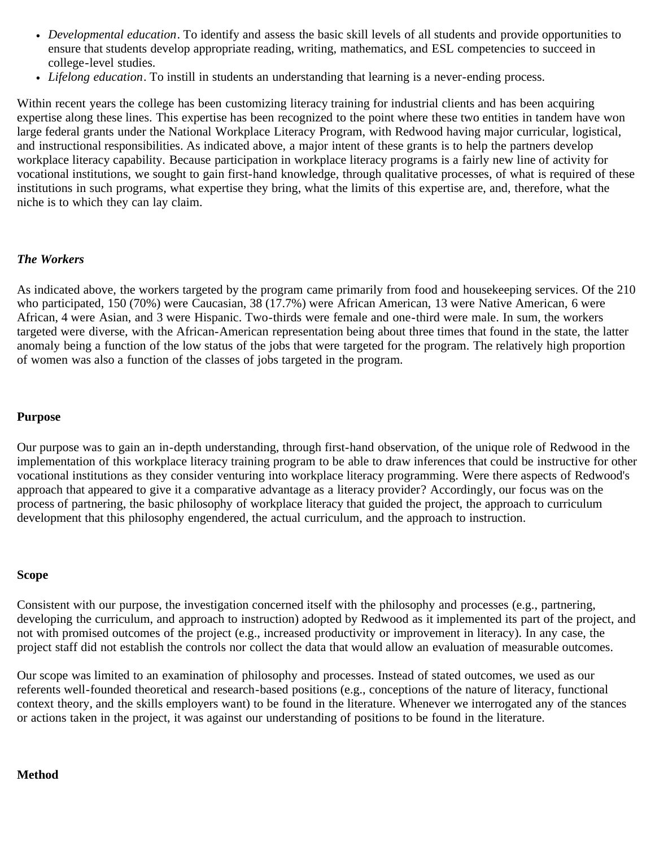- *Developmental education*. To identify and assess the basic skill levels of all students and provide opportunities to ensure that students develop appropriate reading, writing, mathematics, and ESL competencies to succeed in college-level studies.
- *Lifelong education*. To instill in students an understanding that learning is a never-ending process.

Within recent years the college has been customizing literacy training for industrial clients and has been acquiring expertise along these lines. This expertise has been recognized to the point where these two entities in tandem have won large federal grants under the National Workplace Literacy Program, with Redwood having major curricular, logistical, and instructional responsibilities. As indicated above, a major intent of these grants is to help the partners develop workplace literacy capability. Because participation in workplace literacy programs is a fairly new line of activity for vocational institutions, we sought to gain first-hand knowledge, through qualitative processes, of what is required of these institutions in such programs, what expertise they bring, what the limits of this expertise are, and, therefore, what the niche is to which they can lay claim.

#### <span id="page-21-0"></span>*The Workers*

As indicated above, the workers targeted by the program came primarily from food and housekeeping services. Of the 210 who participated, 150 (70%) were Caucasian, 38 (17.7%) were African American, 13 were Native American, 6 were African, 4 were Asian, and 3 were Hispanic. Two-thirds were female and one-third were male. In sum, the workers targeted were diverse, with the African-American representation being about three times that found in the state, the latter anomaly being a function of the low status of the jobs that were targeted for the program. The relatively high proportion of women was also a function of the classes of jobs targeted in the program.

#### <span id="page-21-1"></span>**Purpose**

Our purpose was to gain an in-depth understanding, through first-hand observation, of the unique role of Redwood in the implementation of this workplace literacy training program to be able to draw inferences that could be instructive for other vocational institutions as they consider venturing into workplace literacy programming. Were there aspects of Redwood's approach that appeared to give it a comparative advantage as a literacy provider? Accordingly, our focus was on the process of partnering, the basic philosophy of workplace literacy that guided the project, the approach to curriculum development that this philosophy engendered, the actual curriculum, and the approach to instruction.

#### <span id="page-21-2"></span>**Scope**

Consistent with our purpose, the investigation concerned itself with the philosophy and processes (e.g., partnering, developing the curriculum, and approach to instruction) adopted by Redwood as it implemented its part of the project, and not with promised outcomes of the project (e.g., increased productivity or improvement in literacy). In any case, the project staff did not establish the controls nor collect the data that would allow an evaluation of measurable outcomes.

Our scope was limited to an examination of philosophy and processes. Instead of stated outcomes, we used as our referents well-founded theoretical and research-based positions (e.g., conceptions of the nature of literacy, functional context theory, and the skills employers want) to be found in the literature. Whenever we interrogated any of the stances or actions taken in the project, it was against our understanding of positions to be found in the literature.

#### <span id="page-21-3"></span>**Method**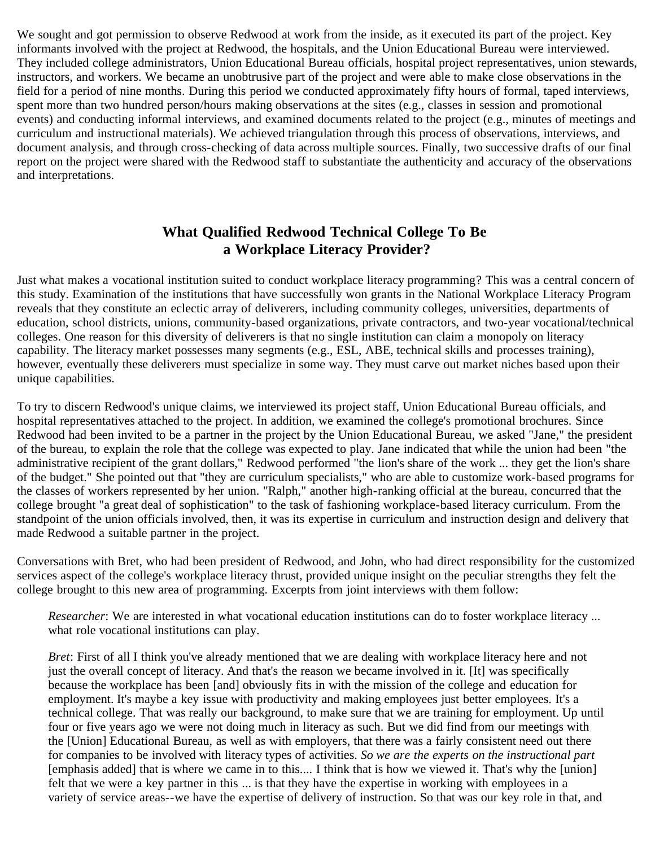<span id="page-22-0"></span>We sought and got permission to observe Redwood at work from the inside, as it executed its part of the project. Key informants involved with the project at Redwood, the hospitals, and the Union Educational Bureau were interviewed. They included college administrators, Union Educational Bureau officials, hospital project representatives, union stewards, instructors, and workers. We became an unobtrusive part of the project and were able to make close observations in the field for a period of nine months. During this period we conducted approximately fifty hours of formal, taped interviews, spent more than two hundred person/hours making observations at the sites (e.g., classes in session and promotional events) and conducting informal interviews, and examined documents related to the project (e.g., minutes of meetings and curriculum and instructional materials). We achieved triangulation through this process of observations, interviews, and document analysis, and through cross-checking of data across multiple sources. Finally, two successive drafts of our final report on the project were shared with the Redwood staff to substantiate the authenticity and accuracy of the observations and interpretations.

# **What Qualified Redwood Technical College To Be a Workplace Literacy Provider?**

Just what makes a vocational institution suited to conduct workplace literacy programming? This was a central concern of this study. Examination of the institutions that have successfully won grants in the National Workplace Literacy Program reveals that they constitute an eclectic array of deliverers, including community colleges, universities, departments of education, school districts, unions, community-based organizations, private contractors, and two-year vocational/technical colleges. One reason for this diversity of deliverers is that no single institution can claim a monopoly on literacy capability. The literacy market possesses many segments (e.g., ESL, ABE, technical skills and processes training), however, eventually these deliverers must specialize in some way. They must carve out market niches based upon their unique capabilities.

To try to discern Redwood's unique claims, we interviewed its project staff, Union Educational Bureau officials, and hospital representatives attached to the project. In addition, we examined the college's promotional brochures. Since Redwood had been invited to be a partner in the project by the Union Educational Bureau, we asked "Jane," the president of the bureau, to explain the role that the college was expected to play. Jane indicated that while the union had been "the administrative recipient of the grant dollars," Redwood performed "the lion's share of the work ... they get the lion's share of the budget." She pointed out that "they are curriculum specialists," who are able to customize work-based programs for the classes of workers represented by her union. "Ralph," another high-ranking official at the bureau, concurred that the college brought "a great deal of sophistication" to the task of fashioning workplace-based literacy curriculum. From the standpoint of the union officials involved, then, it was its expertise in curriculum and instruction design and delivery that made Redwood a suitable partner in the project.

Conversations with Bret, who had been president of Redwood, and John, who had direct responsibility for the customized services aspect of the college's workplace literacy thrust, provided unique insight on the peculiar strengths they felt the college brought to this new area of programming. Excerpts from joint interviews with them follow:

*Researcher*: We are interested in what vocational education institutions can do to foster workplace literacy ... what role vocational institutions can play.

*Bret*: First of all I think you've already mentioned that we are dealing with workplace literacy here and not just the overall concept of literacy. And that's the reason we became involved in it. [It] was specifically because the workplace has been [and] obviously fits in with the mission of the college and education for employment. It's maybe a key issue with productivity and making employees just better employees. It's a technical college. That was really our background, to make sure that we are training for employment. Up until four or five years ago we were not doing much in literacy as such. But we did find from our meetings with the [Union] Educational Bureau, as well as with employers, that there was a fairly consistent need out there for companies to be involved with literacy types of activities. *So we are the experts on the instructional part* [emphasis added] that is where we came in to this.... I think that is how we viewed it. That's why the [union] felt that we were a key partner in this ... is that they have the expertise in working with employees in a variety of service areas--we have the expertise of delivery of instruction. So that was our key role in that, and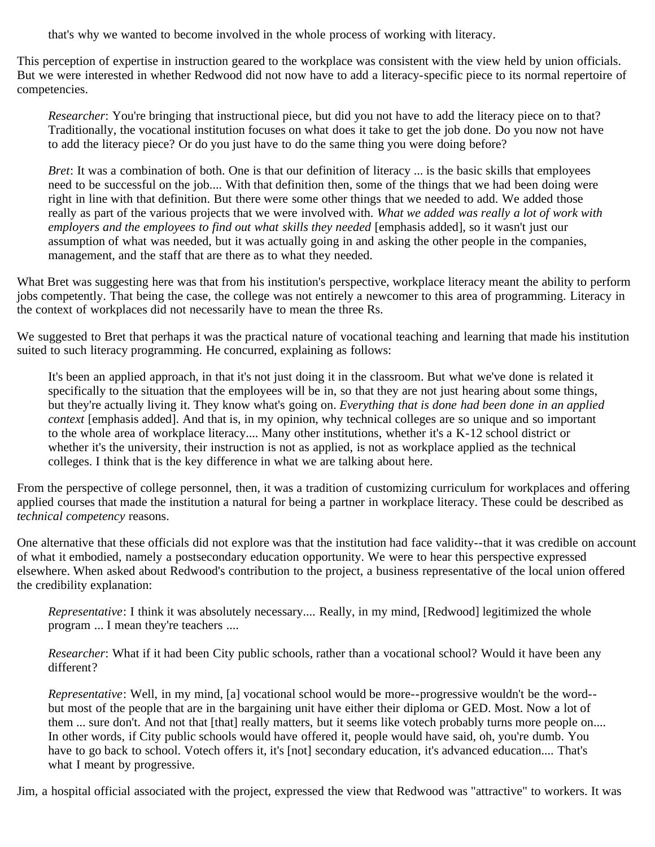that's why we wanted to become involved in the whole process of working with literacy.

This perception of expertise in instruction geared to the workplace was consistent with the view held by union officials. But we were interested in whether Redwood did not now have to add a literacy-specific piece to its normal repertoire of competencies.

*Researcher*: You're bringing that instructional piece, but did you not have to add the literacy piece on to that? Traditionally, the vocational institution focuses on what does it take to get the job done. Do you now not have to add the literacy piece? Or do you just have to do the same thing you were doing before?

*Bret*: It was a combination of both. One is that our definition of literacy ... is the basic skills that employees need to be successful on the job.... With that definition then, some of the things that we had been doing were right in line with that definition. But there were some other things that we needed to add. We added those really as part of the various projects that we were involved with. *What we added was really a lot of work with employers and the employees to find out what skills they needed* [emphasis added], so it wasn't just our assumption of what was needed, but it was actually going in and asking the other people in the companies, management, and the staff that are there as to what they needed.

What Bret was suggesting here was that from his institution's perspective, workplace literacy meant the ability to perform jobs competently. That being the case, the college was not entirely a newcomer to this area of programming. Literacy in the context of workplaces did not necessarily have to mean the three Rs.

We suggested to Bret that perhaps it was the practical nature of vocational teaching and learning that made his institution suited to such literacy programming. He concurred, explaining as follows:

It's been an applied approach, in that it's not just doing it in the classroom. But what we've done is related it specifically to the situation that the employees will be in, so that they are not just hearing about some things, but they're actually living it. They know what's going on. *Everything that is done had been done in an applied context* [emphasis added]. And that is, in my opinion, why technical colleges are so unique and so important to the whole area of workplace literacy.... Many other institutions, whether it's a K-12 school district or whether it's the university, their instruction is not as applied, is not as workplace applied as the technical colleges. I think that is the key difference in what we are talking about here.

From the perspective of college personnel, then, it was a tradition of customizing curriculum for workplaces and offering applied courses that made the institution a natural for being a partner in workplace literacy. These could be described as *technical competency* reasons.

One alternative that these officials did not explore was that the institution had face validity--that it was credible on account of what it embodied, namely a postsecondary education opportunity. We were to hear this perspective expressed elsewhere. When asked about Redwood's contribution to the project, a business representative of the local union offered the credibility explanation:

*Representative*: I think it was absolutely necessary.... Really, in my mind, [Redwood] legitimized the whole program ... I mean they're teachers ....

*Researcher*: What if it had been City public schools, rather than a vocational school? Would it have been any different?

*Representative*: Well, in my mind, [a] vocational school would be more--progressive wouldn't be the word- but most of the people that are in the bargaining unit have either their diploma or GED. Most. Now a lot of them ... sure don't. And not that [that] really matters, but it seems like votech probably turns more people on.... In other words, if City public schools would have offered it, people would have said, oh, you're dumb. You have to go back to school. Votech offers it, it's [not] secondary education, it's advanced education.... That's what I meant by progressive.

Jim, a hospital official associated with the project, expressed the view that Redwood was "attractive" to workers. It was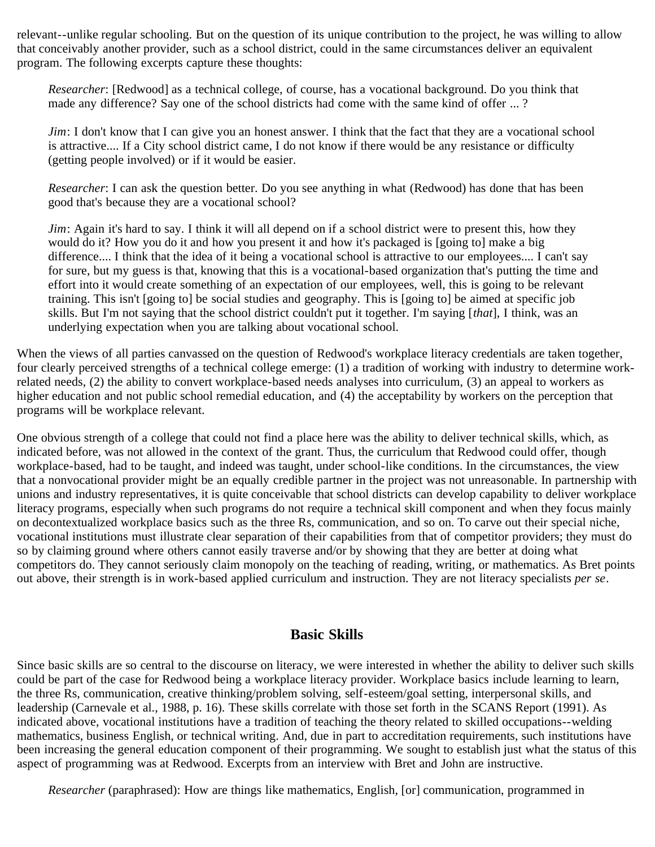relevant--unlike regular schooling. But on the question of its unique contribution to the project, he was willing to allow that conceivably another provider, such as a school district, could in the same circumstances deliver an equivalent program. The following excerpts capture these thoughts:

*Researcher*: [Redwood] as a technical college, of course, has a vocational background. Do you think that made any difference? Say one of the school districts had come with the same kind of offer ... ?

*Jim*: I don't know that I can give you an honest answer. I think that the fact that they are a vocational school is attractive.... If a City school district came, I do not know if there would be any resistance or difficulty (getting people involved) or if it would be easier.

*Researcher*: I can ask the question better. Do you see anything in what (Redwood) has done that has been good that's because they are a vocational school?

*Jim*: Again it's hard to say. I think it will all depend on if a school district were to present this, how they would do it? How you do it and how you present it and how it's packaged is [going to] make a big difference.... I think that the idea of it being a vocational school is attractive to our employees.... I can't say for sure, but my guess is that, knowing that this is a vocational-based organization that's putting the time and effort into it would create something of an expectation of our employees, well, this is going to be relevant training. This isn't [going to] be social studies and geography. This is [going to] be aimed at specific job skills. But I'm not saying that the school district couldn't put it together. I'm saying [*that*], I think, was an underlying expectation when you are talking about vocational school.

When the views of all parties canvassed on the question of Redwood's workplace literacy credentials are taken together, four clearly perceived strengths of a technical college emerge: (1) a tradition of working with industry to determine workrelated needs, (2) the ability to convert workplace-based needs analyses into curriculum, (3) an appeal to workers as higher education and not public school remedial education, and (4) the acceptability by workers on the perception that programs will be workplace relevant.

One obvious strength of a college that could not find a place here was the ability to deliver technical skills, which, as indicated before, was not allowed in the context of the grant. Thus, the curriculum that Redwood could offer, though workplace-based, had to be taught, and indeed was taught, under school-like conditions. In the circumstances, the view that a nonvocational provider might be an equally credible partner in the project was not unreasonable. In partnership with unions and industry representatives, it is quite conceivable that school districts can develop capability to deliver workplace literacy programs, especially when such programs do not require a technical skill component and when they focus mainly on decontextualized workplace basics such as the three Rs, communication, and so on. To carve out their special niche, vocational institutions must illustrate clear separation of their capabilities from that of competitor providers; they must do so by claiming ground where others cannot easily traverse and/or by showing that they are better at doing what competitors do. They cannot seriously claim monopoly on the teaching of reading, writing, or mathematics. As Bret points out above, their strength is in work-based applied curriculum and instruction. They are not literacy specialists *per se*.

# **Basic Skills**

<span id="page-24-0"></span>Since basic skills are so central to the discourse on literacy, we were interested in whether the ability to deliver such skills could be part of the case for Redwood being a workplace literacy provider. Workplace basics include learning to learn, the three Rs, communication, creative thinking/problem solving, self-esteem/goal setting, interpersonal skills, and leadership (Carnevale et al., 1988, p. 16). These skills correlate with those set forth in the SCANS Report (1991). As indicated above, vocational institutions have a tradition of teaching the theory related to skilled occupations--welding mathematics, business English, or technical writing. And, due in part to accreditation requirements, such institutions have been increasing the general education component of their programming. We sought to establish just what the status of this aspect of programming was at Redwood. Excerpts from an interview with Bret and John are instructive.

*Researcher* (paraphrased): How are things like mathematics, English, [or] communication, programmed in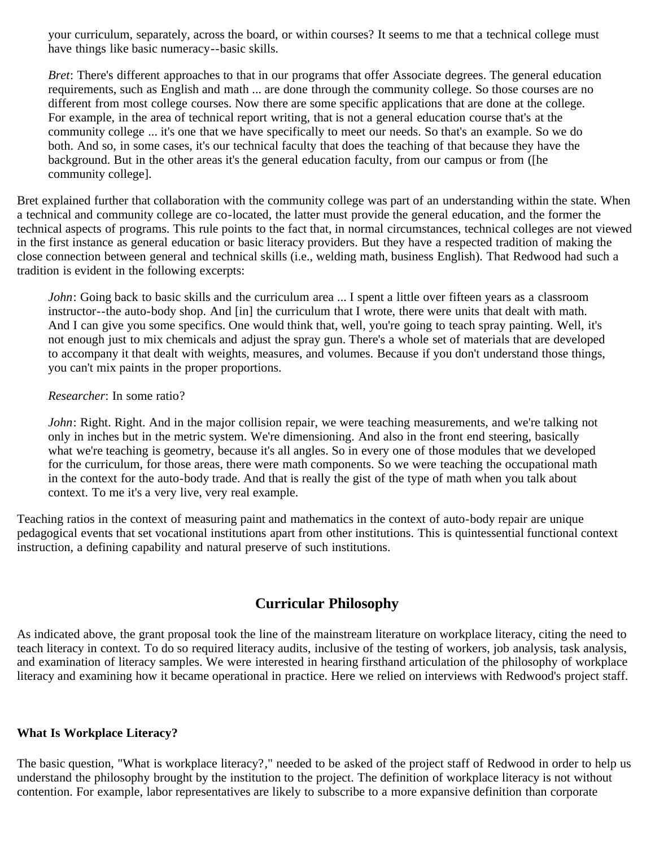your curriculum, separately, across the board, or within courses? It seems to me that a technical college must have things like basic numeracy--basic skills.

*Bret*: There's different approaches to that in our programs that offer Associate degrees. The general education requirements, such as English and math ... are done through the community college. So those courses are no different from most college courses. Now there are some specific applications that are done at the college. For example, in the area of technical report writing, that is not a general education course that's at the community college ... it's one that we have specifically to meet our needs. So that's an example. So we do both. And so, in some cases, it's our technical faculty that does the teaching of that because they have the background. But in the other areas it's the general education faculty, from our campus or from ([he community college].

Bret explained further that collaboration with the community college was part of an understanding within the state. When a technical and community college are co-located, the latter must provide the general education, and the former the technical aspects of programs. This rule points to the fact that, in normal circumstances, technical colleges are not viewed in the first instance as general education or basic literacy providers. But they have a respected tradition of making the close connection between general and technical skills (i.e., welding math, business English). That Redwood had such a tradition is evident in the following excerpts:

*John*: Going back to basic skills and the curriculum area ... I spent a little over fifteen years as a classroom instructor--the auto-body shop. And [in] the curriculum that I wrote, there were units that dealt with math. And I can give you some specifics. One would think that, well, you're going to teach spray painting. Well, it's not enough just to mix chemicals and adjust the spray gun. There's a whole set of materials that are developed to accompany it that dealt with weights, measures, and volumes. Because if you don't understand those things, you can't mix paints in the proper proportions.

#### *Researcher*: In some ratio?

*John*: Right. Right. And in the major collision repair, we were teaching measurements, and we're talking not only in inches but in the metric system. We're dimensioning. And also in the front end steering, basically what we're teaching is geometry, because it's all angles. So in every one of those modules that we developed for the curriculum, for those areas, there were math components. So we were teaching the occupational math in the context for the auto-body trade. And that is really the gist of the type of math when you talk about context. To me it's a very live, very real example.

Teaching ratios in the context of measuring paint and mathematics in the context of auto-body repair are unique pedagogical events that set vocational institutions apart from other institutions. This is quintessential functional context instruction, a defining capability and natural preserve of such institutions.

# **Curricular Philosophy**

<span id="page-25-0"></span>As indicated above, the grant proposal took the line of the mainstream literature on workplace literacy, citing the need to teach literacy in context. To do so required literacy audits, inclusive of the testing of workers, job analysis, task analysis, and examination of literacy samples. We were interested in hearing firsthand articulation of the philosophy of workplace literacy and examining how it became operational in practice. Here we relied on interviews with Redwood's project staff.

#### <span id="page-25-1"></span>**What Is Workplace Literacy?**

The basic question, "What is workplace literacy?," needed to be asked of the project staff of Redwood in order to help us understand the philosophy brought by the institution to the project. The definition of workplace literacy is not without contention. For example, labor representatives are likely to subscribe to a more expansive definition than corporate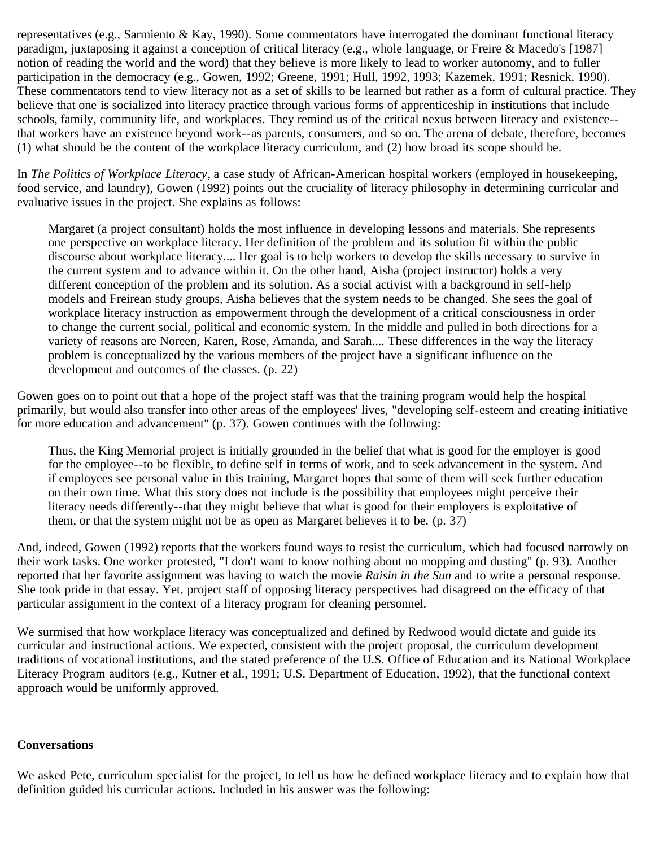representatives (e.g., Sarmiento & Kay, 1990). Some commentators have interrogated the dominant functional literacy paradigm, juxtaposing it against a conception of critical literacy (e.g., whole language, or Freire & Macedo's [1987] notion of reading the world and the word) that they believe is more likely to lead to worker autonomy, and to fuller participation in the democracy (e.g., Gowen, 1992; Greene, 1991; Hull, 1992, 1993; Kazemek, 1991; Resnick, 1990). These commentators tend to view literacy not as a set of skills to be learned but rather as a form of cultural practice. They believe that one is socialized into literacy practice through various forms of apprenticeship in institutions that include schools, family, community life, and workplaces. They remind us of the critical nexus between literacy and existence- that workers have an existence beyond work--as parents, consumers, and so on. The arena of debate, therefore, becomes (1) what should be the content of the workplace literacy curriculum, and (2) how broad its scope should be.

In *The Politics of Workplace Literacy*, a case study of African-American hospital workers (employed in housekeeping, food service, and laundry), Gowen (1992) points out the cruciality of literacy philosophy in determining curricular and evaluative issues in the project. She explains as follows:

Margaret (a project consultant) holds the most influence in developing lessons and materials. She represents one perspective on workplace literacy. Her definition of the problem and its solution fit within the public discourse about workplace literacy.... Her goal is to help workers to develop the skills necessary to survive in the current system and to advance within it. On the other hand, Aisha (project instructor) holds a very different conception of the problem and its solution. As a social activist with a background in self-help models and Freirean study groups, Aisha believes that the system needs to be changed. She sees the goal of workplace literacy instruction as empowerment through the development of a critical consciousness in order to change the current social, political and economic system. In the middle and pulled in both directions for a variety of reasons are Noreen, Karen, Rose, Amanda, and Sarah.... These differences in the way the literacy problem is conceptualized by the various members of the project have a significant influence on the development and outcomes of the classes. (p. 22)

Gowen goes on to point out that a hope of the project staff was that the training program would help the hospital primarily, but would also transfer into other areas of the employees' lives, "developing self-esteem and creating initiative for more education and advancement" (p. 37). Gowen continues with the following:

Thus, the King Memorial project is initially grounded in the belief that what is good for the employer is good for the employee--to be flexible, to define self in terms of work, and to seek advancement in the system. And if employees see personal value in this training, Margaret hopes that some of them will seek further education on their own time. What this story does not include is the possibility that employees might perceive their literacy needs differently--that they might believe that what is good for their employers is exploitative of them, or that the system might not be as open as Margaret believes it to be. (p. 37)

And, indeed, Gowen (1992) reports that the workers found ways to resist the curriculum, which had focused narrowly on their work tasks. One worker protested, "I don't want to know nothing about no mopping and dusting" (p. 93). Another reported that her favorite assignment was having to watch the movie *Raisin in the Sun* and to write a personal response. She took pride in that essay. Yet, project staff of opposing literacy perspectives had disagreed on the efficacy of that particular assignment in the context of a literacy program for cleaning personnel.

We surmised that how workplace literacy was conceptualized and defined by Redwood would dictate and guide its curricular and instructional actions. We expected, consistent with the project proposal, the curriculum development traditions of vocational institutions, and the stated preference of the U.S. Office of Education and its National Workplace Literacy Program auditors (e.g., Kutner et al., 1991; U.S. Department of Education, 1992), that the functional context approach would be uniformly approved.

#### <span id="page-26-0"></span>**Conversations**

We asked Pete, curriculum specialist for the project, to tell us how he defined workplace literacy and to explain how that definition guided his curricular actions. Included in his answer was the following: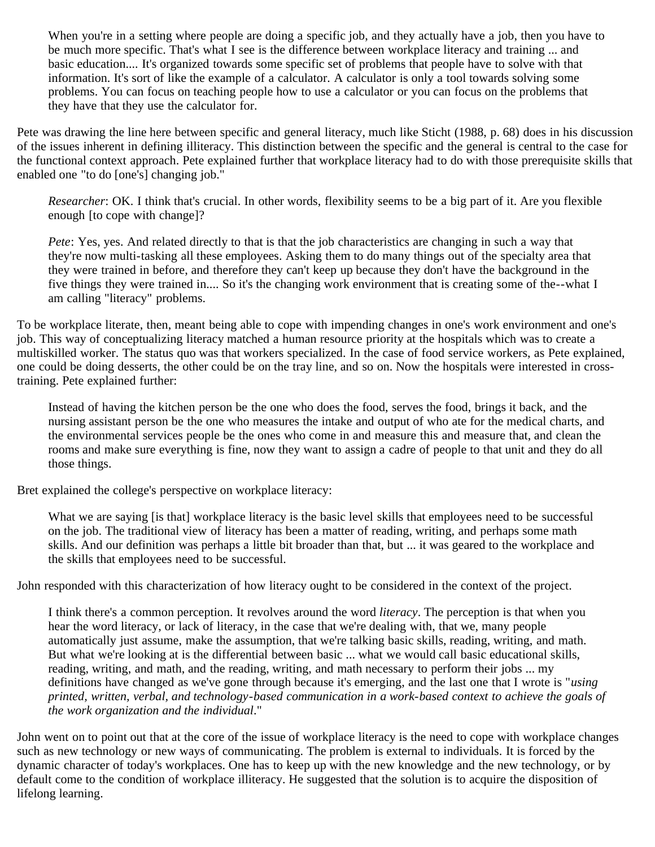When you're in a setting where people are doing a specific job, and they actually have a job, then you have to be much more specific. That's what I see is the difference between workplace literacy and training ... and basic education.... It's organized towards some specific set of problems that people have to solve with that information. It's sort of like the example of a calculator. A calculator is only a tool towards solving some problems. You can focus on teaching people how to use a calculator or you can focus on the problems that they have that they use the calculator for.

Pete was drawing the line here between specific and general literacy, much like Sticht (1988, p. 68) does in his discussion of the issues inherent in defining illiteracy. This distinction between the specific and the general is central to the case for the functional context approach. Pete explained further that workplace literacy had to do with those prerequisite skills that enabled one "to do [one's] changing job."

*Researcher*: OK. I think that's crucial. In other words, flexibility seems to be a big part of it. Are you flexible enough [to cope with change]?

*Pete*: Yes, yes. And related directly to that is that the job characteristics are changing in such a way that they're now multi-tasking all these employees. Asking them to do many things out of the specialty area that they were trained in before, and therefore they can't keep up because they don't have the background in the five things they were trained in.... So it's the changing work environment that is creating some of the--what I am calling "literacy" problems.

To be workplace literate, then, meant being able to cope with impending changes in one's work environment and one's job. This way of conceptualizing literacy matched a human resource priority at the hospitals which was to create a multiskilled worker. The status quo was that workers specialized. In the case of food service workers, as Pete explained, one could be doing desserts, the other could be on the tray line, and so on. Now the hospitals were interested in crosstraining. Pete explained further:

Instead of having the kitchen person be the one who does the food, serves the food, brings it back, and the nursing assistant person be the one who measures the intake and output of who ate for the medical charts, and the environmental services people be the ones who come in and measure this and measure that, and clean the rooms and make sure everything is fine, now they want to assign a cadre of people to that unit and they do all those things.

Bret explained the college's perspective on workplace literacy:

What we are saying [is that] workplace literacy is the basic level skills that employees need to be successful on the job. The traditional view of literacy has been a matter of reading, writing, and perhaps some math skills. And our definition was perhaps a little bit broader than that, but ... it was geared to the workplace and the skills that employees need to be successful.

John responded with this characterization of how literacy ought to be considered in the context of the project.

I think there's a common perception. It revolves around the word *literacy*. The perception is that when you hear the word literacy, or lack of literacy, in the case that we're dealing with, that we, many people automatically just assume, make the assumption, that we're talking basic skills, reading, writing, and math. But what we're looking at is the differential between basic ... what we would call basic educational skills, reading, writing, and math, and the reading, writing, and math necessary to perform their jobs ... my definitions have changed as we've gone through because it's emerging, and the last one that I wrote is "*using printed, written, verbal, and technology-based communication in a work-based context to achieve the goals of the work organization and the individual*."

John went on to point out that at the core of the issue of workplace literacy is the need to cope with workplace changes such as new technology or new ways of communicating. The problem is external to individuals. It is forced by the dynamic character of today's workplaces. One has to keep up with the new knowledge and the new technology, or by default come to the condition of workplace illiteracy. He suggested that the solution is to acquire the disposition of lifelong learning.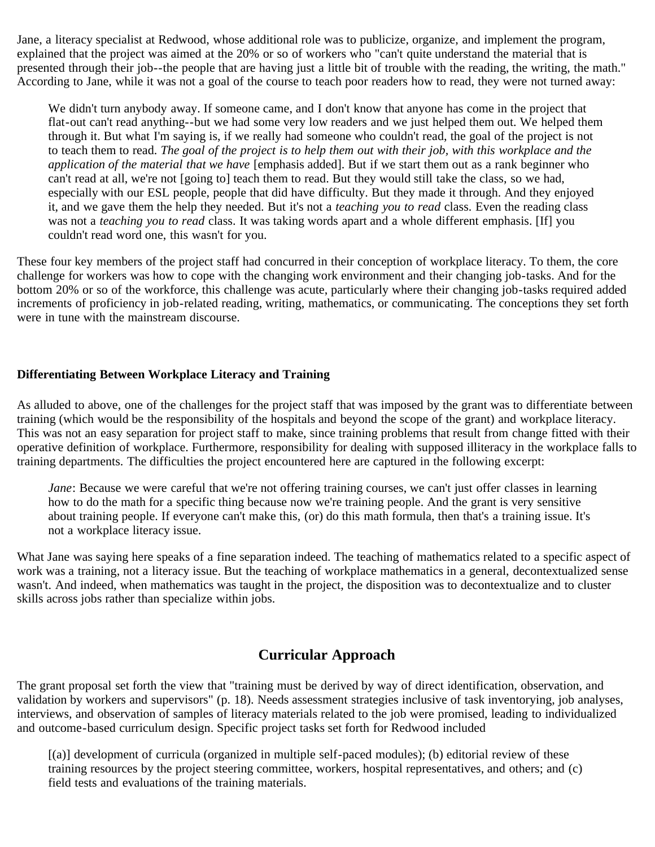Jane, a literacy specialist at Redwood, whose additional role was to publicize, organize, and implement the program, explained that the project was aimed at the 20% or so of workers who "can't quite understand the material that is presented through their job--the people that are having just a little bit of trouble with the reading, the writing, the math." According to Jane, while it was not a goal of the course to teach poor readers how to read, they were not turned away:

We didn't turn anybody away. If someone came, and I don't know that anyone has come in the project that flat-out can't read anything--but we had some very low readers and we just helped them out. We helped them through it. But what I'm saying is, if we really had someone who couldn't read, the goal of the project is not to teach them to read. *The goal of the project is to help them out with their job, with this workplace and the application of the material that we have* [emphasis added]. But if we start them out as a rank beginner who can't read at all, we're not [going to] teach them to read. But they would still take the class, so we had, especially with our ESL people, people that did have difficulty. But they made it through. And they enjoyed it, and we gave them the help they needed. But it's not a *teaching you to read* class. Even the reading class was not a *teaching you to read* class. It was taking words apart and a whole different emphasis. [If] you couldn't read word one, this wasn't for you.

These four key members of the project staff had concurred in their conception of workplace literacy. To them, the core challenge for workers was how to cope with the changing work environment and their changing job-tasks. And for the bottom 20% or so of the workforce, this challenge was acute, particularly where their changing job-tasks required added increments of proficiency in job-related reading, writing, mathematics, or communicating. The conceptions they set forth were in tune with the mainstream discourse.

### <span id="page-28-0"></span>**Differentiating Between Workplace Literacy and Training**

As alluded to above, one of the challenges for the project staff that was imposed by the grant was to differentiate between training (which would be the responsibility of the hospitals and beyond the scope of the grant) and workplace literacy. This was not an easy separation for project staff to make, since training problems that result from change fitted with their operative definition of workplace. Furthermore, responsibility for dealing with supposed illiteracy in the workplace falls to training departments. The difficulties the project encountered here are captured in the following excerpt:

*Jane*: Because we were careful that we're not offering training courses, we can't just offer classes in learning how to do the math for a specific thing because now we're training people. And the grant is very sensitive about training people. If everyone can't make this, (or) do this math formula, then that's a training issue. It's not a workplace literacy issue.

What Jane was saying here speaks of a fine separation indeed. The teaching of mathematics related to a specific aspect of work was a training, not a literacy issue. But the teaching of workplace mathematics in a general, decontextualized sense wasn't. And indeed, when mathematics was taught in the project, the disposition was to decontextualize and to cluster skills across jobs rather than specialize within jobs.

# **Curricular Approach**

<span id="page-28-1"></span>The grant proposal set forth the view that "training must be derived by way of direct identification, observation, and validation by workers and supervisors" (p. 18). Needs assessment strategies inclusive of task inventorying, job analyses, interviews, and observation of samples of literacy materials related to the job were promised, leading to individualized and outcome-based curriculum design. Specific project tasks set forth for Redwood included

[(a)] development of curricula (organized in multiple self-paced modules); (b) editorial review of these training resources by the project steering committee, workers, hospital representatives, and others; and (c) field tests and evaluations of the training materials.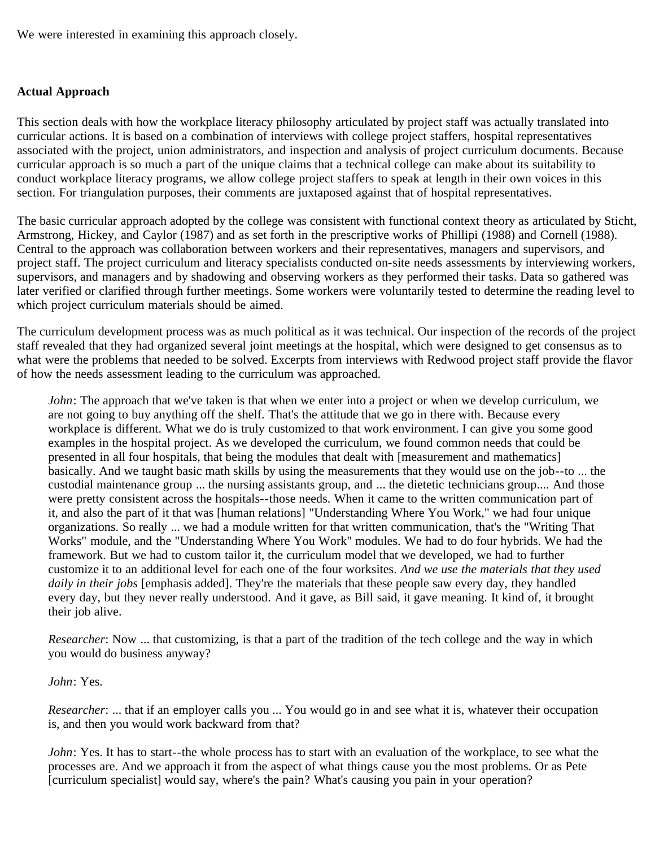We were interested in examining this approach closely.

### <span id="page-29-0"></span>**Actual Approach**

This section deals with how the workplace literacy philosophy articulated by project staff was actually translated into curricular actions. It is based on a combination of interviews with college project staffers, hospital representatives associated with the project, union administrators, and inspection and analysis of project curriculum documents. Because curricular approach is so much a part of the unique claims that a technical college can make about its suitability to conduct workplace literacy programs, we allow college project staffers to speak at length in their own voices in this section. For triangulation purposes, their comments are juxtaposed against that of hospital representatives.

The basic curricular approach adopted by the college was consistent with functional context theory as articulated by Sticht, Armstrong, Hickey, and Caylor (1987) and as set forth in the prescriptive works of Phillipi (1988) and Cornell (1988). Central to the approach was collaboration between workers and their representatives, managers and supervisors, and project staff. The project curriculum and literacy specialists conducted on-site needs assessments by interviewing workers, supervisors, and managers and by shadowing and observing workers as they performed their tasks. Data so gathered was later verified or clarified through further meetings. Some workers were voluntarily tested to determine the reading level to which project curriculum materials should be aimed.

The curriculum development process was as much political as it was technical. Our inspection of the records of the project staff revealed that they had organized several joint meetings at the hospital, which were designed to get consensus as to what were the problems that needed to be solved. Excerpts from interviews with Redwood project staff provide the flavor of how the needs assessment leading to the curriculum was approached.

*John*: The approach that we've taken is that when we enter into a project or when we develop curriculum, we are not going to buy anything off the shelf. That's the attitude that we go in there with. Because every workplace is different. What we do is truly customized to that work environment. I can give you some good examples in the hospital project. As we developed the curriculum, we found common needs that could be presented in all four hospitals, that being the modules that dealt with [measurement and mathematics] basically. And we taught basic math skills by using the measurements that they would use on the job--to ... the custodial maintenance group ... the nursing assistants group, and ... the dietetic technicians group.... And those were pretty consistent across the hospitals--those needs. When it came to the written communication part of it, and also the part of it that was [human relations] "Understanding Where You Work," we had four unique organizations. So really ... we had a module written for that written communication, that's the "Writing That Works" module, and the "Understanding Where You Work" modules. We had to do four hybrids. We had the framework. But we had to custom tailor it, the curriculum model that we developed, we had to further customize it to an additional level for each one of the four worksites. *And we use the materials that they used daily in their jobs* [emphasis added]. They're the materials that these people saw every day, they handled every day, but they never really understood. And it gave, as Bill said, it gave meaning. It kind of, it brought their job alive.

*Researcher*: Now ... that customizing, is that a part of the tradition of the tech college and the way in which you would do business anyway?

#### *John*: Yes.

*Researcher*: ... that if an employer calls you ... You would go in and see what it is, whatever their occupation is, and then you would work backward from that?

*John*: Yes. It has to start--the whole process has to start with an evaluation of the workplace, to see what the processes are. And we approach it from the aspect of what things cause you the most problems. Or as Pete [curriculum specialist] would say, where's the pain? What's causing you pain in your operation?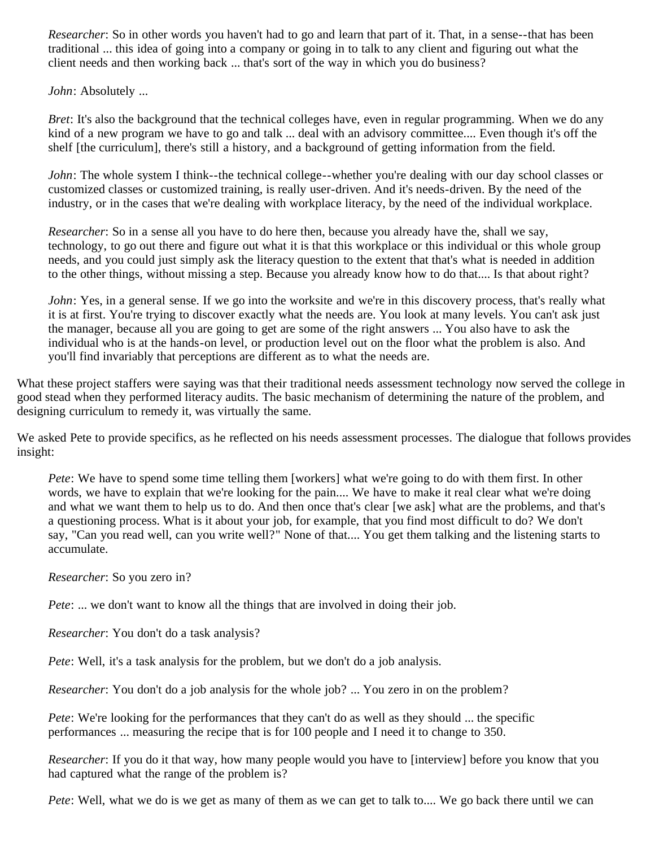*Researcher*: So in other words you haven't had to go and learn that part of it. That, in a sense--that has been traditional ... this idea of going into a company or going in to talk to any client and figuring out what the client needs and then working back ... that's sort of the way in which you do business?

*John*: Absolutely ...

*Bret*: It's also the background that the technical colleges have, even in regular programming. When we do any kind of a new program we have to go and talk ... deal with an advisory committee.... Even though it's off the shelf [the curriculum], there's still a history, and a background of getting information from the field.

*John*: The whole system I think--the technical college--whether you're dealing with our day school classes or customized classes or customized training, is really user-driven. And it's needs-driven. By the need of the industry, or in the cases that we're dealing with workplace literacy, by the need of the individual workplace.

*Researcher*: So in a sense all you have to do here then, because you already have the, shall we say, technology, to go out there and figure out what it is that this workplace or this individual or this whole group needs, and you could just simply ask the literacy question to the extent that that's what is needed in addition to the other things, without missing a step. Because you already know how to do that.... Is that about right?

*John*: Yes, in a general sense. If we go into the worksite and we're in this discovery process, that's really what it is at first. You're trying to discover exactly what the needs are. You look at many levels. You can't ask just the manager, because all you are going to get are some of the right answers ... You also have to ask the individual who is at the hands-on level, or production level out on the floor what the problem is also. And you'll find invariably that perceptions are different as to what the needs are.

What these project staffers were saying was that their traditional needs assessment technology now served the college in good stead when they performed literacy audits. The basic mechanism of determining the nature of the problem, and designing curriculum to remedy it, was virtually the same.

We asked Pete to provide specifics, as he reflected on his needs assessment processes. The dialogue that follows provides insight:

*Pete*: We have to spend some time telling them [workers] what we're going to do with them first. In other words, we have to explain that we're looking for the pain.... We have to make it real clear what we're doing and what we want them to help us to do. And then once that's clear [we ask] what are the problems, and that's a questioning process. What is it about your job, for example, that you find most difficult to do? We don't say, "Can you read well, can you write well?" None of that.... You get them talking and the listening starts to accumulate.

*Researcher*: So you zero in?

*Pete*: ... we don't want to know all the things that are involved in doing their job.

*Researcher*: You don't do a task analysis?

*Pete*: Well, it's a task analysis for the problem, but we don't do a job analysis.

*Researcher*: You don't do a job analysis for the whole job? ... You zero in on the problem?

*Pete*: We're looking for the performances that they can't do as well as they should ... the specific performances ... measuring the recipe that is for 100 people and I need it to change to 350.

*Researcher*: If you do it that way, how many people would you have to [interview] before you know that you had captured what the range of the problem is?

*Pete*: Well, what we do is we get as many of them as we can get to talk to.... We go back there until we can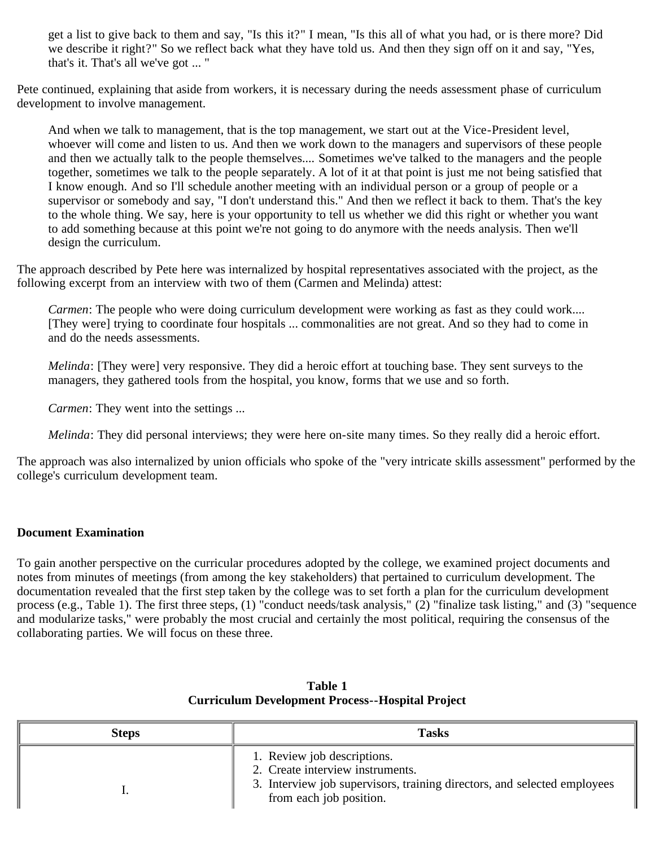get a list to give back to them and say, "Is this it?" I mean, "Is this all of what you had, or is there more? Did we describe it right?" So we reflect back what they have told us. And then they sign off on it and say, "Yes, that's it. That's all we've got ... "

Pete continued, explaining that aside from workers, it is necessary during the needs assessment phase of curriculum development to involve management.

And when we talk to management, that is the top management, we start out at the Vice-President level, whoever will come and listen to us. And then we work down to the managers and supervisors of these people and then we actually talk to the people themselves.... Sometimes we've talked to the managers and the people together, sometimes we talk to the people separately. A lot of it at that point is just me not being satisfied that I know enough. And so I'll schedule another meeting with an individual person or a group of people or a supervisor or somebody and say, "I don't understand this." And then we reflect it back to them. That's the key to the whole thing. We say, here is your opportunity to tell us whether we did this right or whether you want to add something because at this point we're not going to do anymore with the needs analysis. Then we'll design the curriculum.

The approach described by Pete here was internalized by hospital representatives associated with the project, as the following excerpt from an interview with two of them (Carmen and Melinda) attest:

*Carmen*: The people who were doing curriculum development were working as fast as they could work.... [They were] trying to coordinate four hospitals ... commonalities are not great. And so they had to come in and do the needs assessments.

*Melinda*: [They were] very responsive. They did a heroic effort at touching base. They sent surveys to the managers, they gathered tools from the hospital, you know, forms that we use and so forth.

*Carmen*: They went into the settings ...

*Melinda*: They did personal interviews; they were here on-site many times. So they really did a heroic effort.

The approach was also internalized by union officials who spoke of the "very intricate skills assessment" performed by the college's curriculum development team.

### <span id="page-31-0"></span>**Document Examination**

To gain another perspective on the curricular procedures adopted by the college, we examined project documents and notes from minutes of meetings (from among the key stakeholders) that pertained to curriculum development. The documentation revealed that the first step taken by the college was to set forth a plan for the curriculum development process (e.g., Table 1). The first three steps, (1) "conduct needs/task analysis," (2) "finalize task listing," and (3) "sequence and modularize tasks," were probably the most crucial and certainly the most political, requiring the consensus of the collaborating parties. We will focus on these three.

| <b>Steps</b> | <b>Tasks</b>                                                                                                                                                           |
|--------------|------------------------------------------------------------------------------------------------------------------------------------------------------------------------|
|              | 1. Review job descriptions.<br>2. Create interview instruments.<br>3. Interview job supervisors, training directors, and selected employees<br>from each job position. |

### **Table 1 Curriculum Development Process--Hospital Project**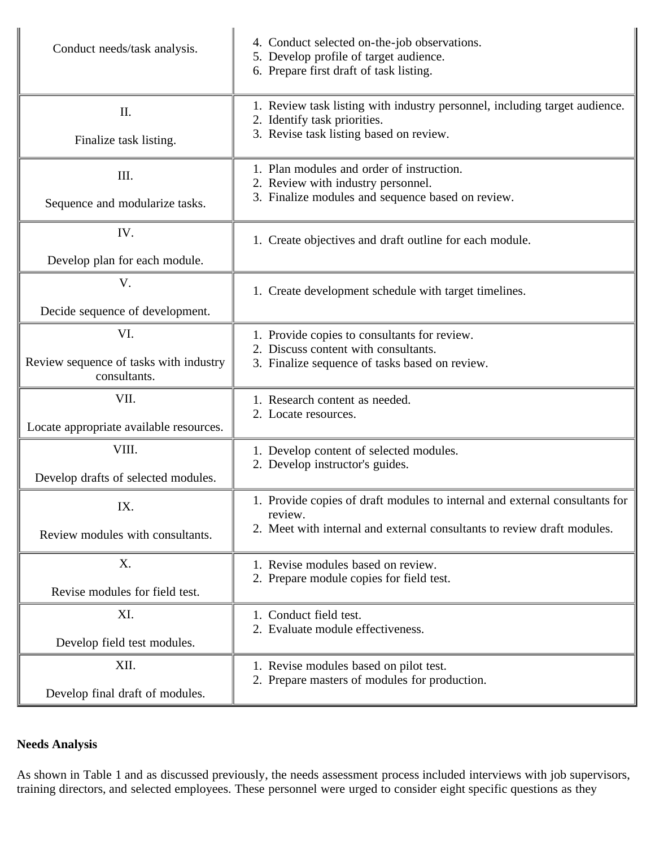| Conduct needs/task analysis.              | 4. Conduct selected on-the-job observations.<br>5. Develop profile of target audience.<br>6. Prepare first draft of task listing.                                 |
|-------------------------------------------|-------------------------------------------------------------------------------------------------------------------------------------------------------------------|
| $\mathbf{II}$ .<br>Finalize task listing. | 1. Review task listing with industry personnel, including target audience.<br>2. Identify task priorities.<br>3. Revise task listing based on review.             |
| III.<br>Sequence and modularize tasks.    | 1. Plan modules and order of instruction.<br>2. Review with industry personnel.<br>3. Finalize modules and sequence based on review.                              |
| IV.<br>Develop plan for each module.      | 1. Create objectives and draft outline for each module.                                                                                                           |
| V.<br>Decide sequence of development.     | 1. Create development schedule with target timelines.                                                                                                             |
| VI.                                       | 1. Provide copies to consultants for review.                                                                                                                      |
| Review sequence of tasks with industry    | 2. Discuss content with consultants.                                                                                                                              |
| consultants.                              | 3. Finalize sequence of tasks based on review.                                                                                                                    |
| VII.                                      | 1. Research content as needed.                                                                                                                                    |
| Locate appropriate available resources.   | 2. Locate resources.                                                                                                                                              |
| VIII.                                     | 1. Develop content of selected modules.                                                                                                                           |
| Develop drafts of selected modules.       | 2. Develop instructor's guides.                                                                                                                                   |
| IX.<br>Review modules with consultants.   | 1. Provide copies of draft modules to internal and external consultants for<br>review.<br>2. Meet with internal and external consultants to review draft modules. |
| X.                                        | 1. Revise modules based on review.                                                                                                                                |
| Revise modules for field test.            | 2. Prepare module copies for field test.                                                                                                                          |
| XI.                                       | 1. Conduct field test.                                                                                                                                            |
| Develop field test modules.               | 2. Evaluate module effectiveness.                                                                                                                                 |
| XII.                                      | 1. Revise modules based on pilot test.                                                                                                                            |
| Develop final draft of modules.           | 2. Prepare masters of modules for production.                                                                                                                     |

# <span id="page-32-0"></span>**Needs Analysis**

As shown in Table 1 and as discussed previously, the needs assessment process included interviews with job supervisors, training directors, and selected employees. These personnel were urged to consider eight specific questions as they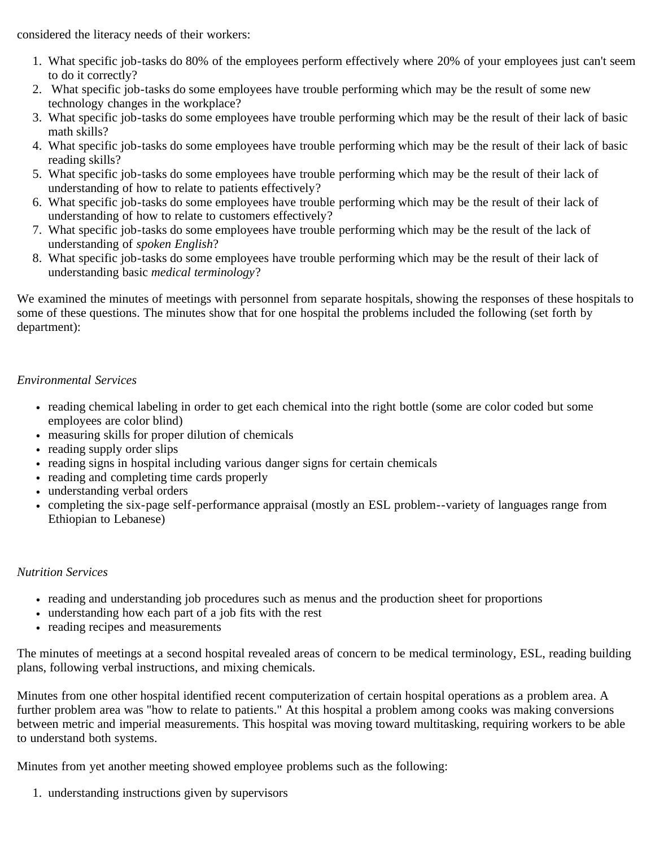considered the literacy needs of their workers:

- 1. What specific job-tasks do 80% of the employees perform effectively where 20% of your employees just can't seem to do it correctly?
- 2. What specific job-tasks do some employees have trouble performing which may be the result of some new technology changes in the workplace?
- 3. What specific job-tasks do some employees have trouble performing which may be the result of their lack of basic math skills?
- 4. What specific job-tasks do some employees have trouble performing which may be the result of their lack of basic reading skills?
- 5. What specific job-tasks do some employees have trouble performing which may be the result of their lack of understanding of how to relate to patients effectively?
- 6. What specific job-tasks do some employees have trouble performing which may be the result of their lack of understanding of how to relate to customers effectively?
- 7. What specific job-tasks do some employees have trouble performing which may be the result of the lack of understanding of *spoken English*?
- 8. What specific job-tasks do some employees have trouble performing which may be the result of their lack of understanding basic *medical terminology*?

We examined the minutes of meetings with personnel from separate hospitals, showing the responses of these hospitals to some of these questions. The minutes show that for one hospital the problems included the following (set forth by department):

# <span id="page-33-0"></span>*Environmental Services*

- reading chemical labeling in order to get each chemical into the right bottle (some are color coded but some employees are color blind)
- measuring skills for proper dilution of chemicals
- reading supply order slips
- reading signs in hospital including various danger signs for certain chemicals
- reading and completing time cards properly
- understanding verbal orders
- completing the six-page self-performance appraisal (mostly an ESL problem--variety of languages range from Ethiopian to Lebanese)

# <span id="page-33-1"></span>*Nutrition Services*

- reading and understanding job procedures such as menus and the production sheet for proportions
- understanding how each part of a job fits with the rest
- reading recipes and measurements

The minutes of meetings at a second hospital revealed areas of concern to be medical terminology, ESL, reading building plans, following verbal instructions, and mixing chemicals.

Minutes from one other hospital identified recent computerization of certain hospital operations as a problem area. A further problem area was "how to relate to patients." At this hospital a problem among cooks was making conversions between metric and imperial measurements. This hospital was moving toward multitasking, requiring workers to be able to understand both systems.

Minutes from yet another meeting showed employee problems such as the following:

1. understanding instructions given by supervisors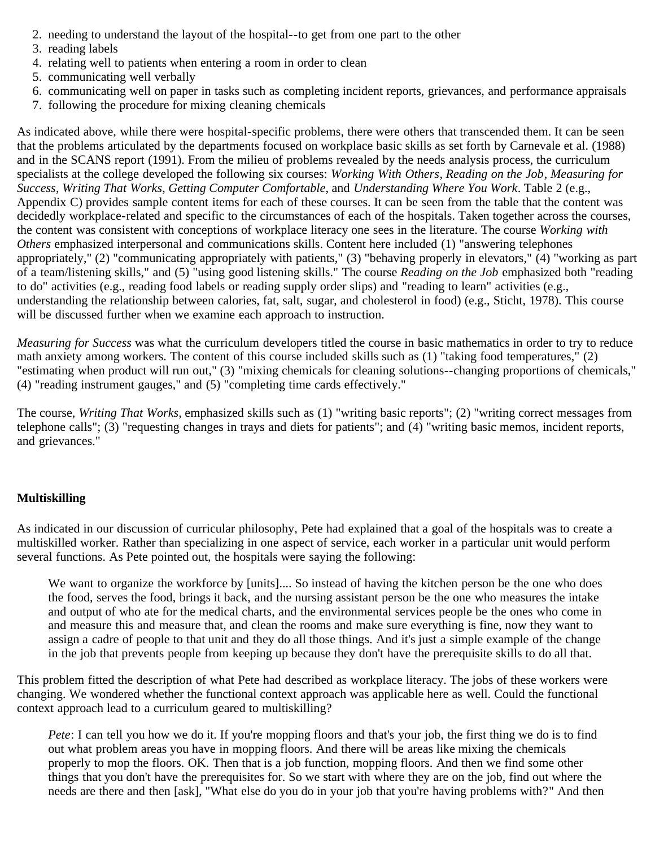- 2. needing to understand the layout of the hospital--to get from one part to the other
- 3. reading labels
- 4. relating well to patients when entering a room in order to clean
- 5. communicating well verbally
- 6. communicating well on paper in tasks such as completing incident reports, grievances, and performance appraisals
- 7. following the procedure for mixing cleaning chemicals

As indicated above, while there were hospital-specific problems, there were others that transcended them. It can be seen that the problems articulated by the departments focused on workplace basic skills as set forth by Carnevale et al. (1988) and in the SCANS report (1991). From the milieu of problems revealed by the needs analysis process, the curriculum specialists at the college developed the following six courses: *Working With Others*, *Reading on the Job*, *Measuring for Success*, *Writing That Works*, *Getting Computer Comfortable*, and *Understanding Where You Work*. Table 2 (e.g., Appendix C) provides sample content items for each of these courses. It can be seen from the table that the content was decidedly workplace-related and specific to the circumstances of each of the hospitals. Taken together across the courses, the content was consistent with conceptions of workplace literacy one sees in the literature. The course *Working with Others* emphasized interpersonal and communications skills. Content here included (1) "answering telephones appropriately," (2) "communicating appropriately with patients," (3) "behaving properly in elevators," (4) "working as part of a team/listening skills," and (5) "using good listening skills." The course *Reading on the Job* emphasized both "reading to do" activities (e.g., reading food labels or reading supply order slips) and "reading to learn" activities (e.g., understanding the relationship between calories, fat, salt, sugar, and cholesterol in food) (e.g., Sticht, 1978). This course will be discussed further when we examine each approach to instruction.

*Measuring for Success* was what the curriculum developers titled the course in basic mathematics in order to try to reduce math anxiety among workers. The content of this course included skills such as (1) "taking food temperatures," (2) "estimating when product will run out," (3) "mixing chemicals for cleaning solutions--changing proportions of chemicals," (4) "reading instrument gauges," and (5) "completing time cards effectively."

The course, *Writing That Works*, emphasized skills such as (1) "writing basic reports"; (2) "writing correct messages from telephone calls"; (3) "requesting changes in trays and diets for patients"; and (4) "writing basic memos, incident reports, and grievances."

# <span id="page-34-0"></span>**Multiskilling**

As indicated in our discussion of curricular philosophy, Pete had explained that a goal of the hospitals was to create a multiskilled worker. Rather than specializing in one aspect of service, each worker in a particular unit would perform several functions. As Pete pointed out, the hospitals were saying the following:

We want to organize the workforce by [units].... So instead of having the kitchen person be the one who does the food, serves the food, brings it back, and the nursing assistant person be the one who measures the intake and output of who ate for the medical charts, and the environmental services people be the ones who come in and measure this and measure that, and clean the rooms and make sure everything is fine, now they want to assign a cadre of people to that unit and they do all those things. And it's just a simple example of the change in the job that prevents people from keeping up because they don't have the prerequisite skills to do all that.

This problem fitted the description of what Pete had described as workplace literacy. The jobs of these workers were changing. We wondered whether the functional context approach was applicable here as well. Could the functional context approach lead to a curriculum geared to multiskilling?

*Pete*: I can tell you how we do it. If you're mopping floors and that's your job, the first thing we do is to find out what problem areas you have in mopping floors. And there will be areas like mixing the chemicals properly to mop the floors. OK. Then that is a job function, mopping floors. And then we find some other things that you don't have the prerequisites for. So we start with where they are on the job, find out where the needs are there and then [ask], "What else do you do in your job that you're having problems with?" And then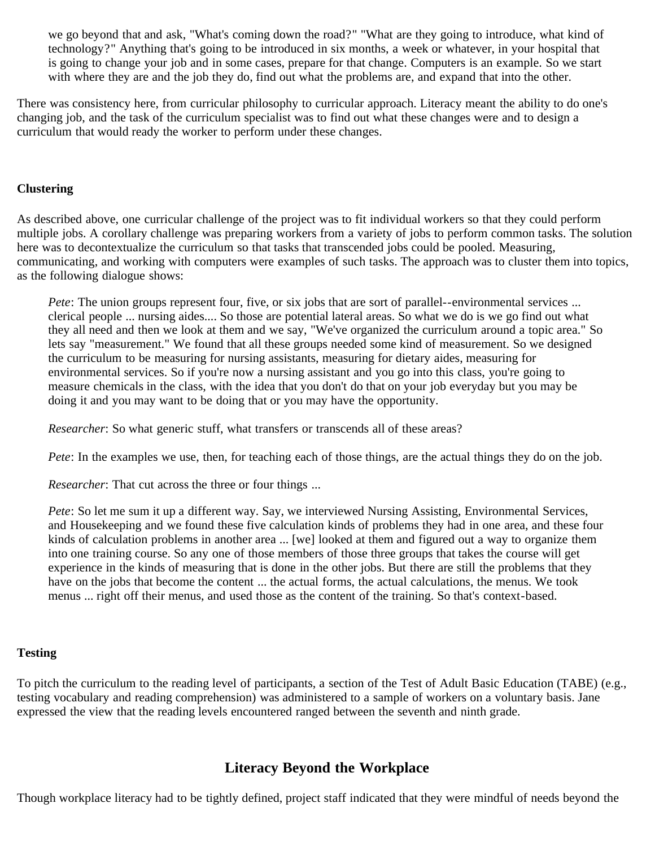we go beyond that and ask, "What's coming down the road?" "What are they going to introduce, what kind of technology?" Anything that's going to be introduced in six months, a week or whatever, in your hospital that is going to change your job and in some cases, prepare for that change. Computers is an example. So we start with where they are and the job they do, find out what the problems are, and expand that into the other.

There was consistency here, from curricular philosophy to curricular approach. Literacy meant the ability to do one's changing job, and the task of the curriculum specialist was to find out what these changes were and to design a curriculum that would ready the worker to perform under these changes.

### <span id="page-35-0"></span>**Clustering**

As described above, one curricular challenge of the project was to fit individual workers so that they could perform multiple jobs. A corollary challenge was preparing workers from a variety of jobs to perform common tasks. The solution here was to decontextualize the curriculum so that tasks that transcended jobs could be pooled. Measuring, communicating, and working with computers were examples of such tasks. The approach was to cluster them into topics, as the following dialogue shows:

*Pete*: The union groups represent four, five, or six jobs that are sort of parallel--environmental services ... clerical people ... nursing aides.... So those are potential lateral areas. So what we do is we go find out what they all need and then we look at them and we say, "We've organized the curriculum around a topic area." So lets say "measurement." We found that all these groups needed some kind of measurement. So we designed the curriculum to be measuring for nursing assistants, measuring for dietary aides, measuring for environmental services. So if you're now a nursing assistant and you go into this class, you're going to measure chemicals in the class, with the idea that you don't do that on your job everyday but you may be doing it and you may want to be doing that or you may have the opportunity.

*Researcher*: So what generic stuff, what transfers or transcends all of these areas?

*Pete*: In the examples we use, then, for teaching each of those things, are the actual things they do on the job.

*Researcher*: That cut across the three or four things ...

*Pete*: So let me sum it up a different way. Say, we interviewed Nursing Assisting, Environmental Services, and Housekeeping and we found these five calculation kinds of problems they had in one area, and these four kinds of calculation problems in another area ... [we] looked at them and figured out a way to organize them into one training course. So any one of those members of those three groups that takes the course will get experience in the kinds of measuring that is done in the other jobs. But there are still the problems that they have on the jobs that become the content ... the actual forms, the actual calculations, the menus. We took menus ... right off their menus, and used those as the content of the training. So that's context-based.

### <span id="page-35-1"></span>**Testing**

To pitch the curriculum to the reading level of participants, a section of the Test of Adult Basic Education (TABE) (e.g., testing vocabulary and reading comprehension) was administered to a sample of workers on a voluntary basis. Jane expressed the view that the reading levels encountered ranged between the seventh and ninth grade.

# **Literacy Beyond the Workplace**

<span id="page-35-2"></span>Though workplace literacy had to be tightly defined, project staff indicated that they were mindful of needs beyond the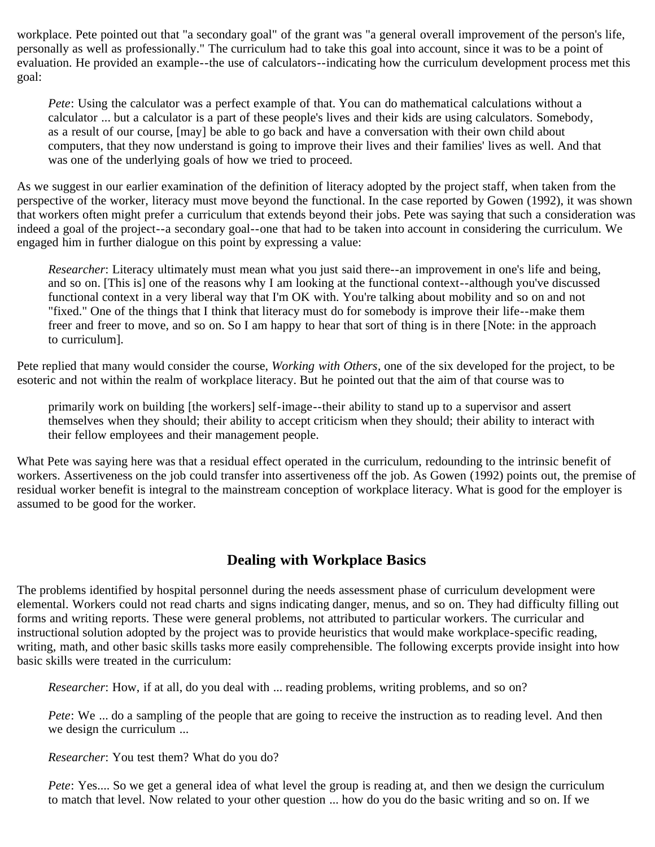workplace. Pete pointed out that "a secondary goal" of the grant was "a general overall improvement of the person's life, personally as well as professionally." The curriculum had to take this goal into account, since it was to be a point of evaluation. He provided an example--the use of calculators--indicating how the curriculum development process met this goal:

*Pete*: Using the calculator was a perfect example of that. You can do mathematical calculations without a calculator ... but a calculator is a part of these people's lives and their kids are using calculators. Somebody, as a result of our course, [may] be able to go back and have a conversation with their own child about computers, that they now understand is going to improve their lives and their families' lives as well. And that was one of the underlying goals of how we tried to proceed.

As we suggest in our earlier examination of the definition of literacy adopted by the project staff, when taken from the perspective of the worker, literacy must move beyond the functional. In the case reported by Gowen (1992), it was shown that workers often might prefer a curriculum that extends beyond their jobs. Pete was saying that such a consideration was indeed a goal of the project--a secondary goal--one that had to be taken into account in considering the curriculum. We engaged him in further dialogue on this point by expressing a value:

*Researcher*: Literacy ultimately must mean what you just said there--an improvement in one's life and being, and so on. [This is] one of the reasons why I am looking at the functional context--although you've discussed functional context in a very liberal way that I'm OK with. You're talking about mobility and so on and not "fixed." One of the things that I think that literacy must do for somebody is improve their life--make them freer and freer to move, and so on. So I am happy to hear that sort of thing is in there [Note: in the approach to curriculum].

Pete replied that many would consider the course, *Working with Others*, one of the six developed for the project, to be esoteric and not within the realm of workplace literacy. But he pointed out that the aim of that course was to

primarily work on building [the workers] self-image--their ability to stand up to a supervisor and assert themselves when they should; their ability to accept criticism when they should; their ability to interact with their fellow employees and their management people.

What Pete was saying here was that a residual effect operated in the curriculum, redounding to the intrinsic benefit of workers. Assertiveness on the job could transfer into assertiveness off the job. As Gowen (1992) points out, the premise of residual worker benefit is integral to the mainstream conception of workplace literacy. What is good for the employer is assumed to be good for the worker.

### **Dealing with Workplace Basics**

The problems identified by hospital personnel during the needs assessment phase of curriculum development were elemental. Workers could not read charts and signs indicating danger, menus, and so on. They had difficulty filling out forms and writing reports. These were general problems, not attributed to particular workers. The curricular and instructional solution adopted by the project was to provide heuristics that would make workplace-specific reading, writing, math, and other basic skills tasks more easily comprehensible. The following excerpts provide insight into how basic skills were treated in the curriculum:

*Researcher*: How, if at all, do you deal with ... reading problems, writing problems, and so on?

*Pete*: We ... do a sampling of the people that are going to receive the instruction as to reading level. And then we design the curriculum ...

*Researcher*: You test them? What do you do?

*Pete*: Yes.... So we get a general idea of what level the group is reading at, and then we design the curriculum to match that level. Now related to your other question ... how do you do the basic writing and so on. If we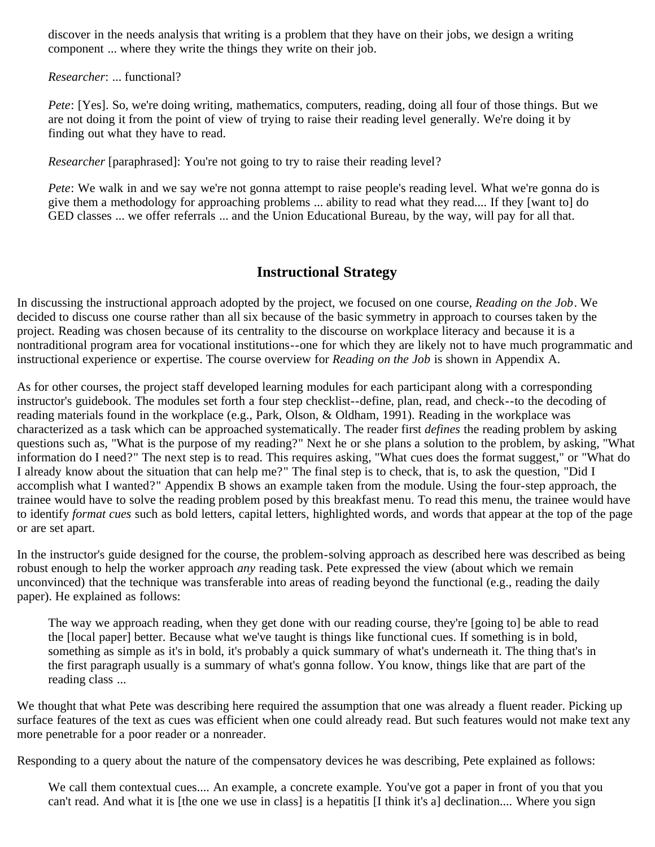discover in the needs analysis that writing is a problem that they have on their jobs, we design a writing component ... where they write the things they write on their job.

*Researcher*: ... functional?

*Pete*: [Yes]. So, we're doing writing, mathematics, computers, reading, doing all four of those things. But we are not doing it from the point of view of trying to raise their reading level generally. We're doing it by finding out what they have to read.

*Researcher* [paraphrased]: You're not going to try to raise their reading level?

*Pete*: We walk in and we say we're not gonna attempt to raise people's reading level. What we're gonna do is give them a methodology for approaching problems ... ability to read what they read.... If they [want to] do GED classes ... we offer referrals ... and the Union Educational Bureau, by the way, will pay for all that.

### **Instructional Strategy**

In discussing the instructional approach adopted by the project, we focused on one course, *Reading on the Job*. We decided to discuss one course rather than all six because of the basic symmetry in approach to courses taken by the project. Reading was chosen because of its centrality to the discourse on workplace literacy and because it is a nontraditional program area for vocational institutions--one for which they are likely not to have much programmatic and instructional experience or expertise. The course overview for *Reading on the Job* is shown in Appendix A.

As for other courses, the project staff developed learning modules for each participant along with a corresponding instructor's guidebook. The modules set forth a four step checklist--define, plan, read, and check--to the decoding of reading materials found in the workplace (e.g., Park, Olson, & Oldham, 1991). Reading in the workplace was characterized as a task which can be approached systematically. The reader first *defines* the reading problem by asking questions such as, "What is the purpose of my reading?" Next he or she plans a solution to the problem, by asking, "What information do I need?" The next step is to read. This requires asking, "What cues does the format suggest," or "What do I already know about the situation that can help me?" The final step is to check, that is, to ask the question, "Did I accomplish what I wanted?" Appendix B shows an example taken from the module. Using the four-step approach, the trainee would have to solve the reading problem posed by this breakfast menu. To read this menu, the trainee would have to identify *format cues* such as bold letters, capital letters, highlighted words, and words that appear at the top of the page or are set apart.

In the instructor's guide designed for the course, the problem-solving approach as described here was described as being robust enough to help the worker approach *any* reading task. Pete expressed the view (about which we remain unconvinced) that the technique was transferable into areas of reading beyond the functional (e.g., reading the daily paper). He explained as follows:

The way we approach reading, when they get done with our reading course, they're [going to] be able to read the [local paper] better. Because what we've taught is things like functional cues. If something is in bold, something as simple as it's in bold, it's probably a quick summary of what's underneath it. The thing that's in the first paragraph usually is a summary of what's gonna follow. You know, things like that are part of the reading class ...

We thought that what Pete was describing here required the assumption that one was already a fluent reader. Picking up surface features of the text as cues was efficient when one could already read. But such features would not make text any more penetrable for a poor reader or a nonreader.

Responding to a query about the nature of the compensatory devices he was describing, Pete explained as follows:

We call them contextual cues.... An example, a concrete example. You've got a paper in front of you that you can't read. And what it is [the one we use in class] is a hepatitis [I think it's a] declination.... Where you sign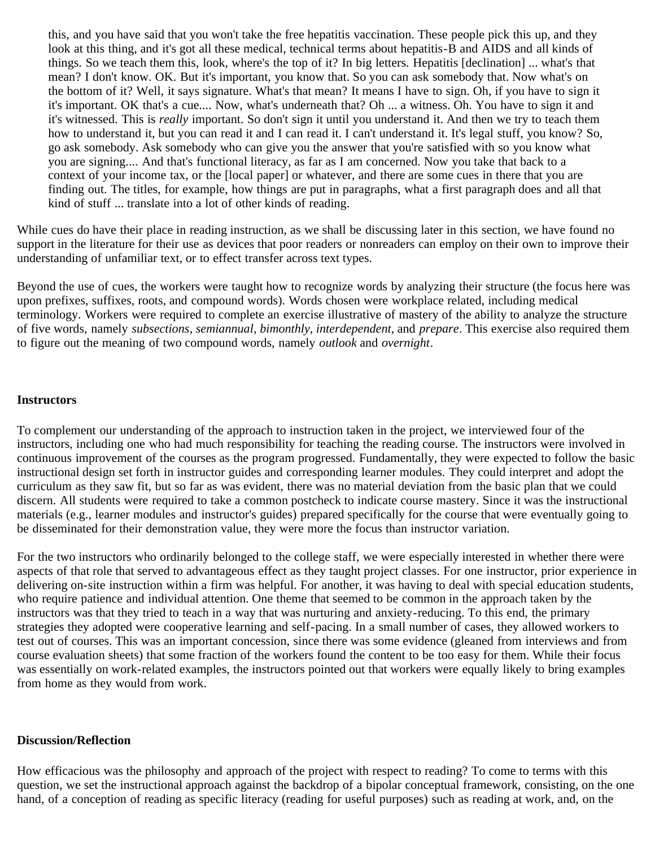this, and you have said that you won't take the free hepatitis vaccination. These people pick this up, and they look at this thing, and it's got all these medical, technical terms about hepatitis-B and AIDS and all kinds of things. So we teach them this, look, where's the top of it? In big letters. Hepatitis [declination] ... what's that mean? I don't know. OK. But it's important, you know that. So you can ask somebody that. Now what's on the bottom of it? Well, it says signature. What's that mean? It means I have to sign. Oh, if you have to sign it it's important. OK that's a cue.... Now, what's underneath that? Oh ... a witness. Oh. You have to sign it and it's witnessed. This is *really* important. So don't sign it until you understand it. And then we try to teach them how to understand it, but you can read it and I can read it. I can't understand it. It's legal stuff, you know? So, go ask somebody. Ask somebody who can give you the answer that you're satisfied with so you know what you are signing.... And that's functional literacy, as far as I am concerned. Now you take that back to a context of your income tax, or the [local paper] or whatever, and there are some cues in there that you are finding out. The titles, for example, how things are put in paragraphs, what a first paragraph does and all that kind of stuff ... translate into a lot of other kinds of reading.

While cues do have their place in reading instruction, as we shall be discussing later in this section, we have found no support in the literature for their use as devices that poor readers or nonreaders can employ on their own to improve their understanding of unfamiliar text, or to effect transfer across text types.

Beyond the use of cues, the workers were taught how to recognize words by analyzing their structure (the focus here was upon prefixes, suffixes, roots, and compound words). Words chosen were workplace related, including medical terminology. Workers were required to complete an exercise illustrative of mastery of the ability to analyze the structure of five words, namely *subsections*, *semiannual*, *bimonthly*, *interdependent*, and *prepare*. This exercise also required them to figure out the meaning of two compound words, namely *outlook* and *overnight*.

#### **Instructors**

To complement our understanding of the approach to instruction taken in the project, we interviewed four of the instructors, including one who had much responsibility for teaching the reading course. The instructors were involved in continuous improvement of the courses as the program progressed. Fundamentally, they were expected to follow the basic instructional design set forth in instructor guides and corresponding learner modules. They could interpret and adopt the curriculum as they saw fit, but so far as was evident, there was no material deviation from the basic plan that we could discern. All students were required to take a common postcheck to indicate course mastery. Since it was the instructional materials (e.g., learner modules and instructor's guides) prepared specifically for the course that were eventually going to be disseminated for their demonstration value, they were more the focus than instructor variation.

For the two instructors who ordinarily belonged to the college staff, we were especially interested in whether there were aspects of that role that served to advantageous effect as they taught project classes. For one instructor, prior experience in delivering on-site instruction within a firm was helpful. For another, it was having to deal with special education students, who require patience and individual attention. One theme that seemed to be common in the approach taken by the instructors was that they tried to teach in a way that was nurturing and anxiety-reducing. To this end, the primary strategies they adopted were cooperative learning and self-pacing. In a small number of cases, they allowed workers to test out of courses. This was an important concession, since there was some evidence (gleaned from interviews and from course evaluation sheets) that some fraction of the workers found the content to be too easy for them. While their focus was essentially on work-related examples, the instructors pointed out that workers were equally likely to bring examples from home as they would from work.

#### **Discussion/Reflection**

How efficacious was the philosophy and approach of the project with respect to reading? To come to terms with this question, we set the instructional approach against the backdrop of a bipolar conceptual framework, consisting, on the one hand, of a conception of reading as specific literacy (reading for useful purposes) such as reading at work, and, on the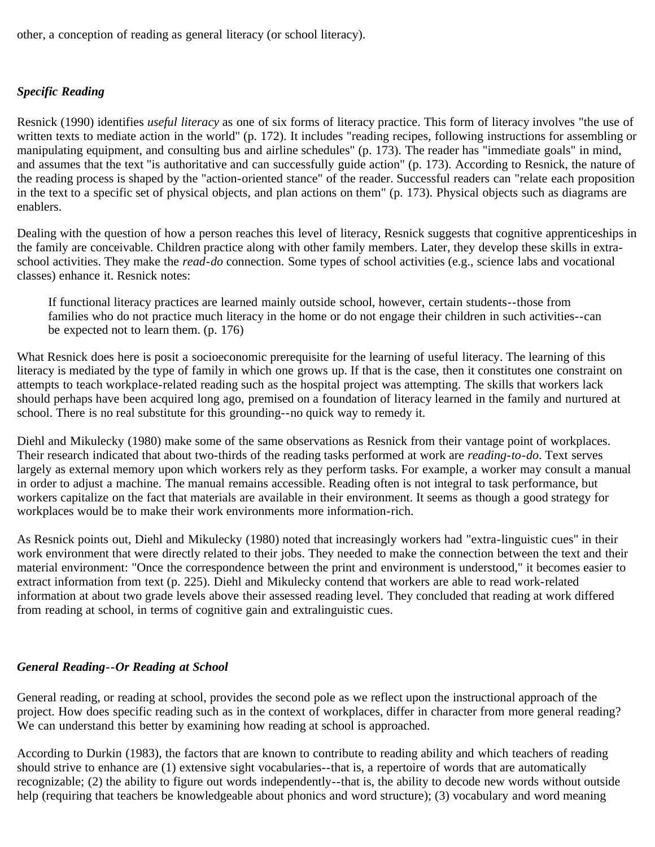other, a conception of reading as general literacy (or school literacy).

### *Specific Reading*

Resnick (1990) identifies *useful literacy* as one of six forms of literacy practice. This form of literacy involves "the use of written texts to mediate action in the world" (p. 172). It includes "reading recipes, following instructions for assembling or manipulating equipment, and consulting bus and airline schedules" (p. 173). The reader has "immediate goals" in mind, and assumes that the text "is authoritative and can successfully guide action" (p. 173). According to Resnick, the nature of the reading process is shaped by the "action-oriented stance" of the reader. Successful readers can "relate each proposition in the text to a specific set of physical objects, and plan actions on them" (p. 173). Physical objects such as diagrams are enablers.

Dealing with the question of how a person reaches this level of literacy, Resnick suggests that cognitive apprenticeships in the family are conceivable. Children practice along with other family members. Later, they develop these skills in extraschool activities. They make the *read-do* connection. Some types of school activities (e.g., science labs and vocational classes) enhance it. Resnick notes:

If functional literacy practices are learned mainly outside school, however, certain students--those from families who do not practice much literacy in the home or do not engage their children in such activities--can be expected not to learn them. (p. 176)

What Resnick does here is posit a socioeconomic prerequisite for the learning of useful literacy. The learning of this literacy is mediated by the type of family in which one grows up. If that is the case, then it constitutes one constraint on attempts to teach workplace-related reading such as the hospital project was attempting. The skills that workers lack should perhaps have been acquired long ago, premised on a foundation of literacy learned in the family and nurtured at school. There is no real substitute for this grounding--no quick way to remedy it.

Diehl and Mikulecky (1980) make some of the same observations as Resnick from their vantage point of workplaces. Their research indicated that about two-thirds of the reading tasks performed at work are *reading-to-do*. Text serves largely as external memory upon which workers rely as they perform tasks. For example, a worker may consult a manual in order to adjust a machine. The manual remains accessible. Reading often is not integral to task performance, but workers capitalize on the fact that materials are available in their environment. It seems as though a good strategy for workplaces would be to make their work environments more information-rich.

As Resnick points out, Diehl and Mikulecky (1980) noted that increasingly workers had "extra-linguistic cues" in their work environment that were directly related to their jobs. They needed to make the connection between the text and their material environment: "Once the correspondence between the print and environment is understood," it becomes easier to extract information from text (p. 225). Diehl and Mikulecky contend that workers are able to read work-related information at about two grade levels above their assessed reading level. They concluded that reading at work differed from reading at school, in terms of cognitive gain and extralinguistic cues.

### *General Reading--Or Reading at School*

General reading, or reading at school, provides the second pole as we reflect upon the instructional approach of the project. How does specific reading such as in the context of workplaces, differ in character from more general reading? We can understand this better by examining how reading at school is approached.

According to Durkin (1983), the factors that are known to contribute to reading ability and which teachers of reading should strive to enhance are (1) extensive sight vocabularies--that is, a repertoire of words that are automatically recognizable; (2) the ability to figure out words independently--that is, the ability to decode new words without outside help (requiring that teachers be knowledgeable about phonics and word structure); (3) vocabulary and word meaning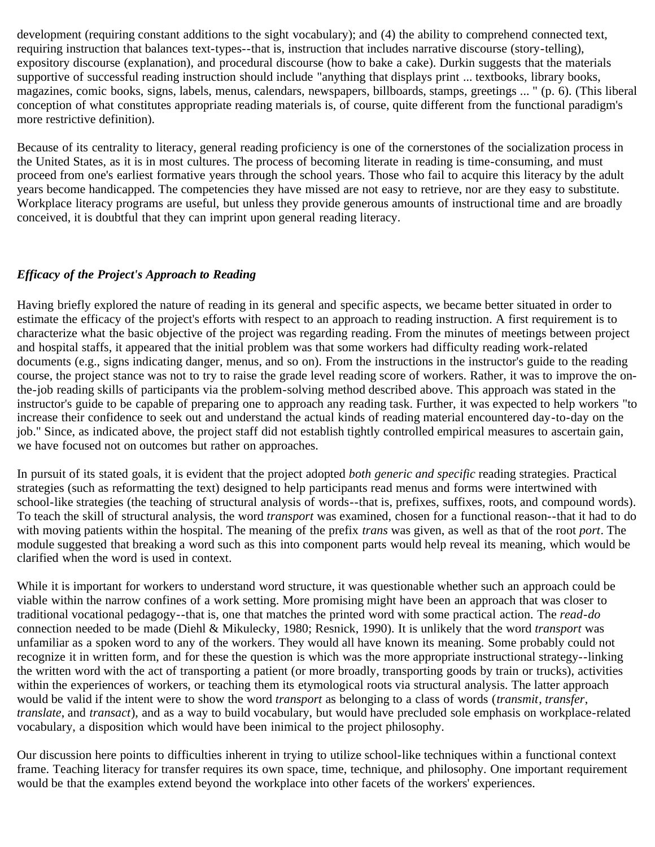development (requiring constant additions to the sight vocabulary); and (4) the ability to comprehend connected text, requiring instruction that balances text-types--that is, instruction that includes narrative discourse (story-telling), expository discourse (explanation), and procedural discourse (how to bake a cake). Durkin suggests that the materials supportive of successful reading instruction should include "anything that displays print ... textbooks, library books, magazines, comic books, signs, labels, menus, calendars, newspapers, billboards, stamps, greetings ... " (p. 6). (This liberal conception of what constitutes appropriate reading materials is, of course, quite different from the functional paradigm's more restrictive definition).

Because of its centrality to literacy, general reading proficiency is one of the cornerstones of the socialization process in the United States, as it is in most cultures. The process of becoming literate in reading is time-consuming, and must proceed from one's earliest formative years through the school years. Those who fail to acquire this literacy by the adult years become handicapped. The competencies they have missed are not easy to retrieve, nor are they easy to substitute. Workplace literacy programs are useful, but unless they provide generous amounts of instructional time and are broadly conceived, it is doubtful that they can imprint upon general reading literacy.

### *Efficacy of the Project's Approach to Reading*

Having briefly explored the nature of reading in its general and specific aspects, we became better situated in order to estimate the efficacy of the project's efforts with respect to an approach to reading instruction. A first requirement is to characterize what the basic objective of the project was regarding reading. From the minutes of meetings between project and hospital staffs, it appeared that the initial problem was that some workers had difficulty reading work-related documents (e.g., signs indicating danger, menus, and so on). From the instructions in the instructor's guide to the reading course, the project stance was not to try to raise the grade level reading score of workers. Rather, it was to improve the onthe-job reading skills of participants via the problem-solving method described above. This approach was stated in the instructor's guide to be capable of preparing one to approach any reading task. Further, it was expected to help workers "to increase their confidence to seek out and understand the actual kinds of reading material encountered day-to-day on the job." Since, as indicated above, the project staff did not establish tightly controlled empirical measures to ascertain gain, we have focused not on outcomes but rather on approaches.

In pursuit of its stated goals, it is evident that the project adopted *both generic and specific* reading strategies. Practical strategies (such as reformatting the text) designed to help participants read menus and forms were intertwined with school-like strategies (the teaching of structural analysis of words--that is, prefixes, suffixes, roots, and compound words). To teach the skill of structural analysis, the word *transport* was examined, chosen for a functional reason--that it had to do with moving patients within the hospital. The meaning of the prefix *trans* was given, as well as that of the root *port*. The module suggested that breaking a word such as this into component parts would help reveal its meaning, which would be clarified when the word is used in context.

While it is important for workers to understand word structure, it was questionable whether such an approach could be viable within the narrow confines of a work setting. More promising might have been an approach that was closer to traditional vocational pedagogy--that is, one that matches the printed word with some practical action. The *read-do* connection needed to be made (Diehl & Mikulecky, 1980; Resnick, 1990). It is unlikely that the word *transport* was unfamiliar as a spoken word to any of the workers. They would all have known its meaning. Some probably could not recognize it in written form, and for these the question is which was the more appropriate instructional strategy--linking the written word with the act of transporting a patient (or more broadly, transporting goods by train or trucks), activities within the experiences of workers, or teaching them its etymological roots via structural analysis. The latter approach would be valid if the intent were to show the word *transport* as belonging to a class of words (*transmit*, *transfer*, *translate*, and *transact*), and as a way to build vocabulary, but would have precluded sole emphasis on workplace-related vocabulary, a disposition which would have been inimical to the project philosophy.

Our discussion here points to difficulties inherent in trying to utilize school-like techniques within a functional context frame. Teaching literacy for transfer requires its own space, time, technique, and philosophy. One important requirement would be that the examples extend beyond the workplace into other facets of the workers' experiences.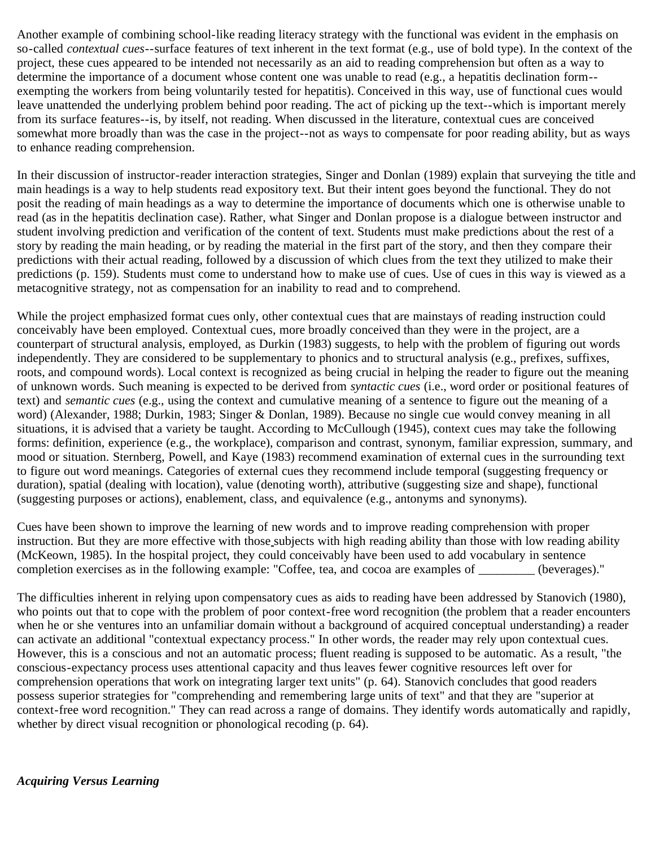Another example of combining school-like reading literacy strategy with the functional was evident in the emphasis on so-called *contextual cues*--surface features of text inherent in the text format (e.g., use of bold type). In the context of the project, these cues appeared to be intended not necessarily as an aid to reading comprehension but often as a way to determine the importance of a document whose content one was unable to read (e.g., a hepatitis declination form- exempting the workers from being voluntarily tested for hepatitis). Conceived in this way, use of functional cues would leave unattended the underlying problem behind poor reading. The act of picking up the text--which is important merely from its surface features--is, by itself, not reading. When discussed in the literature, contextual cues are conceived somewhat more broadly than was the case in the project--not as ways to compensate for poor reading ability, but as ways to enhance reading comprehension.

In their discussion of instructor-reader interaction strategies, Singer and Donlan (1989) explain that surveying the title and main headings is a way to help students read expository text. But their intent goes beyond the functional. They do not posit the reading of main headings as a way to determine the importance of documents which one is otherwise unable to read (as in the hepatitis declination case). Rather, what Singer and Donlan propose is a dialogue between instructor and student involving prediction and verification of the content of text. Students must make predictions about the rest of a story by reading the main heading, or by reading the material in the first part of the story, and then they compare their predictions with their actual reading, followed by a discussion of which clues from the text they utilized to make their predictions (p. 159). Students must come to understand how to make use of cues. Use of cues in this way is viewed as a metacognitive strategy, not as compensation for an inability to read and to comprehend.

While the project emphasized format cues only, other contextual cues that are mainstays of reading instruction could conceivably have been employed. Contextual cues, more broadly conceived than they were in the project, are a counterpart of structural analysis, employed, as Durkin (1983) suggests, to help with the problem of figuring out words independently. They are considered to be supplementary to phonics and to structural analysis (e.g., prefixes, suffixes, roots, and compound words). Local context is recognized as being crucial in helping the reader to figure out the meaning of unknown words. Such meaning is expected to be derived from *syntactic cues* (i.e., word order or positional features of text) and *semantic cues* (e.g., using the context and cumulative meaning of a sentence to figure out the meaning of a word) (Alexander, 1988; Durkin, 1983; Singer & Donlan, 1989). Because no single cue would convey meaning in all situations, it is advised that a variety be taught. According to McCullough (1945), context cues may take the following forms: definition, experience (e.g., the workplace), comparison and contrast, synonym, familiar expression, summary, and mood or situation. Sternberg, Powell, and Kaye (1983) recommend examination of external cues in the surrounding text to figure out word meanings. Categories of external cues they recommend include temporal (suggesting frequency or duration), spatial (dealing with location), value (denoting worth), attributive (suggesting size and shape), functional (suggesting purposes or actions), enablement, class, and equivalence (e.g., antonyms and synonyms).

Cues have been shown to improve the learning of new words and to improve reading comprehension with proper instruction. But they are more effective with those subjects with high reading ability than those with low reading ability (McKeown, 1985). In the hospital project, they could conceivably have been used to add vocabulary in sentence completion exercises as in the following example: "Coffee, tea, and cocoa are examples of \_\_\_\_\_\_\_\_\_ (beverages)."

The difficulties inherent in relying upon compensatory cues as aids to reading have been addressed by Stanovich (1980), who points out that to cope with the problem of poor context-free word recognition (the problem that a reader encounters when he or she ventures into an unfamiliar domain without a background of acquired conceptual understanding) a reader can activate an additional "contextual expectancy process." In other words, the reader may rely upon contextual cues. However, this is a conscious and not an automatic process; fluent reading is supposed to be automatic. As a result, "the conscious-expectancy process uses attentional capacity and thus leaves fewer cognitive resources left over for comprehension operations that work on integrating larger text units" (p. 64). Stanovich concludes that good readers possess superior strategies for "comprehending and remembering large units of text" and that they are "superior at context-free word recognition." They can read across a range of domains. They identify words automatically and rapidly, whether by direct visual recognition or phonological recoding (p. 64).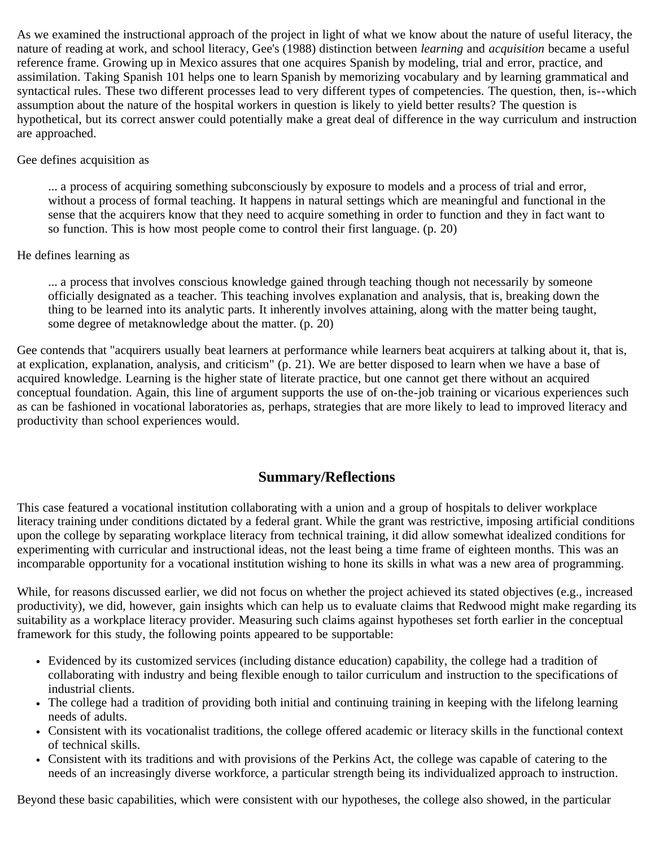As we examined the instructional approach of the project in light of what we know about the nature of useful literacy, the nature of reading at work, and school literacy, Gee's (1988) distinction between *learning* and *acquisition* became a useful reference frame. Growing up in Mexico assures that one acquires Spanish by modeling, trial and error, practice, and assimilation. Taking Spanish 101 helps one to learn Spanish by memorizing vocabulary and by learning grammatical and syntactical rules. These two different processes lead to very different types of competencies. The question, then, is--which assumption about the nature of the hospital workers in question is likely to yield better results? The question is hypothetical, but its correct answer could potentially make a great deal of difference in the way curriculum and instruction are approached.

### Gee defines acquisition as

... a process of acquiring something subconsciously by exposure to models and a process of trial and error, without a process of formal teaching. It happens in natural settings which are meaningful and functional in the sense that the acquirers know that they need to acquire something in order to function and they in fact want to so function. This is how most people come to control their first language. (p. 20)

### He defines learning as

... a process that involves conscious knowledge gained through teaching though not necessarily by someone officially designated as a teacher. This teaching involves explanation and analysis, that is, breaking down the thing to be learned into its analytic parts. It inherently involves attaining, along with the matter being taught, some degree of metaknowledge about the matter. (p. 20)

Gee contends that "acquirers usually beat learners at performance while learners beat acquirers at talking about it, that is, at explication, explanation, analysis, and criticism" (p. 21). We are better disposed to learn when we have a base of acquired knowledge. Learning is the higher state of literate practice, but one cannot get there without an acquired conceptual foundation. Again, this line of argument supports the use of on-the-job training or vicarious experiences such as can be fashioned in vocational laboratories as, perhaps, strategies that are more likely to lead to improved literacy and productivity than school experiences would.

### **Summary/Reflections**

This case featured a vocational institution collaborating with a union and a group of hospitals to deliver workplace literacy training under conditions dictated by a federal grant. While the grant was restrictive, imposing artificial conditions upon the college by separating workplace literacy from technical training, it did allow somewhat idealized conditions for experimenting with curricular and instructional ideas, not the least being a time frame of eighteen months. This was an incomparable opportunity for a vocational institution wishing to hone its skills in what was a new area of programming.

While, for reasons discussed earlier, we did not focus on whether the project achieved its stated objectives (e.g., increased productivity), we did, however, gain insights which can help us to evaluate claims that Redwood might make regarding its suitability as a workplace literacy provider. Measuring such claims against hypotheses set forth earlier in the conceptual framework for this study, the following points appeared to be supportable:

- Evidenced by its customized services (including distance education) capability, the college had a tradition of collaborating with industry and being flexible enough to tailor curriculum and instruction to the specifications of industrial clients.
- The college had a tradition of providing both initial and continuing training in keeping with the lifelong learning needs of adults.
- Consistent with its vocationalist traditions, the college offered academic or literacy skills in the functional context of technical skills.
- Consistent with its traditions and with provisions of the Perkins Act, the college was capable of catering to the needs of an increasingly diverse workforce, a particular strength being its individualized approach to instruction.

Beyond these basic capabilities, which were consistent with our hypotheses, the college also showed, in the particular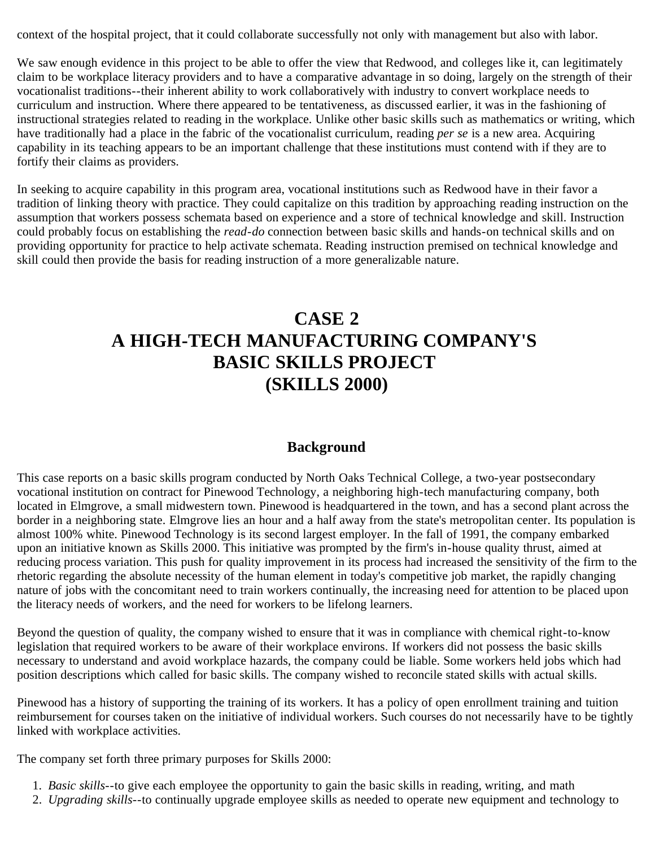context of the hospital project, that it could collaborate successfully not only with management but also with labor.

We saw enough evidence in this project to be able to offer the view that Redwood, and colleges like it, can legitimately claim to be workplace literacy providers and to have a comparative advantage in so doing, largely on the strength of their vocationalist traditions--their inherent ability to work collaboratively with industry to convert workplace needs to curriculum and instruction. Where there appeared to be tentativeness, as discussed earlier, it was in the fashioning of instructional strategies related to reading in the workplace. Unlike other basic skills such as mathematics or writing, which have traditionally had a place in the fabric of the vocationalist curriculum, reading *per se* is a new area. Acquiring capability in its teaching appears to be an important challenge that these institutions must contend with if they are to fortify their claims as providers.

In seeking to acquire capability in this program area, vocational institutions such as Redwood have in their favor a tradition of linking theory with practice. They could capitalize on this tradition by approaching reading instruction on the assumption that workers possess schemata based on experience and a store of technical knowledge and skill. Instruction could probably focus on establishing the *read-do* connection between basic skills and hands-on technical skills and on providing opportunity for practice to help activate schemata. Reading instruction premised on technical knowledge and skill could then provide the basis for reading instruction of a more generalizable nature.

# **CASE 2 A HIGH-TECH MANUFACTURING COMPANY'S BASIC SKILLS PROJECT (SKILLS 2000)**

### **Background**

This case reports on a basic skills program conducted by North Oaks Technical College, a two-year postsecondary vocational institution on contract for Pinewood Technology, a neighboring high-tech manufacturing company, both located in Elmgrove, a small midwestern town. Pinewood is headquartered in the town, and has a second plant across the border in a neighboring state. Elmgrove lies an hour and a half away from the state's metropolitan center. Its population is almost 100% white. Pinewood Technology is its second largest employer. In the fall of 1991, the company embarked upon an initiative known as Skills 2000. This initiative was prompted by the firm's in-house quality thrust, aimed at reducing process variation. This push for quality improvement in its process had increased the sensitivity of the firm to the rhetoric regarding the absolute necessity of the human element in today's competitive job market, the rapidly changing nature of jobs with the concomitant need to train workers continually, the increasing need for attention to be placed upon the literacy needs of workers, and the need for workers to be lifelong learners.

Beyond the question of quality, the company wished to ensure that it was in compliance with chemical right-to-know legislation that required workers to be aware of their workplace environs. If workers did not possess the basic skills necessary to understand and avoid workplace hazards, the company could be liable. Some workers held jobs which had position descriptions which called for basic skills. The company wished to reconcile stated skills with actual skills.

Pinewood has a history of supporting the training of its workers. It has a policy of open enrollment training and tuition reimbursement for courses taken on the initiative of individual workers. Such courses do not necessarily have to be tightly linked with workplace activities.

The company set forth three primary purposes for Skills 2000:

- 1. *Basic skills*--to give each employee the opportunity to gain the basic skills in reading, writing, and math
- 2. *Upgrading skills*--to continually upgrade employee skills as needed to operate new equipment and technology to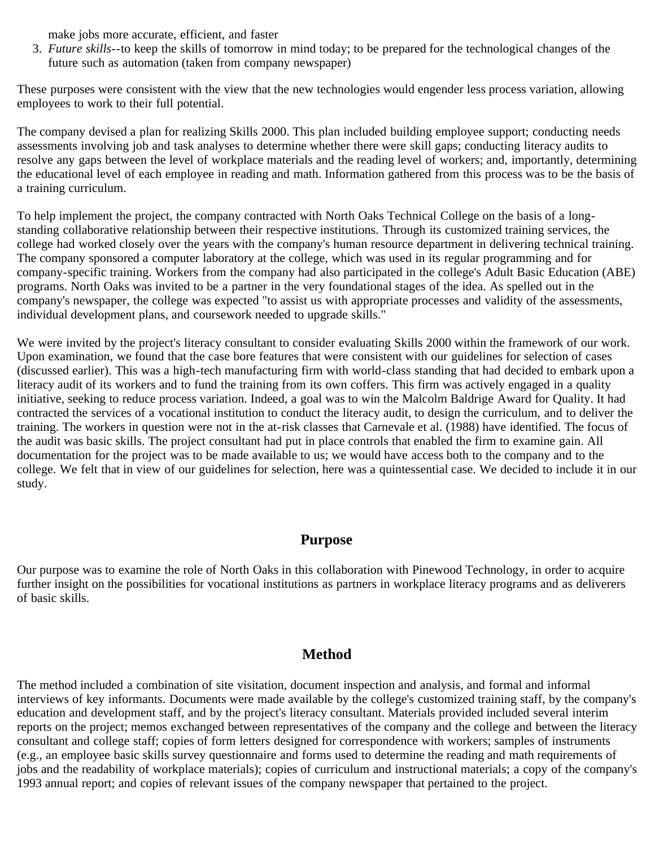make jobs more accurate, efficient, and faster

3. *Future skills*--to keep the skills of tomorrow in mind today; to be prepared for the technological changes of the future such as automation (taken from company newspaper)

These purposes were consistent with the view that the new technologies would engender less process variation, allowing employees to work to their full potential.

The company devised a plan for realizing Skills 2000. This plan included building employee support; conducting needs assessments involving job and task analyses to determine whether there were skill gaps; conducting literacy audits to resolve any gaps between the level of workplace materials and the reading level of workers; and, importantly, determining the educational level of each employee in reading and math. Information gathered from this process was to be the basis of a training curriculum.

To help implement the project, the company contracted with North Oaks Technical College on the basis of a longstanding collaborative relationship between their respective institutions. Through its customized training services, the college had worked closely over the years with the company's human resource department in delivering technical training. The company sponsored a computer laboratory at the college, which was used in its regular programming and for company-specific training. Workers from the company had also participated in the college's Adult Basic Education (ABE) programs. North Oaks was invited to be a partner in the very foundational stages of the idea. As spelled out in the company's newspaper, the college was expected "to assist us with appropriate processes and validity of the assessments, individual development plans, and coursework needed to upgrade skills."

We were invited by the project's literacy consultant to consider evaluating Skills 2000 within the framework of our work. Upon examination, we found that the case bore features that were consistent with our guidelines for selection of cases (discussed earlier). This was a high-tech manufacturing firm with world-class standing that had decided to embark upon a literacy audit of its workers and to fund the training from its own coffers. This firm was actively engaged in a quality initiative, seeking to reduce process variation. Indeed, a goal was to win the Malcolm Baldrige Award for Quality. It had contracted the services of a vocational institution to conduct the literacy audit, to design the curriculum, and to deliver the training. The workers in question were not in the at-risk classes that Carnevale et al. (1988) have identified. The focus of the audit was basic skills. The project consultant had put in place controls that enabled the firm to examine gain. All documentation for the project was to be made available to us; we would have access both to the company and to the college. We felt that in view of our guidelines for selection, here was a quintessential case. We decided to include it in our study.

### **Purpose**

Our purpose was to examine the role of North Oaks in this collaboration with Pinewood Technology, in order to acquire further insight on the possibilities for vocational institutions as partners in workplace literacy programs and as deliverers of basic skills.

### **Method**

The method included a combination of site visitation, document inspection and analysis, and formal and informal interviews of key informants. Documents were made available by the college's customized training staff, by the company's education and development staff, and by the project's literacy consultant. Materials provided included several interim reports on the project; memos exchanged between representatives of the company and the college and between the literacy consultant and college staff; copies of form letters designed for correspondence with workers; samples of instruments (e.g., an employee basic skills survey questionnaire and forms used to determine the reading and math requirements of jobs and the readability of workplace materials); copies of curriculum and instructional materials; a copy of the company's 1993 annual report; and copies of relevant issues of the company newspaper that pertained to the project.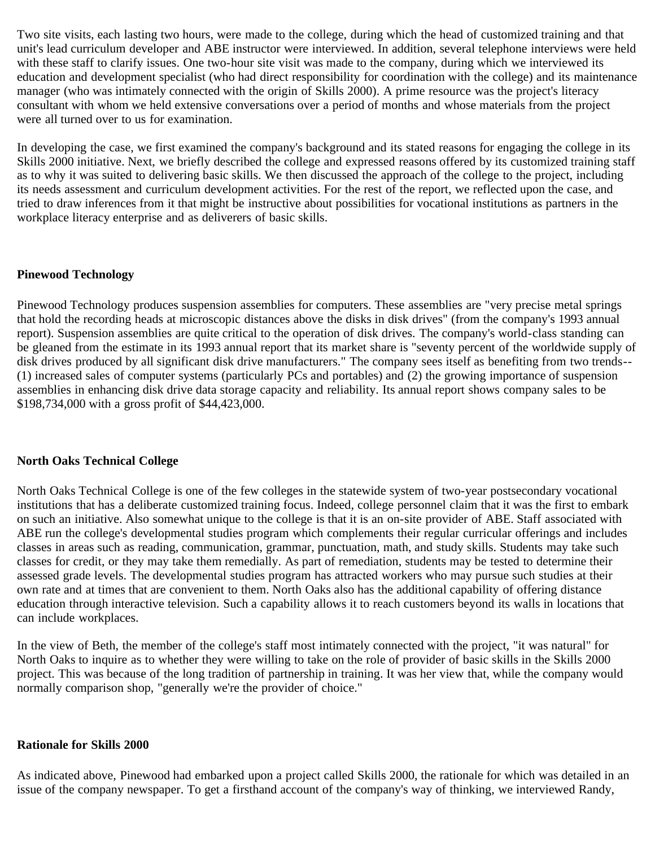Two site visits, each lasting two hours, were made to the college, during which the head of customized training and that unit's lead curriculum developer and ABE instructor were interviewed. In addition, several telephone interviews were held with these staff to clarify issues. One two-hour site visit was made to the company, during which we interviewed its education and development specialist (who had direct responsibility for coordination with the college) and its maintenance manager (who was intimately connected with the origin of Skills 2000). A prime resource was the project's literacy consultant with whom we held extensive conversations over a period of months and whose materials from the project were all turned over to us for examination.

In developing the case, we first examined the company's background and its stated reasons for engaging the college in its Skills 2000 initiative. Next, we briefly described the college and expressed reasons offered by its customized training staff as to why it was suited to delivering basic skills. We then discussed the approach of the college to the project, including its needs assessment and curriculum development activities. For the rest of the report, we reflected upon the case, and tried to draw inferences from it that might be instructive about possibilities for vocational institutions as partners in the workplace literacy enterprise and as deliverers of basic skills.

#### **Pinewood Technology**

Pinewood Technology produces suspension assemblies for computers. These assemblies are "very precise metal springs that hold the recording heads at microscopic distances above the disks in disk drives" (from the company's 1993 annual report). Suspension assemblies are quite critical to the operation of disk drives. The company's world-class standing can be gleaned from the estimate in its 1993 annual report that its market share is "seventy percent of the worldwide supply of disk drives produced by all significant disk drive manufacturers." The company sees itself as benefiting from two trends-- (1) increased sales of computer systems (particularly PCs and portables) and (2) the growing importance of suspension assemblies in enhancing disk drive data storage capacity and reliability. Its annual report shows company sales to be \$198,734,000 with a gross profit of \$44,423,000.

#### **North Oaks Technical College**

North Oaks Technical College is one of the few colleges in the statewide system of two-year postsecondary vocational institutions that has a deliberate customized training focus. Indeed, college personnel claim that it was the first to embark on such an initiative. Also somewhat unique to the college is that it is an on-site provider of ABE. Staff associated with ABE run the college's developmental studies program which complements their regular curricular offerings and includes classes in areas such as reading, communication, grammar, punctuation, math, and study skills. Students may take such classes for credit, or they may take them remedially. As part of remediation, students may be tested to determine their assessed grade levels. The developmental studies program has attracted workers who may pursue such studies at their own rate and at times that are convenient to them. North Oaks also has the additional capability of offering distance education through interactive television. Such a capability allows it to reach customers beyond its walls in locations that can include workplaces.

In the view of Beth, the member of the college's staff most intimately connected with the project, "it was natural" for North Oaks to inquire as to whether they were willing to take on the role of provider of basic skills in the Skills 2000 project. This was because of the long tradition of partnership in training. It was her view that, while the company would normally comparison shop, "generally we're the provider of choice."

#### **Rationale for Skills 2000**

As indicated above, Pinewood had embarked upon a project called Skills 2000, the rationale for which was detailed in an issue of the company newspaper. To get a firsthand account of the company's way of thinking, we interviewed Randy,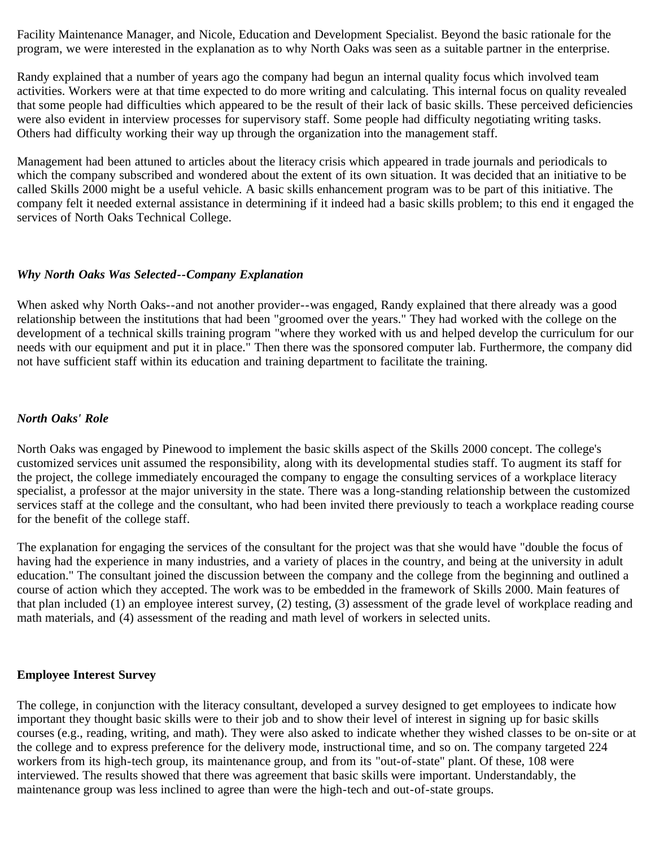Facility Maintenance Manager, and Nicole, Education and Development Specialist. Beyond the basic rationale for the program, we were interested in the explanation as to why North Oaks was seen as a suitable partner in the enterprise.

Randy explained that a number of years ago the company had begun an internal quality focus which involved team activities. Workers were at that time expected to do more writing and calculating. This internal focus on quality revealed that some people had difficulties which appeared to be the result of their lack of basic skills. These perceived deficiencies were also evident in interview processes for supervisory staff. Some people had difficulty negotiating writing tasks. Others had difficulty working their way up through the organization into the management staff.

Management had been attuned to articles about the literacy crisis which appeared in trade journals and periodicals to which the company subscribed and wondered about the extent of its own situation. It was decided that an initiative to be called Skills 2000 might be a useful vehicle. A basic skills enhancement program was to be part of this initiative. The company felt it needed external assistance in determining if it indeed had a basic skills problem; to this end it engaged the services of North Oaks Technical College.

#### *Why North Oaks Was Selected--Company Explanation*

When asked why North Oaks--and not another provider--was engaged, Randy explained that there already was a good relationship between the institutions that had been "groomed over the years." They had worked with the college on the development of a technical skills training program "where they worked with us and helped develop the curriculum for our needs with our equipment and put it in place." Then there was the sponsored computer lab. Furthermore, the company did not have sufficient staff within its education and training department to facilitate the training.

#### *North Oaks' Role*

North Oaks was engaged by Pinewood to implement the basic skills aspect of the Skills 2000 concept. The college's customized services unit assumed the responsibility, along with its developmental studies staff. To augment its staff for the project, the college immediately encouraged the company to engage the consulting services of a workplace literacy specialist, a professor at the major university in the state. There was a long-standing relationship between the customized services staff at the college and the consultant, who had been invited there previously to teach a workplace reading course for the benefit of the college staff.

The explanation for engaging the services of the consultant for the project was that she would have "double the focus of having had the experience in many industries, and a variety of places in the country, and being at the university in adult education." The consultant joined the discussion between the company and the college from the beginning and outlined a course of action which they accepted. The work was to be embedded in the framework of Skills 2000. Main features of that plan included (1) an employee interest survey, (2) testing, (3) assessment of the grade level of workplace reading and math materials, and (4) assessment of the reading and math level of workers in selected units.

#### **Employee Interest Survey**

The college, in conjunction with the literacy consultant, developed a survey designed to get employees to indicate how important they thought basic skills were to their job and to show their level of interest in signing up for basic skills courses (e.g., reading, writing, and math). They were also asked to indicate whether they wished classes to be on-site or at the college and to express preference for the delivery mode, instructional time, and so on. The company targeted 224 workers from its high-tech group, its maintenance group, and from its "out-of-state" plant. Of these, 108 were interviewed. The results showed that there was agreement that basic skills were important. Understandably, the maintenance group was less inclined to agree than were the high-tech and out-of-state groups.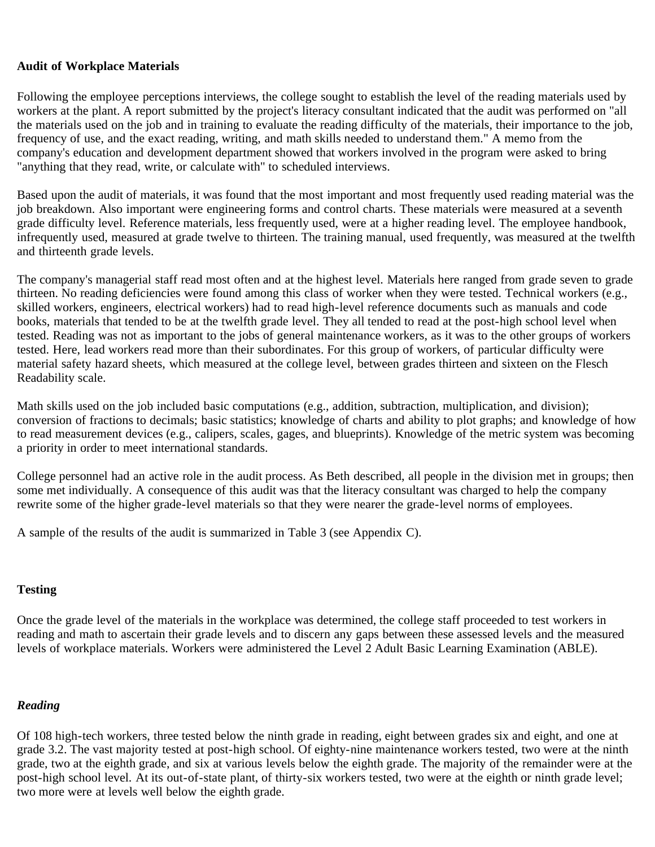### **Audit of Workplace Materials**

Following the employee perceptions interviews, the college sought to establish the level of the reading materials used by workers at the plant. A report submitted by the project's literacy consultant indicated that the audit was performed on "all the materials used on the job and in training to evaluate the reading difficulty of the materials, their importance to the job, frequency of use, and the exact reading, writing, and math skills needed to understand them." A memo from the company's education and development department showed that workers involved in the program were asked to bring "anything that they read, write, or calculate with" to scheduled interviews.

Based upon the audit of materials, it was found that the most important and most frequently used reading material was the job breakdown. Also important were engineering forms and control charts. These materials were measured at a seventh grade difficulty level. Reference materials, less frequently used, were at a higher reading level. The employee handbook, infrequently used, measured at grade twelve to thirteen. The training manual, used frequently, was measured at the twelfth and thirteenth grade levels.

The company's managerial staff read most often and at the highest level. Materials here ranged from grade seven to grade thirteen. No reading deficiencies were found among this class of worker when they were tested. Technical workers (e.g., skilled workers, engineers, electrical workers) had to read high-level reference documents such as manuals and code books, materials that tended to be at the twelfth grade level. They all tended to read at the post-high school level when tested. Reading was not as important to the jobs of general maintenance workers, as it was to the other groups of workers tested. Here, lead workers read more than their subordinates. For this group of workers, of particular difficulty were material safety hazard sheets, which measured at the college level, between grades thirteen and sixteen on the Flesch Readability scale.

Math skills used on the job included basic computations (e.g., addition, subtraction, multiplication, and division); conversion of fractions to decimals; basic statistics; knowledge of charts and ability to plot graphs; and knowledge of how to read measurement devices (e.g., calipers, scales, gages, and blueprints). Knowledge of the metric system was becoming a priority in order to meet international standards.

College personnel had an active role in the audit process. As Beth described, all people in the division met in groups; then some met individually. A consequence of this audit was that the literacy consultant was charged to help the company rewrite some of the higher grade-level materials so that they were nearer the grade-level norms of employees.

A sample of the results of the audit is summarized in Table 3 (see Appendix C).

### **Testing**

Once the grade level of the materials in the workplace was determined, the college staff proceeded to test workers in reading and math to ascertain their grade levels and to discern any gaps between these assessed levels and the measured levels of workplace materials. Workers were administered the Level 2 Adult Basic Learning Examination (ABLE).

### *Reading*

Of 108 high-tech workers, three tested below the ninth grade in reading, eight between grades six and eight, and one at grade 3.2. The vast majority tested at post-high school. Of eighty-nine maintenance workers tested, two were at the ninth grade, two at the eighth grade, and six at various levels below the eighth grade. The majority of the remainder were at the post-high school level. At its out-of-state plant, of thirty-six workers tested, two were at the eighth or ninth grade level; two more were at levels well below the eighth grade.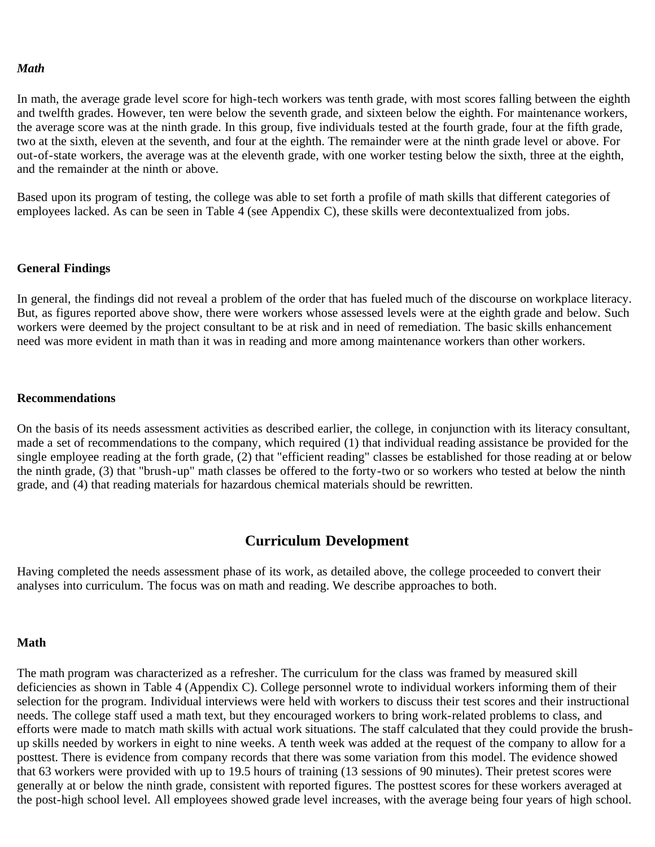#### *Math*

In math, the average grade level score for high-tech workers was tenth grade, with most scores falling between the eighth and twelfth grades. However, ten were below the seventh grade, and sixteen below the eighth. For maintenance workers, the average score was at the ninth grade. In this group, five individuals tested at the fourth grade, four at the fifth grade, two at the sixth, eleven at the seventh, and four at the eighth. The remainder were at the ninth grade level or above. For out-of-state workers, the average was at the eleventh grade, with one worker testing below the sixth, three at the eighth, and the remainder at the ninth or above.

Based upon its program of testing, the college was able to set forth a profile of math skills that different categories of employees lacked. As can be seen in Table 4 (see Appendix C), these skills were decontextualized from jobs.

#### **General Findings**

In general, the findings did not reveal a problem of the order that has fueled much of the discourse on workplace literacy. But, as figures reported above show, there were workers whose assessed levels were at the eighth grade and below. Such workers were deemed by the project consultant to be at risk and in need of remediation. The basic skills enhancement need was more evident in math than it was in reading and more among maintenance workers than other workers.

#### **Recommendations**

On the basis of its needs assessment activities as described earlier, the college, in conjunction with its literacy consultant, made a set of recommendations to the company, which required (1) that individual reading assistance be provided for the single employee reading at the forth grade, (2) that "efficient reading" classes be established for those reading at or below the ninth grade, (3) that "brush-up" math classes be offered to the forty-two or so workers who tested at below the ninth grade, and (4) that reading materials for hazardous chemical materials should be rewritten.

#### **Curriculum Development**

Having completed the needs assessment phase of its work, as detailed above, the college proceeded to convert their analyses into curriculum. The focus was on math and reading. We describe approaches to both.

#### **Math**

The math program was characterized as a refresher. The curriculum for the class was framed by measured skill deficiencies as shown in Table 4 (Appendix C). College personnel wrote to individual workers informing them of their selection for the program. Individual interviews were held with workers to discuss their test scores and their instructional needs. The college staff used a math text, but they encouraged workers to bring work-related problems to class, and efforts were made to match math skills with actual work situations. The staff calculated that they could provide the brushup skills needed by workers in eight to nine weeks. A tenth week was added at the request of the company to allow for a posttest. There is evidence from company records that there was some variation from this model. The evidence showed that 63 workers were provided with up to 19.5 hours of training (13 sessions of 90 minutes). Their pretest scores were generally at or below the ninth grade, consistent with reported figures. The posttest scores for these workers averaged at the post-high school level. All employees showed grade level increases, with the average being four years of high school.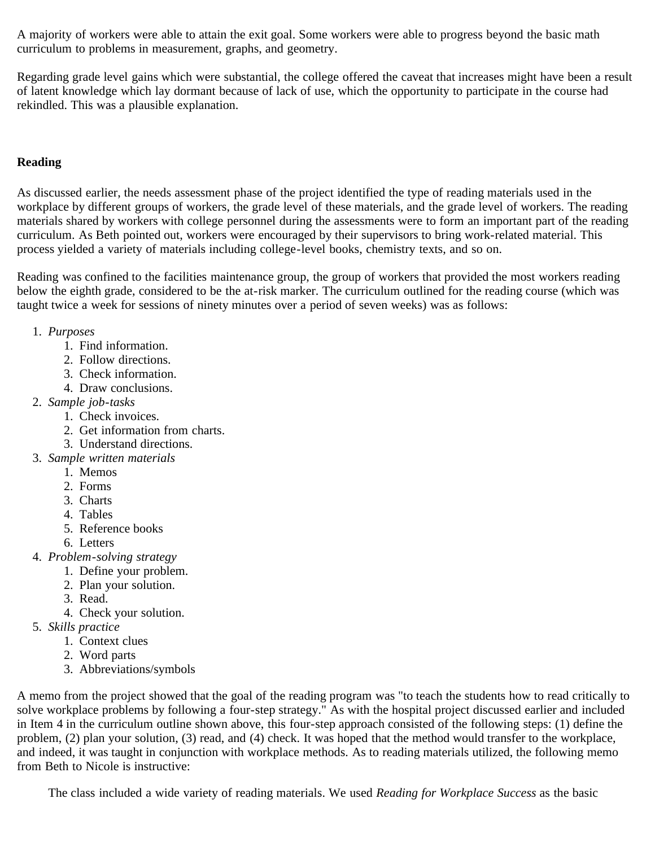A majority of workers were able to attain the exit goal. Some workers were able to progress beyond the basic math curriculum to problems in measurement, graphs, and geometry.

Regarding grade level gains which were substantial, the college offered the caveat that increases might have been a result of latent knowledge which lay dormant because of lack of use, which the opportunity to participate in the course had rekindled. This was a plausible explanation.

### **Reading**

As discussed earlier, the needs assessment phase of the project identified the type of reading materials used in the workplace by different groups of workers, the grade level of these materials, and the grade level of workers. The reading materials shared by workers with college personnel during the assessments were to form an important part of the reading curriculum. As Beth pointed out, workers were encouraged by their supervisors to bring work-related material. This process yielded a variety of materials including college-level books, chemistry texts, and so on.

Reading was confined to the facilities maintenance group, the group of workers that provided the most workers reading below the eighth grade, considered to be the at-risk marker. The curriculum outlined for the reading course (which was taught twice a week for sessions of ninety minutes over a period of seven weeks) was as follows:

- 1. *Purposes*
	- 1. Find information.
	- 2. Follow directions.
	- 3. Check information.
	- 4. Draw conclusions.
- 2. *Sample job-tasks*
	- 1. Check invoices.
	- 2. Get information from charts.
	- 3. Understand directions.
- 3. *Sample written materials*
	- 1. Memos
	- 2. Forms
	- 3. Charts
	- 4. Tables
	- 5. Reference books
	- 6. Letters
- 4. *Problem-solving strategy*
	- 1. Define your problem.
	- 2. Plan your solution.
	- 3. Read.
	- 4. Check your solution.
- 5. *Skills practice*
	- 1. Context clues
	- 2. Word parts
	- 3. Abbreviations/symbols

A memo from the project showed that the goal of the reading program was "to teach the students how to read critically to solve workplace problems by following a four-step strategy." As with the hospital project discussed earlier and included in Item 4 in the curriculum outline shown above, this four-step approach consisted of the following steps: (1) define the problem, (2) plan your solution, (3) read, and (4) check. It was hoped that the method would transfer to the workplace, and indeed, it was taught in conjunction with workplace methods. As to reading materials utilized, the following memo from Beth to Nicole is instructive:

The class included a wide variety of reading materials. We used *Reading for Workplace Success* as the basic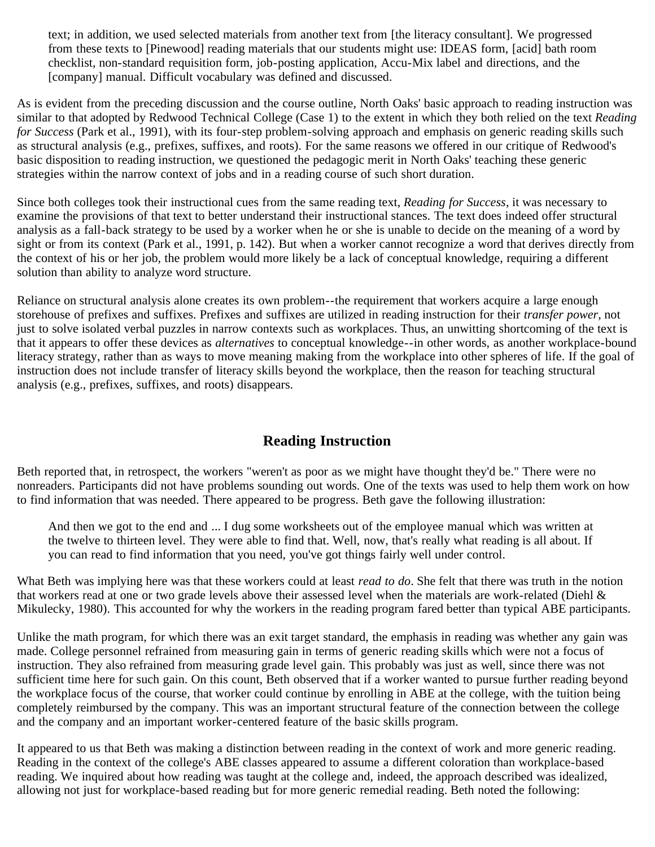text; in addition, we used selected materials from another text from [the literacy consultant]. We progressed from these texts to [Pinewood] reading materials that our students might use: IDEAS form, [acid] bath room checklist, non-standard requisition form, job-posting application, Accu-Mix label and directions, and the [company] manual. Difficult vocabulary was defined and discussed.

As is evident from the preceding discussion and the course outline, North Oaks' basic approach to reading instruction was similar to that adopted by Redwood Technical College (Case 1) to the extent in which they both relied on the text *Reading for Success* (Park et al., 1991), with its four-step problem-solving approach and emphasis on generic reading skills such as structural analysis (e.g., prefixes, suffixes, and roots). For the same reasons we offered in our critique of Redwood's basic disposition to reading instruction, we questioned the pedagogic merit in North Oaks' teaching these generic strategies within the narrow context of jobs and in a reading course of such short duration.

Since both colleges took their instructional cues from the same reading text, *Reading for Success*, it was necessary to examine the provisions of that text to better understand their instructional stances. The text does indeed offer structural analysis as a fall-back strategy to be used by a worker when he or she is unable to decide on the meaning of a word by sight or from its context (Park et al., 1991, p. 142). But when a worker cannot recognize a word that derives directly from the context of his or her job, the problem would more likely be a lack of conceptual knowledge, requiring a different solution than ability to analyze word structure.

Reliance on structural analysis alone creates its own problem--the requirement that workers acquire a large enough storehouse of prefixes and suffixes. Prefixes and suffixes are utilized in reading instruction for their *transfer power*, not just to solve isolated verbal puzzles in narrow contexts such as workplaces. Thus, an unwitting shortcoming of the text is that it appears to offer these devices as *alternatives* to conceptual knowledge--in other words, as another workplace-bound literacy strategy, rather than as ways to move meaning making from the workplace into other spheres of life. If the goal of instruction does not include transfer of literacy skills beyond the workplace, then the reason for teaching structural analysis (e.g., prefixes, suffixes, and roots) disappears.

### **Reading Instruction**

Beth reported that, in retrospect, the workers "weren't as poor as we might have thought they'd be." There were no nonreaders. Participants did not have problems sounding out words. One of the texts was used to help them work on how to find information that was needed. There appeared to be progress. Beth gave the following illustration:

And then we got to the end and ... I dug some worksheets out of the employee manual which was written at the twelve to thirteen level. They were able to find that. Well, now, that's really what reading is all about. If you can read to find information that you need, you've got things fairly well under control.

What Beth was implying here was that these workers could at least *read to do*. She felt that there was truth in the notion that workers read at one or two grade levels above their assessed level when the materials are work-related (Diehl & Mikulecky, 1980). This accounted for why the workers in the reading program fared better than typical ABE participants.

Unlike the math program, for which there was an exit target standard, the emphasis in reading was whether any gain was made. College personnel refrained from measuring gain in terms of generic reading skills which were not a focus of instruction. They also refrained from measuring grade level gain. This probably was just as well, since there was not sufficient time here for such gain. On this count, Beth observed that if a worker wanted to pursue further reading beyond the workplace focus of the course, that worker could continue by enrolling in ABE at the college, with the tuition being completely reimbursed by the company. This was an important structural feature of the connection between the college and the company and an important worker-centered feature of the basic skills program.

It appeared to us that Beth was making a distinction between reading in the context of work and more generic reading. Reading in the context of the college's ABE classes appeared to assume a different coloration than workplace-based reading. We inquired about how reading was taught at the college and, indeed, the approach described was idealized, allowing not just for workplace-based reading but for more generic remedial reading. Beth noted the following: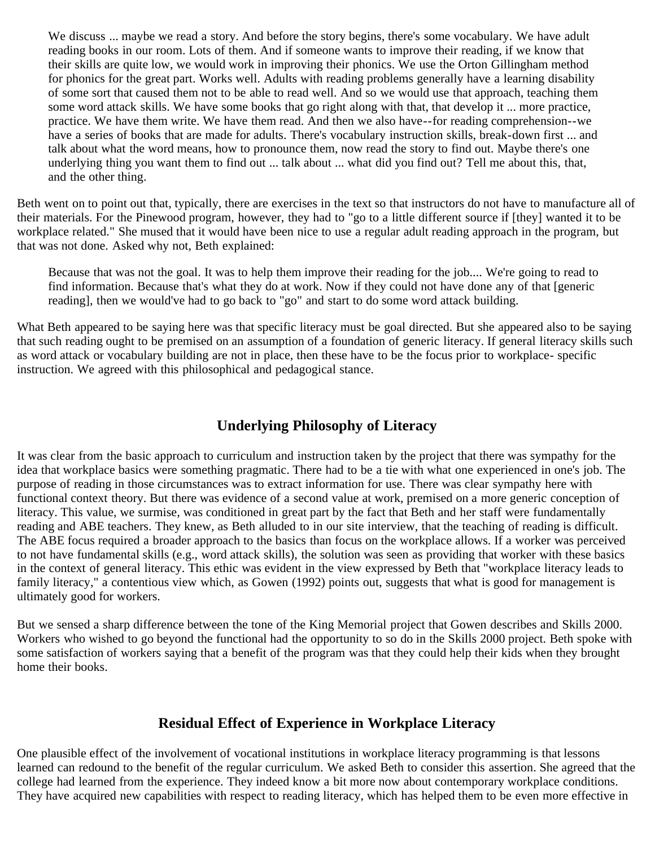We discuss ... maybe we read a story. And before the story begins, there's some vocabulary. We have adult reading books in our room. Lots of them. And if someone wants to improve their reading, if we know that their skills are quite low, we would work in improving their phonics. We use the Orton Gillingham method for phonics for the great part. Works well. Adults with reading problems generally have a learning disability of some sort that caused them not to be able to read well. And so we would use that approach, teaching them some word attack skills. We have some books that go right along with that, that develop it ... more practice, practice. We have them write. We have them read. And then we also have--for reading comprehension--we have a series of books that are made for adults. There's vocabulary instruction skills, break-down first ... and talk about what the word means, how to pronounce them, now read the story to find out. Maybe there's one underlying thing you want them to find out ... talk about ... what did you find out? Tell me about this, that, and the other thing.

Beth went on to point out that, typically, there are exercises in the text so that instructors do not have to manufacture all of their materials. For the Pinewood program, however, they had to "go to a little different source if [they] wanted it to be workplace related." She mused that it would have been nice to use a regular adult reading approach in the program, but that was not done. Asked why not, Beth explained:

Because that was not the goal. It was to help them improve their reading for the job.... We're going to read to find information. Because that's what they do at work. Now if they could not have done any of that [generic reading], then we would've had to go back to "go" and start to do some word attack building.

What Beth appeared to be saying here was that specific literacy must be goal directed. But she appeared also to be saying that such reading ought to be premised on an assumption of a foundation of generic literacy. If general literacy skills such as word attack or vocabulary building are not in place, then these have to be the focus prior to workplace- specific instruction. We agreed with this philosophical and pedagogical stance.

### **Underlying Philosophy of Literacy**

It was clear from the basic approach to curriculum and instruction taken by the project that there was sympathy for the idea that workplace basics were something pragmatic. There had to be a tie with what one experienced in one's job. The purpose of reading in those circumstances was to extract information for use. There was clear sympathy here with functional context theory. But there was evidence of a second value at work, premised on a more generic conception of literacy. This value, we surmise, was conditioned in great part by the fact that Beth and her staff were fundamentally reading and ABE teachers. They knew, as Beth alluded to in our site interview, that the teaching of reading is difficult. The ABE focus required a broader approach to the basics than focus on the workplace allows. If a worker was perceived to not have fundamental skills (e.g., word attack skills), the solution was seen as providing that worker with these basics in the context of general literacy. This ethic was evident in the view expressed by Beth that "workplace literacy leads to family literacy," a contentious view which, as Gowen (1992) points out, suggests that what is good for management is ultimately good for workers.

But we sensed a sharp difference between the tone of the King Memorial project that Gowen describes and Skills 2000. Workers who wished to go beyond the functional had the opportunity to so do in the Skills 2000 project. Beth spoke with some satisfaction of workers saying that a benefit of the program was that they could help their kids when they brought home their books.

### **Residual Effect of Experience in Workplace Literacy**

One plausible effect of the involvement of vocational institutions in workplace literacy programming is that lessons learned can redound to the benefit of the regular curriculum. We asked Beth to consider this assertion. She agreed that the college had learned from the experience. They indeed know a bit more now about contemporary workplace conditions. They have acquired new capabilities with respect to reading literacy, which has helped them to be even more effective in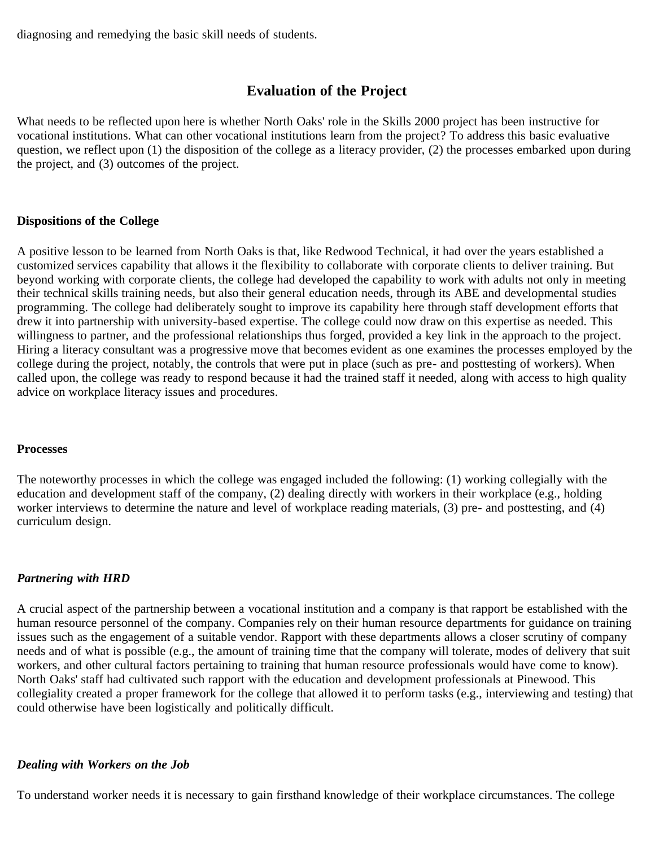diagnosing and remedying the basic skill needs of students.

### **Evaluation of the Project**

What needs to be reflected upon here is whether North Oaks' role in the Skills 2000 project has been instructive for vocational institutions. What can other vocational institutions learn from the project? To address this basic evaluative question, we reflect upon (1) the disposition of the college as a literacy provider, (2) the processes embarked upon during the project, and (3) outcomes of the project.

### **Dispositions of the College**

A positive lesson to be learned from North Oaks is that, like Redwood Technical, it had over the years established a customized services capability that allows it the flexibility to collaborate with corporate clients to deliver training. But beyond working with corporate clients, the college had developed the capability to work with adults not only in meeting their technical skills training needs, but also their general education needs, through its ABE and developmental studies programming. The college had deliberately sought to improve its capability here through staff development efforts that drew it into partnership with university-based expertise. The college could now draw on this expertise as needed. This willingness to partner, and the professional relationships thus forged, provided a key link in the approach to the project. Hiring a literacy consultant was a progressive move that becomes evident as one examines the processes employed by the college during the project, notably, the controls that were put in place (such as pre- and posttesting of workers). When called upon, the college was ready to respond because it had the trained staff it needed, along with access to high quality advice on workplace literacy issues and procedures.

#### **Processes**

The noteworthy processes in which the college was engaged included the following: (1) working collegially with the education and development staff of the company, (2) dealing directly with workers in their workplace (e.g., holding worker interviews to determine the nature and level of workplace reading materials, (3) pre- and posttesting, and (4) curriculum design.

### *Partnering with HRD*

A crucial aspect of the partnership between a vocational institution and a company is that rapport be established with the human resource personnel of the company. Companies rely on their human resource departments for guidance on training issues such as the engagement of a suitable vendor. Rapport with these departments allows a closer scrutiny of company needs and of what is possible (e.g., the amount of training time that the company will tolerate, modes of delivery that suit workers, and other cultural factors pertaining to training that human resource professionals would have come to know). North Oaks' staff had cultivated such rapport with the education and development professionals at Pinewood. This collegiality created a proper framework for the college that allowed it to perform tasks (e.g., interviewing and testing) that could otherwise have been logistically and politically difficult.

### *Dealing with Workers on the Job*

To understand worker needs it is necessary to gain firsthand knowledge of their workplace circumstances. The college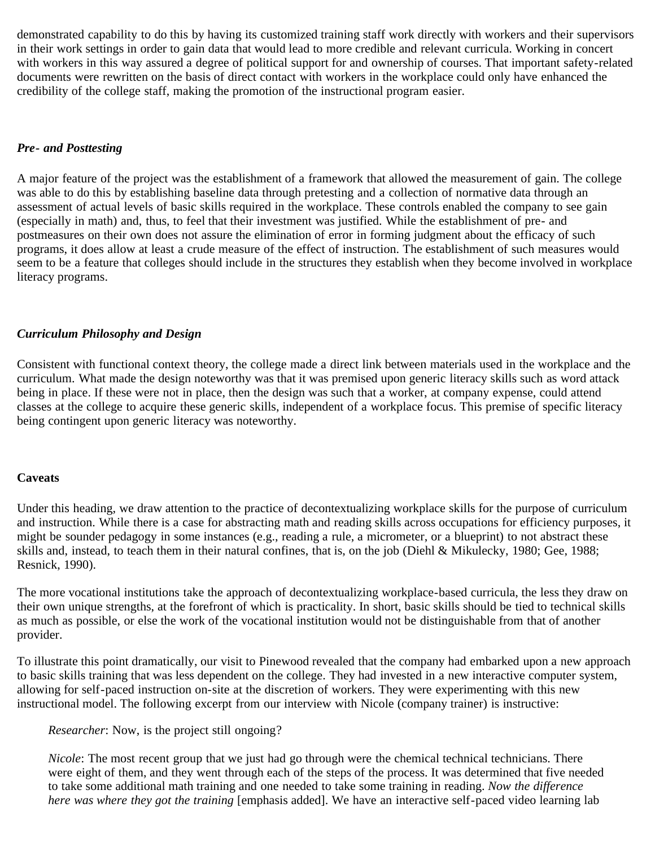demonstrated capability to do this by having its customized training staff work directly with workers and their supervisors in their work settings in order to gain data that would lead to more credible and relevant curricula. Working in concert with workers in this way assured a degree of political support for and ownership of courses. That important safety-related documents were rewritten on the basis of direct contact with workers in the workplace could only have enhanced the credibility of the college staff, making the promotion of the instructional program easier.

#### *Pre- and Posttesting*

A major feature of the project was the establishment of a framework that allowed the measurement of gain. The college was able to do this by establishing baseline data through pretesting and a collection of normative data through an assessment of actual levels of basic skills required in the workplace. These controls enabled the company to see gain (especially in math) and, thus, to feel that their investment was justified. While the establishment of pre- and postmeasures on their own does not assure the elimination of error in forming judgment about the efficacy of such programs, it does allow at least a crude measure of the effect of instruction. The establishment of such measures would seem to be a feature that colleges should include in the structures they establish when they become involved in workplace literacy programs.

#### *Curriculum Philosophy and Design*

Consistent with functional context theory, the college made a direct link between materials used in the workplace and the curriculum. What made the design noteworthy was that it was premised upon generic literacy skills such as word attack being in place. If these were not in place, then the design was such that a worker, at company expense, could attend classes at the college to acquire these generic skills, independent of a workplace focus. This premise of specific literacy being contingent upon generic literacy was noteworthy.

#### **Caveats**

Under this heading, we draw attention to the practice of decontextualizing workplace skills for the purpose of curriculum and instruction. While there is a case for abstracting math and reading skills across occupations for efficiency purposes, it might be sounder pedagogy in some instances (e.g., reading a rule, a micrometer, or a blueprint) to not abstract these skills and, instead, to teach them in their natural confines, that is, on the job (Diehl & Mikulecky, 1980; Gee, 1988; Resnick, 1990).

The more vocational institutions take the approach of decontextualizing workplace-based curricula, the less they draw on their own unique strengths, at the forefront of which is practicality. In short, basic skills should be tied to technical skills as much as possible, or else the work of the vocational institution would not be distinguishable from that of another provider.

To illustrate this point dramatically, our visit to Pinewood revealed that the company had embarked upon a new approach to basic skills training that was less dependent on the college. They had invested in a new interactive computer system, allowing for self-paced instruction on-site at the discretion of workers. They were experimenting with this new instructional model. The following excerpt from our interview with Nicole (company trainer) is instructive:

*Researcher*: Now, is the project still ongoing?

*Nicole*: The most recent group that we just had go through were the chemical technical technicians. There were eight of them, and they went through each of the steps of the process. It was determined that five needed to take some additional math training and one needed to take some training in reading. *Now the difference here was where they got the training* [emphasis added]. We have an interactive self-paced video learning lab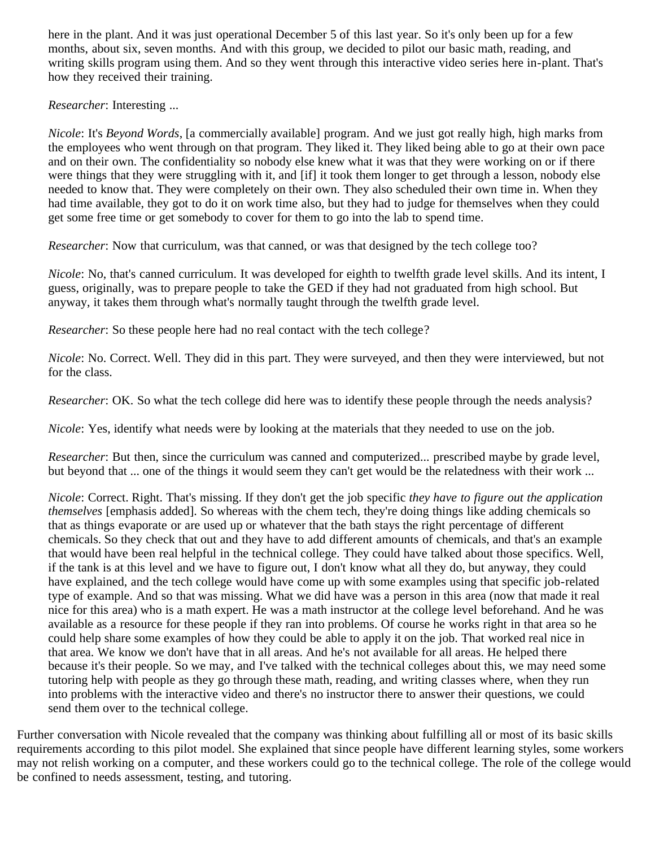here in the plant. And it was just operational December 5 of this last year. So it's only been up for a few months, about six, seven months. And with this group, we decided to pilot our basic math, reading, and writing skills program using them. And so they went through this interactive video series here in-plant. That's how they received their training.

*Researcher*: Interesting ...

*Nicole*: It's *Beyond Words*, [a commercially available] program. And we just got really high, high marks from the employees who went through on that program. They liked it. They liked being able to go at their own pace and on their own. The confidentiality so nobody else knew what it was that they were working on or if there were things that they were struggling with it, and [if] it took them longer to get through a lesson, nobody else needed to know that. They were completely on their own. They also scheduled their own time in. When they had time available, they got to do it on work time also, but they had to judge for themselves when they could get some free time or get somebody to cover for them to go into the lab to spend time.

*Researcher*: Now that curriculum, was that canned, or was that designed by the tech college too?

*Nicole*: No, that's canned curriculum. It was developed for eighth to twelfth grade level skills. And its intent, I guess, originally, was to prepare people to take the GED if they had not graduated from high school. But anyway, it takes them through what's normally taught through the twelfth grade level.

*Researcher*: So these people here had no real contact with the tech college?

*Nicole*: No. Correct. Well. They did in this part. They were surveyed, and then they were interviewed, but not for the class.

*Researcher*: OK. So what the tech college did here was to identify these people through the needs analysis?

*Nicole*: Yes, identify what needs were by looking at the materials that they needed to use on the job.

*Researcher*: But then, since the curriculum was canned and computerized... prescribed maybe by grade level, but beyond that ... one of the things it would seem they can't get would be the relatedness with their work ...

*Nicole*: Correct. Right. That's missing. If they don't get the job specific *they have to figure out the application themselves* [emphasis added]. So whereas with the chem tech, they're doing things like adding chemicals so that as things evaporate or are used up or whatever that the bath stays the right percentage of different chemicals. So they check that out and they have to add different amounts of chemicals, and that's an example that would have been real helpful in the technical college. They could have talked about those specifics. Well, if the tank is at this level and we have to figure out, I don't know what all they do, but anyway, they could have explained, and the tech college would have come up with some examples using that specific job-related type of example. And so that was missing. What we did have was a person in this area (now that made it real nice for this area) who is a math expert. He was a math instructor at the college level beforehand. And he was available as a resource for these people if they ran into problems. Of course he works right in that area so he could help share some examples of how they could be able to apply it on the job. That worked real nice in that area. We know we don't have that in all areas. And he's not available for all areas. He helped there because it's their people. So we may, and I've talked with the technical colleges about this, we may need some tutoring help with people as they go through these math, reading, and writing classes where, when they run into problems with the interactive video and there's no instructor there to answer their questions, we could send them over to the technical college.

Further conversation with Nicole revealed that the company was thinking about fulfilling all or most of its basic skills requirements according to this pilot model. She explained that since people have different learning styles, some workers may not relish working on a computer, and these workers could go to the technical college. The role of the college would be confined to needs assessment, testing, and tutoring.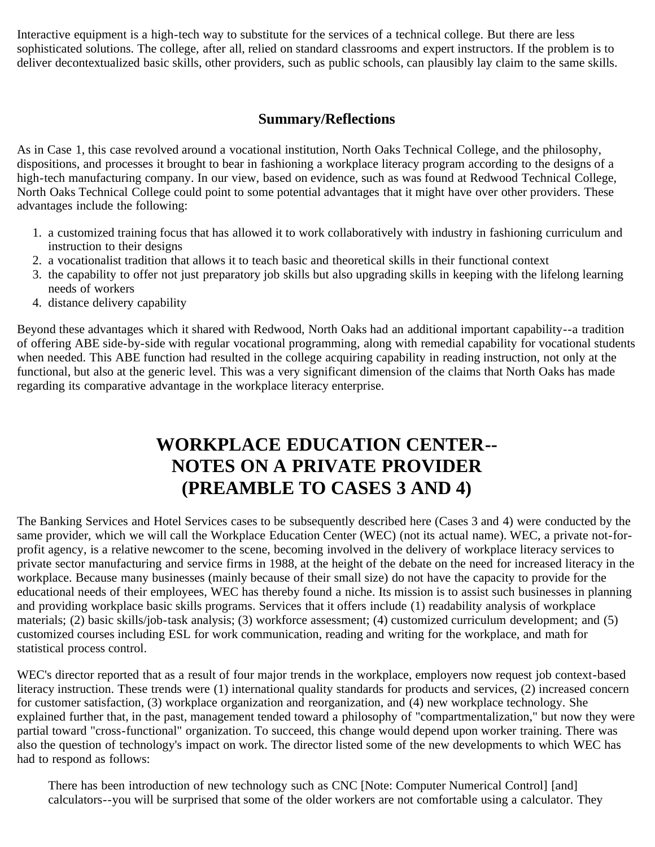Interactive equipment is a high-tech way to substitute for the services of a technical college. But there are less sophisticated solutions. The college, after all, relied on standard classrooms and expert instructors. If the problem is to deliver decontextualized basic skills, other providers, such as public schools, can plausibly lay claim to the same skills.

## **Summary/Reflections**

As in Case 1, this case revolved around a vocational institution, North Oaks Technical College, and the philosophy, dispositions, and processes it brought to bear in fashioning a workplace literacy program according to the designs of a high-tech manufacturing company. In our view, based on evidence, such as was found at Redwood Technical College, North Oaks Technical College could point to some potential advantages that it might have over other providers. These advantages include the following:

- 1. a customized training focus that has allowed it to work collaboratively with industry in fashioning curriculum and instruction to their designs
- 2. a vocationalist tradition that allows it to teach basic and theoretical skills in their functional context
- 3. the capability to offer not just preparatory job skills but also upgrading skills in keeping with the lifelong learning needs of workers
- 4. distance delivery capability

Beyond these advantages which it shared with Redwood, North Oaks had an additional important capability--a tradition of offering ABE side-by-side with regular vocational programming, along with remedial capability for vocational students when needed. This ABE function had resulted in the college acquiring capability in reading instruction, not only at the functional, but also at the generic level. This was a very significant dimension of the claims that North Oaks has made regarding its comparative advantage in the workplace literacy enterprise.

# **WORKPLACE EDUCATION CENTER-- NOTES ON A PRIVATE PROVIDER (PREAMBLE TO CASES 3 AND 4)**

The Banking Services and Hotel Services cases to be subsequently described here (Cases 3 and 4) were conducted by the same provider, which we will call the Workplace Education Center (WEC) (not its actual name). WEC, a private not-forprofit agency, is a relative newcomer to the scene, becoming involved in the delivery of workplace literacy services to private sector manufacturing and service firms in 1988, at the height of the debate on the need for increased literacy in the workplace. Because many businesses (mainly because of their small size) do not have the capacity to provide for the educational needs of their employees, WEC has thereby found a niche. Its mission is to assist such businesses in planning and providing workplace basic skills programs. Services that it offers include (1) readability analysis of workplace materials; (2) basic skills/job-task analysis; (3) workforce assessment; (4) customized curriculum development; and (5) customized courses including ESL for work communication, reading and writing for the workplace, and math for statistical process control.

WEC's director reported that as a result of four major trends in the workplace, employers now request job context-based literacy instruction. These trends were (1) international quality standards for products and services, (2) increased concern for customer satisfaction, (3) workplace organization and reorganization, and (4) new workplace technology. She explained further that, in the past, management tended toward a philosophy of "compartmentalization," but now they were partial toward "cross-functional" organization. To succeed, this change would depend upon worker training. There was also the question of technology's impact on work. The director listed some of the new developments to which WEC has had to respond as follows:

There has been introduction of new technology such as CNC [Note: Computer Numerical Control] [and] calculators--you will be surprised that some of the older workers are not comfortable using a calculator. They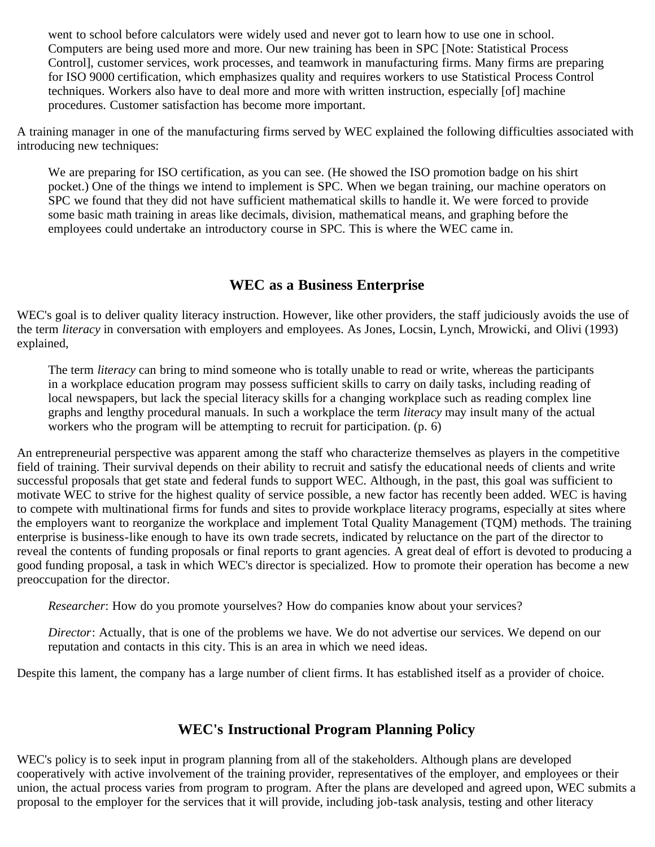went to school before calculators were widely used and never got to learn how to use one in school. Computers are being used more and more. Our new training has been in SPC [Note: Statistical Process Control], customer services, work processes, and teamwork in manufacturing firms. Many firms are preparing for ISO 9000 certification, which emphasizes quality and requires workers to use Statistical Process Control techniques. Workers also have to deal more and more with written instruction, especially [of] machine procedures. Customer satisfaction has become more important.

A training manager in one of the manufacturing firms served by WEC explained the following difficulties associated with introducing new techniques:

We are preparing for ISO certification, as you can see. (He showed the ISO promotion badge on his shirt pocket.) One of the things we intend to implement is SPC. When we began training, our machine operators on SPC we found that they did not have sufficient mathematical skills to handle it. We were forced to provide some basic math training in areas like decimals, division, mathematical means, and graphing before the employees could undertake an introductory course in SPC. This is where the WEC came in.

## **WEC as a Business Enterprise**

WEC's goal is to deliver quality literacy instruction. However, like other providers, the staff judiciously avoids the use of the term *literacy* in conversation with employers and employees. As Jones, Locsin, Lynch, Mrowicki, and Olivi (1993) explained,

The term *literacy* can bring to mind someone who is totally unable to read or write, whereas the participants in a workplace education program may possess sufficient skills to carry on daily tasks, including reading of local newspapers, but lack the special literacy skills for a changing workplace such as reading complex line graphs and lengthy procedural manuals. In such a workplace the term *literacy* may insult many of the actual workers who the program will be attempting to recruit for participation. (p. 6)

An entrepreneurial perspective was apparent among the staff who characterize themselves as players in the competitive field of training. Their survival depends on their ability to recruit and satisfy the educational needs of clients and write successful proposals that get state and federal funds to support WEC. Although, in the past, this goal was sufficient to motivate WEC to strive for the highest quality of service possible, a new factor has recently been added. WEC is having to compete with multinational firms for funds and sites to provide workplace literacy programs, especially at sites where the employers want to reorganize the workplace and implement Total Quality Management (TQM) methods. The training enterprise is business-like enough to have its own trade secrets, indicated by reluctance on the part of the director to reveal the contents of funding proposals or final reports to grant agencies. A great deal of effort is devoted to producing a good funding proposal, a task in which WEC's director is specialized. How to promote their operation has become a new preoccupation for the director.

*Researcher*: How do you promote yourselves? How do companies know about your services?

*Director*: Actually, that is one of the problems we have. We do not advertise our services. We depend on our reputation and contacts in this city. This is an area in which we need ideas.

Despite this lament, the company has a large number of client firms. It has established itself as a provider of choice.

### **WEC's Instructional Program Planning Policy**

WEC's policy is to seek input in program planning from all of the stakeholders. Although plans are developed cooperatively with active involvement of the training provider, representatives of the employer, and employees or their union, the actual process varies from program to program. After the plans are developed and agreed upon, WEC submits a proposal to the employer for the services that it will provide, including job-task analysis, testing and other literacy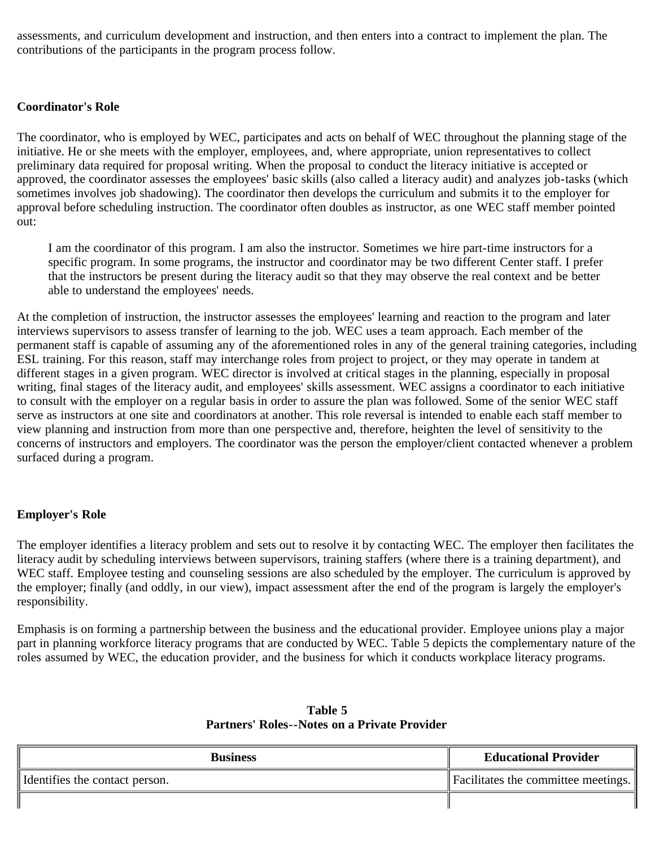assessments, and curriculum development and instruction, and then enters into a contract to implement the plan. The contributions of the participants in the program process follow.

### **Coordinator's Role**

The coordinator, who is employed by WEC, participates and acts on behalf of WEC throughout the planning stage of the initiative. He or she meets with the employer, employees, and, where appropriate, union representatives to collect preliminary data required for proposal writing. When the proposal to conduct the literacy initiative is accepted or approved, the coordinator assesses the employees' basic skills (also called a literacy audit) and analyzes job-tasks (which sometimes involves job shadowing). The coordinator then develops the curriculum and submits it to the employer for approval before scheduling instruction. The coordinator often doubles as instructor, as one WEC staff member pointed out:

I am the coordinator of this program. I am also the instructor. Sometimes we hire part-time instructors for a specific program. In some programs, the instructor and coordinator may be two different Center staff. I prefer that the instructors be present during the literacy audit so that they may observe the real context and be better able to understand the employees' needs.

At the completion of instruction, the instructor assesses the employees' learning and reaction to the program and later interviews supervisors to assess transfer of learning to the job. WEC uses a team approach. Each member of the permanent staff is capable of assuming any of the aforementioned roles in any of the general training categories, including ESL training. For this reason, staff may interchange roles from project to project, or they may operate in tandem at different stages in a given program. WEC director is involved at critical stages in the planning, especially in proposal writing, final stages of the literacy audit, and employees' skills assessment. WEC assigns a coordinator to each initiative to consult with the employer on a regular basis in order to assure the plan was followed. Some of the senior WEC staff serve as instructors at one site and coordinators at another. This role reversal is intended to enable each staff member to view planning and instruction from more than one perspective and, therefore, heighten the level of sensitivity to the concerns of instructors and employers. The coordinator was the person the employer/client contacted whenever a problem surfaced during a program.

### **Employer's Role**

The employer identifies a literacy problem and sets out to resolve it by contacting WEC. The employer then facilitates the literacy audit by scheduling interviews between supervisors, training staffers (where there is a training department), and WEC staff. Employee testing and counseling sessions are also scheduled by the employer. The curriculum is approved by the employer; finally (and oddly, in our view), impact assessment after the end of the program is largely the employer's responsibility.

Emphasis is on forming a partnership between the business and the educational provider. Employee unions play a major part in planning workforce literacy programs that are conducted by WEC. Table 5 depicts the complementary nature of the roles assumed by WEC, the education provider, and the business for which it conducts workplace literacy programs.

| <b>Business</b>                  | <b>Educational Provider</b>         |
|----------------------------------|-------------------------------------|
| I Identifies the contact person. | Facilitates the committee meetings. |
|                                  |                                     |

### **Table 5 Partners' Roles--Notes on a Private Provider**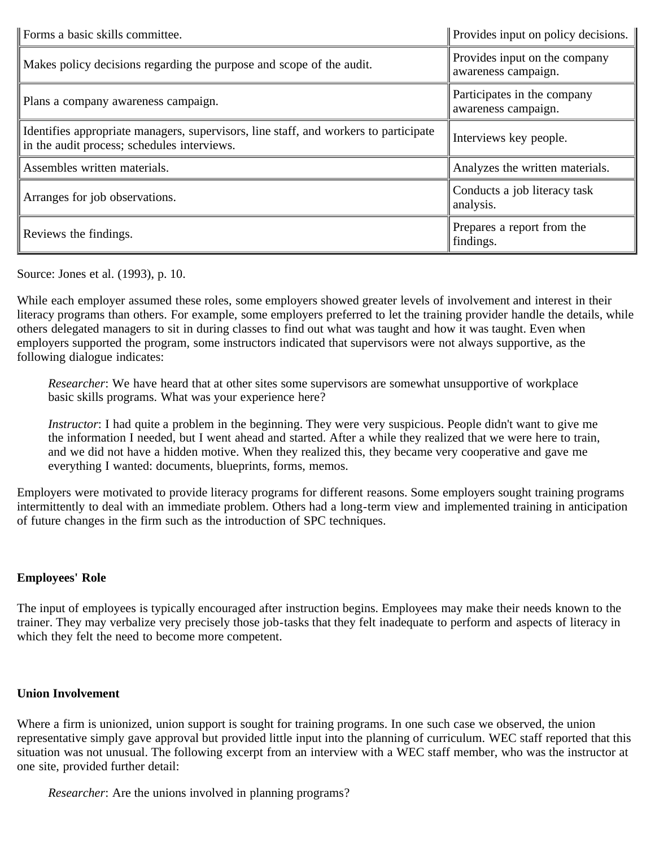| Forms a basic skills committee.                                                                                                     | Provides input on policy decisions.                  |
|-------------------------------------------------------------------------------------------------------------------------------------|------------------------------------------------------|
| Makes policy decisions regarding the purpose and scope of the audit.                                                                | Provides input on the company<br>awareness campaign. |
| Plans a company awareness campaign.                                                                                                 | Participates in the company<br>awareness campaign.   |
| Identifies appropriate managers, supervisors, line staff, and workers to participate<br>in the audit process; schedules interviews. | Interviews key people.                               |
| Assembles written materials.                                                                                                        | Analyzes the written materials.                      |
| Arranges for job observations.                                                                                                      | Conducts a job literacy task<br>analysis.            |
| Reviews the findings.                                                                                                               | Prepares a report from the<br>findings.              |

Source: Jones et al. (1993), p. 10.

While each employer assumed these roles, some employers showed greater levels of involvement and interest in their literacy programs than others. For example, some employers preferred to let the training provider handle the details, while others delegated managers to sit in during classes to find out what was taught and how it was taught. Even when employers supported the program, some instructors indicated that supervisors were not always supportive, as the following dialogue indicates:

*Researcher*: We have heard that at other sites some supervisors are somewhat unsupportive of workplace basic skills programs. What was your experience here?

*Instructor*: I had quite a problem in the beginning. They were very suspicious. People didn't want to give me the information I needed, but I went ahead and started. After a while they realized that we were here to train, and we did not have a hidden motive. When they realized this, they became very cooperative and gave me everything I wanted: documents, blueprints, forms, memos.

Employers were motivated to provide literacy programs for different reasons. Some employers sought training programs intermittently to deal with an immediate problem. Others had a long-term view and implemented training in anticipation of future changes in the firm such as the introduction of SPC techniques.

### **Employees' Role**

The input of employees is typically encouraged after instruction begins. Employees may make their needs known to the trainer. They may verbalize very precisely those job-tasks that they felt inadequate to perform and aspects of literacy in which they felt the need to become more competent.

### **Union Involvement**

Where a firm is unionized, union support is sought for training programs. In one such case we observed, the union representative simply gave approval but provided little input into the planning of curriculum. WEC staff reported that this situation was not unusual. The following excerpt from an interview with a WEC staff member, who was the instructor at one site, provided further detail:

*Researcher*: Are the unions involved in planning programs?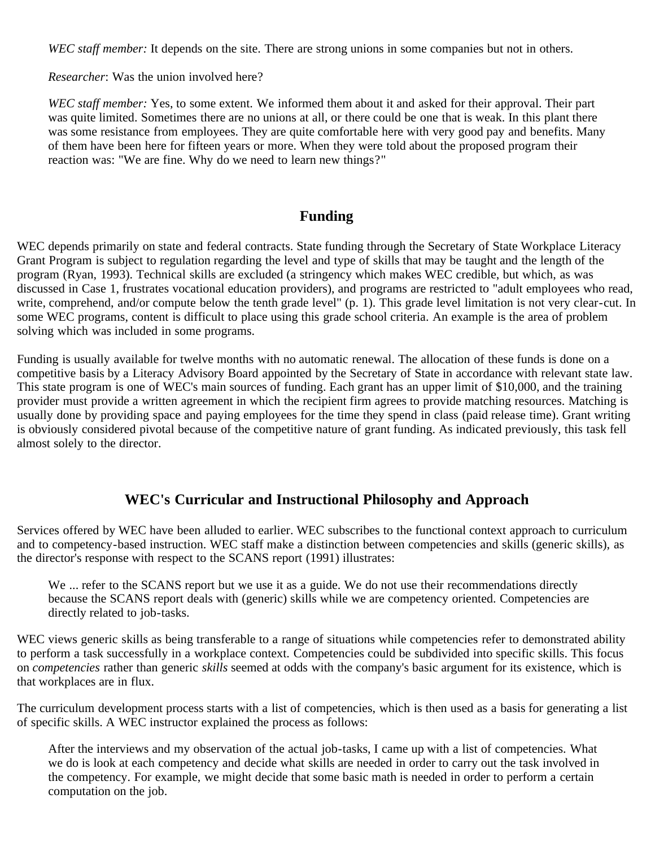*WEC staff member:* It depends on the site. There are strong unions in some companies but not in others.

*Researcher*: Was the union involved here?

*WEC staff member:* Yes, to some extent. We informed them about it and asked for their approval. Their part was quite limited. Sometimes there are no unions at all, or there could be one that is weak. In this plant there was some resistance from employees. They are quite comfortable here with very good pay and benefits. Many of them have been here for fifteen years or more. When they were told about the proposed program their reaction was: "We are fine. Why do we need to learn new things?"

### **Funding**

WEC depends primarily on state and federal contracts. State funding through the Secretary of State Workplace Literacy Grant Program is subject to regulation regarding the level and type of skills that may be taught and the length of the program (Ryan, 1993). Technical skills are excluded (a stringency which makes WEC credible, but which, as was discussed in Case 1, frustrates vocational education providers), and programs are restricted to "adult employees who read, write, comprehend, and/or compute below the tenth grade level" (p. 1). This grade level limitation is not very clear-cut. In some WEC programs, content is difficult to place using this grade school criteria. An example is the area of problem solving which was included in some programs.

Funding is usually available for twelve months with no automatic renewal. The allocation of these funds is done on a competitive basis by a Literacy Advisory Board appointed by the Secretary of State in accordance with relevant state law. This state program is one of WEC's main sources of funding. Each grant has an upper limit of \$10,000, and the training provider must provide a written agreement in which the recipient firm agrees to provide matching resources. Matching is usually done by providing space and paying employees for the time they spend in class (paid release time). Grant writing is obviously considered pivotal because of the competitive nature of grant funding. As indicated previously, this task fell almost solely to the director.

### **WEC's Curricular and Instructional Philosophy and Approach**

Services offered by WEC have been alluded to earlier. WEC subscribes to the functional context approach to curriculum and to competency-based instruction. WEC staff make a distinction between competencies and skills (generic skills), as the director's response with respect to the SCANS report (1991) illustrates:

We ... refer to the SCANS report but we use it as a guide. We do not use their recommendations directly because the SCANS report deals with (generic) skills while we are competency oriented. Competencies are directly related to job-tasks.

WEC views generic skills as being transferable to a range of situations while competencies refer to demonstrated ability to perform a task successfully in a workplace context. Competencies could be subdivided into specific skills. This focus on *competencies* rather than generic *skills* seemed at odds with the company's basic argument for its existence, which is that workplaces are in flux.

The curriculum development process starts with a list of competencies, which is then used as a basis for generating a list of specific skills. A WEC instructor explained the process as follows:

After the interviews and my observation of the actual job-tasks, I came up with a list of competencies. What we do is look at each competency and decide what skills are needed in order to carry out the task involved in the competency. For example, we might decide that some basic math is needed in order to perform a certain computation on the job.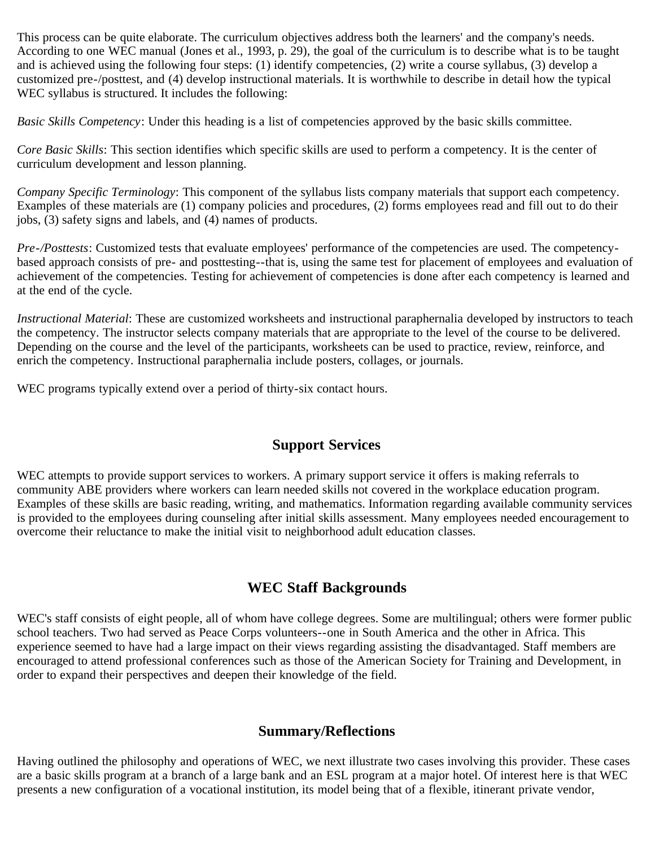This process can be quite elaborate. The curriculum objectives address both the learners' and the company's needs. According to one WEC manual (Jones et al., 1993, p. 29), the goal of the curriculum is to describe what is to be taught and is achieved using the following four steps: (1) identify competencies, (2) write a course syllabus, (3) develop a customized pre-/posttest, and (4) develop instructional materials. It is worthwhile to describe in detail how the typical WEC syllabus is structured. It includes the following:

*Basic Skills Competency*: Under this heading is a list of competencies approved by the basic skills committee.

*Core Basic Skills*: This section identifies which specific skills are used to perform a competency. It is the center of curriculum development and lesson planning.

*Company Specific Terminology*: This component of the syllabus lists company materials that support each competency. Examples of these materials are (1) company policies and procedures, (2) forms employees read and fill out to do their jobs, (3) safety signs and labels, and (4) names of products.

*Pre-/Posttests*: Customized tests that evaluate employees' performance of the competencies are used. The competencybased approach consists of pre- and posttesting--that is, using the same test for placement of employees and evaluation of achievement of the competencies. Testing for achievement of competencies is done after each competency is learned and at the end of the cycle.

*Instructional Material*: These are customized worksheets and instructional paraphernalia developed by instructors to teach the competency. The instructor selects company materials that are appropriate to the level of the course to be delivered. Depending on the course and the level of the participants, worksheets can be used to practice, review, reinforce, and enrich the competency. Instructional paraphernalia include posters, collages, or journals.

WEC programs typically extend over a period of thirty-six contact hours.

### **Support Services**

WEC attempts to provide support services to workers. A primary support service it offers is making referrals to community ABE providers where workers can learn needed skills not covered in the workplace education program. Examples of these skills are basic reading, writing, and mathematics. Information regarding available community services is provided to the employees during counseling after initial skills assessment. Many employees needed encouragement to overcome their reluctance to make the initial visit to neighborhood adult education classes.

### **WEC Staff Backgrounds**

WEC's staff consists of eight people, all of whom have college degrees. Some are multilingual; others were former public school teachers. Two had served as Peace Corps volunteers--one in South America and the other in Africa. This experience seemed to have had a large impact on their views regarding assisting the disadvantaged. Staff members are encouraged to attend professional conferences such as those of the American Society for Training and Development, in order to expand their perspectives and deepen their knowledge of the field.

### **Summary/Reflections**

Having outlined the philosophy and operations of WEC, we next illustrate two cases involving this provider. These cases are a basic skills program at a branch of a large bank and an ESL program at a major hotel. Of interest here is that WEC presents a new configuration of a vocational institution, its model being that of a flexible, itinerant private vendor,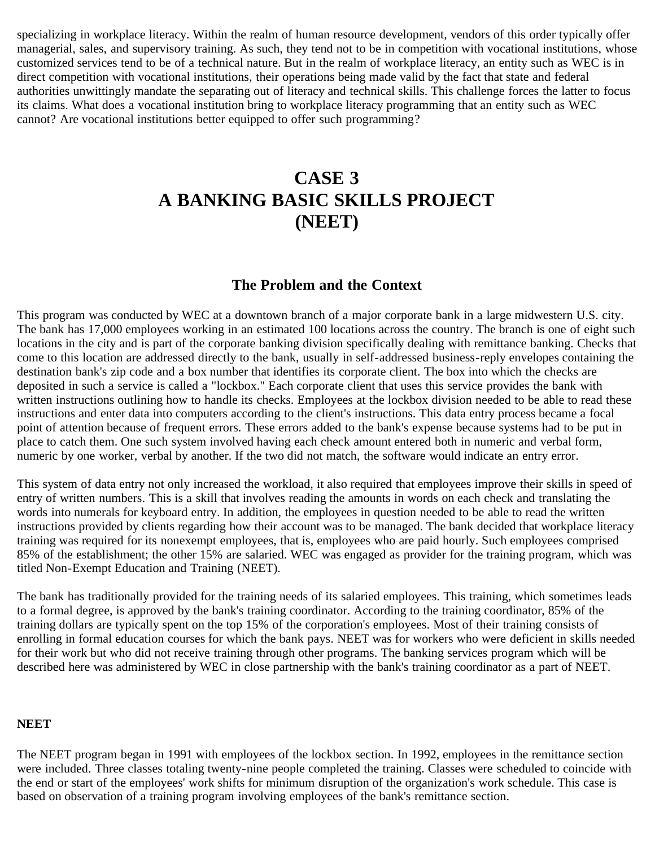specializing in workplace literacy. Within the realm of human resource development, vendors of this order typically offer managerial, sales, and supervisory training. As such, they tend not to be in competition with vocational institutions, whose customized services tend to be of a technical nature. But in the realm of workplace literacy, an entity such as WEC is in direct competition with vocational institutions, their operations being made valid by the fact that state and federal authorities unwittingly mandate the separating out of literacy and technical skills. This challenge forces the latter to focus its claims. What does a vocational institution bring to workplace literacy programming that an entity such as WEC cannot? Are vocational institutions better equipped to offer such programming?

# **CASE 3 A BANKING BASIC SKILLS PROJECT (NEET)**

### **The Problem and the Context**

This program was conducted by WEC at a downtown branch of a major corporate bank in a large midwestern U.S. city. The bank has 17,000 employees working in an estimated 100 locations across the country. The branch is one of eight such locations in the city and is part of the corporate banking division specifically dealing with remittance banking. Checks that come to this location are addressed directly to the bank, usually in self-addressed business-reply envelopes containing the destination bank's zip code and a box number that identifies its corporate client. The box into which the checks are deposited in such a service is called a "lockbox." Each corporate client that uses this service provides the bank with written instructions outlining how to handle its checks. Employees at the lockbox division needed to be able to read these instructions and enter data into computers according to the client's instructions. This data entry process became a focal point of attention because of frequent errors. These errors added to the bank's expense because systems had to be put in place to catch them. One such system involved having each check amount entered both in numeric and verbal form, numeric by one worker, verbal by another. If the two did not match, the software would indicate an entry error.

This system of data entry not only increased the workload, it also required that employees improve their skills in speed of entry of written numbers. This is a skill that involves reading the amounts in words on each check and translating the words into numerals for keyboard entry. In addition, the employees in question needed to be able to read the written instructions provided by clients regarding how their account was to be managed. The bank decided that workplace literacy training was required for its nonexempt employees, that is, employees who are paid hourly. Such employees comprised 85% of the establishment; the other 15% are salaried. WEC was engaged as provider for the training program, which was titled Non-Exempt Education and Training (NEET).

The bank has traditionally provided for the training needs of its salaried employees. This training, which sometimes leads to a formal degree, is approved by the bank's training coordinator. According to the training coordinator, 85% of the training dollars are typically spent on the top 15% of the corporation's employees. Most of their training consists of enrolling in formal education courses for which the bank pays. NEET was for workers who were deficient in skills needed for their work but who did not receive training through other programs. The banking services program which will be described here was administered by WEC in close partnership with the bank's training coordinator as a part of NEET.

### **NEET**

The NEET program began in 1991 with employees of the lockbox section. In 1992, employees in the remittance section were included. Three classes totaling twenty-nine people completed the training. Classes were scheduled to coincide with the end or start of the employees' work shifts for minimum disruption of the organization's work schedule. This case is based on observation of a training program involving employees of the bank's remittance section.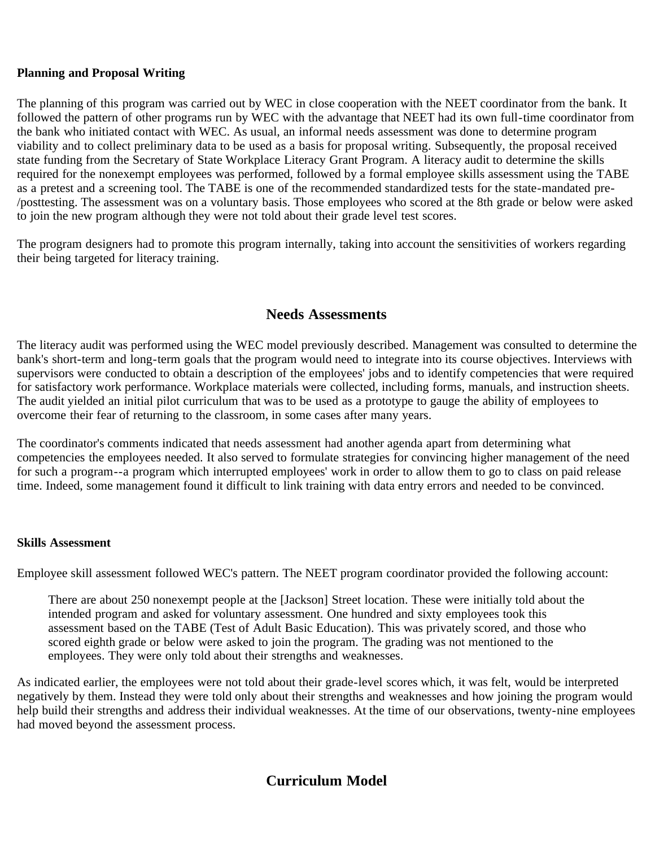### **Planning and Proposal Writing**

The planning of this program was carried out by WEC in close cooperation with the NEET coordinator from the bank. It followed the pattern of other programs run by WEC with the advantage that NEET had its own full-time coordinator from the bank who initiated contact with WEC. As usual, an informal needs assessment was done to determine program viability and to collect preliminary data to be used as a basis for proposal writing. Subsequently, the proposal received state funding from the Secretary of State Workplace Literacy Grant Program. A literacy audit to determine the skills required for the nonexempt employees was performed, followed by a formal employee skills assessment using the TABE as a pretest and a screening tool. The TABE is one of the recommended standardized tests for the state-mandated pre- /posttesting. The assessment was on a voluntary basis. Those employees who scored at the 8th grade or below were asked to join the new program although they were not told about their grade level test scores.

The program designers had to promote this program internally, taking into account the sensitivities of workers regarding their being targeted for literacy training.

### **Needs Assessments**

The literacy audit was performed using the WEC model previously described. Management was consulted to determine the bank's short-term and long-term goals that the program would need to integrate into its course objectives. Interviews with supervisors were conducted to obtain a description of the employees' jobs and to identify competencies that were required for satisfactory work performance. Workplace materials were collected, including forms, manuals, and instruction sheets. The audit yielded an initial pilot curriculum that was to be used as a prototype to gauge the ability of employees to overcome their fear of returning to the classroom, in some cases after many years.

The coordinator's comments indicated that needs assessment had another agenda apart from determining what competencies the employees needed. It also served to formulate strategies for convincing higher management of the need for such a program--a program which interrupted employees' work in order to allow them to go to class on paid release time. Indeed, some management found it difficult to link training with data entry errors and needed to be convinced.

### **Skills Assessment**

Employee skill assessment followed WEC's pattern. The NEET program coordinator provided the following account:

There are about 250 nonexempt people at the [Jackson] Street location. These were initially told about the intended program and asked for voluntary assessment. One hundred and sixty employees took this assessment based on the TABE (Test of Adult Basic Education). This was privately scored, and those who scored eighth grade or below were asked to join the program. The grading was not mentioned to the employees. They were only told about their strengths and weaknesses.

As indicated earlier, the employees were not told about their grade-level scores which, it was felt, would be interpreted negatively by them. Instead they were told only about their strengths and weaknesses and how joining the program would help build their strengths and address their individual weaknesses. At the time of our observations, twenty-nine employees had moved beyond the assessment process.

## **Curriculum Model**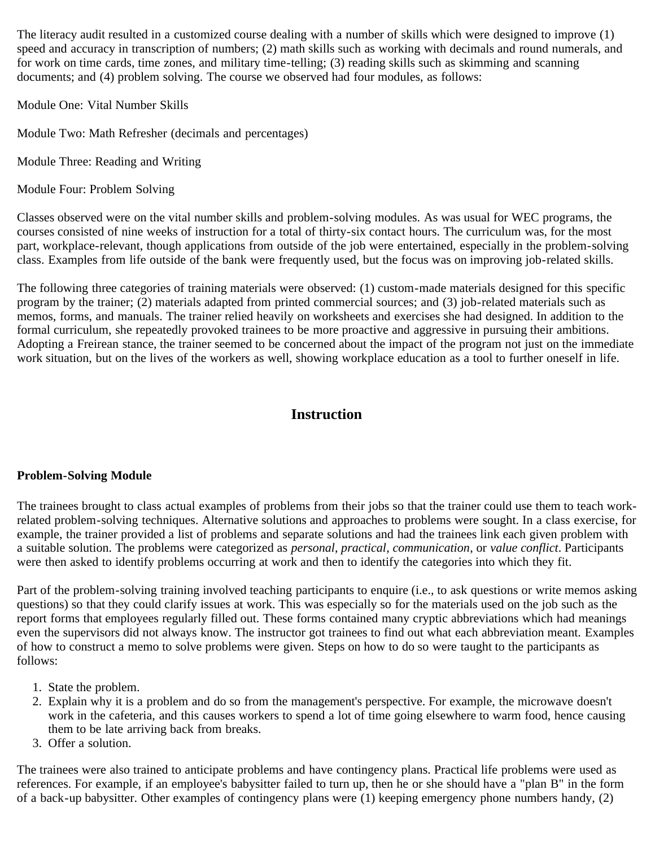The literacy audit resulted in a customized course dealing with a number of skills which were designed to improve (1) speed and accuracy in transcription of numbers; (2) math skills such as working with decimals and round numerals, and for work on time cards, time zones, and military time-telling; (3) reading skills such as skimming and scanning documents; and (4) problem solving. The course we observed had four modules, as follows:

Module One: Vital Number Skills

Module Two: Math Refresher (decimals and percentages)

Module Three: Reading and Writing

Module Four: Problem Solving

Classes observed were on the vital number skills and problem-solving modules. As was usual for WEC programs, the courses consisted of nine weeks of instruction for a total of thirty-six contact hours. The curriculum was, for the most part, workplace-relevant, though applications from outside of the job were entertained, especially in the problem-solving class. Examples from life outside of the bank were frequently used, but the focus was on improving job-related skills.

The following three categories of training materials were observed: (1) custom-made materials designed for this specific program by the trainer; (2) materials adapted from printed commercial sources; and (3) job-related materials such as memos, forms, and manuals. The trainer relied heavily on worksheets and exercises she had designed. In addition to the formal curriculum, she repeatedly provoked trainees to be more proactive and aggressive in pursuing their ambitions. Adopting a Freirean stance, the trainer seemed to be concerned about the impact of the program not just on the immediate work situation, but on the lives of the workers as well, showing workplace education as a tool to further oneself in life.

### **Instruction**

### **Problem-Solving Module**

The trainees brought to class actual examples of problems from their jobs so that the trainer could use them to teach workrelated problem-solving techniques. Alternative solutions and approaches to problems were sought. In a class exercise, for example, the trainer provided a list of problems and separate solutions and had the trainees link each given problem with a suitable solution. The problems were categorized as *personal*, *practical*, *communication*, or *value conflict*. Participants were then asked to identify problems occurring at work and then to identify the categories into which they fit.

Part of the problem-solving training involved teaching participants to enquire (i.e., to ask questions or write memos asking questions) so that they could clarify issues at work. This was especially so for the materials used on the job such as the report forms that employees regularly filled out. These forms contained many cryptic abbreviations which had meanings even the supervisors did not always know. The instructor got trainees to find out what each abbreviation meant. Examples of how to construct a memo to solve problems were given. Steps on how to do so were taught to the participants as follows:

- 1. State the problem.
- 2. Explain why it is a problem and do so from the management's perspective. For example, the microwave doesn't work in the cafeteria, and this causes workers to spend a lot of time going elsewhere to warm food, hence causing them to be late arriving back from breaks.
- 3. Offer a solution.

The trainees were also trained to anticipate problems and have contingency plans. Practical life problems were used as references. For example, if an employee's babysitter failed to turn up, then he or she should have a "plan B" in the form of a back-up babysitter. Other examples of contingency plans were (1) keeping emergency phone numbers handy, (2)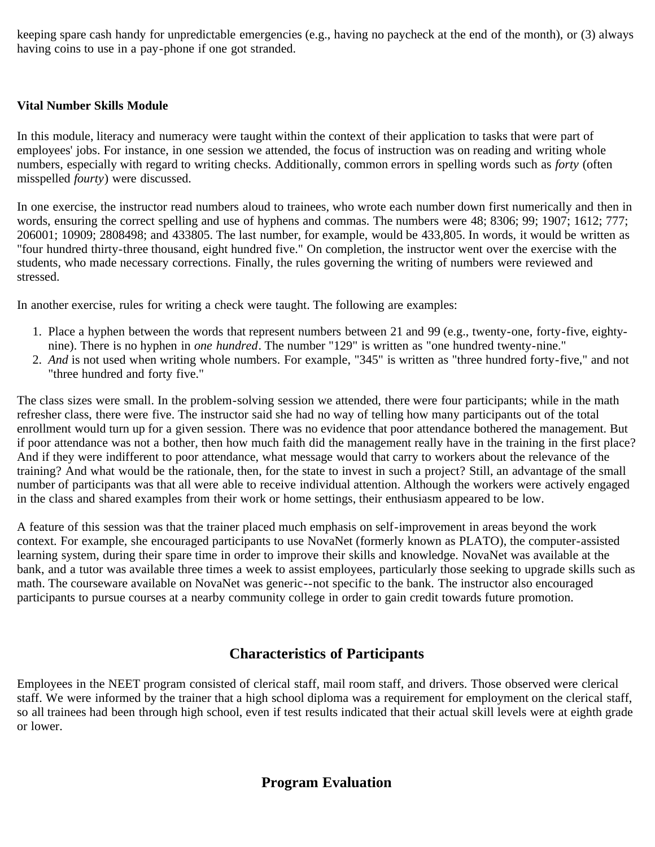keeping spare cash handy for unpredictable emergencies (e.g., having no paycheck at the end of the month), or (3) always having coins to use in a pay-phone if one got stranded.

### **Vital Number Skills Module**

In this module, literacy and numeracy were taught within the context of their application to tasks that were part of employees' jobs. For instance, in one session we attended, the focus of instruction was on reading and writing whole numbers, especially with regard to writing checks. Additionally, common errors in spelling words such as *forty* (often misspelled *fourty*) were discussed.

In one exercise, the instructor read numbers aloud to trainees, who wrote each number down first numerically and then in words, ensuring the correct spelling and use of hyphens and commas. The numbers were 48; 8306; 99; 1907; 1612; 777; 206001; 10909; 2808498; and 433805. The last number, for example, would be 433,805. In words, it would be written as "four hundred thirty-three thousand, eight hundred five." On completion, the instructor went over the exercise with the students, who made necessary corrections. Finally, the rules governing the writing of numbers were reviewed and stressed.

In another exercise, rules for writing a check were taught. The following are examples:

- 1. Place a hyphen between the words that represent numbers between 21 and 99 (e.g., twenty-one, forty-five, eightynine). There is no hyphen in *one hundred*. The number "129" is written as "one hundred twenty-nine."
- 2. *And* is not used when writing whole numbers. For example, "345" is written as "three hundred forty-five," and not "three hundred and forty five."

The class sizes were small. In the problem-solving session we attended, there were four participants; while in the math refresher class, there were five. The instructor said she had no way of telling how many participants out of the total enrollment would turn up for a given session. There was no evidence that poor attendance bothered the management. But if poor attendance was not a bother, then how much faith did the management really have in the training in the first place? And if they were indifferent to poor attendance, what message would that carry to workers about the relevance of the training? And what would be the rationale, then, for the state to invest in such a project? Still, an advantage of the small number of participants was that all were able to receive individual attention. Although the workers were actively engaged in the class and shared examples from their work or home settings, their enthusiasm appeared to be low.

A feature of this session was that the trainer placed much emphasis on self-improvement in areas beyond the work context. For example, she encouraged participants to use NovaNet (formerly known as PLATO), the computer-assisted learning system, during their spare time in order to improve their skills and knowledge. NovaNet was available at the bank, and a tutor was available three times a week to assist employees, particularly those seeking to upgrade skills such as math. The courseware available on NovaNet was generic--not specific to the bank. The instructor also encouraged participants to pursue courses at a nearby community college in order to gain credit towards future promotion.

### **Characteristics of Participants**

Employees in the NEET program consisted of clerical staff, mail room staff, and drivers. Those observed were clerical staff. We were informed by the trainer that a high school diploma was a requirement for employment on the clerical staff, so all trainees had been through high school, even if test results indicated that their actual skill levels were at eighth grade or lower.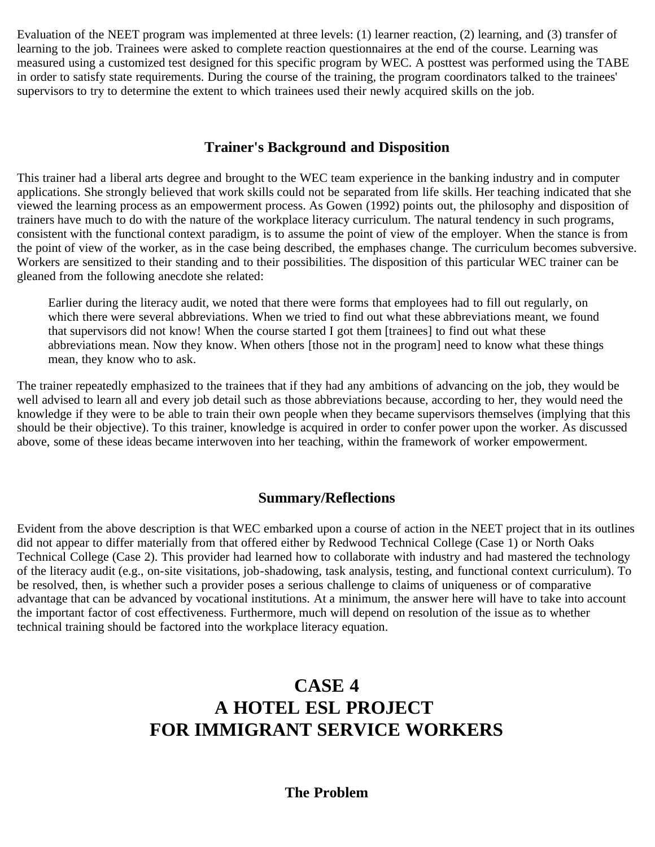Evaluation of the NEET program was implemented at three levels: (1) learner reaction, (2) learning, and (3) transfer of learning to the job. Trainees were asked to complete reaction questionnaires at the end of the course. Learning was measured using a customized test designed for this specific program by WEC. A posttest was performed using the TABE in order to satisfy state requirements. During the course of the training, the program coordinators talked to the trainees' supervisors to try to determine the extent to which trainees used their newly acquired skills on the job.

### **Trainer's Background and Disposition**

This trainer had a liberal arts degree and brought to the WEC team experience in the banking industry and in computer applications. She strongly believed that work skills could not be separated from life skills. Her teaching indicated that she viewed the learning process as an empowerment process. As Gowen (1992) points out, the philosophy and disposition of trainers have much to do with the nature of the workplace literacy curriculum. The natural tendency in such programs, consistent with the functional context paradigm, is to assume the point of view of the employer. When the stance is from the point of view of the worker, as in the case being described, the emphases change. The curriculum becomes subversive. Workers are sensitized to their standing and to their possibilities. The disposition of this particular WEC trainer can be gleaned from the following anecdote she related:

Earlier during the literacy audit, we noted that there were forms that employees had to fill out regularly, on which there were several abbreviations. When we tried to find out what these abbreviations meant, we found that supervisors did not know! When the course started I got them [trainees] to find out what these abbreviations mean. Now they know. When others [those not in the program] need to know what these things mean, they know who to ask.

The trainer repeatedly emphasized to the trainees that if they had any ambitions of advancing on the job, they would be well advised to learn all and every job detail such as those abbreviations because, according to her, they would need the knowledge if they were to be able to train their own people when they became supervisors themselves (implying that this should be their objective). To this trainer, knowledge is acquired in order to confer power upon the worker. As discussed above, some of these ideas became interwoven into her teaching, within the framework of worker empowerment.

### **Summary/Reflections**

Evident from the above description is that WEC embarked upon a course of action in the NEET project that in its outlines did not appear to differ materially from that offered either by Redwood Technical College (Case 1) or North Oaks Technical College (Case 2). This provider had learned how to collaborate with industry and had mastered the technology of the literacy audit (e.g., on-site visitations, job-shadowing, task analysis, testing, and functional context curriculum). To be resolved, then, is whether such a provider poses a serious challenge to claims of uniqueness or of comparative advantage that can be advanced by vocational institutions. At a minimum, the answer here will have to take into account the important factor of cost effectiveness. Furthermore, much will depend on resolution of the issue as to whether technical training should be factored into the workplace literacy equation.

# **CASE 4 A HOTEL ESL PROJECT FOR IMMIGRANT SERVICE WORKERS**

### **The Problem**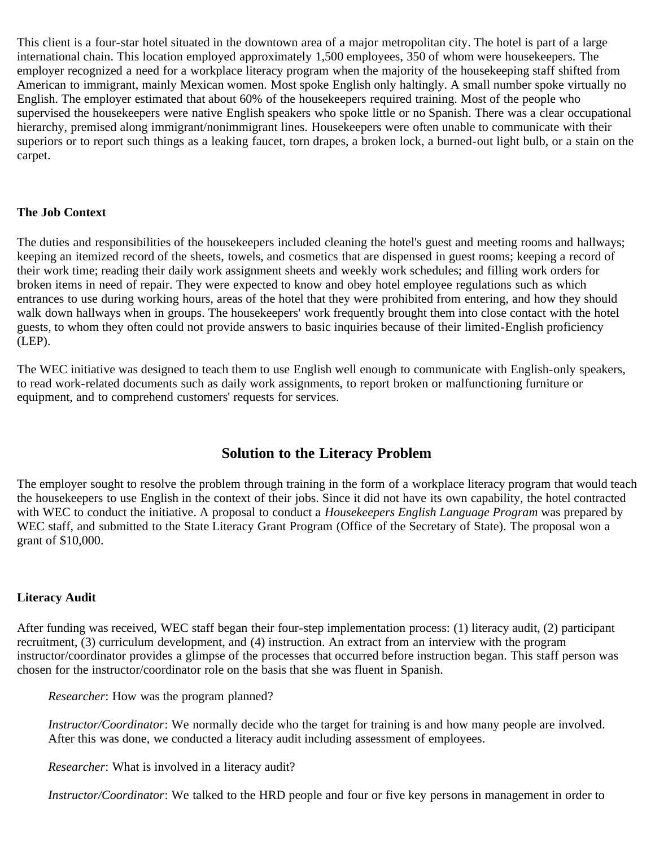This client is a four-star hotel situated in the downtown area of a major metropolitan city. The hotel is part of a large international chain. This location employed approximately 1,500 employees, 350 of whom were housekeepers. The employer recognized a need for a workplace literacy program when the majority of the housekeeping staff shifted from American to immigrant, mainly Mexican women. Most spoke English only haltingly. A small number spoke virtually no English. The employer estimated that about 60% of the housekeepers required training. Most of the people who supervised the housekeepers were native English speakers who spoke little or no Spanish. There was a clear occupational hierarchy, premised along immigrant/nonimmigrant lines. Housekeepers were often unable to communicate with their superiors or to report such things as a leaking faucet, torn drapes, a broken lock, a burned-out light bulb, or a stain on the carpet.

### **The Job Context**

The duties and responsibilities of the housekeepers included cleaning the hotel's guest and meeting rooms and hallways; keeping an itemized record of the sheets, towels, and cosmetics that are dispensed in guest rooms; keeping a record of their work time; reading their daily work assignment sheets and weekly work schedules; and filling work orders for broken items in need of repair. They were expected to know and obey hotel employee regulations such as which entrances to use during working hours, areas of the hotel that they were prohibited from entering, and how they should walk down hallways when in groups. The housekeepers' work frequently brought them into close contact with the hotel guests, to whom they often could not provide answers to basic inquiries because of their limited-English proficiency (LEP).

The WEC initiative was designed to teach them to use English well enough to communicate with English-only speakers, to read work-related documents such as daily work assignments, to report broken or malfunctioning furniture or equipment, and to comprehend customers' requests for services.

### **Solution to the Literacy Problem**

The employer sought to resolve the problem through training in the form of a workplace literacy program that would teach the housekeepers to use English in the context of their jobs. Since it did not have its own capability, the hotel contracted with WEC to conduct the initiative. A proposal to conduct a *Housekeepers English Language Program* was prepared by WEC staff, and submitted to the State Literacy Grant Program (Office of the Secretary of State). The proposal won a grant of \$10,000.

### **Literacy Audit**

After funding was received, WEC staff began their four-step implementation process: (1) literacy audit, (2) participant recruitment, (3) curriculum development, and (4) instruction. An extract from an interview with the program instructor/coordinator provides a glimpse of the processes that occurred before instruction began. This staff person was chosen for the instructor/coordinator role on the basis that she was fluent in Spanish.

*Researcher*: How was the program planned?

*Instructor/Coordinator*: We normally decide who the target for training is and how many people are involved. After this was done, we conducted a literacy audit including assessment of employees.

*Researcher*: What is involved in a literacy audit?

*Instructor/Coordinator*: We talked to the HRD people and four or five key persons in management in order to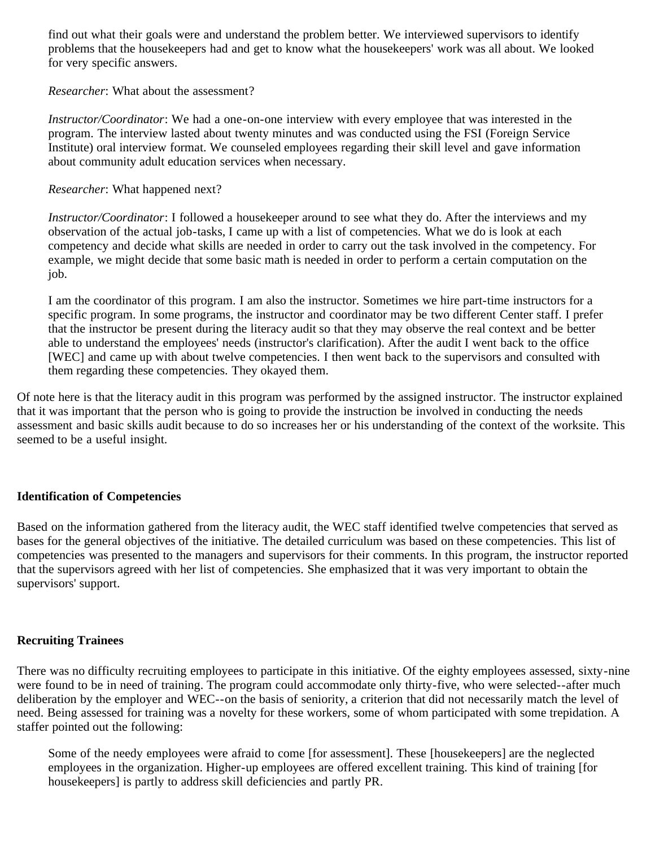find out what their goals were and understand the problem better. We interviewed supervisors to identify problems that the housekeepers had and get to know what the housekeepers' work was all about. We looked for very specific answers.

*Researcher*: What about the assessment?

*Instructor/Coordinator*: We had a one-on-one interview with every employee that was interested in the program. The interview lasted about twenty minutes and was conducted using the FSI (Foreign Service Institute) oral interview format. We counseled employees regarding their skill level and gave information about community adult education services when necessary.

*Researcher*: What happened next?

*Instructor/Coordinator*: I followed a housekeeper around to see what they do. After the interviews and my observation of the actual job-tasks, I came up with a list of competencies. What we do is look at each competency and decide what skills are needed in order to carry out the task involved in the competency. For example, we might decide that some basic math is needed in order to perform a certain computation on the job.

I am the coordinator of this program. I am also the instructor. Sometimes we hire part-time instructors for a specific program. In some programs, the instructor and coordinator may be two different Center staff. I prefer that the instructor be present during the literacy audit so that they may observe the real context and be better able to understand the employees' needs (instructor's clarification). After the audit I went back to the office [WEC] and came up with about twelve competencies. I then went back to the supervisors and consulted with them regarding these competencies. They okayed them.

Of note here is that the literacy audit in this program was performed by the assigned instructor. The instructor explained that it was important that the person who is going to provide the instruction be involved in conducting the needs assessment and basic skills audit because to do so increases her or his understanding of the context of the worksite. This seemed to be a useful insight.

### **Identification of Competencies**

Based on the information gathered from the literacy audit, the WEC staff identified twelve competencies that served as bases for the general objectives of the initiative. The detailed curriculum was based on these competencies. This list of competencies was presented to the managers and supervisors for their comments. In this program, the instructor reported that the supervisors agreed with her list of competencies. She emphasized that it was very important to obtain the supervisors' support.

#### **Recruiting Trainees**

There was no difficulty recruiting employees to participate in this initiative. Of the eighty employees assessed, sixty-nine were found to be in need of training. The program could accommodate only thirty-five, who were selected--after much deliberation by the employer and WEC--on the basis of seniority, a criterion that did not necessarily match the level of need. Being assessed for training was a novelty for these workers, some of whom participated with some trepidation. A staffer pointed out the following:

Some of the needy employees were afraid to come [for assessment]. These [housekeepers] are the neglected employees in the organization. Higher-up employees are offered excellent training. This kind of training [for housekeepers] is partly to address skill deficiencies and partly PR.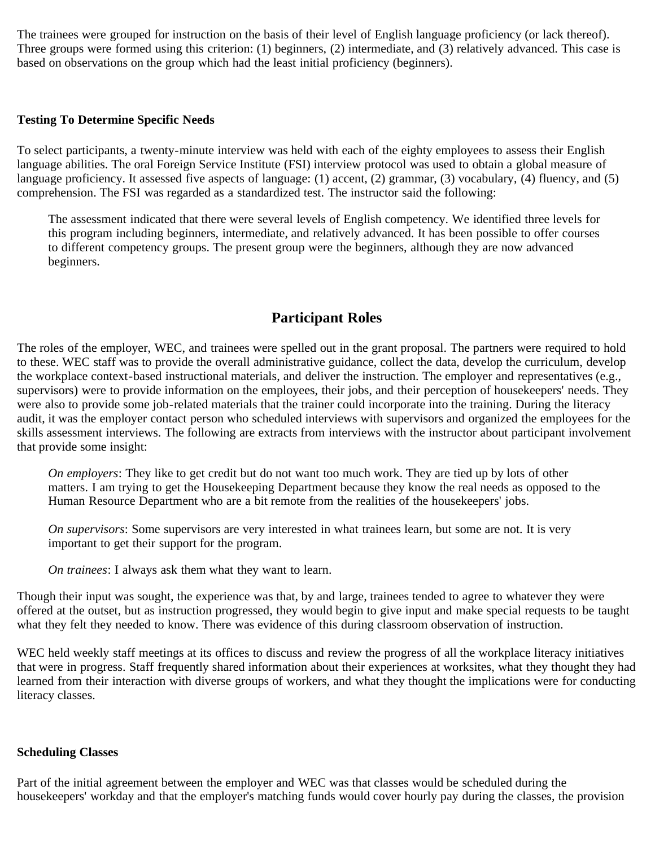The trainees were grouped for instruction on the basis of their level of English language proficiency (or lack thereof). Three groups were formed using this criterion: (1) beginners, (2) intermediate, and (3) relatively advanced. This case is based on observations on the group which had the least initial proficiency (beginners).

#### **Testing To Determine Specific Needs**

To select participants, a twenty-minute interview was held with each of the eighty employees to assess their English language abilities. The oral Foreign Service Institute (FSI) interview protocol was used to obtain a global measure of language proficiency. It assessed five aspects of language: (1) accent, (2) grammar, (3) vocabulary, (4) fluency, and (5) comprehension. The FSI was regarded as a standardized test. The instructor said the following:

The assessment indicated that there were several levels of English competency. We identified three levels for this program including beginners, intermediate, and relatively advanced. It has been possible to offer courses to different competency groups. The present group were the beginners, although they are now advanced beginners.

### **Participant Roles**

The roles of the employer, WEC, and trainees were spelled out in the grant proposal. The partners were required to hold to these. WEC staff was to provide the overall administrative guidance, collect the data, develop the curriculum, develop the workplace context-based instructional materials, and deliver the instruction. The employer and representatives (e.g., supervisors) were to provide information on the employees, their jobs, and their perception of housekeepers' needs. They were also to provide some job-related materials that the trainer could incorporate into the training. During the literacy audit, it was the employer contact person who scheduled interviews with supervisors and organized the employees for the skills assessment interviews. The following are extracts from interviews with the instructor about participant involvement that provide some insight:

*On employers*: They like to get credit but do not want too much work. They are tied up by lots of other matters. I am trying to get the Housekeeping Department because they know the real needs as opposed to the Human Resource Department who are a bit remote from the realities of the housekeepers' jobs.

*On supervisors*: Some supervisors are very interested in what trainees learn, but some are not. It is very important to get their support for the program.

*On trainees*: I always ask them what they want to learn.

Though their input was sought, the experience was that, by and large, trainees tended to agree to whatever they were offered at the outset, but as instruction progressed, they would begin to give input and make special requests to be taught what they felt they needed to know. There was evidence of this during classroom observation of instruction.

WEC held weekly staff meetings at its offices to discuss and review the progress of all the workplace literacy initiatives that were in progress. Staff frequently shared information about their experiences at worksites, what they thought they had learned from their interaction with diverse groups of workers, and what they thought the implications were for conducting literacy classes.

#### **Scheduling Classes**

Part of the initial agreement between the employer and WEC was that classes would be scheduled during the housekeepers' workday and that the employer's matching funds would cover hourly pay during the classes, the provision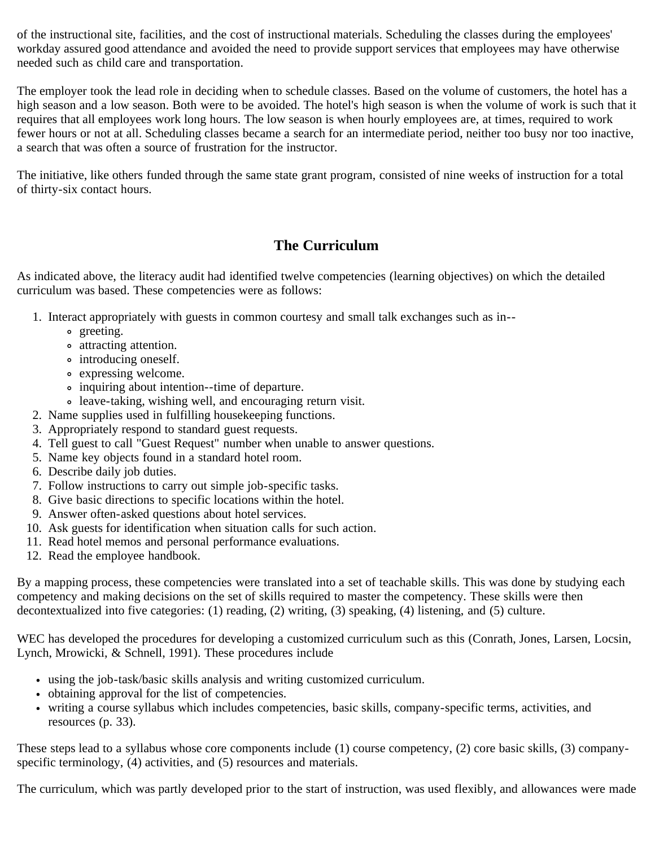of the instructional site, facilities, and the cost of instructional materials. Scheduling the classes during the employees' workday assured good attendance and avoided the need to provide support services that employees may have otherwise needed such as child care and transportation.

The employer took the lead role in deciding when to schedule classes. Based on the volume of customers, the hotel has a high season and a low season. Both were to be avoided. The hotel's high season is when the volume of work is such that it requires that all employees work long hours. The low season is when hourly employees are, at times, required to work fewer hours or not at all. Scheduling classes became a search for an intermediate period, neither too busy nor too inactive, a search that was often a source of frustration for the instructor.

The initiative, like others funded through the same state grant program, consisted of nine weeks of instruction for a total of thirty-six contact hours.

### **The Curriculum**

As indicated above, the literacy audit had identified twelve competencies (learning objectives) on which the detailed curriculum was based. These competencies were as follows:

- 1. Interact appropriately with guests in common courtesy and small talk exchanges such as in-
	- o greeting.
	- attracting attention.
	- introducing oneself.
	- expressing welcome.
	- inquiring about intention--time of departure.
	- leave-taking, wishing well, and encouraging return visit.
- 2. Name supplies used in fulfilling housekeeping functions.
- 3. Appropriately respond to standard guest requests.
- 4. Tell guest to call "Guest Request" number when unable to answer questions.
- 5. Name key objects found in a standard hotel room.
- 6. Describe daily job duties.
- 7. Follow instructions to carry out simple job-specific tasks.
- 8. Give basic directions to specific locations within the hotel.
- 9. Answer often-asked questions about hotel services.
- 10. Ask guests for identification when situation calls for such action.
- 11. Read hotel memos and personal performance evaluations.
- 12. Read the employee handbook.

By a mapping process, these competencies were translated into a set of teachable skills. This was done by studying each competency and making decisions on the set of skills required to master the competency. These skills were then decontextualized into five categories: (1) reading, (2) writing, (3) speaking, (4) listening, and (5) culture.

WEC has developed the procedures for developing a customized curriculum such as this (Conrath, Jones, Larsen, Locsin, Lynch, Mrowicki, & Schnell, 1991). These procedures include

- using the job-task/basic skills analysis and writing customized curriculum.
- obtaining approval for the list of competencies.
- writing a course syllabus which includes competencies, basic skills, company-specific terms, activities, and resources (p. 33).

These steps lead to a syllabus whose core components include (1) course competency, (2) core basic skills, (3) companyspecific terminology, (4) activities, and (5) resources and materials.

The curriculum, which was partly developed prior to the start of instruction, was used flexibly, and allowances were made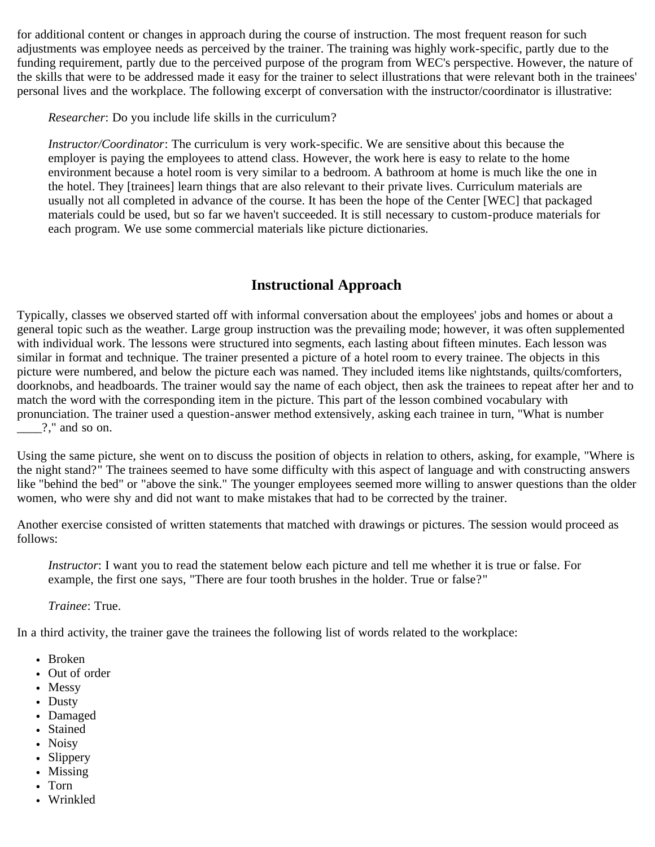for additional content or changes in approach during the course of instruction. The most frequent reason for such adjustments was employee needs as perceived by the trainer. The training was highly work-specific, partly due to the funding requirement, partly due to the perceived purpose of the program from WEC's perspective. However, the nature of the skills that were to be addressed made it easy for the trainer to select illustrations that were relevant both in the trainees' personal lives and the workplace. The following excerpt of conversation with the instructor/coordinator is illustrative:

*Researcher*: Do you include life skills in the curriculum?

*Instructor/Coordinator*: The curriculum is very work-specific. We are sensitive about this because the employer is paying the employees to attend class. However, the work here is easy to relate to the home environment because a hotel room is very similar to a bedroom. A bathroom at home is much like the one in the hotel. They [trainees] learn things that are also relevant to their private lives. Curriculum materials are usually not all completed in advance of the course. It has been the hope of the Center [WEC] that packaged materials could be used, but so far we haven't succeeded. It is still necessary to custom-produce materials for each program. We use some commercial materials like picture dictionaries.

### **Instructional Approach**

Typically, classes we observed started off with informal conversation about the employees' jobs and homes or about a general topic such as the weather. Large group instruction was the prevailing mode; however, it was often supplemented with individual work. The lessons were structured into segments, each lasting about fifteen minutes. Each lesson was similar in format and technique. The trainer presented a picture of a hotel room to every trainee. The objects in this picture were numbered, and below the picture each was named. They included items like nightstands, quilts/comforters, doorknobs, and headboards. The trainer would say the name of each object, then ask the trainees to repeat after her and to match the word with the corresponding item in the picture. This part of the lesson combined vocabulary with pronunciation. The trainer used a question-answer method extensively, asking each trainee in turn, "What is number \_\_\_\_?," and so on.

Using the same picture, she went on to discuss the position of objects in relation to others, asking, for example, "Where is the night stand?" The trainees seemed to have some difficulty with this aspect of language and with constructing answers like "behind the bed" or "above the sink." The younger employees seemed more willing to answer questions than the older women, who were shy and did not want to make mistakes that had to be corrected by the trainer.

Another exercise consisted of written statements that matched with drawings or pictures. The session would proceed as follows:

*Instructor*: I want you to read the statement below each picture and tell me whether it is true or false. For example, the first one says, "There are four tooth brushes in the holder. True or false?"

*Trainee*: True.

In a third activity, the trainer gave the trainees the following list of words related to the workplace:

- Broken
- Out of order
- Messy
- Dusty
- Damaged
- Stained
- Noisy
- Slippery
- Missing
- Torn
- Wrinkled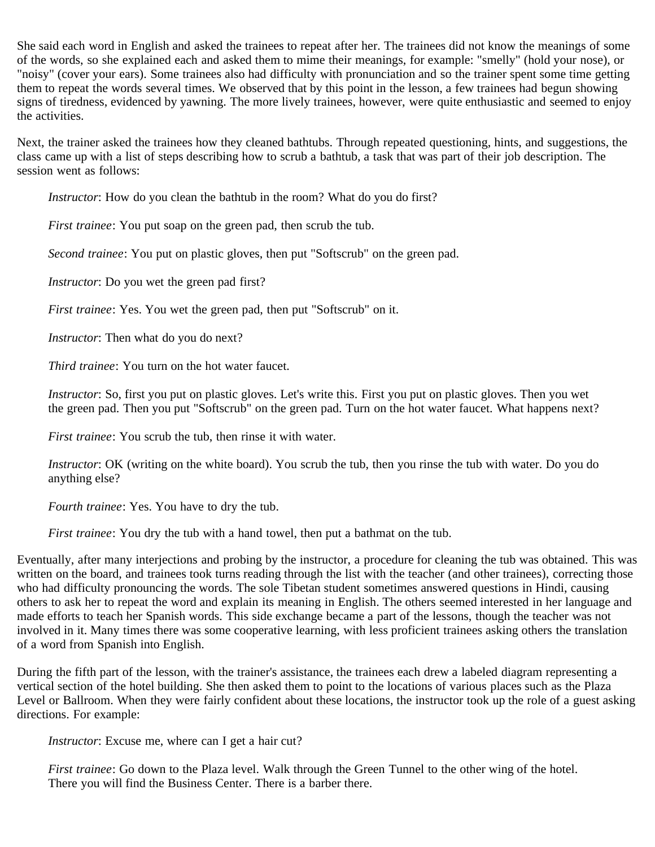She said each word in English and asked the trainees to repeat after her. The trainees did not know the meanings of some of the words, so she explained each and asked them to mime their meanings, for example: "smelly" (hold your nose), or "noisy" (cover your ears). Some trainees also had difficulty with pronunciation and so the trainer spent some time getting them to repeat the words several times. We observed that by this point in the lesson, a few trainees had begun showing signs of tiredness, evidenced by yawning. The more lively trainees, however, were quite enthusiastic and seemed to enjoy the activities.

Next, the trainer asked the trainees how they cleaned bathtubs. Through repeated questioning, hints, and suggestions, the class came up with a list of steps describing how to scrub a bathtub, a task that was part of their job description. The session went as follows:

*Instructor*: How do you clean the bathtub in the room? What do you do first?

*First trainee*: You put soap on the green pad, then scrub the tub.

*Second trainee*: You put on plastic gloves, then put "Softscrub" on the green pad.

*Instructor*: Do you wet the green pad first?

*First trainee*: Yes. You wet the green pad, then put "Softscrub" on it.

*Instructor*: Then what do you do next?

*Third trainee*: You turn on the hot water faucet.

*Instructor*: So, first you put on plastic gloves. Let's write this. First you put on plastic gloves. Then you wet the green pad. Then you put "Softscrub" on the green pad. Turn on the hot water faucet. What happens next?

*First trainee*: You scrub the tub, then rinse it with water.

*Instructor*: OK (writing on the white board). You scrub the tub, then you rinse the tub with water. Do you do anything else?

*Fourth trainee*: Yes. You have to dry the tub.

*First trainee*: You dry the tub with a hand towel, then put a bathmat on the tub.

Eventually, after many interjections and probing by the instructor, a procedure for cleaning the tub was obtained. This was written on the board, and trainees took turns reading through the list with the teacher (and other trainees), correcting those who had difficulty pronouncing the words. The sole Tibetan student sometimes answered questions in Hindi, causing others to ask her to repeat the word and explain its meaning in English. The others seemed interested in her language and made efforts to teach her Spanish words. This side exchange became a part of the lessons, though the teacher was not involved in it. Many times there was some cooperative learning, with less proficient trainees asking others the translation of a word from Spanish into English.

During the fifth part of the lesson, with the trainer's assistance, the trainees each drew a labeled diagram representing a vertical section of the hotel building. She then asked them to point to the locations of various places such as the Plaza Level or Ballroom. When they were fairly confident about these locations, the instructor took up the role of a guest asking directions. For example:

*Instructor*: Excuse me, where can I get a hair cut?

*First trainee*: Go down to the Plaza level. Walk through the Green Tunnel to the other wing of the hotel. There you will find the Business Center. There is a barber there.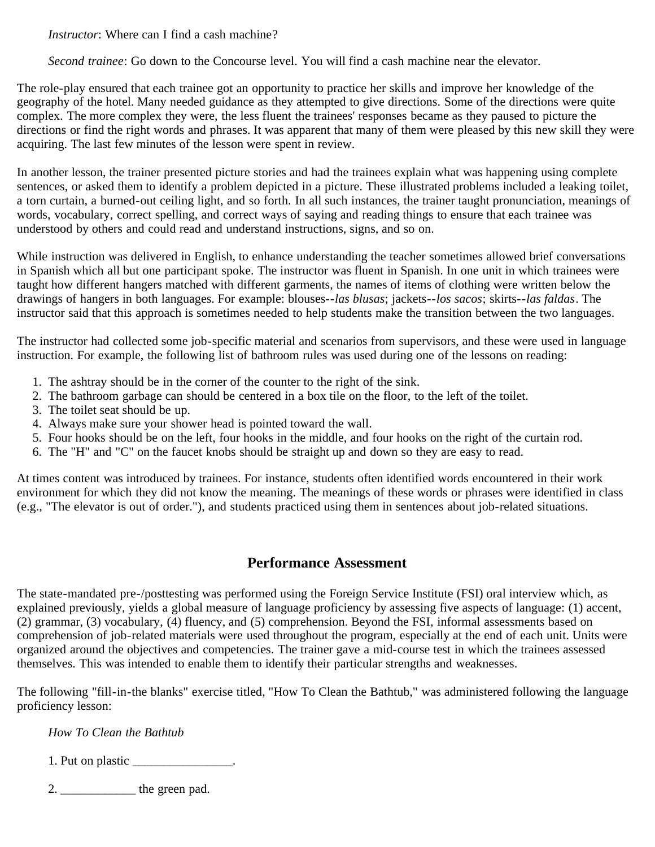*Instructor*: Where can I find a cash machine?

*Second trainee*: Go down to the Concourse level. You will find a cash machine near the elevator.

The role-play ensured that each trainee got an opportunity to practice her skills and improve her knowledge of the geography of the hotel. Many needed guidance as they attempted to give directions. Some of the directions were quite complex. The more complex they were, the less fluent the trainees' responses became as they paused to picture the directions or find the right words and phrases. It was apparent that many of them were pleased by this new skill they were acquiring. The last few minutes of the lesson were spent in review.

In another lesson, the trainer presented picture stories and had the trainees explain what was happening using complete sentences, or asked them to identify a problem depicted in a picture. These illustrated problems included a leaking toilet, a torn curtain, a burned-out ceiling light, and so forth. In all such instances, the trainer taught pronunciation, meanings of words, vocabulary, correct spelling, and correct ways of saying and reading things to ensure that each trainee was understood by others and could read and understand instructions, signs, and so on.

While instruction was delivered in English, to enhance understanding the teacher sometimes allowed brief conversations in Spanish which all but one participant spoke. The instructor was fluent in Spanish. In one unit in which trainees were taught how different hangers matched with different garments, the names of items of clothing were written below the drawings of hangers in both languages. For example: blouses--*las blusas*; jackets--*los sacos*; skirts--*las faldas*. The instructor said that this approach is sometimes needed to help students make the transition between the two languages.

The instructor had collected some job-specific material and scenarios from supervisors, and these were used in language instruction. For example, the following list of bathroom rules was used during one of the lessons on reading:

- 1. The ashtray should be in the corner of the counter to the right of the sink.
- 2. The bathroom garbage can should be centered in a box tile on the floor, to the left of the toilet.
- 3. The toilet seat should be up.
- 4. Always make sure your shower head is pointed toward the wall.
- 5. Four hooks should be on the left, four hooks in the middle, and four hooks on the right of the curtain rod.
- 6. The "H" and "C" on the faucet knobs should be straight up and down so they are easy to read.

At times content was introduced by trainees. For instance, students often identified words encountered in their work environment for which they did not know the meaning. The meanings of these words or phrases were identified in class (e.g., "The elevator is out of order."), and students practiced using them in sentences about job-related situations.

## **Performance Assessment**

The state-mandated pre-/posttesting was performed using the Foreign Service Institute (FSI) oral interview which, as explained previously, yields a global measure of language proficiency by assessing five aspects of language: (1) accent, (2) grammar, (3) vocabulary, (4) fluency, and (5) comprehension. Beyond the FSI, informal assessments based on comprehension of job-related materials were used throughout the program, especially at the end of each unit. Units were organized around the objectives and competencies. The trainer gave a mid-course test in which the trainees assessed themselves. This was intended to enable them to identify their particular strengths and weaknesses.

The following "fill-in-the blanks" exercise titled, "How To Clean the Bathtub," was administered following the language proficiency lesson:

*How To Clean the Bathtub*

| 1. Put on plastic |  |
|-------------------|--|
|-------------------|--|

 $2.$   $\qquad \qquad$  the green pad.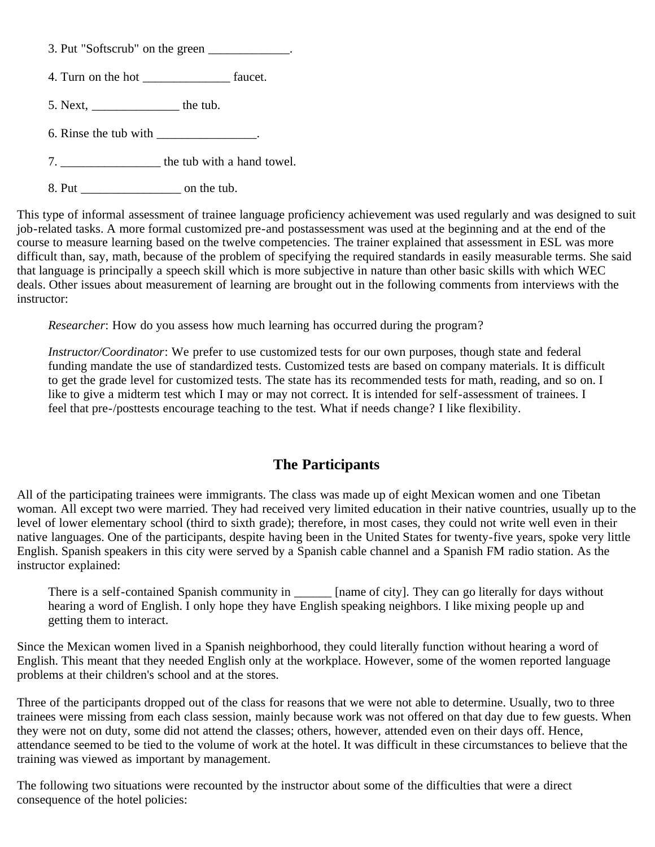- 3. Put "Softscrub" on the green \_\_\_\_\_\_\_\_\_\_\_\_.
- 4. Turn on the hot \_\_\_\_\_\_\_\_\_\_\_\_\_\_\_\_\_\_\_\_\_ faucet.
- 5. Next, \_\_\_\_\_\_\_\_\_\_\_\_\_\_ the tub.
- 6. Rinse the tub with  $\qquad$
- 7. \_\_\_\_\_\_\_\_\_\_\_\_\_\_\_\_ the tub with a hand towel.
- 8. Put \_\_\_\_\_\_\_\_\_\_\_\_\_\_\_\_ on the tub.

This type of informal assessment of trainee language proficiency achievement was used regularly and was designed to suit job-related tasks. A more formal customized pre-and postassessment was used at the beginning and at the end of the course to measure learning based on the twelve competencies. The trainer explained that assessment in ESL was more difficult than, say, math, because of the problem of specifying the required standards in easily measurable terms. She said that language is principally a speech skill which is more subjective in nature than other basic skills with which WEC deals. Other issues about measurement of learning are brought out in the following comments from interviews with the instructor:

*Researcher*: How do you assess how much learning has occurred during the program?

*Instructor/Coordinator*: We prefer to use customized tests for our own purposes, though state and federal funding mandate the use of standardized tests. Customized tests are based on company materials. It is difficult to get the grade level for customized tests. The state has its recommended tests for math, reading, and so on. I like to give a midterm test which I may or may not correct. It is intended for self-assessment of trainees. I feel that pre-/posttests encourage teaching to the test. What if needs change? I like flexibility.

# **The Participants**

All of the participating trainees were immigrants. The class was made up of eight Mexican women and one Tibetan woman. All except two were married. They had received very limited education in their native countries, usually up to the level of lower elementary school (third to sixth grade); therefore, in most cases, they could not write well even in their native languages. One of the participants, despite having been in the United States for twenty-five years, spoke very little English. Spanish speakers in this city were served by a Spanish cable channel and a Spanish FM radio station. As the instructor explained:

There is a self-contained Spanish community in \_\_\_\_\_\_ [name of city]. They can go literally for days without hearing a word of English. I only hope they have English speaking neighbors. I like mixing people up and getting them to interact.

Since the Mexican women lived in a Spanish neighborhood, they could literally function without hearing a word of English. This meant that they needed English only at the workplace. However, some of the women reported language problems at their children's school and at the stores.

Three of the participants dropped out of the class for reasons that we were not able to determine. Usually, two to three trainees were missing from each class session, mainly because work was not offered on that day due to few guests. When they were not on duty, some did not attend the classes; others, however, attended even on their days off. Hence, attendance seemed to be tied to the volume of work at the hotel. It was difficult in these circumstances to believe that the training was viewed as important by management.

The following two situations were recounted by the instructor about some of the difficulties that were a direct consequence of the hotel policies: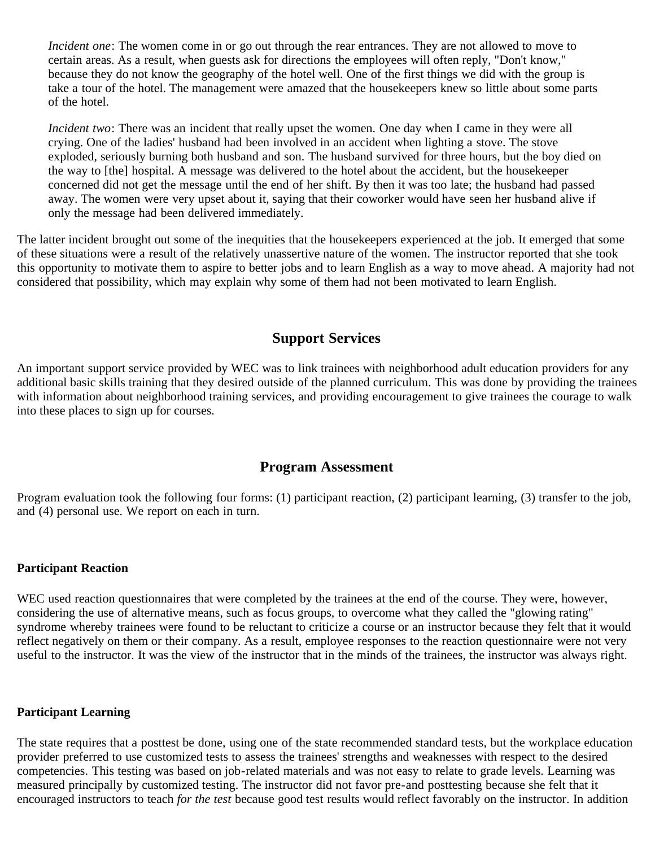*Incident one*: The women come in or go out through the rear entrances. They are not allowed to move to certain areas. As a result, when guests ask for directions the employees will often reply, "Don't know," because they do not know the geography of the hotel well. One of the first things we did with the group is take a tour of the hotel. The management were amazed that the housekeepers knew so little about some parts of the hotel.

*Incident two*: There was an incident that really upset the women. One day when I came in they were all crying. One of the ladies' husband had been involved in an accident when lighting a stove. The stove exploded, seriously burning both husband and son. The husband survived for three hours, but the boy died on the way to [the] hospital. A message was delivered to the hotel about the accident, but the housekeeper concerned did not get the message until the end of her shift. By then it was too late; the husband had passed away. The women were very upset about it, saying that their coworker would have seen her husband alive if only the message had been delivered immediately.

The latter incident brought out some of the inequities that the housekeepers experienced at the job. It emerged that some of these situations were a result of the relatively unassertive nature of the women. The instructor reported that she took this opportunity to motivate them to aspire to better jobs and to learn English as a way to move ahead. A majority had not considered that possibility, which may explain why some of them had not been motivated to learn English.

## **Support Services**

An important support service provided by WEC was to link trainees with neighborhood adult education providers for any additional basic skills training that they desired outside of the planned curriculum. This was done by providing the trainees with information about neighborhood training services, and providing encouragement to give trainees the courage to walk into these places to sign up for courses.

## **Program Assessment**

Program evaluation took the following four forms: (1) participant reaction, (2) participant learning, (3) transfer to the job, and (4) personal use. We report on each in turn.

### **Participant Reaction**

WEC used reaction questionnaires that were completed by the trainees at the end of the course. They were, however, considering the use of alternative means, such as focus groups, to overcome what they called the "glowing rating" syndrome whereby trainees were found to be reluctant to criticize a course or an instructor because they felt that it would reflect negatively on them or their company. As a result, employee responses to the reaction questionnaire were not very useful to the instructor. It was the view of the instructor that in the minds of the trainees, the instructor was always right.

### **Participant Learning**

The state requires that a posttest be done, using one of the state recommended standard tests, but the workplace education provider preferred to use customized tests to assess the trainees' strengths and weaknesses with respect to the desired competencies. This testing was based on job-related materials and was not easy to relate to grade levels. Learning was measured principally by customized testing. The instructor did not favor pre-and posttesting because she felt that it encouraged instructors to teach *for the test* because good test results would reflect favorably on the instructor. In addition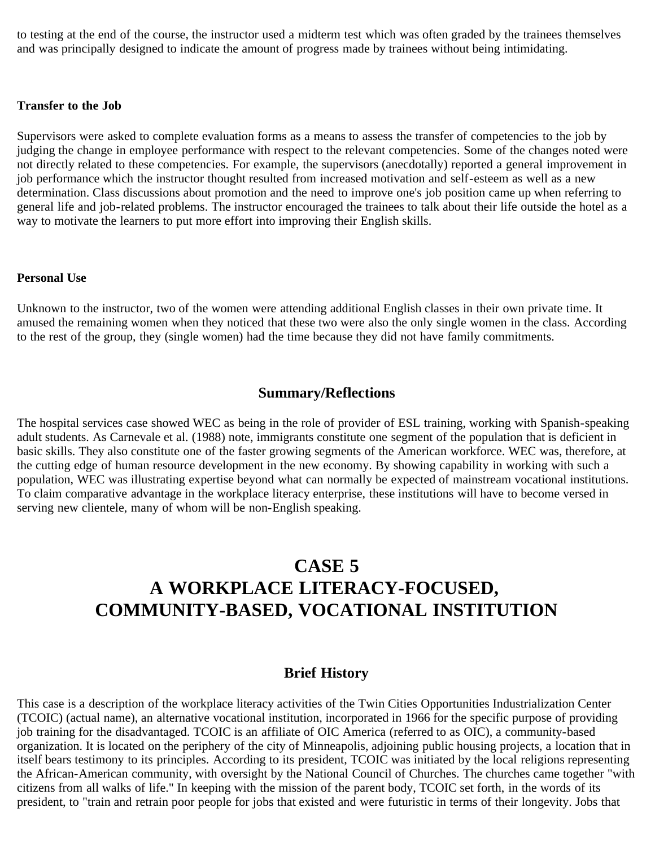to testing at the end of the course, the instructor used a midterm test which was often graded by the trainees themselves and was principally designed to indicate the amount of progress made by trainees without being intimidating.

#### **Transfer to the Job**

Supervisors were asked to complete evaluation forms as a means to assess the transfer of competencies to the job by judging the change in employee performance with respect to the relevant competencies. Some of the changes noted were not directly related to these competencies. For example, the supervisors (anecdotally) reported a general improvement in job performance which the instructor thought resulted from increased motivation and self-esteem as well as a new determination. Class discussions about promotion and the need to improve one's job position came up when referring to general life and job-related problems. The instructor encouraged the trainees to talk about their life outside the hotel as a way to motivate the learners to put more effort into improving their English skills.

#### **Personal Use**

Unknown to the instructor, two of the women were attending additional English classes in their own private time. It amused the remaining women when they noticed that these two were also the only single women in the class. According to the rest of the group, they (single women) had the time because they did not have family commitments.

## **Summary/Reflections**

The hospital services case showed WEC as being in the role of provider of ESL training, working with Spanish-speaking adult students. As Carnevale et al. (1988) note, immigrants constitute one segment of the population that is deficient in basic skills. They also constitute one of the faster growing segments of the American workforce. WEC was, therefore, at the cutting edge of human resource development in the new economy. By showing capability in working with such a population, WEC was illustrating expertise beyond what can normally be expected of mainstream vocational institutions. To claim comparative advantage in the workplace literacy enterprise, these institutions will have to become versed in serving new clientele, many of whom will be non-English speaking.

# **CASE 5 A WORKPLACE LITERACY-FOCUSED, COMMUNITY-BASED, VOCATIONAL INSTITUTION**

## **Brief History**

This case is a description of the workplace literacy activities of the Twin Cities Opportunities Industrialization Center (TCOIC) (actual name), an alternative vocational institution, incorporated in 1966 for the specific purpose of providing job training for the disadvantaged. TCOIC is an affiliate of OIC America (referred to as OIC), a community-based organization. It is located on the periphery of the city of Minneapolis, adjoining public housing projects, a location that in itself bears testimony to its principles. According to its president, TCOIC was initiated by the local religions representing the African-American community, with oversight by the National Council of Churches. The churches came together "with citizens from all walks of life." In keeping with the mission of the parent body, TCOIC set forth, in the words of its president, to "train and retrain poor people for jobs that existed and were futuristic in terms of their longevity. Jobs that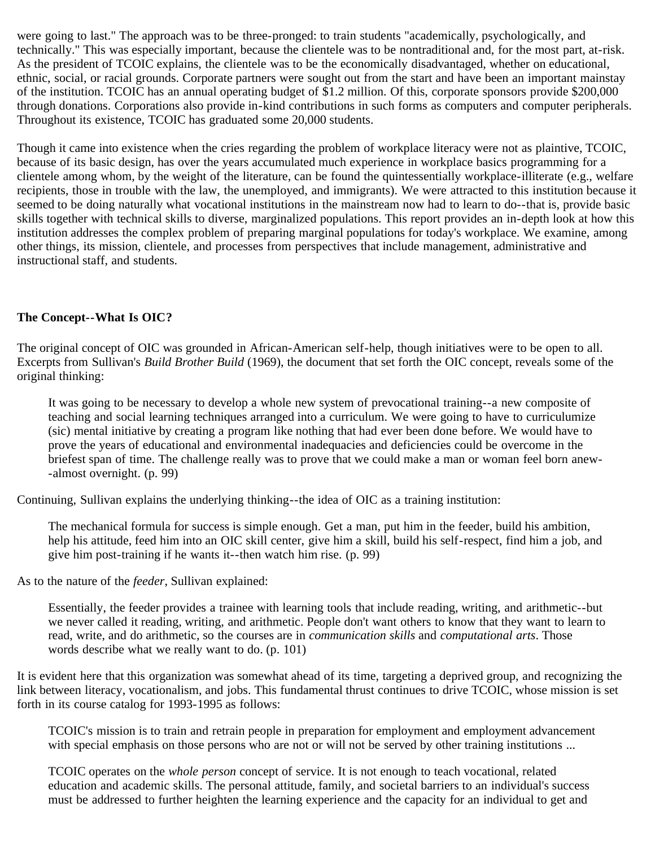were going to last." The approach was to be three-pronged: to train students "academically, psychologically, and technically." This was especially important, because the clientele was to be nontraditional and, for the most part, at-risk. As the president of TCOIC explains, the clientele was to be the economically disadvantaged, whether on educational, ethnic, social, or racial grounds. Corporate partners were sought out from the start and have been an important mainstay of the institution. TCOIC has an annual operating budget of \$1.2 million. Of this, corporate sponsors provide \$200,000 through donations. Corporations also provide in-kind contributions in such forms as computers and computer peripherals. Throughout its existence, TCOIC has graduated some 20,000 students.

Though it came into existence when the cries regarding the problem of workplace literacy were not as plaintive, TCOIC, because of its basic design, has over the years accumulated much experience in workplace basics programming for a clientele among whom, by the weight of the literature, can be found the quintessentially workplace-illiterate (e.g., welfare recipients, those in trouble with the law, the unemployed, and immigrants). We were attracted to this institution because it seemed to be doing naturally what vocational institutions in the mainstream now had to learn to do--that is, provide basic skills together with technical skills to diverse, marginalized populations. This report provides an in-depth look at how this institution addresses the complex problem of preparing marginal populations for today's workplace. We examine, among other things, its mission, clientele, and processes from perspectives that include management, administrative and instructional staff, and students.

## **The Concept--What Is OIC?**

The original concept of OIC was grounded in African-American self-help, though initiatives were to be open to all. Excerpts from Sullivan's *Build Brother Build* (1969), the document that set forth the OIC concept, reveals some of the original thinking:

It was going to be necessary to develop a whole new system of prevocational training--a new composite of teaching and social learning techniques arranged into a curriculum. We were going to have to curriculumize (sic) mental initiative by creating a program like nothing that had ever been done before. We would have to prove the years of educational and environmental inadequacies and deficiencies could be overcome in the briefest span of time. The challenge really was to prove that we could make a man or woman feel born anew- -almost overnight. (p. 99)

Continuing, Sullivan explains the underlying thinking--the idea of OIC as a training institution:

The mechanical formula for success is simple enough. Get a man, put him in the feeder, build his ambition, help his attitude, feed him into an OIC skill center, give him a skill, build his self-respect, find him a job, and give him post-training if he wants it--then watch him rise. (p. 99)

As to the nature of the *feeder*, Sullivan explained:

Essentially, the feeder provides a trainee with learning tools that include reading, writing, and arithmetic--but we never called it reading, writing, and arithmetic. People don't want others to know that they want to learn to read, write, and do arithmetic, so the courses are in *communication skills* and *computational arts*. Those words describe what we really want to do. (p. 101)

It is evident here that this organization was somewhat ahead of its time, targeting a deprived group, and recognizing the link between literacy, vocationalism, and jobs. This fundamental thrust continues to drive TCOIC, whose mission is set forth in its course catalog for 1993-1995 as follows:

TCOIC's mission is to train and retrain people in preparation for employment and employment advancement with special emphasis on those persons who are not or will not be served by other training institutions ...

TCOIC operates on the *whole person* concept of service. It is not enough to teach vocational, related education and academic skills. The personal attitude, family, and societal barriers to an individual's success must be addressed to further heighten the learning experience and the capacity for an individual to get and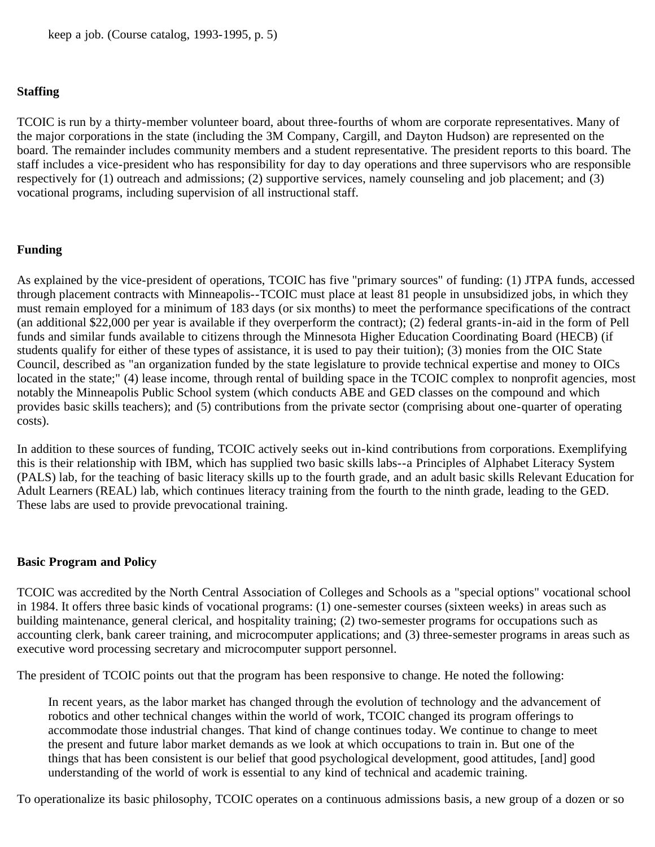#### **Staffing**

TCOIC is run by a thirty-member volunteer board, about three-fourths of whom are corporate representatives. Many of the major corporations in the state (including the 3M Company, Cargill, and Dayton Hudson) are represented on the board. The remainder includes community members and a student representative. The president reports to this board. The staff includes a vice-president who has responsibility for day to day operations and three supervisors who are responsible respectively for (1) outreach and admissions; (2) supportive services, namely counseling and job placement; and (3) vocational programs, including supervision of all instructional staff.

#### **Funding**

As explained by the vice-president of operations, TCOIC has five "primary sources" of funding: (1) JTPA funds, accessed through placement contracts with Minneapolis--TCOIC must place at least 81 people in unsubsidized jobs, in which they must remain employed for a minimum of 183 days (or six months) to meet the performance specifications of the contract (an additional \$22,000 per year is available if they overperform the contract); (2) federal grants-in-aid in the form of Pell funds and similar funds available to citizens through the Minnesota Higher Education Coordinating Board (HECB) (if students qualify for either of these types of assistance, it is used to pay their tuition); (3) monies from the OIC State Council, described as "an organization funded by the state legislature to provide technical expertise and money to OICs located in the state;" (4) lease income, through rental of building space in the TCOIC complex to nonprofit agencies, most notably the Minneapolis Public School system (which conducts ABE and GED classes on the compound and which provides basic skills teachers); and (5) contributions from the private sector (comprising about one-quarter of operating costs).

In addition to these sources of funding, TCOIC actively seeks out in-kind contributions from corporations. Exemplifying this is their relationship with IBM, which has supplied two basic skills labs--a Principles of Alphabet Literacy System (PALS) lab, for the teaching of basic literacy skills up to the fourth grade, and an adult basic skills Relevant Education for Adult Learners (REAL) lab, which continues literacy training from the fourth to the ninth grade, leading to the GED. These labs are used to provide prevocational training.

#### **Basic Program and Policy**

TCOIC was accredited by the North Central Association of Colleges and Schools as a "special options" vocational school in 1984. It offers three basic kinds of vocational programs: (1) one-semester courses (sixteen weeks) in areas such as building maintenance, general clerical, and hospitality training; (2) two-semester programs for occupations such as accounting clerk, bank career training, and microcomputer applications; and (3) three-semester programs in areas such as executive word processing secretary and microcomputer support personnel.

The president of TCOIC points out that the program has been responsive to change. He noted the following:

In recent years, as the labor market has changed through the evolution of technology and the advancement of robotics and other technical changes within the world of work, TCOIC changed its program offerings to accommodate those industrial changes. That kind of change continues today. We continue to change to meet the present and future labor market demands as we look at which occupations to train in. But one of the things that has been consistent is our belief that good psychological development, good attitudes, [and] good understanding of the world of work is essential to any kind of technical and academic training.

To operationalize its basic philosophy, TCOIC operates on a continuous admissions basis, a new group of a dozen or so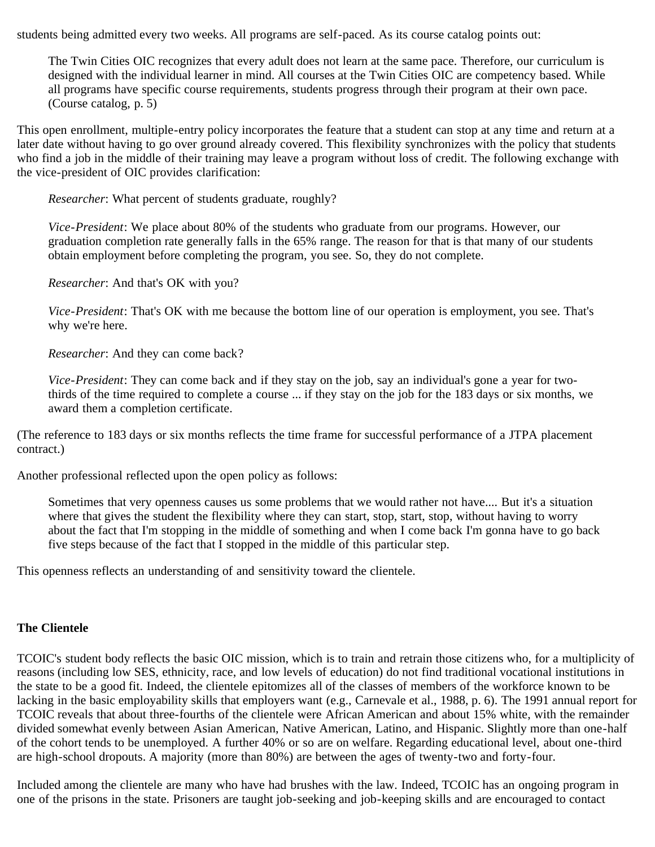students being admitted every two weeks. All programs are self-paced. As its course catalog points out:

The Twin Cities OIC recognizes that every adult does not learn at the same pace. Therefore, our curriculum is designed with the individual learner in mind. All courses at the Twin Cities OIC are competency based. While all programs have specific course requirements, students progress through their program at their own pace. (Course catalog, p. 5)

This open enrollment, multiple-entry policy incorporates the feature that a student can stop at any time and return at a later date without having to go over ground already covered. This flexibility synchronizes with the policy that students who find a job in the middle of their training may leave a program without loss of credit. The following exchange with the vice-president of OIC provides clarification:

*Researcher*: What percent of students graduate, roughly?

*Vice-President*: We place about 80% of the students who graduate from our programs. However, our graduation completion rate generally falls in the 65% range. The reason for that is that many of our students obtain employment before completing the program, you see. So, they do not complete.

*Researcher*: And that's OK with you?

*Vice-President*: That's OK with me because the bottom line of our operation is employment, you see. That's why we're here.

*Researcher*: And they can come back?

*Vice-President*: They can come back and if they stay on the job, say an individual's gone a year for twothirds of the time required to complete a course ... if they stay on the job for the 183 days or six months, we award them a completion certificate.

(The reference to 183 days or six months reflects the time frame for successful performance of a JTPA placement contract.)

Another professional reflected upon the open policy as follows:

Sometimes that very openness causes us some problems that we would rather not have.... But it's a situation where that gives the student the flexibility where they can start, stop, start, stop, without having to worry about the fact that I'm stopping in the middle of something and when I come back I'm gonna have to go back five steps because of the fact that I stopped in the middle of this particular step.

This openness reflects an understanding of and sensitivity toward the clientele.

#### **The Clientele**

TCOIC's student body reflects the basic OIC mission, which is to train and retrain those citizens who, for a multiplicity of reasons (including low SES, ethnicity, race, and low levels of education) do not find traditional vocational institutions in the state to be a good fit. Indeed, the clientele epitomizes all of the classes of members of the workforce known to be lacking in the basic employability skills that employers want (e.g., Carnevale et al., 1988, p. 6). The 1991 annual report for TCOIC reveals that about three-fourths of the clientele were African American and about 15% white, with the remainder divided somewhat evenly between Asian American, Native American, Latino, and Hispanic. Slightly more than one-half of the cohort tends to be unemployed. A further 40% or so are on welfare. Regarding educational level, about one-third are high-school dropouts. A majority (more than 80%) are between the ages of twenty-two and forty-four.

Included among the clientele are many who have had brushes with the law. Indeed, TCOIC has an ongoing program in one of the prisons in the state. Prisoners are taught job-seeking and job-keeping skills and are encouraged to contact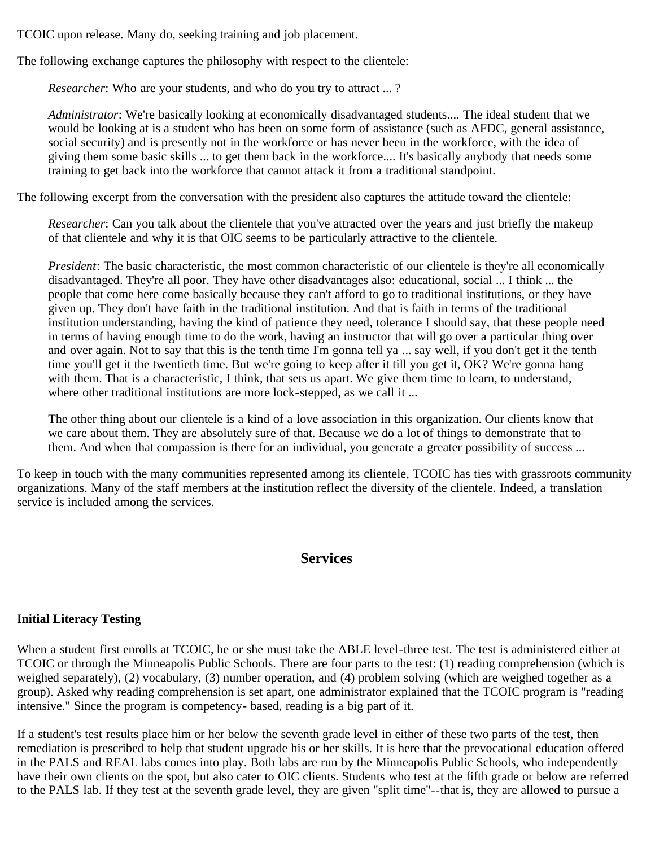TCOIC upon release. Many do, seeking training and job placement.

The following exchange captures the philosophy with respect to the clientele:

*Researcher*: Who are your students, and who do you try to attract ... ?

*Administrator*: We're basically looking at economically disadvantaged students.... The ideal student that we would be looking at is a student who has been on some form of assistance (such as AFDC, general assistance, social security) and is presently not in the workforce or has never been in the workforce, with the idea of giving them some basic skills ... to get them back in the workforce.... It's basically anybody that needs some training to get back into the workforce that cannot attack it from a traditional standpoint.

The following excerpt from the conversation with the president also captures the attitude toward the clientele:

*Researcher*: Can you talk about the clientele that you've attracted over the years and just briefly the makeup of that clientele and why it is that OIC seems to be particularly attractive to the clientele.

*President*: The basic characteristic, the most common characteristic of our clientele is they're all economically disadvantaged. They're all poor. They have other disadvantages also: educational, social ... I think ... the people that come here come basically because they can't afford to go to traditional institutions, or they have given up. They don't have faith in the traditional institution. And that is faith in terms of the traditional institution understanding, having the kind of patience they need, tolerance I should say, that these people need in terms of having enough time to do the work, having an instructor that will go over a particular thing over and over again. Not to say that this is the tenth time I'm gonna tell ya ... say well, if you don't get it the tenth time you'll get it the twentieth time. But we're going to keep after it till you get it, OK? We're gonna hang with them. That is a characteristic, I think, that sets us apart. We give them time to learn, to understand, where other traditional institutions are more lock-stepped, as we call it ...

The other thing about our clientele is a kind of a love association in this organization. Our clients know that we care about them. They are absolutely sure of that. Because we do a lot of things to demonstrate that to them. And when that compassion is there for an individual, you generate a greater possibility of success ...

To keep in touch with the many communities represented among its clientele, TCOIC has ties with grassroots community organizations. Many of the staff members at the institution reflect the diversity of the clientele. Indeed, a translation service is included among the services.

## **Services**

## **Initial Literacy Testing**

When a student first enrolls at TCOIC, he or she must take the ABLE level-three test. The test is administered either at TCOIC or through the Minneapolis Public Schools. There are four parts to the test: (1) reading comprehension (which is weighed separately), (2) vocabulary, (3) number operation, and (4) problem solving (which are weighed together as a group). Asked why reading comprehension is set apart, one administrator explained that the TCOIC program is "reading intensive." Since the program is competency- based, reading is a big part of it.

If a student's test results place him or her below the seventh grade level in either of these two parts of the test, then remediation is prescribed to help that student upgrade his or her skills. It is here that the prevocational education offered in the PALS and REAL labs comes into play. Both labs are run by the Minneapolis Public Schools, who independently have their own clients on the spot, but also cater to OIC clients. Students who test at the fifth grade or below are referred to the PALS lab. If they test at the seventh grade level, they are given "split time"--that is, they are allowed to pursue a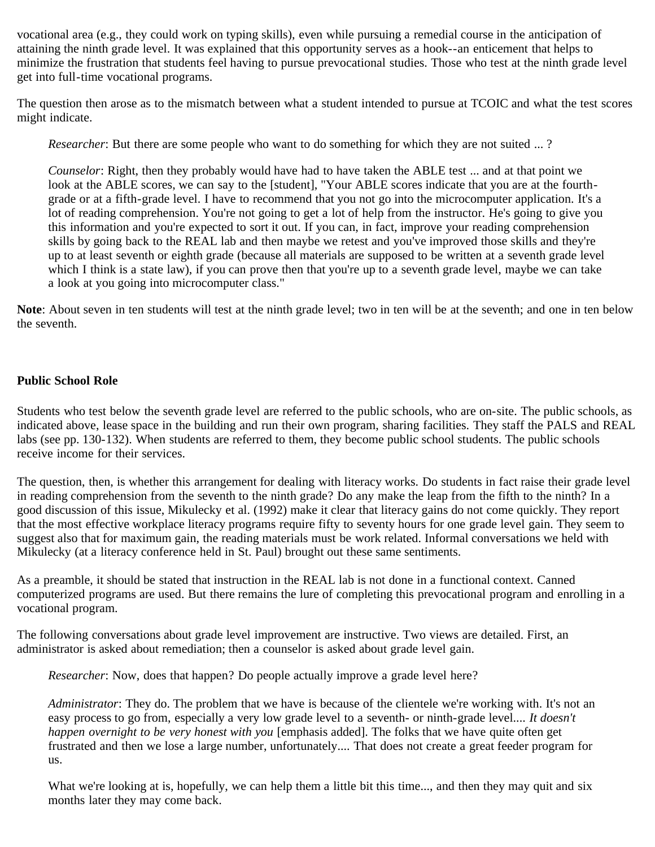vocational area (e.g., they could work on typing skills), even while pursuing a remedial course in the anticipation of attaining the ninth grade level. It was explained that this opportunity serves as a hook--an enticement that helps to minimize the frustration that students feel having to pursue prevocational studies. Those who test at the ninth grade level get into full-time vocational programs.

The question then arose as to the mismatch between what a student intended to pursue at TCOIC and what the test scores might indicate.

*Researcher*: But there are some people who want to do something for which they are not suited ... ?

*Counselor*: Right, then they probably would have had to have taken the ABLE test ... and at that point we look at the ABLE scores, we can say to the [student], "Your ABLE scores indicate that you are at the fourthgrade or at a fifth-grade level. I have to recommend that you not go into the microcomputer application. It's a lot of reading comprehension. You're not going to get a lot of help from the instructor. He's going to give you this information and you're expected to sort it out. If you can, in fact, improve your reading comprehension skills by going back to the REAL lab and then maybe we retest and you've improved those skills and they're up to at least seventh or eighth grade (because all materials are supposed to be written at a seventh grade level which I think is a state law), if you can prove then that you're up to a seventh grade level, maybe we can take a look at you going into microcomputer class."

**Note**: About seven in ten students will test at the ninth grade level; two in ten will be at the seventh; and one in ten below the seventh.

## **Public School Role**

Students who test below the seventh grade level are referred to the public schools, who are on-site. The public schools, as indicated above, lease space in the building and run their own program, sharing facilities. They staff the PALS and REAL labs (see pp. 130-132). When students are referred to them, they become public school students. The public schools receive income for their services.

The question, then, is whether this arrangement for dealing with literacy works. Do students in fact raise their grade level in reading comprehension from the seventh to the ninth grade? Do any make the leap from the fifth to the ninth? In a good discussion of this issue, Mikulecky et al. (1992) make it clear that literacy gains do not come quickly. They report that the most effective workplace literacy programs require fifty to seventy hours for one grade level gain. They seem to suggest also that for maximum gain, the reading materials must be work related. Informal conversations we held with Mikulecky (at a literacy conference held in St. Paul) brought out these same sentiments.

As a preamble, it should be stated that instruction in the REAL lab is not done in a functional context. Canned computerized programs are used. But there remains the lure of completing this prevocational program and enrolling in a vocational program.

The following conversations about grade level improvement are instructive. Two views are detailed. First, an administrator is asked about remediation; then a counselor is asked about grade level gain.

*Researcher*: Now, does that happen? Do people actually improve a grade level here?

*Administrator*: They do. The problem that we have is because of the clientele we're working with. It's not an easy process to go from, especially a very low grade level to a seventh- or ninth-grade level.... *It doesn't happen overnight to be very honest with you* [emphasis added]. The folks that we have quite often get frustrated and then we lose a large number, unfortunately.... That does not create a great feeder program for us.

What we're looking at is, hopefully, we can help them a little bit this time..., and then they may quit and six months later they may come back.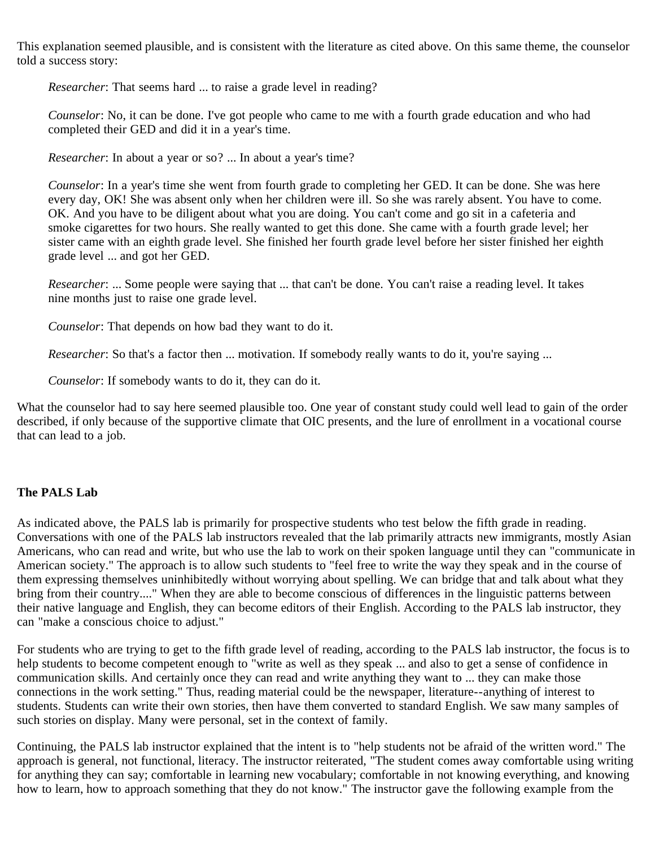This explanation seemed plausible, and is consistent with the literature as cited above. On this same theme, the counselor told a success story:

*Researcher*: That seems hard ... to raise a grade level in reading?

*Counselor*: No, it can be done. I've got people who came to me with a fourth grade education and who had completed their GED and did it in a year's time.

*Researcher*: In about a year or so? ... In about a year's time?

*Counselor*: In a year's time she went from fourth grade to completing her GED. It can be done. She was here every day, OK! She was absent only when her children were ill. So she was rarely absent. You have to come. OK. And you have to be diligent about what you are doing. You can't come and go sit in a cafeteria and smoke cigarettes for two hours. She really wanted to get this done. She came with a fourth grade level; her sister came with an eighth grade level. She finished her fourth grade level before her sister finished her eighth grade level ... and got her GED.

*Researcher*: ... Some people were saying that ... that can't be done. You can't raise a reading level. It takes nine months just to raise one grade level.

*Counselor*: That depends on how bad they want to do it.

*Researcher*: So that's a factor then ... motivation. If somebody really wants to do it, you're saying ...

*Counselor*: If somebody wants to do it, they can do it.

What the counselor had to say here seemed plausible too. One year of constant study could well lead to gain of the order described, if only because of the supportive climate that OIC presents, and the lure of enrollment in a vocational course that can lead to a job.

### **The PALS Lab**

As indicated above, the PALS lab is primarily for prospective students who test below the fifth grade in reading. Conversations with one of the PALS lab instructors revealed that the lab primarily attracts new immigrants, mostly Asian Americans, who can read and write, but who use the lab to work on their spoken language until they can "communicate in American society." The approach is to allow such students to "feel free to write the way they speak and in the course of them expressing themselves uninhibitedly without worrying about spelling. We can bridge that and talk about what they bring from their country...." When they are able to become conscious of differences in the linguistic patterns between their native language and English, they can become editors of their English. According to the PALS lab instructor, they can "make a conscious choice to adjust."

For students who are trying to get to the fifth grade level of reading, according to the PALS lab instructor, the focus is to help students to become competent enough to "write as well as they speak ... and also to get a sense of confidence in communication skills. And certainly once they can read and write anything they want to ... they can make those connections in the work setting." Thus, reading material could be the newspaper, literature--anything of interest to students. Students can write their own stories, then have them converted to standard English. We saw many samples of such stories on display. Many were personal, set in the context of family.

Continuing, the PALS lab instructor explained that the intent is to "help students not be afraid of the written word." The approach is general, not functional, literacy. The instructor reiterated, "The student comes away comfortable using writing for anything they can say; comfortable in learning new vocabulary; comfortable in not knowing everything, and knowing how to learn, how to approach something that they do not know." The instructor gave the following example from the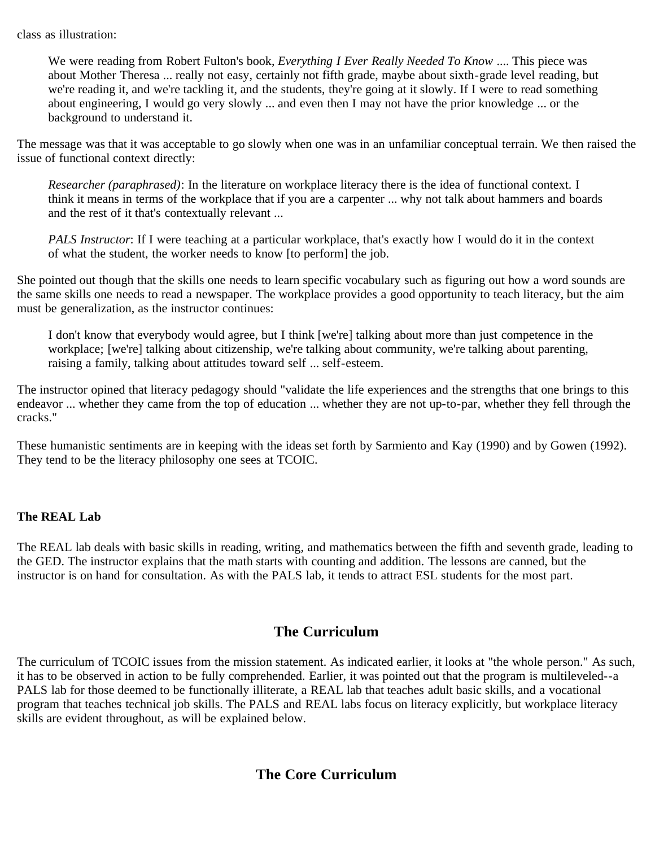class as illustration:

We were reading from Robert Fulton's book, *Everything I Ever Really Needed To Know* .... This piece was about Mother Theresa ... really not easy, certainly not fifth grade, maybe about sixth-grade level reading, but we're reading it, and we're tackling it, and the students, they're going at it slowly. If I were to read something about engineering, I would go very slowly ... and even then I may not have the prior knowledge ... or the background to understand it.

The message was that it was acceptable to go slowly when one was in an unfamiliar conceptual terrain. We then raised the issue of functional context directly:

*Researcher (paraphrased)*: In the literature on workplace literacy there is the idea of functional context. I think it means in terms of the workplace that if you are a carpenter ... why not talk about hammers and boards and the rest of it that's contextually relevant ...

*PALS Instructor*: If I were teaching at a particular workplace, that's exactly how I would do it in the context of what the student, the worker needs to know [to perform] the job.

She pointed out though that the skills one needs to learn specific vocabulary such as figuring out how a word sounds are the same skills one needs to read a newspaper. The workplace provides a good opportunity to teach literacy, but the aim must be generalization, as the instructor continues:

I don't know that everybody would agree, but I think [we're] talking about more than just competence in the workplace; [we're] talking about citizenship, we're talking about community, we're talking about parenting, raising a family, talking about attitudes toward self ... self-esteem.

The instructor opined that literacy pedagogy should "validate the life experiences and the strengths that one brings to this endeavor ... whether they came from the top of education ... whether they are not up-to-par, whether they fell through the cracks."

These humanistic sentiments are in keeping with the ideas set forth by Sarmiento and Kay (1990) and by Gowen (1992). They tend to be the literacy philosophy one sees at TCOIC.

### **The REAL Lab**

The REAL lab deals with basic skills in reading, writing, and mathematics between the fifth and seventh grade, leading to the GED. The instructor explains that the math starts with counting and addition. The lessons are canned, but the instructor is on hand for consultation. As with the PALS lab, it tends to attract ESL students for the most part.

## **The Curriculum**

The curriculum of TCOIC issues from the mission statement. As indicated earlier, it looks at "the whole person." As such, it has to be observed in action to be fully comprehended. Earlier, it was pointed out that the program is multileveled--a PALS lab for those deemed to be functionally illiterate, a REAL lab that teaches adult basic skills, and a vocational program that teaches technical job skills. The PALS and REAL labs focus on literacy explicitly, but workplace literacy skills are evident throughout, as will be explained below.

# **The Core Curriculum**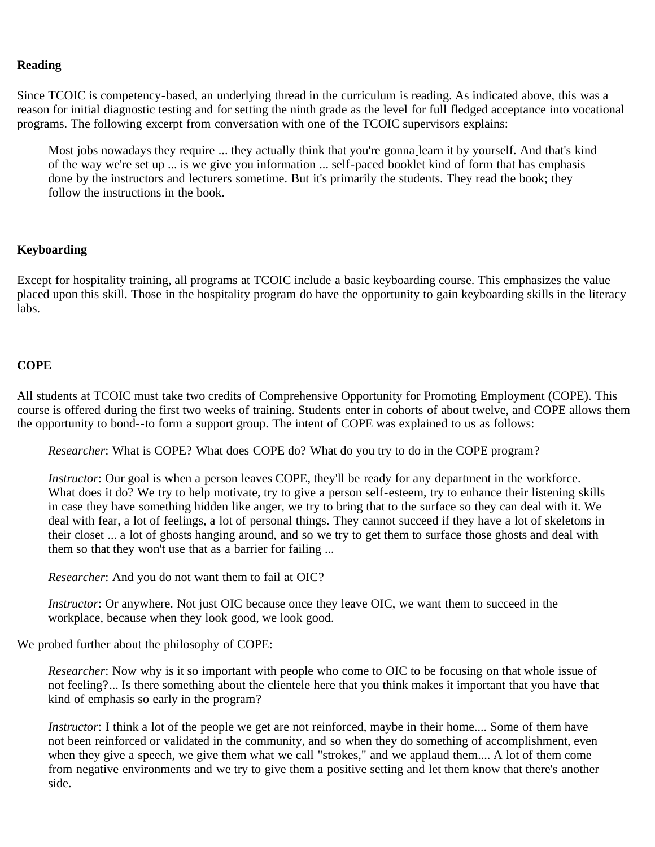### **Reading**

Since TCOIC is competency-based, an underlying thread in the curriculum is reading. As indicated above, this was a reason for initial diagnostic testing and for setting the ninth grade as the level for full fledged acceptance into vocational programs. The following excerpt from conversation with one of the TCOIC supervisors explains:

Most jobs nowadays they require ... they actually think that you're gonna learn it by yourself. And that's kind of the way we're set up ... is we give you information ... self-paced booklet kind of form that has emphasis done by the instructors and lecturers sometime. But it's primarily the students. They read the book; they follow the instructions in the book.

#### **Keyboarding**

Except for hospitality training, all programs at TCOIC include a basic keyboarding course. This emphasizes the value placed upon this skill. Those in the hospitality program do have the opportunity to gain keyboarding skills in the literacy labs.

### **COPE**

All students at TCOIC must take two credits of Comprehensive Opportunity for Promoting Employment (COPE). This course is offered during the first two weeks of training. Students enter in cohorts of about twelve, and COPE allows them the opportunity to bond--to form a support group. The intent of COPE was explained to us as follows:

*Researcher*: What is COPE? What does COPE do? What do you try to do in the COPE program?

*Instructor*: Our goal is when a person leaves COPE, they'll be ready for any department in the workforce. What does it do? We try to help motivate, try to give a person self-esteem, try to enhance their listening skills in case they have something hidden like anger, we try to bring that to the surface so they can deal with it. We deal with fear, a lot of feelings, a lot of personal things. They cannot succeed if they have a lot of skeletons in their closet ... a lot of ghosts hanging around, and so we try to get them to surface those ghosts and deal with them so that they won't use that as a barrier for failing ...

*Researcher*: And you do not want them to fail at OIC?

*Instructor*: Or anywhere. Not just OIC because once they leave OIC, we want them to succeed in the workplace, because when they look good, we look good.

We probed further about the philosophy of COPE:

*Researcher*: Now why is it so important with people who come to OIC to be focusing on that whole issue of not feeling?... Is there something about the clientele here that you think makes it important that you have that kind of emphasis so early in the program?

*Instructor*: I think a lot of the people we get are not reinforced, maybe in their home.... Some of them have not been reinforced or validated in the community, and so when they do something of accomplishment, even when they give a speech, we give them what we call "strokes," and we applaud them.... A lot of them come from negative environments and we try to give them a positive setting and let them know that there's another side.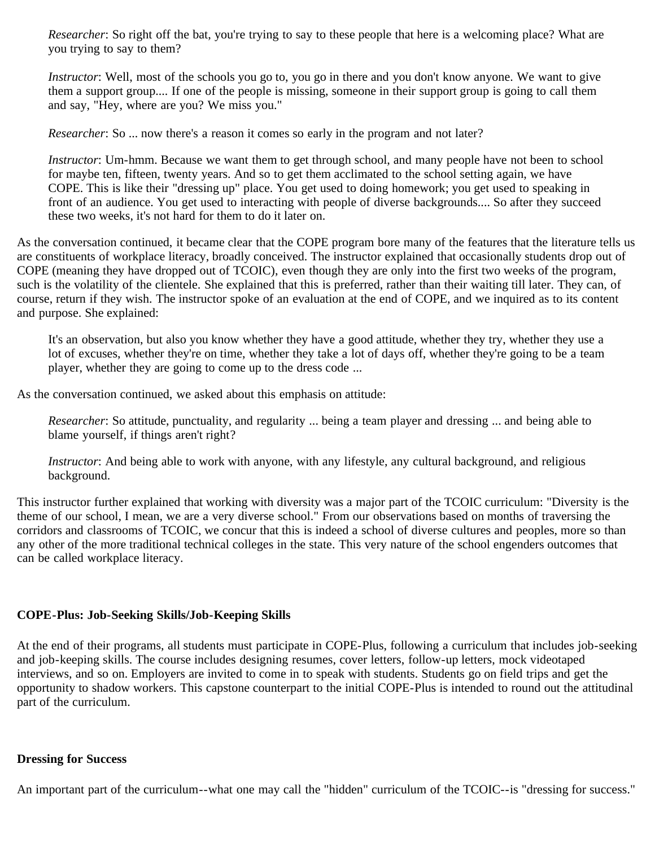*Researcher*: So right off the bat, you're trying to say to these people that here is a welcoming place? What are you trying to say to them?

*Instructor*: Well, most of the schools you go to, you go in there and you don't know anyone. We want to give them a support group.... If one of the people is missing, someone in their support group is going to call them and say, "Hey, where are you? We miss you."

*Researcher*: So ... now there's a reason it comes so early in the program and not later?

*Instructor*: Um-hmm. Because we want them to get through school, and many people have not been to school for maybe ten, fifteen, twenty years. And so to get them acclimated to the school setting again, we have COPE. This is like their "dressing up" place. You get used to doing homework; you get used to speaking in front of an audience. You get used to interacting with people of diverse backgrounds.... So after they succeed these two weeks, it's not hard for them to do it later on.

As the conversation continued, it became clear that the COPE program bore many of the features that the literature tells us are constituents of workplace literacy, broadly conceived. The instructor explained that occasionally students drop out of COPE (meaning they have dropped out of TCOIC), even though they are only into the first two weeks of the program, such is the volatility of the clientele. She explained that this is preferred, rather than their waiting till later. They can, of course, return if they wish. The instructor spoke of an evaluation at the end of COPE, and we inquired as to its content and purpose. She explained:

It's an observation, but also you know whether they have a good attitude, whether they try, whether they use a lot of excuses, whether they're on time, whether they take a lot of days off, whether they're going to be a team player, whether they are going to come up to the dress code ...

As the conversation continued, we asked about this emphasis on attitude:

*Researcher*: So attitude, punctuality, and regularity ... being a team player and dressing ... and being able to blame yourself, if things aren't right?

*Instructor*: And being able to work with anyone, with any lifestyle, any cultural background, and religious background.

This instructor further explained that working with diversity was a major part of the TCOIC curriculum: "Diversity is the theme of our school, I mean, we are a very diverse school." From our observations based on months of traversing the corridors and classrooms of TCOIC, we concur that this is indeed a school of diverse cultures and peoples, more so than any other of the more traditional technical colleges in the state. This very nature of the school engenders outcomes that can be called workplace literacy.

### **COPE-Plus: Job-Seeking Skills/Job-Keeping Skills**

At the end of their programs, all students must participate in COPE-Plus, following a curriculum that includes job-seeking and job-keeping skills. The course includes designing resumes, cover letters, follow-up letters, mock videotaped interviews, and so on. Employers are invited to come in to speak with students. Students go on field trips and get the opportunity to shadow workers. This capstone counterpart to the initial COPE-Plus is intended to round out the attitudinal part of the curriculum.

### **Dressing for Success**

An important part of the curriculum--what one may call the "hidden" curriculum of the TCOIC--is "dressing for success."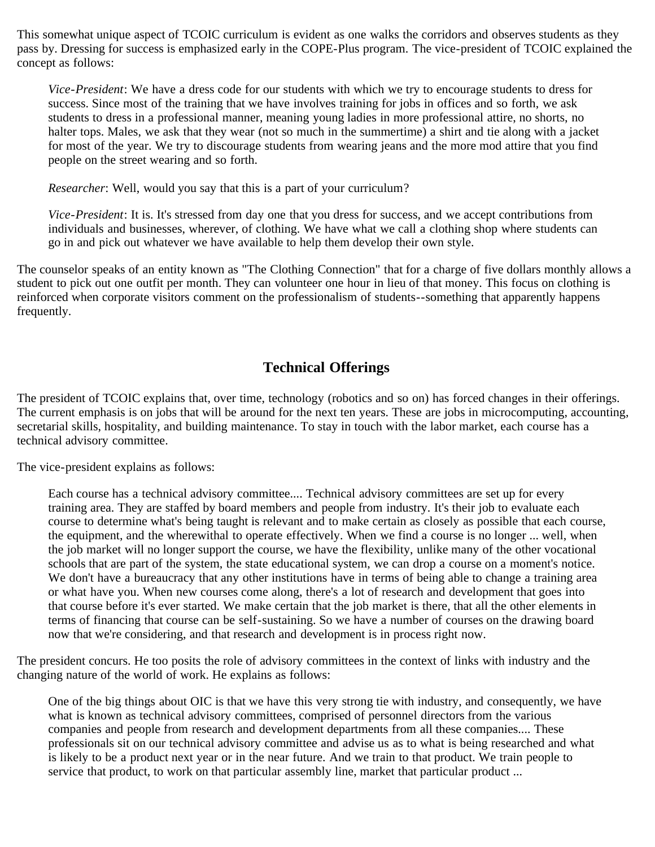This somewhat unique aspect of TCOIC curriculum is evident as one walks the corridors and observes students as they pass by. Dressing for success is emphasized early in the COPE-Plus program. The vice-president of TCOIC explained the concept as follows:

*Vice-President*: We have a dress code for our students with which we try to encourage students to dress for success. Since most of the training that we have involves training for jobs in offices and so forth, we ask students to dress in a professional manner, meaning young ladies in more professional attire, no shorts, no halter tops. Males, we ask that they wear (not so much in the summertime) a shirt and tie along with a jacket for most of the year. We try to discourage students from wearing jeans and the more mod attire that you find people on the street wearing and so forth.

*Researcher*: Well, would you say that this is a part of your curriculum?

*Vice-President*: It is. It's stressed from day one that you dress for success, and we accept contributions from individuals and businesses, wherever, of clothing. We have what we call a clothing shop where students can go in and pick out whatever we have available to help them develop their own style.

The counselor speaks of an entity known as "The Clothing Connection" that for a charge of five dollars monthly allows a student to pick out one outfit per month. They can volunteer one hour in lieu of that money. This focus on clothing is reinforced when corporate visitors comment on the professionalism of students--something that apparently happens frequently.

# **Technical Offerings**

The president of TCOIC explains that, over time, technology (robotics and so on) has forced changes in their offerings. The current emphasis is on jobs that will be around for the next ten years. These are jobs in microcomputing, accounting, secretarial skills, hospitality, and building maintenance. To stay in touch with the labor market, each course has a technical advisory committee.

The vice-president explains as follows:

Each course has a technical advisory committee.... Technical advisory committees are set up for every training area. They are staffed by board members and people from industry. It's their job to evaluate each course to determine what's being taught is relevant and to make certain as closely as possible that each course, the equipment, and the wherewithal to operate effectively. When we find a course is no longer ... well, when the job market will no longer support the course, we have the flexibility, unlike many of the other vocational schools that are part of the system, the state educational system, we can drop a course on a moment's notice. We don't have a bureaucracy that any other institutions have in terms of being able to change a training area or what have you. When new courses come along, there's a lot of research and development that goes into that course before it's ever started. We make certain that the job market is there, that all the other elements in terms of financing that course can be self-sustaining. So we have a number of courses on the drawing board now that we're considering, and that research and development is in process right now.

The president concurs. He too posits the role of advisory committees in the context of links with industry and the changing nature of the world of work. He explains as follows:

One of the big things about OIC is that we have this very strong tie with industry, and consequently, we have what is known as technical advisory committees, comprised of personnel directors from the various companies and people from research and development departments from all these companies.... These professionals sit on our technical advisory committee and advise us as to what is being researched and what is likely to be a product next year or in the near future. And we train to that product. We train people to service that product, to work on that particular assembly line, market that particular product ...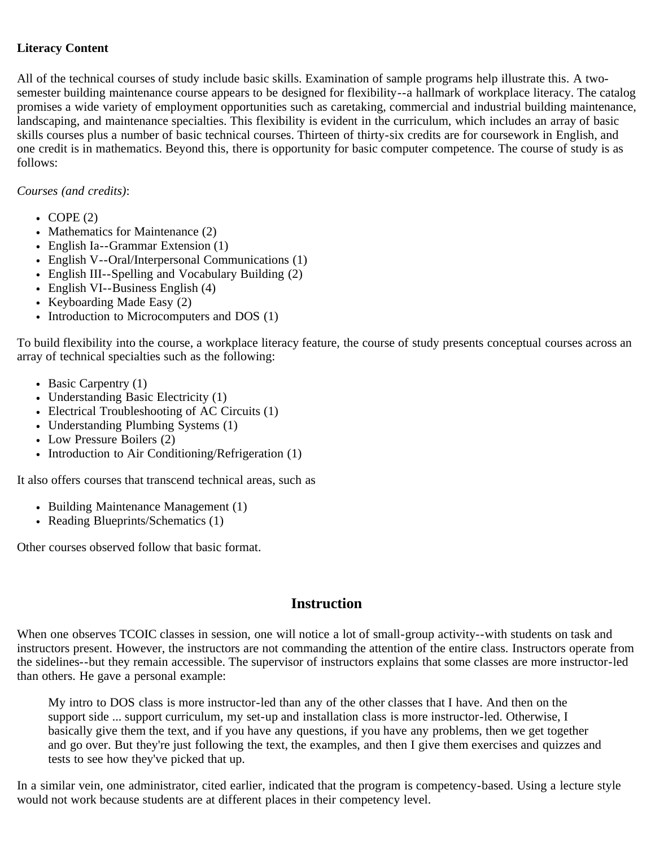## **Literacy Content**

All of the technical courses of study include basic skills. Examination of sample programs help illustrate this. A twosemester building maintenance course appears to be designed for flexibility--a hallmark of workplace literacy. The catalog promises a wide variety of employment opportunities such as caretaking, commercial and industrial building maintenance, landscaping, and maintenance specialties. This flexibility is evident in the curriculum, which includes an array of basic skills courses plus a number of basic technical courses. Thirteen of thirty-six credits are for coursework in English, and one credit is in mathematics. Beyond this, there is opportunity for basic computer competence. The course of study is as follows:

## *Courses (and credits)*:

- $\cdot$  COPE (2)
- Mathematics for Maintenance (2)
- English Ia--Grammar Extension (1)
- English V--Oral/Interpersonal Communications (1)
- English III--Spelling and Vocabulary Building (2)
- English VI--Business English (4)
- Keyboarding Made Easy  $(2)$
- Introduction to Microcomputers and DOS  $(1)$

To build flexibility into the course, a workplace literacy feature, the course of study presents conceptual courses across an array of technical specialties such as the following:

- Basic Carpentry (1)
- Understanding Basic Electricity (1)
- Electrical Troubleshooting of AC Circuits (1)
- Understanding Plumbing Systems (1)
- Low Pressure Boilers (2)
- Introduction to Air Conditioning/Refrigeration (1)

It also offers courses that transcend technical areas, such as

- Building Maintenance Management (1)
- Reading Blueprints/Schematics (1)

Other courses observed follow that basic format.

## **Instruction**

When one observes TCOIC classes in session, one will notice a lot of small-group activity--with students on task and instructors present. However, the instructors are not commanding the attention of the entire class. Instructors operate from the sidelines--but they remain accessible. The supervisor of instructors explains that some classes are more instructor-led than others. He gave a personal example:

My intro to DOS class is more instructor-led than any of the other classes that I have. And then on the support side ... support curriculum, my set-up and installation class is more instructor-led. Otherwise, I basically give them the text, and if you have any questions, if you have any problems, then we get together and go over. But they're just following the text, the examples, and then I give them exercises and quizzes and tests to see how they've picked that up.

In a similar vein, one administrator, cited earlier, indicated that the program is competency-based. Using a lecture style would not work because students are at different places in their competency level.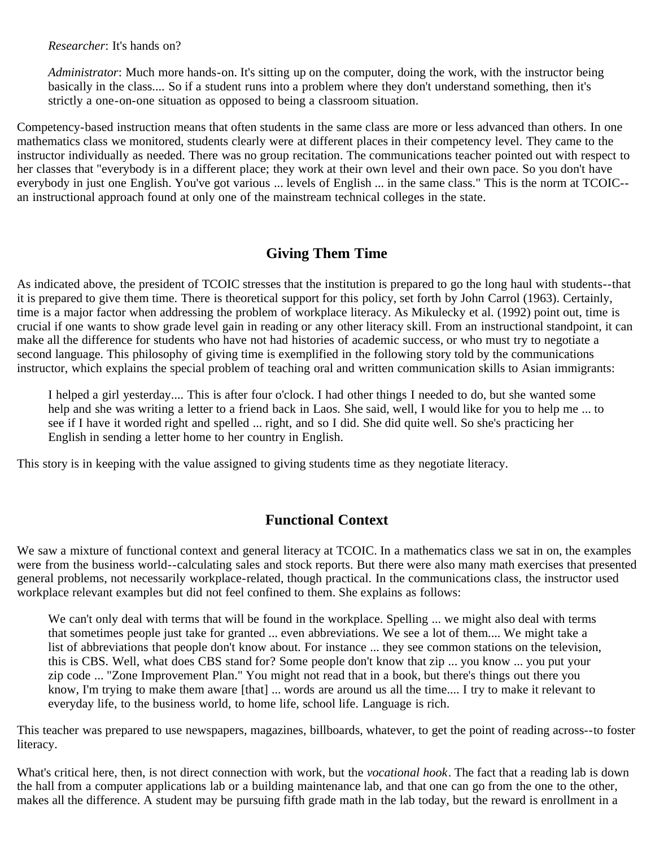*Researcher*: It's hands on?

*Administrator*: Much more hands-on. It's sitting up on the computer, doing the work, with the instructor being basically in the class.... So if a student runs into a problem where they don't understand something, then it's strictly a one-on-one situation as opposed to being a classroom situation.

Competency-based instruction means that often students in the same class are more or less advanced than others. In one mathematics class we monitored, students clearly were at different places in their competency level. They came to the instructor individually as needed. There was no group recitation. The communications teacher pointed out with respect to her classes that "everybody is in a different place; they work at their own level and their own pace. So you don't have everybody in just one English. You've got various ... levels of English ... in the same class." This is the norm at TCOIC- an instructional approach found at only one of the mainstream technical colleges in the state.

# **Giving Them Time**

As indicated above, the president of TCOIC stresses that the institution is prepared to go the long haul with students--that it is prepared to give them time. There is theoretical support for this policy, set forth by John Carrol (1963). Certainly, time is a major factor when addressing the problem of workplace literacy. As Mikulecky et al. (1992) point out, time is crucial if one wants to show grade level gain in reading or any other literacy skill. From an instructional standpoint, it can make all the difference for students who have not had histories of academic success, or who must try to negotiate a second language. This philosophy of giving time is exemplified in the following story told by the communications instructor, which explains the special problem of teaching oral and written communication skills to Asian immigrants:

I helped a girl yesterday.... This is after four o'clock. I had other things I needed to do, but she wanted some help and she was writing a letter to a friend back in Laos. She said, well, I would like for you to help me ... to see if I have it worded right and spelled ... right, and so I did. She did quite well. So she's practicing her English in sending a letter home to her country in English.

This story is in keeping with the value assigned to giving students time as they negotiate literacy.

# **Functional Context**

We saw a mixture of functional context and general literacy at TCOIC. In a mathematics class we sat in on, the examples were from the business world--calculating sales and stock reports. But there were also many math exercises that presented general problems, not necessarily workplace-related, though practical. In the communications class, the instructor used workplace relevant examples but did not feel confined to them. She explains as follows:

We can't only deal with terms that will be found in the workplace. Spelling ... we might also deal with terms that sometimes people just take for granted ... even abbreviations. We see a lot of them.... We might take a list of abbreviations that people don't know about. For instance ... they see common stations on the television, this is CBS. Well, what does CBS stand for? Some people don't know that zip ... you know ... you put your zip code ... "Zone Improvement Plan." You might not read that in a book, but there's things out there you know, I'm trying to make them aware [that] ... words are around us all the time.... I try to make it relevant to everyday life, to the business world, to home life, school life. Language is rich.

This teacher was prepared to use newspapers, magazines, billboards, whatever, to get the point of reading across--to foster literacy.

What's critical here, then, is not direct connection with work, but the *vocational hook*. The fact that a reading lab is down the hall from a computer applications lab or a building maintenance lab, and that one can go from the one to the other, makes all the difference. A student may be pursuing fifth grade math in the lab today, but the reward is enrollment in a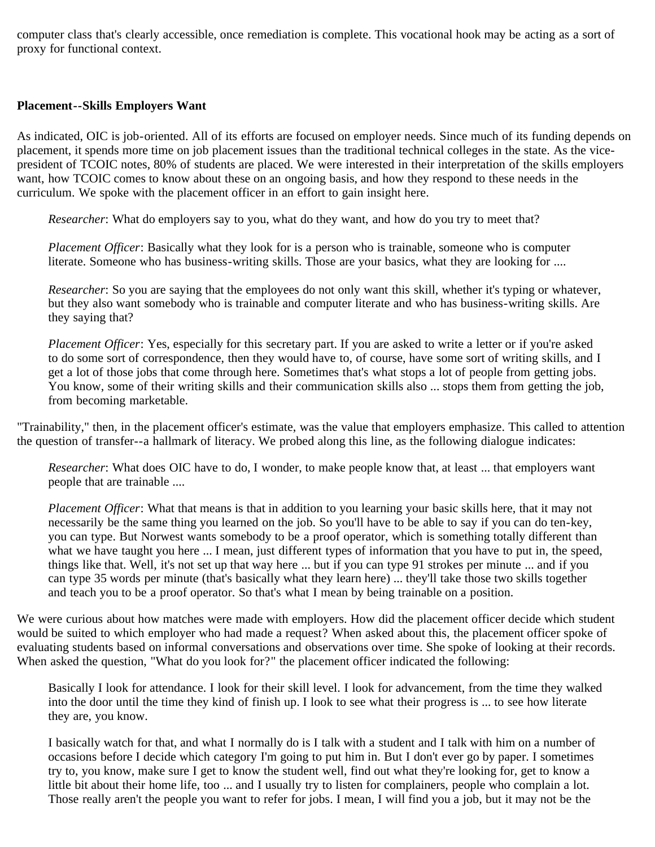computer class that's clearly accessible, once remediation is complete. This vocational hook may be acting as a sort of proxy for functional context.

### **Placement--Skills Employers Want**

As indicated, OIC is job-oriented. All of its efforts are focused on employer needs. Since much of its funding depends on placement, it spends more time on job placement issues than the traditional technical colleges in the state. As the vicepresident of TCOIC notes, 80% of students are placed. We were interested in their interpretation of the skills employers want, how TCOIC comes to know about these on an ongoing basis, and how they respond to these needs in the curriculum. We spoke with the placement officer in an effort to gain insight here.

*Researcher*: What do employers say to you, what do they want, and how do you try to meet that?

*Placement Officer*: Basically what they look for is a person who is trainable, someone who is computer literate. Someone who has business-writing skills. Those are your basics, what they are looking for ....

*Researcher*: So you are saying that the employees do not only want this skill, whether it's typing or whatever, but they also want somebody who is trainable and computer literate and who has business-writing skills. Are they saying that?

*Placement Officer*: Yes, especially for this secretary part. If you are asked to write a letter or if you're asked to do some sort of correspondence, then they would have to, of course, have some sort of writing skills, and I get a lot of those jobs that come through here. Sometimes that's what stops a lot of people from getting jobs. You know, some of their writing skills and their communication skills also ... stops them from getting the job, from becoming marketable.

"Trainability," then, in the placement officer's estimate, was the value that employers emphasize. This called to attention the question of transfer--a hallmark of literacy. We probed along this line, as the following dialogue indicates:

*Researcher*: What does OIC have to do, I wonder, to make people know that, at least ... that employers want people that are trainable ....

*Placement Officer*: What that means is that in addition to you learning your basic skills here, that it may not necessarily be the same thing you learned on the job. So you'll have to be able to say if you can do ten-key, you can type. But Norwest wants somebody to be a proof operator, which is something totally different than what we have taught you here ... I mean, just different types of information that you have to put in, the speed, things like that. Well, it's not set up that way here ... but if you can type 91 strokes per minute ... and if you can type 35 words per minute (that's basically what they learn here) ... they'll take those two skills together and teach you to be a proof operator. So that's what I mean by being trainable on a position.

We were curious about how matches were made with employers. How did the placement officer decide which student would be suited to which employer who had made a request? When asked about this, the placement officer spoke of evaluating students based on informal conversations and observations over time. She spoke of looking at their records. When asked the question, "What do you look for?" the placement officer indicated the following:

Basically I look for attendance. I look for their skill level. I look for advancement, from the time they walked into the door until the time they kind of finish up. I look to see what their progress is ... to see how literate they are, you know.

I basically watch for that, and what I normally do is I talk with a student and I talk with him on a number of occasions before I decide which category I'm going to put him in. But I don't ever go by paper. I sometimes try to, you know, make sure I get to know the student well, find out what they're looking for, get to know a little bit about their home life, too ... and I usually try to listen for complainers, people who complain a lot. Those really aren't the people you want to refer for jobs. I mean, I will find you a job, but it may not be the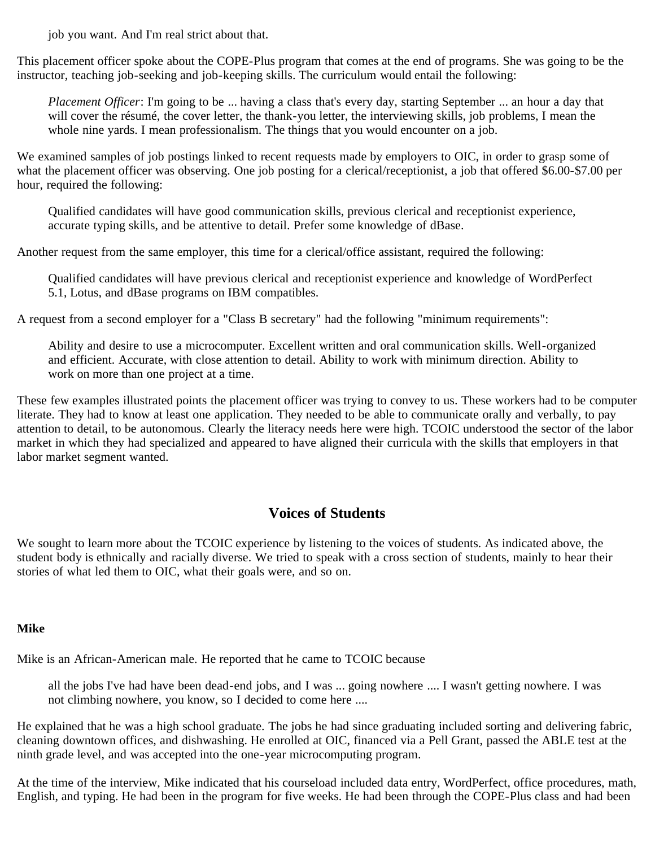job you want. And I'm real strict about that.

This placement officer spoke about the COPE-Plus program that comes at the end of programs. She was going to be the instructor, teaching job-seeking and job-keeping skills. The curriculum would entail the following:

*Placement Officer*: I'm going to be ... having a class that's every day, starting September ... an hour a day that will cover the résumé, the cover letter, the thank-you letter, the interviewing skills, job problems, I mean the whole nine yards. I mean professionalism. The things that you would encounter on a job.

We examined samples of job postings linked to recent requests made by employers to OIC, in order to grasp some of what the placement officer was observing. One job posting for a clerical/receptionist, a job that offered \$6.00-\$7.00 per hour, required the following:

Qualified candidates will have good communication skills, previous clerical and receptionist experience, accurate typing skills, and be attentive to detail. Prefer some knowledge of dBase.

Another request from the same employer, this time for a clerical/office assistant, required the following:

Qualified candidates will have previous clerical and receptionist experience and knowledge of WordPerfect 5.1, Lotus, and dBase programs on IBM compatibles.

A request from a second employer for a "Class B secretary" had the following "minimum requirements":

Ability and desire to use a microcomputer. Excellent written and oral communication skills. Well-organized and efficient. Accurate, with close attention to detail. Ability to work with minimum direction. Ability to work on more than one project at a time.

These few examples illustrated points the placement officer was trying to convey to us. These workers had to be computer literate. They had to know at least one application. They needed to be able to communicate orally and verbally, to pay attention to detail, to be autonomous. Clearly the literacy needs here were high. TCOIC understood the sector of the labor market in which they had specialized and appeared to have aligned their curricula with the skills that employers in that labor market segment wanted.

## **Voices of Students**

We sought to learn more about the TCOIC experience by listening to the voices of students. As indicated above, the student body is ethnically and racially diverse. We tried to speak with a cross section of students, mainly to hear their stories of what led them to OIC, what their goals were, and so on.

### **Mike**

Mike is an African-American male. He reported that he came to TCOIC because

all the jobs I've had have been dead-end jobs, and I was ... going nowhere .... I wasn't getting nowhere. I was not climbing nowhere, you know, so I decided to come here ....

He explained that he was a high school graduate. The jobs he had since graduating included sorting and delivering fabric, cleaning downtown offices, and dishwashing. He enrolled at OIC, financed via a Pell Grant, passed the ABLE test at the ninth grade level, and was accepted into the one-year microcomputing program.

At the time of the interview, Mike indicated that his courseload included data entry, WordPerfect, office procedures, math, English, and typing. He had been in the program for five weeks. He had been through the COPE-Plus class and had been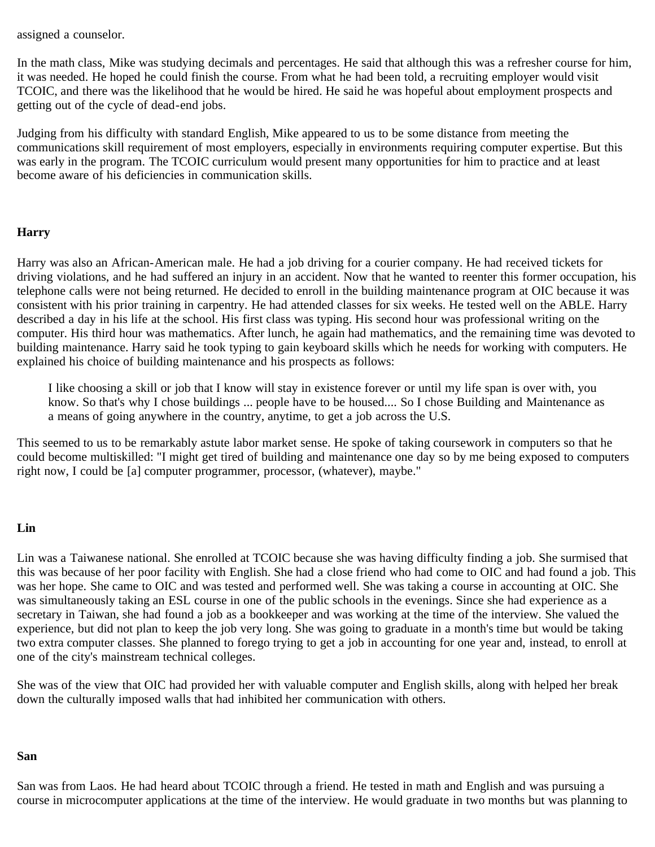assigned a counselor.

In the math class, Mike was studying decimals and percentages. He said that although this was a refresher course for him, it was needed. He hoped he could finish the course. From what he had been told, a recruiting employer would visit TCOIC, and there was the likelihood that he would be hired. He said he was hopeful about employment prospects and getting out of the cycle of dead-end jobs.

Judging from his difficulty with standard English, Mike appeared to us to be some distance from meeting the communications skill requirement of most employers, especially in environments requiring computer expertise. But this was early in the program. The TCOIC curriculum would present many opportunities for him to practice and at least become aware of his deficiencies in communication skills.

## **Harry**

Harry was also an African-American male. He had a job driving for a courier company. He had received tickets for driving violations, and he had suffered an injury in an accident. Now that he wanted to reenter this former occupation, his telephone calls were not being returned. He decided to enroll in the building maintenance program at OIC because it was consistent with his prior training in carpentry. He had attended classes for six weeks. He tested well on the ABLE. Harry described a day in his life at the school. His first class was typing. His second hour was professional writing on the computer. His third hour was mathematics. After lunch, he again had mathematics, and the remaining time was devoted to building maintenance. Harry said he took typing to gain keyboard skills which he needs for working with computers. He explained his choice of building maintenance and his prospects as follows:

I like choosing a skill or job that I know will stay in existence forever or until my life span is over with, you know. So that's why I chose buildings ... people have to be housed.... So I chose Building and Maintenance as a means of going anywhere in the country, anytime, to get a job across the U.S.

This seemed to us to be remarkably astute labor market sense. He spoke of taking coursework in computers so that he could become multiskilled: "I might get tired of building and maintenance one day so by me being exposed to computers right now, I could be [a] computer programmer, processor, (whatever), maybe."

### **Lin**

Lin was a Taiwanese national. She enrolled at TCOIC because she was having difficulty finding a job. She surmised that this was because of her poor facility with English. She had a close friend who had come to OIC and had found a job. This was her hope. She came to OIC and was tested and performed well. She was taking a course in accounting at OIC. She was simultaneously taking an ESL course in one of the public schools in the evenings. Since she had experience as a secretary in Taiwan, she had found a job as a bookkeeper and was working at the time of the interview. She valued the experience, but did not plan to keep the job very long. She was going to graduate in a month's time but would be taking two extra computer classes. She planned to forego trying to get a job in accounting for one year and, instead, to enroll at one of the city's mainstream technical colleges.

She was of the view that OIC had provided her with valuable computer and English skills, along with helped her break down the culturally imposed walls that had inhibited her communication with others.

#### **San**

San was from Laos. He had heard about TCOIC through a friend. He tested in math and English and was pursuing a course in microcomputer applications at the time of the interview. He would graduate in two months but was planning to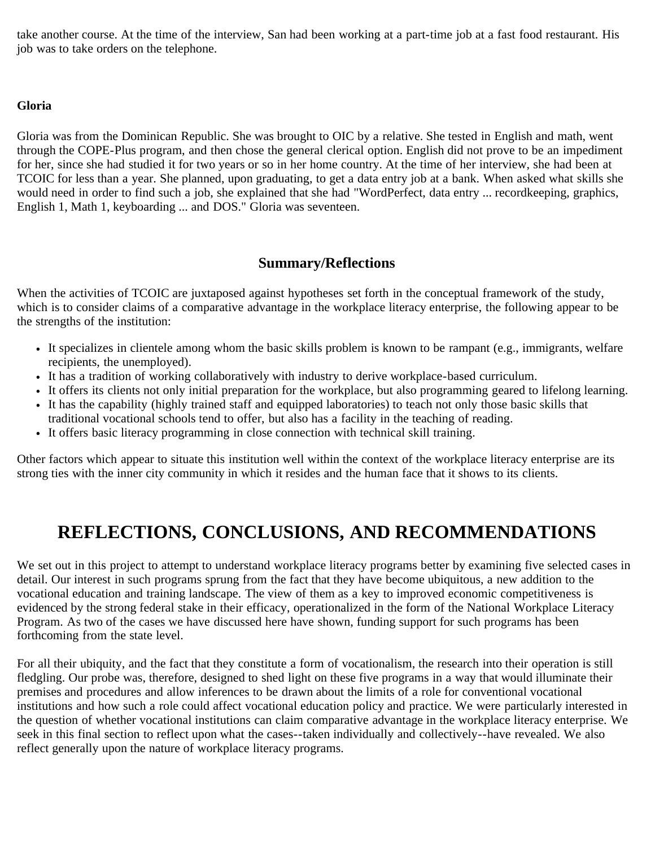take another course. At the time of the interview, San had been working at a part-time job at a fast food restaurant. His job was to take orders on the telephone.

## **Gloria**

Gloria was from the Dominican Republic. She was brought to OIC by a relative. She tested in English and math, went through the COPE-Plus program, and then chose the general clerical option. English did not prove to be an impediment for her, since she had studied it for two years or so in her home country. At the time of her interview, she had been at TCOIC for less than a year. She planned, upon graduating, to get a data entry job at a bank. When asked what skills she would need in order to find such a job, she explained that she had "WordPerfect, data entry ... recordkeeping, graphics, English 1, Math 1, keyboarding ... and DOS." Gloria was seventeen.

# **Summary/Reflections**

When the activities of TCOIC are juxtaposed against hypotheses set forth in the conceptual framework of the study, which is to consider claims of a comparative advantage in the workplace literacy enterprise, the following appear to be the strengths of the institution:

- It specializes in clientele among whom the basic skills problem is known to be rampant (e.g., immigrants, welfare recipients, the unemployed).
- It has a tradition of working collaboratively with industry to derive workplace-based curriculum.
- It offers its clients not only initial preparation for the workplace, but also programming geared to lifelong learning.
- It has the capability (highly trained staff and equipped laboratories) to teach not only those basic skills that traditional vocational schools tend to offer, but also has a facility in the teaching of reading.
- It offers basic literacy programming in close connection with technical skill training.

Other factors which appear to situate this institution well within the context of the workplace literacy enterprise are its strong ties with the inner city community in which it resides and the human face that it shows to its clients.

# **REFLECTIONS, CONCLUSIONS, AND RECOMMENDATIONS**

We set out in this project to attempt to understand workplace literacy programs better by examining five selected cases in detail. Our interest in such programs sprung from the fact that they have become ubiquitous, a new addition to the vocational education and training landscape. The view of them as a key to improved economic competitiveness is evidenced by the strong federal stake in their efficacy, operationalized in the form of the National Workplace Literacy Program. As two of the cases we have discussed here have shown, funding support for such programs has been forthcoming from the state level.

For all their ubiquity, and the fact that they constitute a form of vocationalism, the research into their operation is still fledgling. Our probe was, therefore, designed to shed light on these five programs in a way that would illuminate their premises and procedures and allow inferences to be drawn about the limits of a role for conventional vocational institutions and how such a role could affect vocational education policy and practice. We were particularly interested in the question of whether vocational institutions can claim comparative advantage in the workplace literacy enterprise. We seek in this final section to reflect upon what the cases--taken individually and collectively--have revealed. We also reflect generally upon the nature of workplace literacy programs.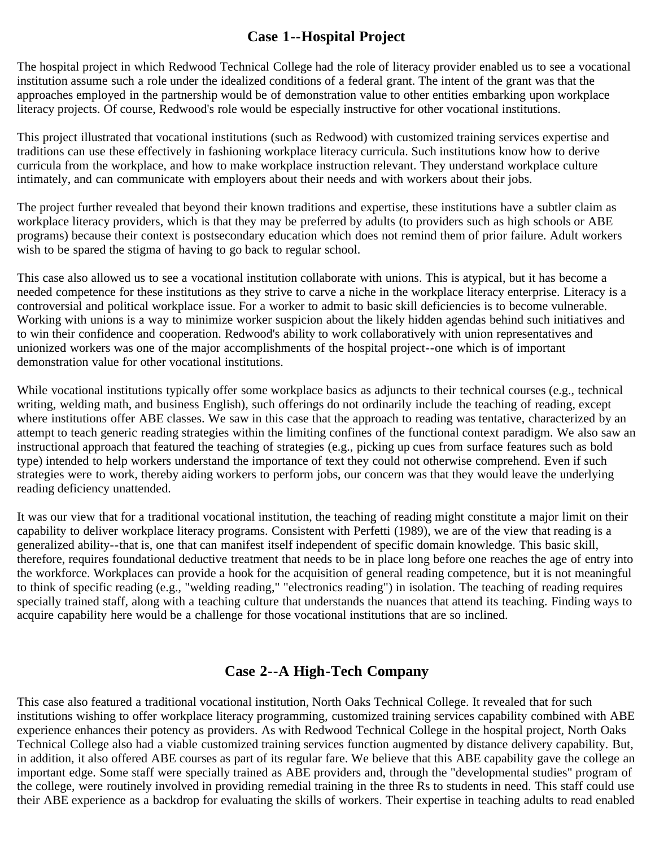# **Case 1--Hospital Project**

The hospital project in which Redwood Technical College had the role of literacy provider enabled us to see a vocational institution assume such a role under the idealized conditions of a federal grant. The intent of the grant was that the approaches employed in the partnership would be of demonstration value to other entities embarking upon workplace literacy projects. Of course, Redwood's role would be especially instructive for other vocational institutions.

This project illustrated that vocational institutions (such as Redwood) with customized training services expertise and traditions can use these effectively in fashioning workplace literacy curricula. Such institutions know how to derive curricula from the workplace, and how to make workplace instruction relevant. They understand workplace culture intimately, and can communicate with employers about their needs and with workers about their jobs.

The project further revealed that beyond their known traditions and expertise, these institutions have a subtler claim as workplace literacy providers, which is that they may be preferred by adults (to providers such as high schools or ABE programs) because their context is postsecondary education which does not remind them of prior failure. Adult workers wish to be spared the stigma of having to go back to regular school.

This case also allowed us to see a vocational institution collaborate with unions. This is atypical, but it has become a needed competence for these institutions as they strive to carve a niche in the workplace literacy enterprise. Literacy is a controversial and political workplace issue. For a worker to admit to basic skill deficiencies is to become vulnerable. Working with unions is a way to minimize worker suspicion about the likely hidden agendas behind such initiatives and to win their confidence and cooperation. Redwood's ability to work collaboratively with union representatives and unionized workers was one of the major accomplishments of the hospital project--one which is of important demonstration value for other vocational institutions.

While vocational institutions typically offer some workplace basics as adjuncts to their technical courses (e.g., technical writing, welding math, and business English), such offerings do not ordinarily include the teaching of reading, except where institutions offer ABE classes. We saw in this case that the approach to reading was tentative, characterized by an attempt to teach generic reading strategies within the limiting confines of the functional context paradigm. We also saw an instructional approach that featured the teaching of strategies (e.g., picking up cues from surface features such as bold type) intended to help workers understand the importance of text they could not otherwise comprehend. Even if such strategies were to work, thereby aiding workers to perform jobs, our concern was that they would leave the underlying reading deficiency unattended.

It was our view that for a traditional vocational institution, the teaching of reading might constitute a major limit on their capability to deliver workplace literacy programs. Consistent with Perfetti (1989), we are of the view that reading is a generalized ability--that is, one that can manifest itself independent of specific domain knowledge. This basic skill, therefore, requires foundational deductive treatment that needs to be in place long before one reaches the age of entry into the workforce. Workplaces can provide a hook for the acquisition of general reading competence, but it is not meaningful to think of specific reading (e.g., "welding reading," "electronics reading") in isolation. The teaching of reading requires specially trained staff, along with a teaching culture that understands the nuances that attend its teaching. Finding ways to acquire capability here would be a challenge for those vocational institutions that are so inclined.

# **Case 2--A High-Tech Company**

This case also featured a traditional vocational institution, North Oaks Technical College. It revealed that for such institutions wishing to offer workplace literacy programming, customized training services capability combined with ABE experience enhances their potency as providers. As with Redwood Technical College in the hospital project, North Oaks Technical College also had a viable customized training services function augmented by distance delivery capability. But, in addition, it also offered ABE courses as part of its regular fare. We believe that this ABE capability gave the college an important edge. Some staff were specially trained as ABE providers and, through the "developmental studies" program of the college, were routinely involved in providing remedial training in the three Rs to students in need. This staff could use their ABE experience as a backdrop for evaluating the skills of workers. Their expertise in teaching adults to read enabled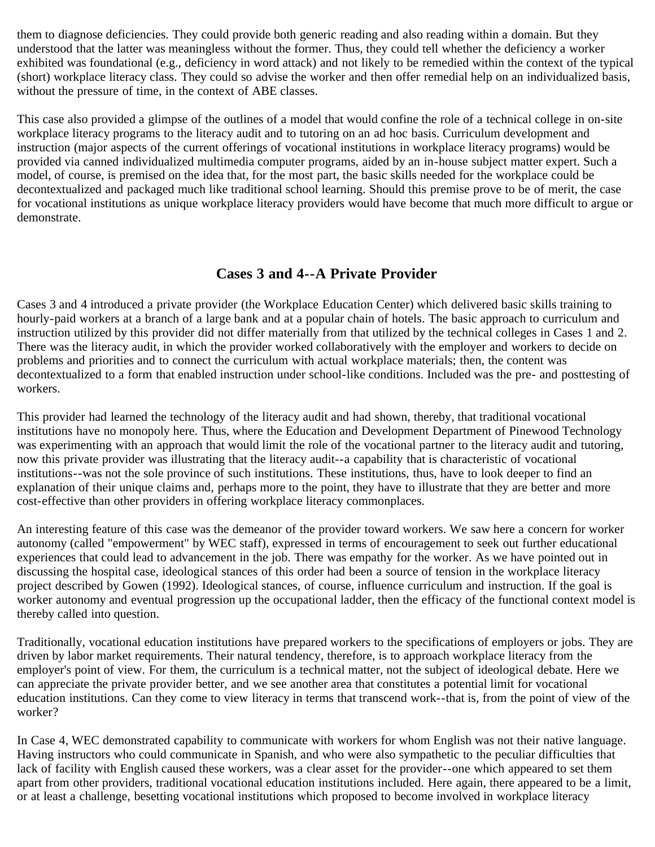them to diagnose deficiencies. They could provide both generic reading and also reading within a domain. But they understood that the latter was meaningless without the former. Thus, they could tell whether the deficiency a worker exhibited was foundational (e.g., deficiency in word attack) and not likely to be remedied within the context of the typical (short) workplace literacy class. They could so advise the worker and then offer remedial help on an individualized basis, without the pressure of time, in the context of ABE classes.

This case also provided a glimpse of the outlines of a model that would confine the role of a technical college in on-site workplace literacy programs to the literacy audit and to tutoring on an ad hoc basis. Curriculum development and instruction (major aspects of the current offerings of vocational institutions in workplace literacy programs) would be provided via canned individualized multimedia computer programs, aided by an in-house subject matter expert. Such a model, of course, is premised on the idea that, for the most part, the basic skills needed for the workplace could be decontextualized and packaged much like traditional school learning. Should this premise prove to be of merit, the case for vocational institutions as unique workplace literacy providers would have become that much more difficult to argue or demonstrate.

## **Cases 3 and 4--A Private Provider**

Cases 3 and 4 introduced a private provider (the Workplace Education Center) which delivered basic skills training to hourly-paid workers at a branch of a large bank and at a popular chain of hotels. The basic approach to curriculum and instruction utilized by this provider did not differ materially from that utilized by the technical colleges in Cases 1 and 2. There was the literacy audit, in which the provider worked collaboratively with the employer and workers to decide on problems and priorities and to connect the curriculum with actual workplace materials; then, the content was decontextualized to a form that enabled instruction under school-like conditions. Included was the pre- and posttesting of workers.

This provider had learned the technology of the literacy audit and had shown, thereby, that traditional vocational institutions have no monopoly here. Thus, where the Education and Development Department of Pinewood Technology was experimenting with an approach that would limit the role of the vocational partner to the literacy audit and tutoring, now this private provider was illustrating that the literacy audit--a capability that is characteristic of vocational institutions--was not the sole province of such institutions. These institutions, thus, have to look deeper to find an explanation of their unique claims and, perhaps more to the point, they have to illustrate that they are better and more cost-effective than other providers in offering workplace literacy commonplaces.

An interesting feature of this case was the demeanor of the provider toward workers. We saw here a concern for worker autonomy (called "empowerment" by WEC staff), expressed in terms of encouragement to seek out further educational experiences that could lead to advancement in the job. There was empathy for the worker. As we have pointed out in discussing the hospital case, ideological stances of this order had been a source of tension in the workplace literacy project described by Gowen (1992). Ideological stances, of course, influence curriculum and instruction. If the goal is worker autonomy and eventual progression up the occupational ladder, then the efficacy of the functional context model is thereby called into question.

Traditionally, vocational education institutions have prepared workers to the specifications of employers or jobs. They are driven by labor market requirements. Their natural tendency, therefore, is to approach workplace literacy from the employer's point of view. For them, the curriculum is a technical matter, not the subject of ideological debate. Here we can appreciate the private provider better, and we see another area that constitutes a potential limit for vocational education institutions. Can they come to view literacy in terms that transcend work--that is, from the point of view of the worker?

In Case 4, WEC demonstrated capability to communicate with workers for whom English was not their native language. Having instructors who could communicate in Spanish, and who were also sympathetic to the peculiar difficulties that lack of facility with English caused these workers, was a clear asset for the provider--one which appeared to set them apart from other providers, traditional vocational education institutions included. Here again, there appeared to be a limit, or at least a challenge, besetting vocational institutions which proposed to become involved in workplace literacy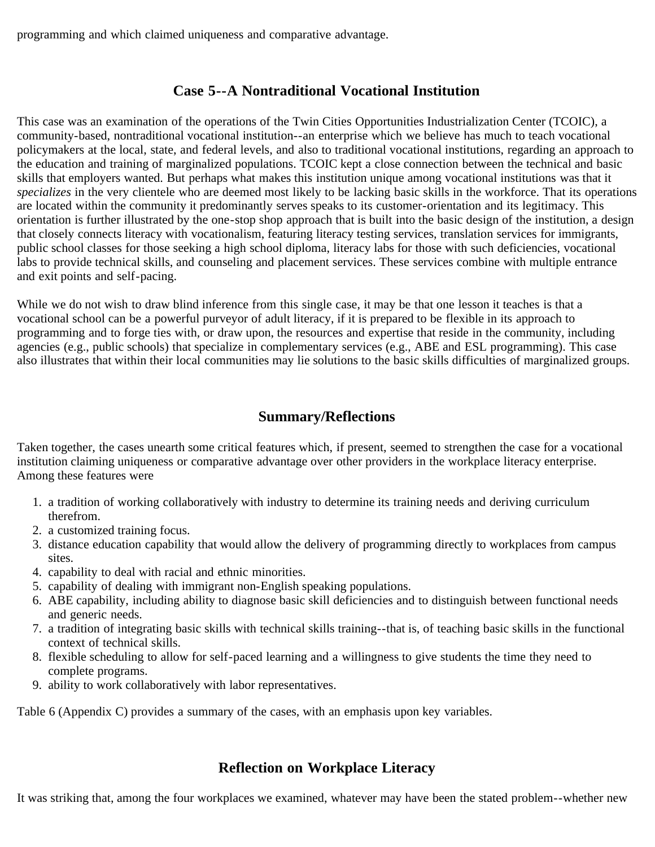programming and which claimed uniqueness and comparative advantage.

# **Case 5--A Nontraditional Vocational Institution**

This case was an examination of the operations of the Twin Cities Opportunities Industrialization Center (TCOIC), a community-based, nontraditional vocational institution--an enterprise which we believe has much to teach vocational policymakers at the local, state, and federal levels, and also to traditional vocational institutions, regarding an approach to the education and training of marginalized populations. TCOIC kept a close connection between the technical and basic skills that employers wanted. But perhaps what makes this institution unique among vocational institutions was that it *specializes* in the very clientele who are deemed most likely to be lacking basic skills in the workforce. That its operations are located within the community it predominantly serves speaks to its customer-orientation and its legitimacy. This orientation is further illustrated by the one-stop shop approach that is built into the basic design of the institution, a design that closely connects literacy with vocationalism, featuring literacy testing services, translation services for immigrants, public school classes for those seeking a high school diploma, literacy labs for those with such deficiencies, vocational labs to provide technical skills, and counseling and placement services. These services combine with multiple entrance and exit points and self-pacing.

While we do not wish to draw blind inference from this single case, it may be that one lesson it teaches is that a vocational school can be a powerful purveyor of adult literacy, if it is prepared to be flexible in its approach to programming and to forge ties with, or draw upon, the resources and expertise that reside in the community, including agencies (e.g., public schools) that specialize in complementary services (e.g., ABE and ESL programming). This case also illustrates that within their local communities may lie solutions to the basic skills difficulties of marginalized groups.

## **Summary/Reflections**

Taken together, the cases unearth some critical features which, if present, seemed to strengthen the case for a vocational institution claiming uniqueness or comparative advantage over other providers in the workplace literacy enterprise. Among these features were

- 1. a tradition of working collaboratively with industry to determine its training needs and deriving curriculum therefrom.
- 2. a customized training focus.
- 3. distance education capability that would allow the delivery of programming directly to workplaces from campus sites.
- 4. capability to deal with racial and ethnic minorities.
- 5. capability of dealing with immigrant non-English speaking populations.
- 6. ABE capability, including ability to diagnose basic skill deficiencies and to distinguish between functional needs and generic needs.
- 7. a tradition of integrating basic skills with technical skills training--that is, of teaching basic skills in the functional context of technical skills.
- 8. flexible scheduling to allow for self-paced learning and a willingness to give students the time they need to complete programs.
- 9. ability to work collaboratively with labor representatives.

Table 6 (Appendix C) provides a summary of the cases, with an emphasis upon key variables.

# **Reflection on Workplace Literacy**

It was striking that, among the four workplaces we examined, whatever may have been the stated problem--whether new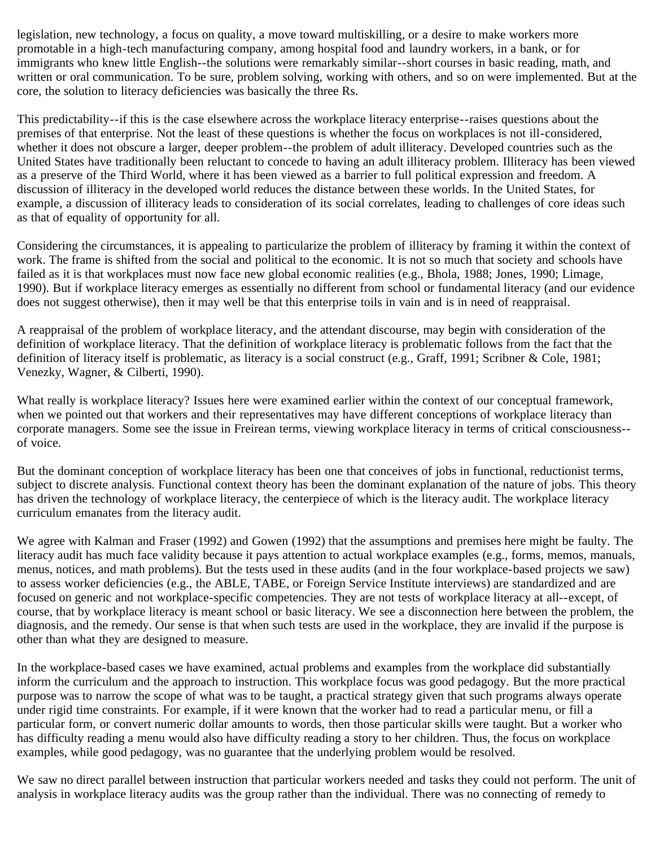legislation, new technology, a focus on quality, a move toward multiskilling, or a desire to make workers more promotable in a high-tech manufacturing company, among hospital food and laundry workers, in a bank, or for immigrants who knew little English--the solutions were remarkably similar--short courses in basic reading, math, and written or oral communication. To be sure, problem solving, working with others, and so on were implemented. But at the core, the solution to literacy deficiencies was basically the three Rs.

This predictability--if this is the case elsewhere across the workplace literacy enterprise--raises questions about the premises of that enterprise. Not the least of these questions is whether the focus on workplaces is not ill-considered, whether it does not obscure a larger, deeper problem--the problem of adult illiteracy. Developed countries such as the United States have traditionally been reluctant to concede to having an adult illiteracy problem. Illiteracy has been viewed as a preserve of the Third World, where it has been viewed as a barrier to full political expression and freedom. A discussion of illiteracy in the developed world reduces the distance between these worlds. In the United States, for example, a discussion of illiteracy leads to consideration of its social correlates, leading to challenges of core ideas such as that of equality of opportunity for all.

Considering the circumstances, it is appealing to particularize the problem of illiteracy by framing it within the context of work. The frame is shifted from the social and political to the economic. It is not so much that society and schools have failed as it is that workplaces must now face new global economic realities (e.g., Bhola, 1988; Jones, 1990; Limage, 1990). But if workplace literacy emerges as essentially no different from school or fundamental literacy (and our evidence does not suggest otherwise), then it may well be that this enterprise toils in vain and is in need of reappraisal.

A reappraisal of the problem of workplace literacy, and the attendant discourse, may begin with consideration of the definition of workplace literacy. That the definition of workplace literacy is problematic follows from the fact that the definition of literacy itself is problematic, as literacy is a social construct (e.g., Graff, 1991; Scribner & Cole, 1981; Venezky, Wagner, & Cilberti, 1990).

What really is workplace literacy? Issues here were examined earlier within the context of our conceptual framework, when we pointed out that workers and their representatives may have different conceptions of workplace literacy than corporate managers. Some see the issue in Freirean terms, viewing workplace literacy in terms of critical consciousness- of voice.

But the dominant conception of workplace literacy has been one that conceives of jobs in functional, reductionist terms, subject to discrete analysis. Functional context theory has been the dominant explanation of the nature of jobs. This theory has driven the technology of workplace literacy, the centerpiece of which is the literacy audit. The workplace literacy curriculum emanates from the literacy audit.

We agree with Kalman and Fraser (1992) and Gowen (1992) that the assumptions and premises here might be faulty. The literacy audit has much face validity because it pays attention to actual workplace examples (e.g., forms, memos, manuals, menus, notices, and math problems). But the tests used in these audits (and in the four workplace-based projects we saw) to assess worker deficiencies (e.g., the ABLE, TABE, or Foreign Service Institute interviews) are standardized and are focused on generic and not workplace-specific competencies. They are not tests of workplace literacy at all--except, of course, that by workplace literacy is meant school or basic literacy. We see a disconnection here between the problem, the diagnosis, and the remedy. Our sense is that when such tests are used in the workplace, they are invalid if the purpose is other than what they are designed to measure.

In the workplace-based cases we have examined, actual problems and examples from the workplace did substantially inform the curriculum and the approach to instruction. This workplace focus was good pedagogy. But the more practical purpose was to narrow the scope of what was to be taught, a practical strategy given that such programs always operate under rigid time constraints. For example, if it were known that the worker had to read a particular menu, or fill a particular form, or convert numeric dollar amounts to words, then those particular skills were taught. But a worker who has difficulty reading a menu would also have difficulty reading a story to her children. Thus, the focus on workplace examples, while good pedagogy, was no guarantee that the underlying problem would be resolved.

We saw no direct parallel between instruction that particular workers needed and tasks they could not perform. The unit of analysis in workplace literacy audits was the group rather than the individual. There was no connecting of remedy to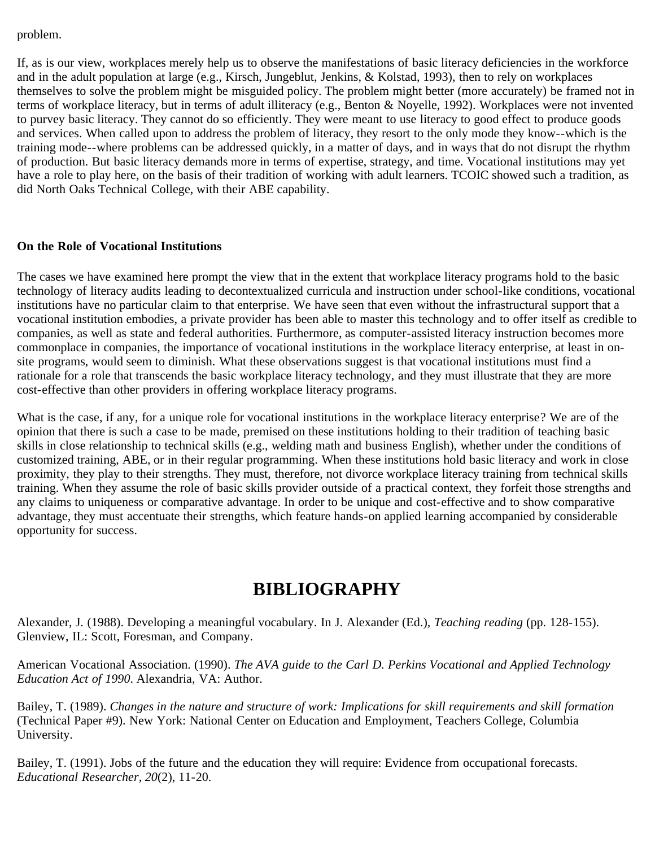#### problem.

If, as is our view, workplaces merely help us to observe the manifestations of basic literacy deficiencies in the workforce and in the adult population at large (e.g., Kirsch, Jungeblut, Jenkins, & Kolstad, 1993), then to rely on workplaces themselves to solve the problem might be misguided policy. The problem might better (more accurately) be framed not in terms of workplace literacy, but in terms of adult illiteracy (e.g., Benton & Noyelle, 1992). Workplaces were not invented to purvey basic literacy. They cannot do so efficiently. They were meant to use literacy to good effect to produce goods and services. When called upon to address the problem of literacy, they resort to the only mode they know--which is the training mode--where problems can be addressed quickly, in a matter of days, and in ways that do not disrupt the rhythm of production. But basic literacy demands more in terms of expertise, strategy, and time. Vocational institutions may yet have a role to play here, on the basis of their tradition of working with adult learners. TCOIC showed such a tradition, as did North Oaks Technical College, with their ABE capability.

### **On the Role of Vocational Institutions**

The cases we have examined here prompt the view that in the extent that workplace literacy programs hold to the basic technology of literacy audits leading to decontextualized curricula and instruction under school-like conditions, vocational institutions have no particular claim to that enterprise. We have seen that even without the infrastructural support that a vocational institution embodies, a private provider has been able to master this technology and to offer itself as credible to companies, as well as state and federal authorities. Furthermore, as computer-assisted literacy instruction becomes more commonplace in companies, the importance of vocational institutions in the workplace literacy enterprise, at least in onsite programs, would seem to diminish. What these observations suggest is that vocational institutions must find a rationale for a role that transcends the basic workplace literacy technology, and they must illustrate that they are more cost-effective than other providers in offering workplace literacy programs.

What is the case, if any, for a unique role for vocational institutions in the workplace literacy enterprise? We are of the opinion that there is such a case to be made, premised on these institutions holding to their tradition of teaching basic skills in close relationship to technical skills (e.g., welding math and business English), whether under the conditions of customized training, ABE, or in their regular programming. When these institutions hold basic literacy and work in close proximity, they play to their strengths. They must, therefore, not divorce workplace literacy training from technical skills training. When they assume the role of basic skills provider outside of a practical context, they forfeit those strengths and any claims to uniqueness or comparative advantage. In order to be unique and cost-effective and to show comparative advantage, they must accentuate their strengths, which feature hands-on applied learning accompanied by considerable opportunity for success.

# **BIBLIOGRAPHY**

Alexander, J. (1988). Developing a meaningful vocabulary. In J. Alexander (Ed.), *Teaching reading* (pp. 128-155). Glenview, IL: Scott, Foresman, and Company.

American Vocational Association. (1990). *The AVA guide to the Carl D. Perkins Vocational and Applied Technology Education Act of 1990*. Alexandria, VA: Author.

Bailey, T. (1989). *Changes in the nature and structure of work: Implications for skill requirements and skill formation* (Technical Paper #9). New York: National Center on Education and Employment, Teachers College, Columbia University.

Bailey, T. (1991). Jobs of the future and the education they will require: Evidence from occupational forecasts. *Educational Researcher*, *20*(2), 11-20.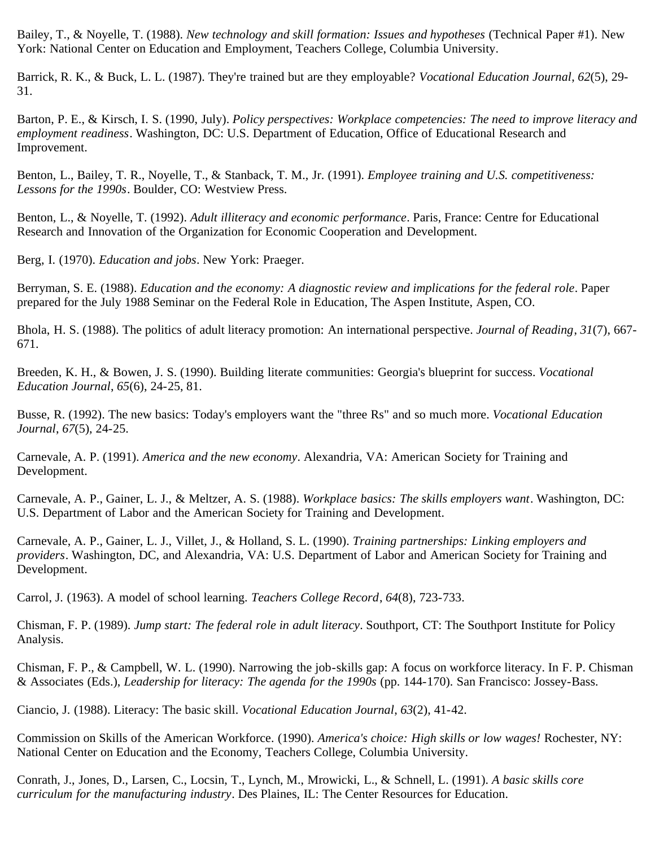Bailey, T., & Noyelle, T. (1988). *New technology and skill formation: Issues and hypotheses* (Technical Paper #1). New York: National Center on Education and Employment, Teachers College, Columbia University.

Barrick, R. K., & Buck, L. L. (1987). They're trained but are they employable? *Vocational Education Journal*, *62*(5), 29- 31.

Barton, P. E., & Kirsch, I. S. (1990, July). *Policy perspectives: Workplace competencies: The need to improve literacy and employment readiness*. Washington, DC: U.S. Department of Education, Office of Educational Research and Improvement.

Benton, L., Bailey, T. R., Noyelle, T., & Stanback, T. M., Jr. (1991). *Employee training and U.S. competitiveness: Lessons for the 1990s*. Boulder, CO: Westview Press.

Benton, L., & Noyelle, T. (1992). *Adult illiteracy and economic performance*. Paris, France: Centre for Educational Research and Innovation of the Organization for Economic Cooperation and Development.

Berg, I. (1970). *Education and jobs*. New York: Praeger.

Berryman, S. E. (1988). *Education and the economy: A diagnostic review and implications for the federal role*. Paper prepared for the July 1988 Seminar on the Federal Role in Education, The Aspen Institute, Aspen, CO.

Bhola, H. S. (1988). The politics of adult literacy promotion: An international perspective. *Journal of Reading*, *31*(7), 667- 671.

Breeden, K. H., & Bowen, J. S. (1990). Building literate communities: Georgia's blueprint for success. *Vocational Education Journal*, *65*(6), 24-25, 81.

Busse, R. (1992). The new basics: Today's employers want the "three Rs" and so much more. *Vocational Education Journal*, *67*(5), 24-25.

Carnevale, A. P. (1991). *America and the new economy*. Alexandria, VA: American Society for Training and Development.

Carnevale, A. P., Gainer, L. J., & Meltzer, A. S. (1988). *Workplace basics: The skills employers want*. Washington, DC: U.S. Department of Labor and the American Society for Training and Development.

Carnevale, A. P., Gainer, L. J., Villet, J., & Holland, S. L. (1990). *Training partnerships: Linking employers and providers*. Washington, DC, and Alexandria, VA: U.S. Department of Labor and American Society for Training and Development.

Carrol, J. (1963). A model of school learning. *Teachers College Record*, *64*(8), 723-733.

Chisman, F. P. (1989). *Jump start: The federal role in adult literacy*. Southport, CT: The Southport Institute for Policy Analysis.

Chisman, F. P., & Campbell, W. L. (1990). Narrowing the job-skills gap: A focus on workforce literacy. In F. P. Chisman & Associates (Eds.), *Leadership for literacy: The agenda for the 1990s* (pp. 144-170). San Francisco: Jossey-Bass.

Ciancio, J. (1988). Literacy: The basic skill. *Vocational Education Journal*, *63*(2), 41-42.

Commission on Skills of the American Workforce. (1990). *America's choice: High skills or low wages!* Rochester, NY: National Center on Education and the Economy, Teachers College, Columbia University.

Conrath, J., Jones, D., Larsen, C., Locsin, T., Lynch, M., Mrowicki, L., & Schnell, L. (1991). *A basic skills core curriculum for the manufacturing industry*. Des Plaines, IL: The Center Resources for Education.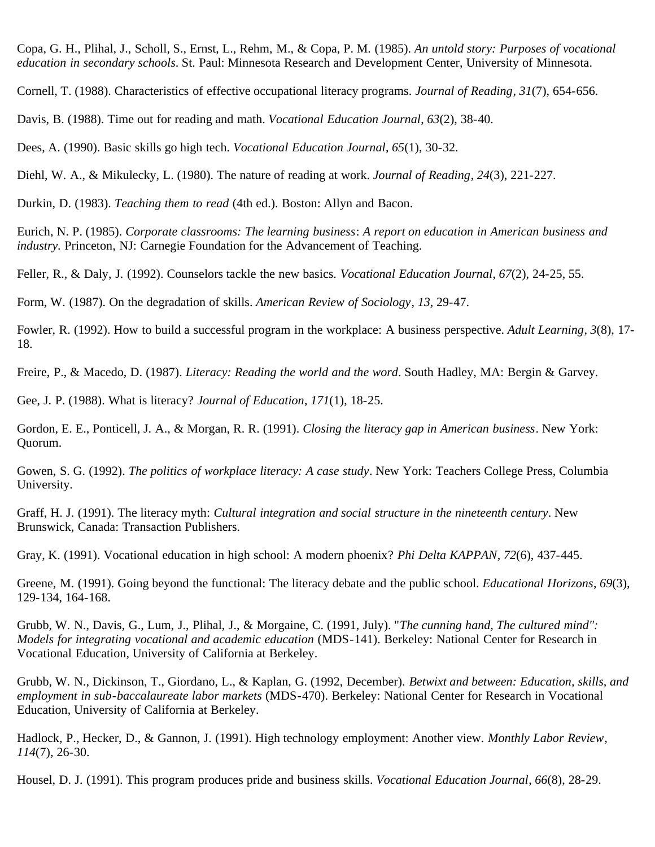Copa, G. H., Plihal, J., Scholl, S., Ernst, L., Rehm, M., & Copa, P. M. (1985). *An untold story: Purposes of vocational education in secondary schools*. St. Paul: Minnesota Research and Development Center, University of Minnesota.

Cornell, T. (1988). Characteristics of effective occupational literacy programs. *Journal of Reading*, *31*(7), 654-656.

Davis, B. (1988). Time out for reading and math. *Vocational Education Journal*, *63*(2), 38-40.

Dees, A. (1990). Basic skills go high tech. *Vocational Education Journal*, *65*(1), 30-32.

Diehl, W. A., & Mikulecky, L. (1980). The nature of reading at work. *Journal of Reading*, *24*(3), 221-227.

Durkin, D. (1983). *Teaching them to read* (4th ed.). Boston: Allyn and Bacon.

Eurich, N. P. (1985). *Corporate classrooms: The learning business*: *A report on education in American business and industry.* Princeton, NJ: Carnegie Foundation for the Advancement of Teaching.

Feller, R., & Daly, J. (1992). Counselors tackle the new basics. *Vocational Education Journal*, *67*(2), 24-25, 55.

Form, W. (1987). On the degradation of skills. *American Review of Sociology*, *13*, 29-47.

Fowler, R. (1992). How to build a successful program in the workplace: A business perspective. *Adult Learning*, *3*(8), 17- 18.

Freire, P., & Macedo, D. (1987). *Literacy: Reading the world and the word*. South Hadley, MA: Bergin & Garvey.

Gee, J. P. (1988). What is literacy? *Journal of Education*, *171*(1), 18-25.

Gordon, E. E., Ponticell, J. A., & Morgan, R. R. (1991). *Closing the literacy gap in American business*. New York: Quorum.

Gowen, S. G. (1992). *The politics of workplace literacy: A case study*. New York: Teachers College Press, Columbia University.

Graff, H. J. (1991). The literacy myth: *Cultural integration and social structure in the nineteenth century*. New Brunswick, Canada: Transaction Publishers.

Gray, K. (1991). Vocational education in high school: A modern phoenix? *Phi Delta KAPPAN*, *72*(6), 437-445.

Greene, M. (1991). Going beyond the functional: The literacy debate and the public school. *Educational Horizons*, *69*(3), 129-134, 164-168.

Grubb, W. N., Davis, G., Lum, J., Plihal, J., & Morgaine, C. (1991, July). "*The cunning hand, The cultured mind": Models for integrating vocational and academic education* (MDS-141). Berkeley: National Center for Research in Vocational Education, University of California at Berkeley.

Grubb, W. N., Dickinson, T., Giordano, L., & Kaplan, G. (1992, December). *Betwixt and between: Education, skills, and employment in sub-baccalaureate labor markets* (MDS-470). Berkeley: National Center for Research in Vocational Education, University of California at Berkeley.

Hadlock, P., Hecker, D., & Gannon, J. (1991). High technology employment: Another view. *Monthly Labor Review*, *114*(7), 26-30.

Housel, D. J. (1991). This program produces pride and business skills. *Vocational Education Journal*, *66*(8), 28-29.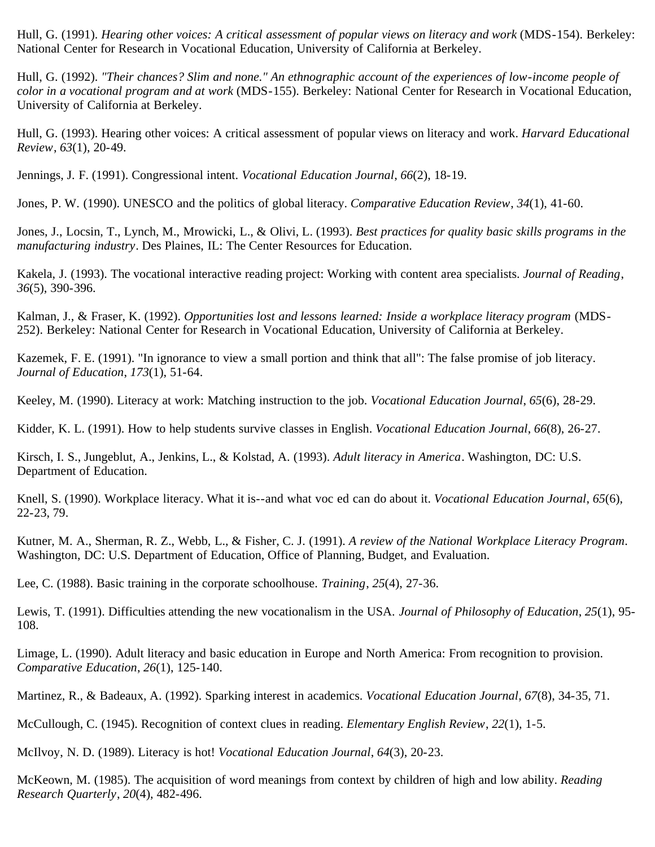Hull, G. (1991). *Hearing other voices: A critical assessment of popular views on literacy and work* (MDS-154). Berkeley: National Center for Research in Vocational Education, University of California at Berkeley.

Hull, G. (1992). *"Their chances? Slim and none." An ethnographic account of the experiences of low-income people of color in a vocational program and at work* (MDS-155). Berkeley: National Center for Research in Vocational Education, University of California at Berkeley.

Hull, G. (1993). Hearing other voices: A critical assessment of popular views on literacy and work. *Harvard Educational Review*, *63*(1), 20-49.

Jennings, J. F. (1991). Congressional intent. *Vocational Education Journal*, *66*(2), 18-19.

Jones, P. W. (1990). UNESCO and the politics of global literacy. *Comparative Education Review*, *34*(1), 41-60.

Jones, J., Locsin, T., Lynch, M., Mrowicki, L., & Olivi, L. (1993). *Best practices for quality basic skills programs in the manufacturing industry*. Des Plaines, IL: The Center Resources for Education.

Kakela, J. (1993). The vocational interactive reading project: Working with content area specialists. *Journal of Reading*, *36*(5), 390-396.

Kalman, J., & Fraser, K. (1992). *Opportunities lost and lessons learned: Inside a workplace literacy program* (MDS-252). Berkeley: National Center for Research in Vocational Education, University of California at Berkeley.

Kazemek, F. E. (1991). "In ignorance to view a small portion and think that all": The false promise of job literacy. *Journal of Education*, *173*(1), 51-64.

Keeley, M. (1990). Literacy at work: Matching instruction to the job. *Vocational Education Journal*, *65*(6), 28-29.

Kidder, K. L. (1991). How to help students survive classes in English. *Vocational Education Journal*, *66*(8), 26-27.

Kirsch, I. S., Jungeblut, A., Jenkins, L., & Kolstad, A. (1993). *Adult literacy in America*. Washington, DC: U.S. Department of Education.

Knell, S. (1990). Workplace literacy. What it is--and what voc ed can do about it. *Vocational Education Journal*, *65*(6), 22-23, 79.

Kutner, M. A., Sherman, R. Z., Webb, L., & Fisher, C. J. (1991). *A review of the National Workplace Literacy Program*. Washington, DC: U.S. Department of Education, Office of Planning, Budget, and Evaluation.

Lee, C. (1988). Basic training in the corporate schoolhouse. *Training*, *25*(4), 27-36.

Lewis, T. (1991). Difficulties attending the new vocationalism in the USA. *Journal of Philosophy of Education*, *25*(1), 95- 108.

Limage, L. (1990). Adult literacy and basic education in Europe and North America: From recognition to provision. *Comparative Education*, *26*(1), 125-140.

Martinez, R., & Badeaux, A. (1992). Sparking interest in academics. *Vocational Education Journal*, *67*(8), 34-35, 71.

McCullough, C. (1945). Recognition of context clues in reading. *Elementary English Review*, *22*(1), 1-5.

McIlvoy, N. D. (1989). Literacy is hot! *Vocational Education Journal*, *64*(3), 20-23.

McKeown, M. (1985). The acquisition of word meanings from context by children of high and low ability. *Reading Research Quarterly*, *20*(4), 482-496.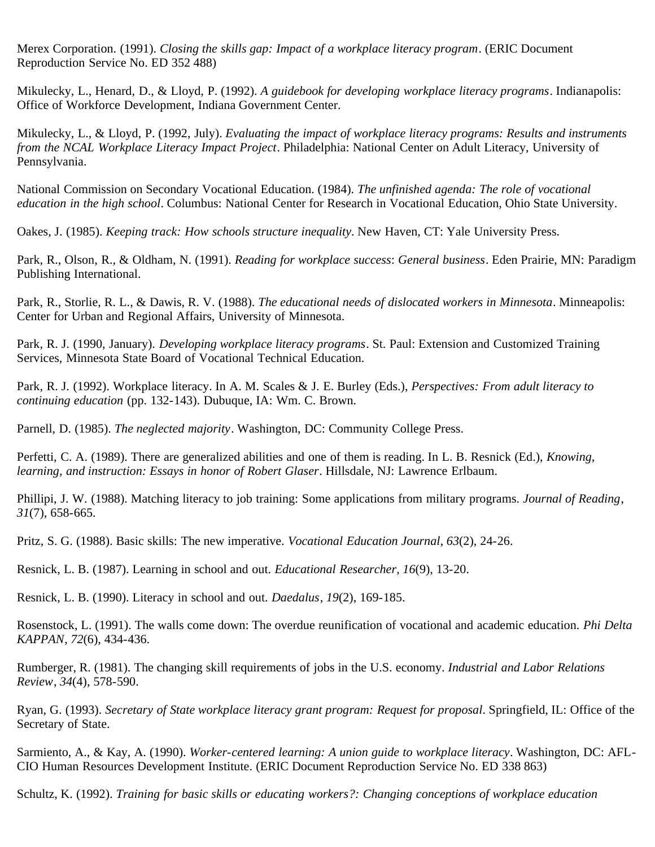Merex Corporation. (1991). *Closing the skills gap: Impact of a workplace literacy program*. (ERIC Document Reproduction Service No. ED 352 488)

Mikulecky, L., Henard, D., & Lloyd, P. (1992). *A guidebook for developing workplace literacy programs*. Indianapolis: Office of Workforce Development, Indiana Government Center.

Mikulecky, L., & Lloyd, P. (1992, July). *Evaluating the impact of workplace literacy programs: Results and instruments from the NCAL Workplace Literacy Impact Project*. Philadelphia: National Center on Adult Literacy, University of Pennsylvania.

National Commission on Secondary Vocational Education. (1984). *The unfinished agenda: The role of vocational education in the high school*. Columbus: National Center for Research in Vocational Education, Ohio State University.

Oakes, J. (1985). *Keeping track: How schools structure inequality*. New Haven, CT: Yale University Press.

Park, R., Olson, R., & Oldham, N. (1991). *Reading for workplace success*: *General business*. Eden Prairie, MN: Paradigm Publishing International.

Park, R., Storlie, R. L., & Dawis, R. V. (1988). *The educational needs of dislocated workers in Minnesota*. Minneapolis: Center for Urban and Regional Affairs, University of Minnesota.

Park, R. J. (1990, January). *Developing workplace literacy programs*. St. Paul: Extension and Customized Training Services, Minnesota State Board of Vocational Technical Education.

Park, R. J. (1992). Workplace literacy. In A. M. Scales & J. E. Burley (Eds.), *Perspectives: From adult literacy to continuing education* (pp. 132-143). Dubuque, IA: Wm. C. Brown.

Parnell, D. (1985). *The neglected majority*. Washington, DC: Community College Press.

Perfetti, C. A. (1989). There are generalized abilities and one of them is reading. In L. B. Resnick (Ed.), *Knowing, learning, and instruction: Essays in honor of Robert Glaser*. Hillsdale, NJ: Lawrence Erlbaum.

Phillipi, J. W. (1988). Matching literacy to job training: Some applications from military programs. *Journal of Reading*, *31*(7), 658-665.

Pritz, S. G. (1988). Basic skills: The new imperative. *Vocational Education Journal*, *63*(2), 24-26.

Resnick, L. B. (1987). Learning in school and out. *Educational Researcher*, *16*(9), 13-20.

Resnick, L. B. (1990). Literacy in school and out. *Daedalus*, *19*(2), 169-185.

Rosenstock, L. (1991). The walls come down: The overdue reunification of vocational and academic education. *Phi Delta KAPPAN*, *72*(6), 434-436.

Rumberger, R. (1981). The changing skill requirements of jobs in the U.S. economy. *Industrial and Labor Relations Review*, *34*(4), 578-590.

Ryan, G. (1993). *Secretary of State workplace literacy grant program: Request for proposal*. Springfield, IL: Office of the Secretary of State.

Sarmiento, A., & Kay, A. (1990). *Worker-centered learning: A union guide to workplace literacy*. Washington, DC: AFL-CIO Human Resources Development Institute. (ERIC Document Reproduction Service No. ED 338 863)

Schultz, K. (1992). *Training for basic skills or educating workers?: Changing conceptions of workplace education*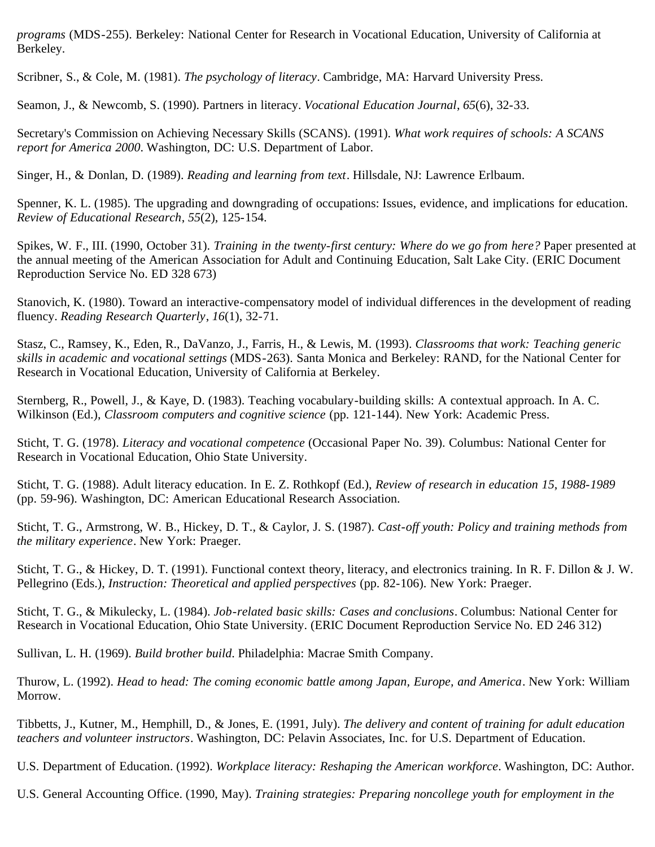*programs* (MDS-255). Berkeley: National Center for Research in Vocational Education, University of California at Berkeley.

Scribner, S., & Cole, M. (1981). *The psychology of literacy*. Cambridge, MA: Harvard University Press.

Seamon, J., & Newcomb, S. (1990). Partners in literacy. *Vocational Education Journal*, *65*(6), 32-33.

Secretary's Commission on Achieving Necessary Skills (SCANS). (1991). *What work requires of schools: A SCANS report for America 2000*. Washington, DC: U.S. Department of Labor.

Singer, H., & Donlan, D. (1989). *Reading and learning from text*. Hillsdale, NJ: Lawrence Erlbaum.

Spenner, K. L. (1985). The upgrading and downgrading of occupations: Issues, evidence, and implications for education. *Review of Educational Research*, *55*(2), 125-154.

Spikes, W. F., III. (1990, October 31). *Training in the twenty-first century: Where do we go from here?* Paper presented at the annual meeting of the American Association for Adult and Continuing Education, Salt Lake City. (ERIC Document Reproduction Service No. ED 328 673)

Stanovich, K. (1980). Toward an interactive-compensatory model of individual differences in the development of reading fluency. *Reading Research Quarterly*, *16*(1), 32-71.

Stasz, C., Ramsey, K., Eden, R., DaVanzo, J., Farris, H., & Lewis, M. (1993). *Classrooms that work: Teaching generic skills in academic and vocational settings* (MDS-263). Santa Monica and Berkeley: RAND, for the National Center for Research in Vocational Education, University of California at Berkeley.

Sternberg, R., Powell, J., & Kaye, D. (1983). Teaching vocabulary-building skills: A contextual approach. In A. C. Wilkinson (Ed.), *Classroom computers and cognitive science* (pp. 121-144). New York: Academic Press.

Sticht, T. G. (1978). *Literacy and vocational competence* (Occasional Paper No. 39). Columbus: National Center for Research in Vocational Education, Ohio State University.

Sticht, T. G. (1988). Adult literacy education. In E. Z. Rothkopf (Ed.), *Review of research in education 15*, *1988-1989* (pp. 59-96). Washington, DC: American Educational Research Association.

Sticht, T. G., Armstrong, W. B., Hickey, D. T., & Caylor, J. S. (1987). *Cast-off youth: Policy and training methods from the military experience*. New York: Praeger.

Sticht, T. G., & Hickey, D. T. (1991). Functional context theory, literacy, and electronics training. In R. F. Dillon & J. W. Pellegrino (Eds.), *Instruction: Theoretical and applied perspectives* (pp. 82-106). New York: Praeger.

Sticht, T. G., & Mikulecky, L. (1984). *Job-related basic skills: Cases and conclusions*. Columbus: National Center for Research in Vocational Education, Ohio State University. (ERIC Document Reproduction Service No. ED 246 312)

Sullivan, L. H. (1969). *Build brother build*. Philadelphia: Macrae Smith Company.

Thurow, L. (1992). *Head to head: The coming economic battle among Japan, Europe, and America*. New York: William Morrow.

Tibbetts, J., Kutner, M., Hemphill, D., & Jones, E. (1991, July). *The delivery and content of training for adult education teachers and volunteer instructors*. Washington, DC: Pelavin Associates, Inc. for U.S. Department of Education.

U.S. Department of Education. (1992). *Workplace literacy: Reshaping the American workforce*. Washington, DC: Author.

U.S. General Accounting Office. (1990, May). *Training strategies: Preparing noncollege youth for employment in the*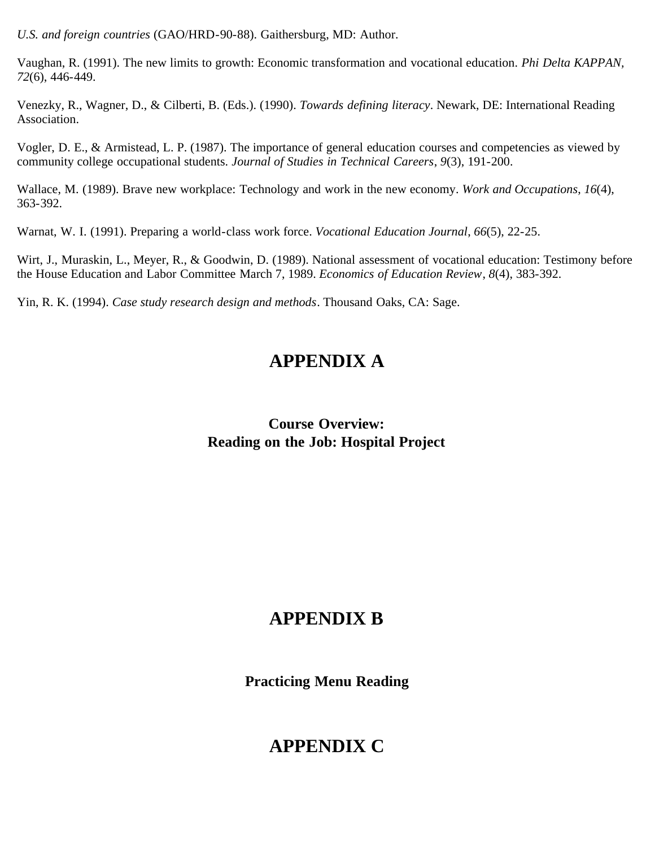*U.S. and foreign countries* (GAO/HRD-90-88). Gaithersburg, MD: Author.

Vaughan, R. (1991). The new limits to growth: Economic transformation and vocational education. *Phi Delta KAPPAN, 72*(6), 446-449.

Venezky, R., Wagner, D., & Cilberti, B. (Eds.). (1990). *Towards defining literacy*. Newark, DE: International Reading Association.

Vogler, D. E., & Armistead, L. P. (1987). The importance of general education courses and competencies as viewed by community college occupational students. *Journal of Studies in Technical Careers*, *9*(3), 191-200.

Wallace, M. (1989). Brave new workplace: Technology and work in the new economy. *Work and Occupations*, *16*(4), 363-392.

Warnat, W. I. (1991). Preparing a world-class work force. *Vocational Education Journal*, *66*(5), 22-25.

Wirt, J., Muraskin, L., Meyer, R., & Goodwin, D. (1989). National assessment of vocational education: Testimony before the House Education and Labor Committee March 7, 1989. *Economics of Education Review*, *8*(4), 383-392.

Yin, R. K. (1994). *Case study research design and methods*. Thousand Oaks, CA: Sage.

# **APPENDIX A**

**Course Overview: Reading on the Job: Hospital Project**

# **APPENDIX B**

**Practicing Menu Reading**

# **APPENDIX C**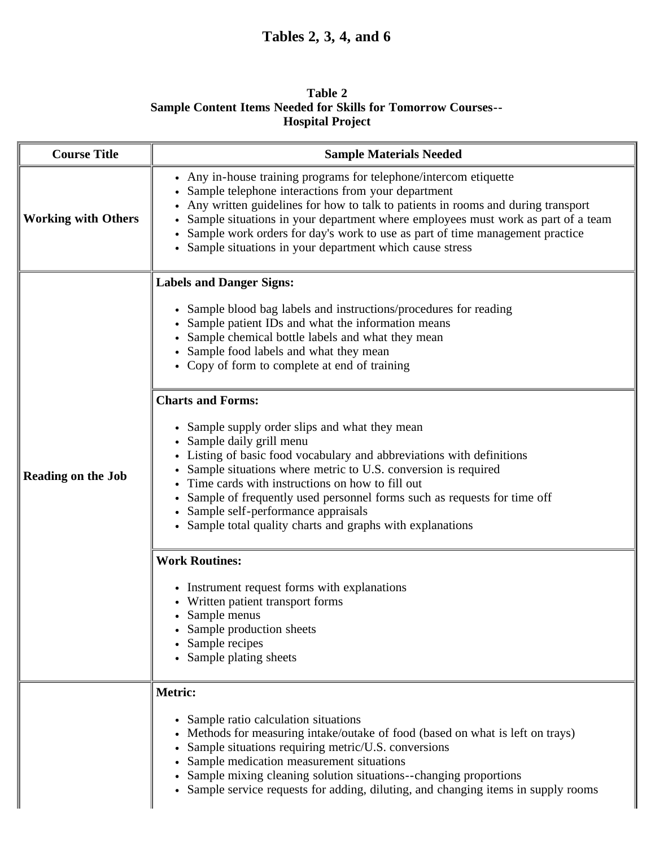# **Tables 2, 3, 4, and 6**

## **Table 2 Sample Content Items Needed for Skills for Tomorrow Courses-- Hospital Project**

| <b>Course Title</b>        | <b>Sample Materials Needed</b>                                                                                                                                                                                                                                                                                                                                                                                                                        |  |  |  |  |  |
|----------------------------|-------------------------------------------------------------------------------------------------------------------------------------------------------------------------------------------------------------------------------------------------------------------------------------------------------------------------------------------------------------------------------------------------------------------------------------------------------|--|--|--|--|--|
| <b>Working with Others</b> | • Any in-house training programs for telephone/intercom etiquette<br>Sample telephone interactions from your department<br>Any written guidelines for how to talk to patients in rooms and during transport<br>Sample situations in your department where employees must work as part of a team<br>• Sample work orders for day's work to use as part of time management practice<br>• Sample situations in your department which cause stress        |  |  |  |  |  |
|                            | <b>Labels and Danger Signs:</b>                                                                                                                                                                                                                                                                                                                                                                                                                       |  |  |  |  |  |
|                            | • Sample blood bag labels and instructions/procedures for reading<br>• Sample patient IDs and what the information means<br>• Sample chemical bottle labels and what they mean<br>• Sample food labels and what they mean<br>• Copy of form to complete at end of training                                                                                                                                                                            |  |  |  |  |  |
|                            | <b>Charts and Forms:</b>                                                                                                                                                                                                                                                                                                                                                                                                                              |  |  |  |  |  |
| <b>Reading on the Job</b>  | • Sample supply order slips and what they mean<br>• Sample daily grill menu<br>Listing of basic food vocabulary and abbreviations with definitions<br>Sample situations where metric to U.S. conversion is required<br>Time cards with instructions on how to fill out<br>Sample of frequently used personnel forms such as requests for time off<br>• Sample self-performance appraisals<br>Sample total quality charts and graphs with explanations |  |  |  |  |  |
|                            | <b>Work Routines:</b>                                                                                                                                                                                                                                                                                                                                                                                                                                 |  |  |  |  |  |
|                            | • Instrument request forms with explanations<br>• Written patient transport forms<br>• Sample menus<br>• Sample production sheets<br>• Sample recipes<br>• Sample plating sheets                                                                                                                                                                                                                                                                      |  |  |  |  |  |
|                            | Metric:                                                                                                                                                                                                                                                                                                                                                                                                                                               |  |  |  |  |  |
|                            | • Sample ratio calculation situations<br>Methods for measuring intake/outake of food (based on what is left on trays)<br>Sample situations requiring metric/U.S. conversions<br>Sample medication measurement situations<br>Sample mixing cleaning solution situations--changing proportions<br>• Sample service requests for adding, diluting, and changing items in supply rooms                                                                    |  |  |  |  |  |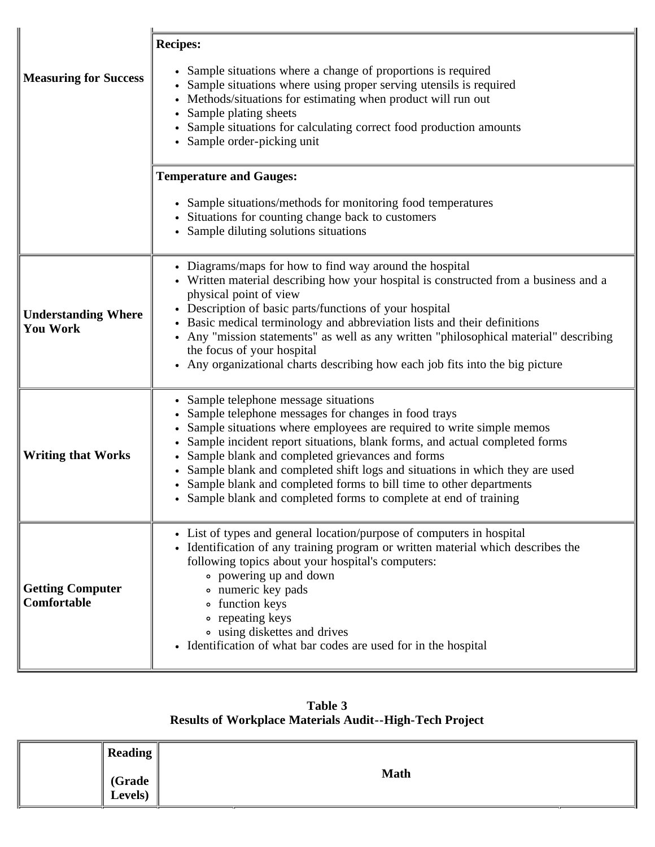|                                               | <b>Recipes:</b>                                                                                                                                                                                                                                                                                                                                                                                                                                                                                                                   |
|-----------------------------------------------|-----------------------------------------------------------------------------------------------------------------------------------------------------------------------------------------------------------------------------------------------------------------------------------------------------------------------------------------------------------------------------------------------------------------------------------------------------------------------------------------------------------------------------------|
| <b>Measuring for Success</b>                  | • Sample situations where a change of proportions is required<br>Sample situations where using proper serving utensils is required<br>Methods/situations for estimating when product will run out<br>Sample plating sheets<br>• Sample situations for calculating correct food production amounts<br>• Sample order-picking unit                                                                                                                                                                                                  |
|                                               | <b>Temperature and Gauges:</b>                                                                                                                                                                                                                                                                                                                                                                                                                                                                                                    |
|                                               | • Sample situations/methods for monitoring food temperatures<br>• Situations for counting change back to customers<br>• Sample diluting solutions situations                                                                                                                                                                                                                                                                                                                                                                      |
| <b>Understanding Where</b><br><b>You Work</b> | • Diagrams/maps for how to find way around the hospital<br>• Written material describing how your hospital is constructed from a business and a<br>physical point of view<br>• Description of basic parts/functions of your hospital<br>• Basic medical terminology and abbreviation lists and their definitions<br>Any "mission statements" as well as any written "philosophical material" describing<br>$\bullet$<br>the focus of your hospital<br>Any organizational charts describing how each job fits into the big picture |
| <b>Writing that Works</b>                     | • Sample telephone message situations<br>Sample telephone messages for changes in food trays<br>Sample situations where employees are required to write simple memos<br>Sample incident report situations, blank forms, and actual completed forms<br>Sample blank and completed grievances and forms<br>Sample blank and completed shift logs and situations in which they are used<br>Sample blank and completed forms to bill time to other departments<br>• Sample blank and completed forms to complete at end of training   |
| <b>Getting Computer</b><br><b>Comfortable</b> | • List of types and general location/purpose of computers in hospital<br>• Identification of any training program or written material which describes the<br>following topics about your hospital's computers:<br>• powering up and down<br>• numeric key pads<br>o function keys<br>• repeating keys<br>• using diskettes and drives<br>• Identification of what bar codes are used for in the hospital                                                                                                                          |

**Table 3 Results of Workplace Materials Audit--High-Tech Project**

| <b>Reading</b>    |             |
|-------------------|-------------|
| (Grade<br>Levels) | <b>Math</b> |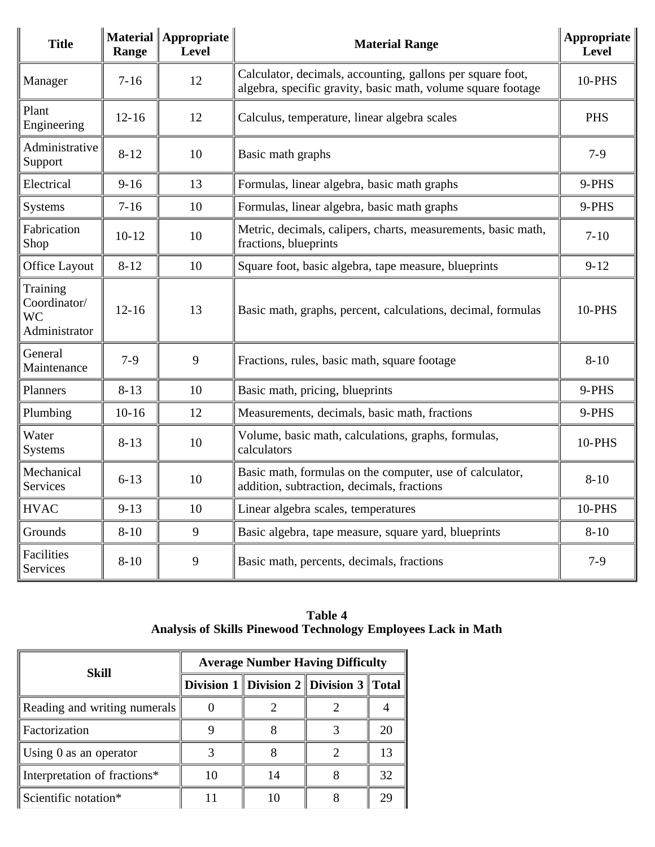| <b>Title</b>                                           | Range     | Material   Appropriate<br><b>Level</b> | <b>Material Range</b>                                                                                                      | Appropriate<br>Level |
|--------------------------------------------------------|-----------|----------------------------------------|----------------------------------------------------------------------------------------------------------------------------|----------------------|
| Manager                                                | $7 - 16$  | 12                                     | Calculator, decimals, accounting, gallons per square foot,<br>algebra, specific gravity, basic math, volume square footage | 10-PHS               |
| Plant<br>Engineering                                   | $12 - 16$ | 12                                     | Calculus, temperature, linear algebra scales                                                                               | <b>PHS</b>           |
| Administrative<br>Support                              | $8 - 12$  | 10                                     | Basic math graphs                                                                                                          | $7-9$                |
| Electrical                                             | $9 - 16$  | 13                                     | Formulas, linear algebra, basic math graphs                                                                                | 9-PHS                |
| <b>Systems</b>                                         | $7 - 16$  | 10                                     | Formulas, linear algebra, basic math graphs                                                                                | 9-PHS                |
| Fabrication<br>Shop                                    | $10 - 12$ | 10                                     | Metric, decimals, calipers, charts, measurements, basic math,<br>fractions, blueprints                                     | $7 - 10$             |
| <b>Office Layout</b>                                   | $8 - 12$  | 10                                     | Square foot, basic algebra, tape measure, blueprints                                                                       | $9 - 12$             |
| Training<br>Coordinator/<br><b>WC</b><br>Administrator | $12 - 16$ | 13                                     | Basic math, graphs, percent, calculations, decimal, formulas                                                               | 10-PHS               |
| General<br>Maintenance                                 | $7-9$     | 9                                      | Fractions, rules, basic math, square footage                                                                               | $8 - 10$             |
| Planners                                               | $8 - 13$  | 10                                     | Basic math, pricing, blueprints                                                                                            | 9-PHS                |
| Plumbing                                               | $10 - 16$ | 12                                     | Measurements, decimals, basic math, fractions                                                                              | 9-PHS                |
| Water<br><b>Systems</b>                                | $8 - 13$  | 10                                     | Volume, basic math, calculations, graphs, formulas,<br>calculators                                                         | 10-PHS               |
| Mechanical<br><b>Services</b>                          | $6 - 13$  | 10                                     | Basic math, formulas on the computer, use of calculator,<br>addition, subtraction, decimals, fractions                     | $8 - 10$             |
| <b>HVAC</b>                                            | $9 - 13$  | 10                                     | Linear algebra scales, temperatures                                                                                        | 10-PHS               |
| Grounds                                                | $8 - 10$  | 9                                      | Basic algebra, tape measure, square yard, blueprints                                                                       | $8 - 10$             |
| Facilities<br>Services                                 | $8 - 10$  | 9                                      | Basic math, percents, decimals, fractions                                                                                  | $7-9$                |

**Table 4 Analysis of Skills Pinewood Technology Employees Lack in Math**

| Skill                        | <b>Average Number Having Difficulty</b> |    |                                              |    |  |
|------------------------------|-----------------------------------------|----|----------------------------------------------|----|--|
|                              |                                         |    | Division 1   Division 2   Division 3   Total |    |  |
| Reading and writing numerals |                                         |    |                                              |    |  |
| Factorization                |                                         |    |                                              |    |  |
| Using $0$ as an operator     |                                         |    |                                              |    |  |
| Interpretation of fractions* |                                         | 14 |                                              | 32 |  |
| Scientific notation*         |                                         |    |                                              |    |  |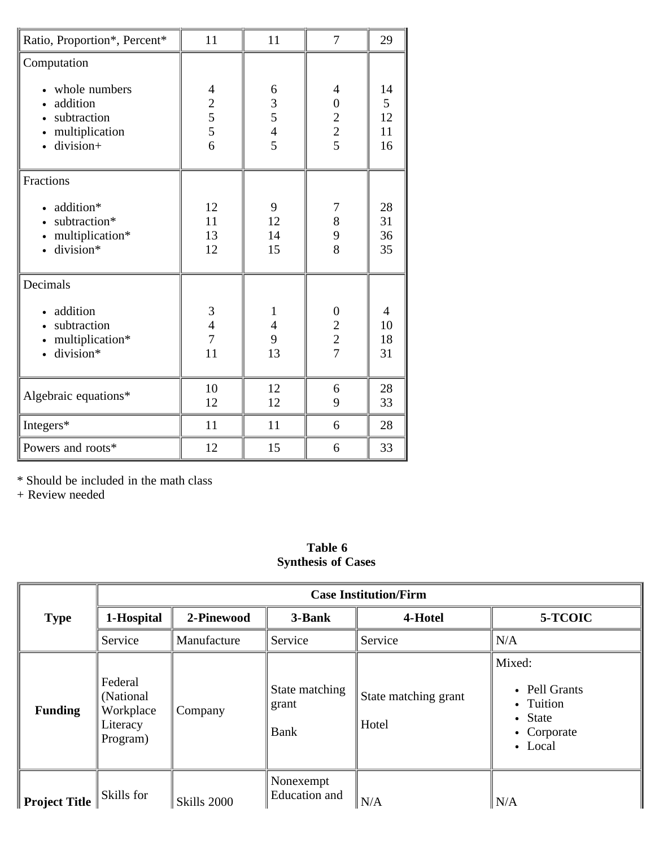| Ratio, Proportion*, Percent*                                                                                       | 11                                                   | 11                                              | 7                                                      | 29                        |
|--------------------------------------------------------------------------------------------------------------------|------------------------------------------------------|-------------------------------------------------|--------------------------------------------------------|---------------------------|
| Computation<br>• whole numbers<br>addition<br>subtraction<br>$\bullet$<br>multiplication<br>division+<br>$\bullet$ | 4<br>$\begin{array}{c} 2 \\ 5 \\ 5 \end{array}$<br>6 | 6<br>3<br>$\overline{5}$<br>$\overline{4}$<br>5 | 4<br>$\boldsymbol{0}$<br>$\overline{c}$<br>$rac{2}{5}$ | 14<br>5<br>12<br>11<br>16 |
| Fractions<br>addition*<br>subtraction*<br>$\bullet$<br>multiplication*<br>division*                                | 12<br>11<br>13<br>12                                 | 9<br>12<br>14<br>15                             | 7<br>8<br>9<br>8                                       | 28<br>31<br>36<br>35      |
| Decimals<br>addition<br>subtraction<br>$\bullet$<br>multiplication*<br>division*                                   | $\mathfrak{Z}$<br>$\frac{4}{7}$<br>11                | 1<br>$\overline{4}$<br>9<br>13                  | $\boldsymbol{0}$<br>$\overline{c}$<br>$\frac{2}{7}$    | 4<br>10<br>18<br>31       |
| Algebraic equations*                                                                                               | 10<br>12                                             | 12<br>12                                        | 6<br>9                                                 | 28<br>33                  |
| Integers*                                                                                                          | 11                                                   | 11                                              | 6                                                      | 28                        |
| Powers and roots*                                                                                                  | 12                                                   | 15                                              | 6                                                      | 33                        |

\* Should be included in the math class

+ Review needed

## **Table 6 Synthesis of Cases**

|                      | <b>Case Institution/Firm</b>                               |             |                                 |                               |                                                                           |
|----------------------|------------------------------------------------------------|-------------|---------------------------------|-------------------------------|---------------------------------------------------------------------------|
| <b>Type</b>          | 1-Hospital                                                 | 2-Pinewood  | 3-Bank                          | 4-Hotel                       | 5-TCOIC                                                                   |
|                      | Service                                                    | Manufacture | Service                         | Service                       | N/A                                                                       |
| <b>Funding</b>       | Federal<br>(National)<br>Workplace<br>Literacy<br>Program) | Company     | State matching<br>grant<br>Bank | State matching grant<br>Hotel | Mixed:<br>• Pell Grants<br>• Tuition<br>• State<br>• Corporate<br>• Local |
| <b>Project Title</b> | Skills for                                                 | Skills 2000 | Nonexempt<br>Education and      | N/A                           | N/A                                                                       |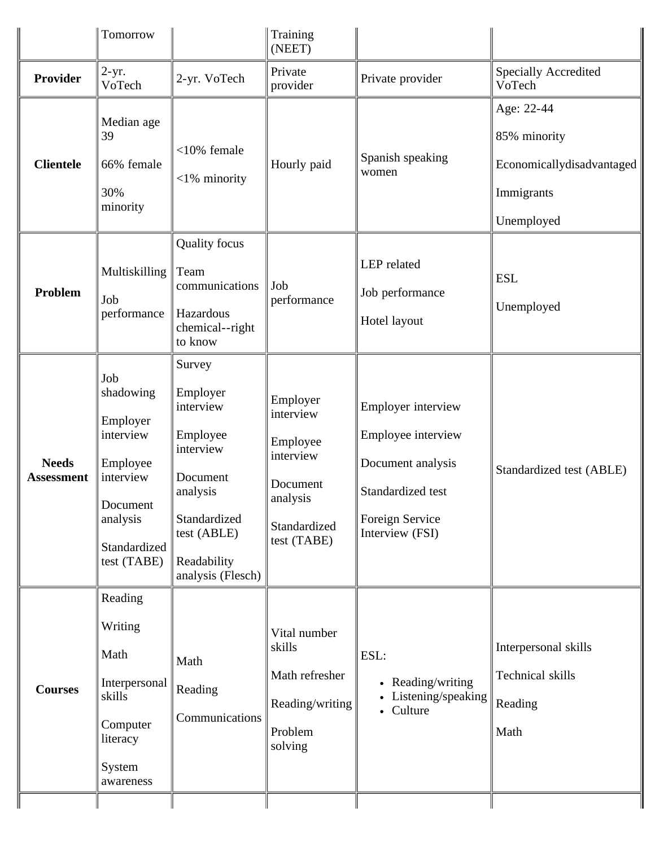| Tomorrow                                                                                                                  |                                                                                                                                                     | Training<br>(NEET)                                                                                    |                                                                                                                          |                                                                                     |
|---------------------------------------------------------------------------------------------------------------------------|-----------------------------------------------------------------------------------------------------------------------------------------------------|-------------------------------------------------------------------------------------------------------|--------------------------------------------------------------------------------------------------------------------------|-------------------------------------------------------------------------------------|
| $2-yr.$<br>VoTech                                                                                                         | 2-yr. VoTech                                                                                                                                        | Private<br>provider                                                                                   | Private provider                                                                                                         | <b>Specially Accredited</b><br>VoTech                                               |
| Median age<br>39<br>66% female<br>30%<br>minority                                                                         | $<$ 10% female<br>$<$ 1% minority                                                                                                                   | Hourly paid                                                                                           | Spanish speaking<br>women                                                                                                | Age: 22-44<br>85% minority<br>Economicallydisadvantaged<br>Immigrants<br>Unemployed |
| Multiskilling<br>Job<br>performance                                                                                       | <b>Quality</b> focus<br>Team<br>communications<br>Hazardous<br>chemical--right<br>to know                                                           | Job<br>performance                                                                                    | LEP related<br>Job performance<br>Hotel layout                                                                           | <b>ESL</b><br>Unemployed                                                            |
| Job<br>shadowing<br>Employer<br>interview<br>Employee<br>interview<br>Document<br>analysis<br>Standardized<br>test (TABE) | Survey<br>Employer<br>interview<br>Employee<br>interview<br>Document<br>analysis<br>Standardized<br>test (ABLE)<br>Readability<br>analysis (Flesch) | Employer<br>interview<br>Employee<br>interview<br>Document<br>analysis<br>Standardized<br>test (TABE) | Employer interview<br>Employee interview<br>Document analysis<br>Standardized test<br>Foreign Service<br>Interview (FSI) | Standardized test (ABLE)                                                            |
| Reading<br>Writing<br>Math<br>Interpersonal<br>skills<br>Computer<br>literacy<br>System<br>awareness                      | Math<br>Reading<br>Communications                                                                                                                   | Vital number<br>skills<br>Math refresher<br>Reading/writing<br>Problem<br>solving                     | ESL:<br>• Reading/writing<br>Listening/speaking<br>Culture<br>$\bullet$                                                  | Interpersonal skills<br>Technical skills<br>Reading<br>Math                         |
|                                                                                                                           |                                                                                                                                                     |                                                                                                       |                                                                                                                          |                                                                                     |